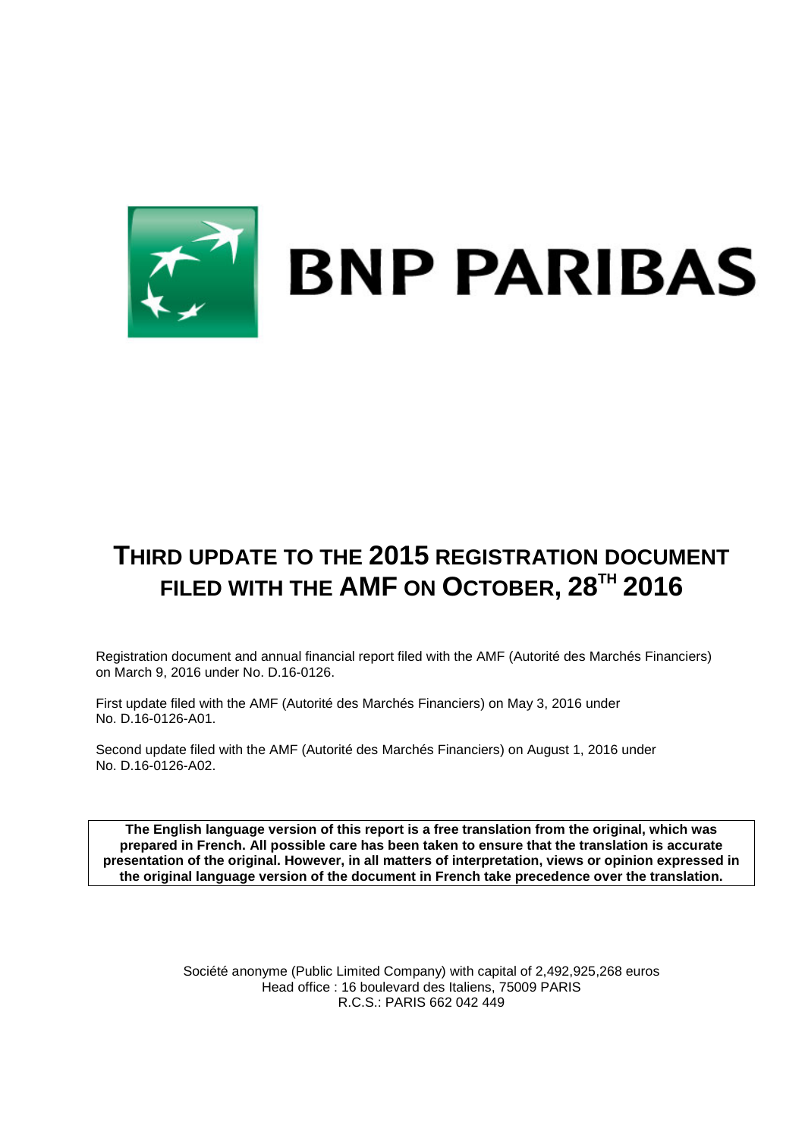

# **THIRD UPDATE TO THE 2015 REGISTRATION DOCUMENT FILED WITH THE AMF ON OCTOBER, 28TH 2016**

Registration document and annual financial report filed with the AMF (Autorité des Marchés Financiers) on March 9, 2016 under No. D.16-0126.

First update filed with the AMF (Autorité des Marchés Financiers) on May 3, 2016 under No. D.16-0126-A01.

Second update filed with the AMF (Autorité des Marchés Financiers) on August 1, 2016 under No. D.16-0126-A02.

**The English language version of this report is a free translation from the original, which was prepared in French. All possible care has been taken to ensure that the translation is accurate presentation of the original. However, in all matters of interpretation, views or opinion expressed in the original language version of the document in French take precedence over the translation.**

> Société anonyme (Public Limited Company) with capital of 2,492,925,268 euros Head office : 16 boulevard des Italiens, 75009 PARIS R.C.S.: PARIS 662 042 449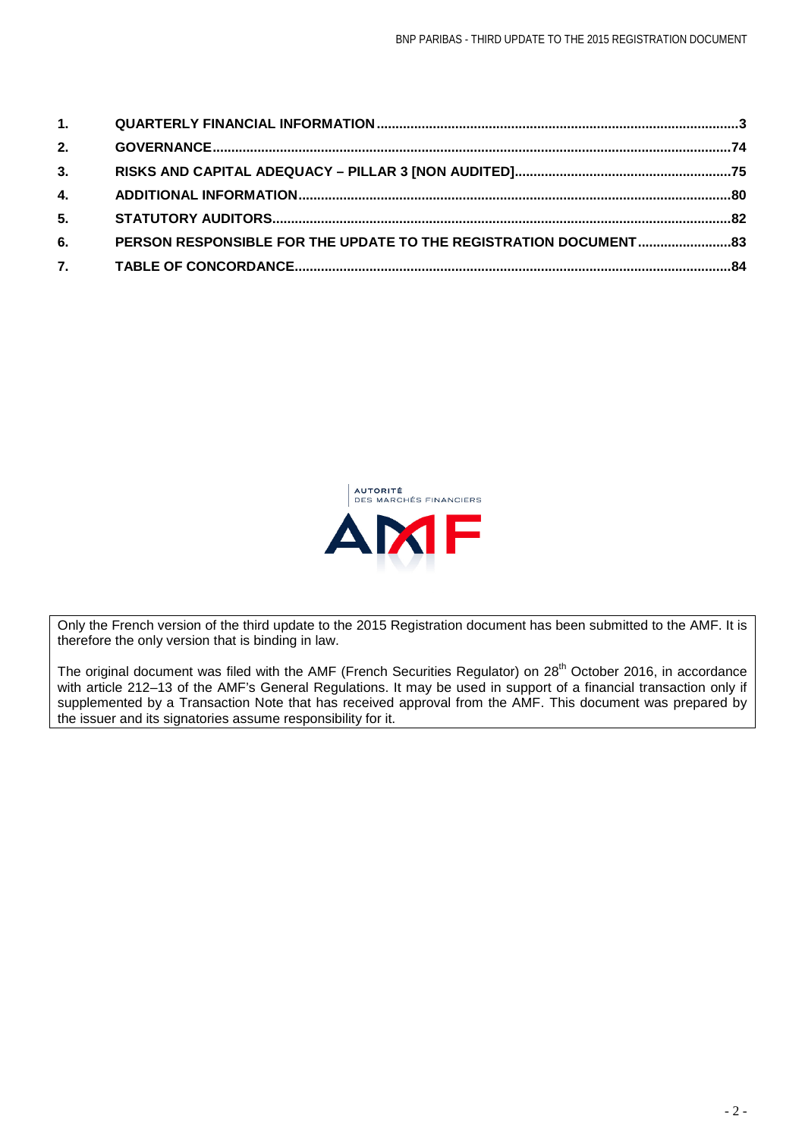| 3. |  |
|----|--|
|    |  |
|    |  |
| 6. |  |
|    |  |
|    |  |



Only the French version of the third update to the 2015 Registration document has been submitted to the AMF. It is therefore the only version that is binding in law.

The original document was filed with the AMF (French Securities Regulator) on 28<sup>th</sup> October 2016, in accordance with article 212–13 of the AMF's General Regulations. It may be used in support of a financial transaction only if supplemented by a Transaction Note that has received approval from the AMF. This document was prepared by the issuer and its signatories assume responsibility for it.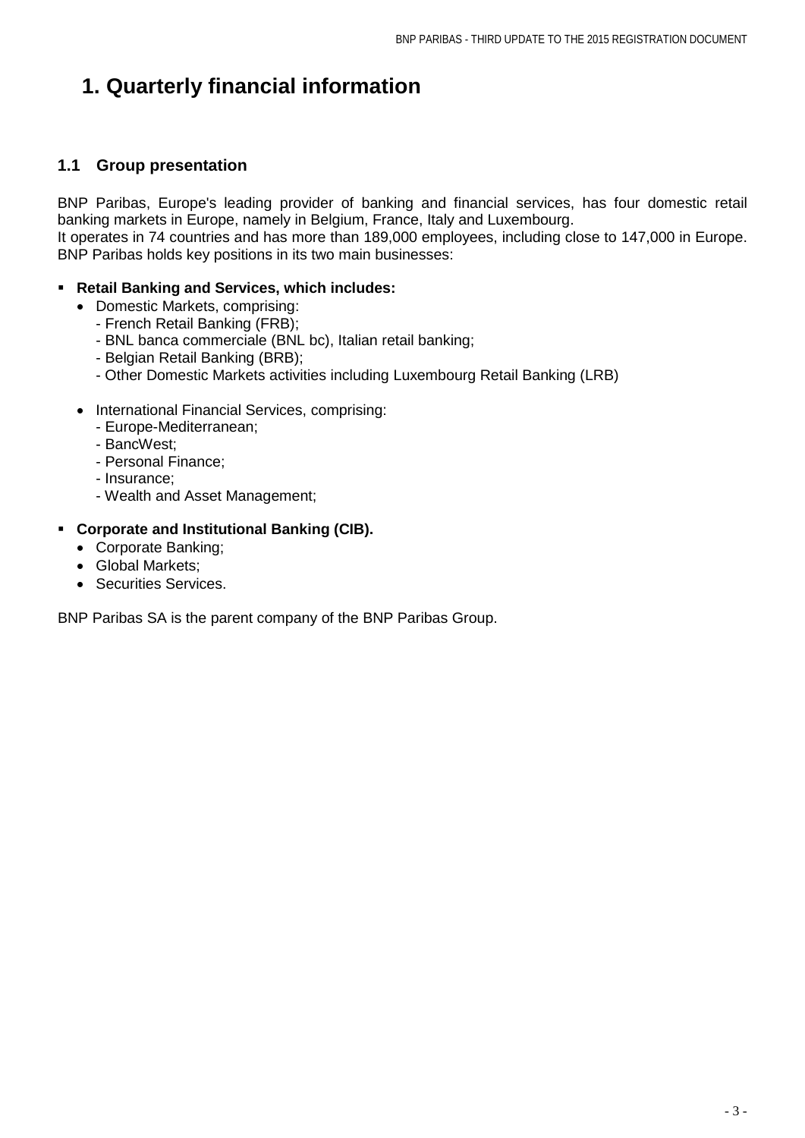# **1. Quarterly financial information**

### **1.1 Group presentation**

BNP Paribas, Europe's leading provider of banking and financial services, has four domestic retail banking markets in Europe, namely in Belgium, France, Italy and Luxembourg.

It operates in 74 countries and has more than 189,000 employees, including close to 147,000 in Europe. BNP Paribas holds key positions in its two main businesses:

#### **Retail Banking and Services, which includes:**

- Domestic Markets, comprising:
	- French Retail Banking (FRB);
	- BNL banca commerciale (BNL bc), Italian retail banking;
	- Belgian Retail Banking (BRB);
	- Other Domestic Markets activities including Luxembourg Retail Banking (LRB)
- International Financial Services, comprising:
	- Europe-Mediterranean;
	- BancWest;
	- Personal Finance;
	- Insurance;
	- Wealth and Asset Management;

#### **Corporate and Institutional Banking (CIB).**

- Corporate Banking;
- Global Markets:
- Securities Services.

<span id="page-2-0"></span>BNP Paribas SA is the parent company of the BNP Paribas Group.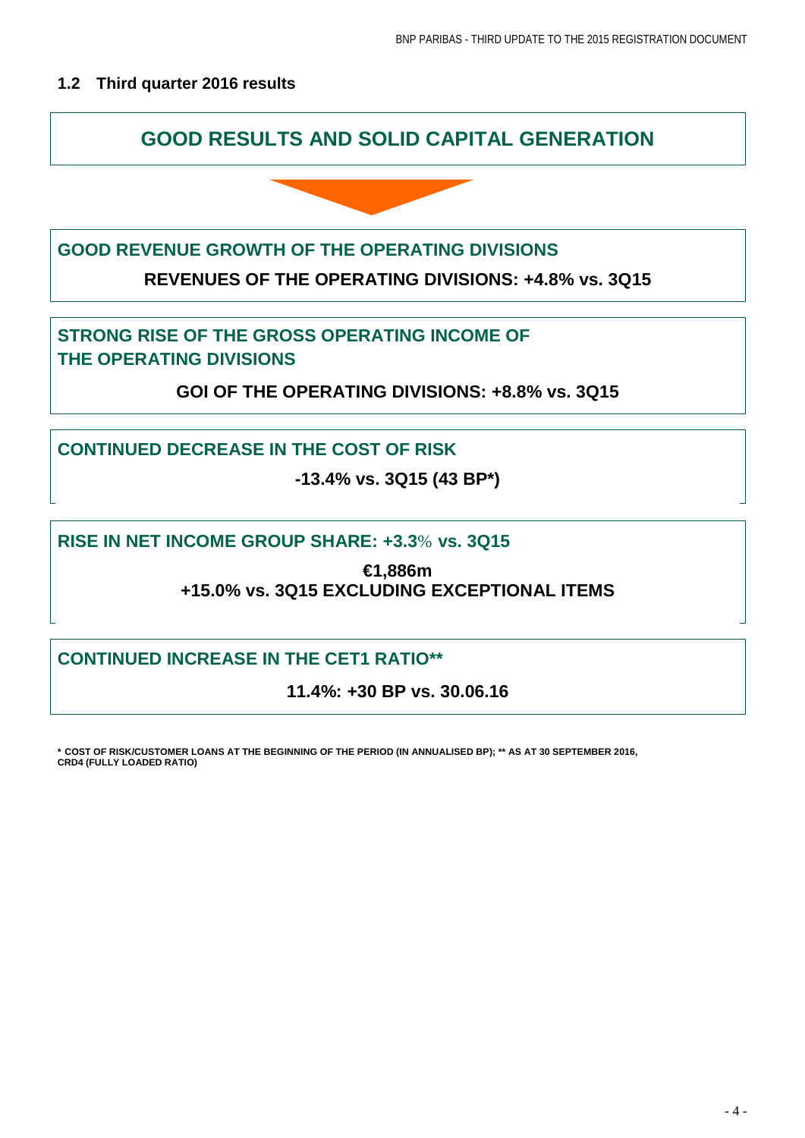### **1.2 Third quarter 2016 results**

### **GOOD RESULTS AND SOLID CAPITAL GENERATION**

**GOOD REVENUE GROWTH OF THE OPERATING DIVISIONS** 

### **REVENUES OF THE OPERATING DIVISIONS: +4.8% vs. 3Q15**

**STRONG RISE OF THE GROSS OPERATING INCOME OF THE OPERATING DIVISIONS**

**GOI OF THE OPERATING DIVISIONS: +8.8% vs. 3Q15**

**CONTINUED DECREASE IN THE COST OF RISK** 

**-13.4% vs. 3Q15 (43 BP\*)**

**RISE IN NET INCOME GROUP SHARE: +3.3**% **vs. 3Q15**

**€1,886m +15.0% vs. 3Q15 EXCLUDING EXCEPTIONAL ITEMS**

**CONTINUED INCREASE IN THE CET1 RATIO\*\***

**11.4%: +30 BP vs. 30.06.16**

**\* COST OF RISK/CUSTOMER LOANS AT THE BEGINNING OF THE PERIOD (IN ANNUALISED BP); \*\* AS AT 30 SEPTEMBER 2016, CRD4 (FULLY LOADED RATIO)**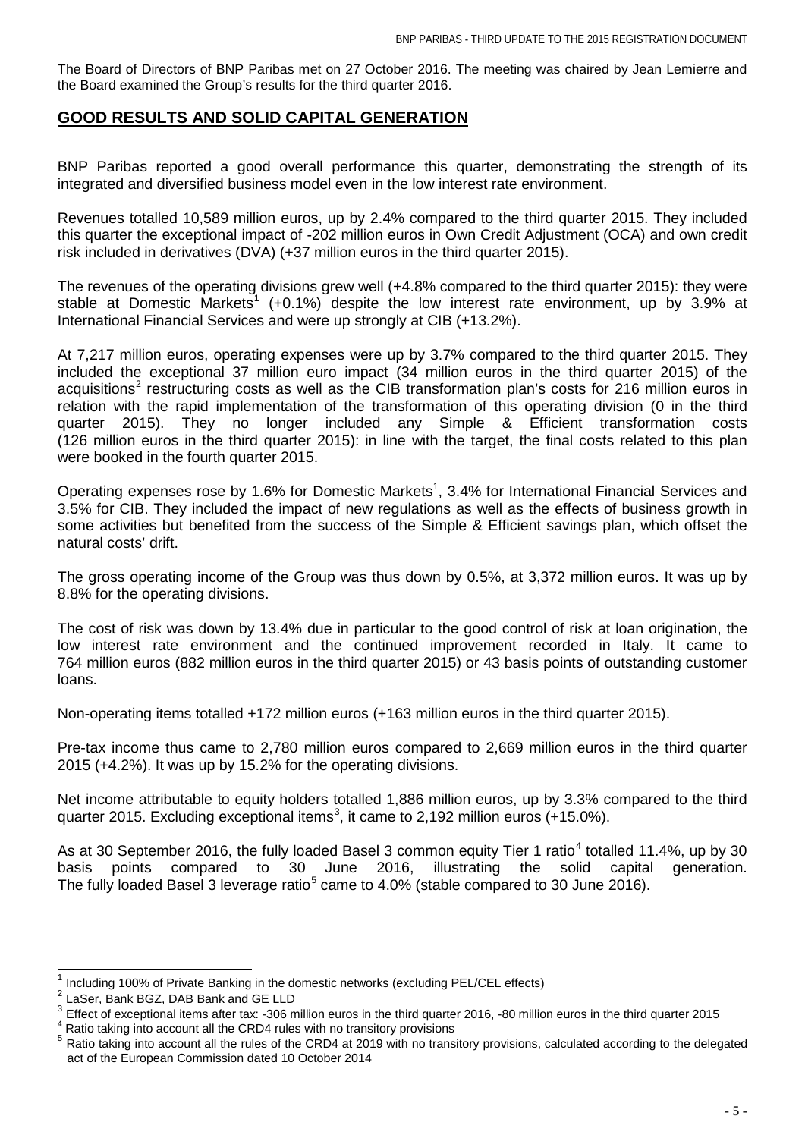The Board of Directors of BNP Paribas met on 27 October 2016. The meeting was chaired by Jean Lemierre and the Board examined the Group's results for the third quarter 2016.

#### **GOOD RESULTS AND SOLID CAPITAL GENERATION**

BNP Paribas reported a good overall performance this quarter, demonstrating the strength of its integrated and diversified business model even in the low interest rate environment.

Revenues totalled 10,589 million euros, up by 2.4% compared to the third quarter 2015. They included this quarter the exceptional impact of -202 million euros in Own Credit Adjustment (OCA) and own credit risk included in derivatives (DVA) (+37 million euros in the third quarter 2015).

The revenues of the operating divisions grew well (+4.8% compared to the third quarter 2015): they were stable at Domestic Markets<sup>[1](#page-2-0)</sup> (+0.1%) despite the low interest rate environment, up by 3.9% at International Financial Services and were up strongly at CIB (+13.2%).

At 7,217 million euros, operating expenses were up by 3.7% compared to the third quarter 2015. They included the exceptional 37 million euro impact (34 million euros in the third quarter 2015) of the acquisitions<sup>[2](#page-4-0)</sup> restructuring costs as well as the CIB transformation plan's costs for 216 million euros in relation with the rapid implementation of the transformation of this operating division (0 in the third quarter 2015). They no longer included any Simple & Efficient transformation costs (126 million euros in the third quarter 2015): in line with the target, the final costs related to this plan were booked in the fourth quarter 2015.

Operating expenses rose by 1.6% for Domestic Markets<sup>1</sup>, 3.4% for International Financial Services and 3.5% for CIB. They included the impact of new regulations as well as the effects of business growth in some activities but benefited from the success of the Simple & Efficient savings plan, which offset the natural costs' drift.

The gross operating income of the Group was thus down by 0.5%, at 3,372 million euros. It was up by 8.8% for the operating divisions.

The cost of risk was down by 13.4% due in particular to the good control of risk at loan origination, the low interest rate environment and the continued improvement recorded in Italy. It came to 764 million euros (882 million euros in the third quarter 2015) or 43 basis points of outstanding customer loans.

Non-operating items totalled +172 million euros (+163 million euros in the third quarter 2015).

Pre-tax income thus came to 2,780 million euros compared to 2,669 million euros in the third quarter 2015 (+4.2%). It was up by 15.2% for the operating divisions.

Net income attributable to equity holders totalled 1,886 million euros, up by 3.3% compared to the third quarter 2015. Excluding exceptional items<sup>[3](#page-4-1)</sup>, it came to 2,192 million euros (+15.0%).

As at 30 September 2016, the fully loaded Basel 3 common equity Tier 1 ratio<sup>[4](#page-4-2)</sup> totalled 11.4%, up by 30 basis points compared to 30 June 2016, illustrating the solid capital generation. basis points compared to 30 June 2016, illustrating the solid capital generation. The fully loaded Basel 3 leverage ratio<sup>[5](#page-4-3)</sup> came to 4.0% (stable compared to 30 June 2016).

<sup>&</sup>lt;sup>1</sup> Including 100% of Private Banking in the domestic networks (excluding PEL/CEL effects)

LaSer, Bank BGZ, DAB Bank and GE LLD

<span id="page-4-1"></span><span id="page-4-0"></span> $\frac{3}{10}$  Effect of exceptional items after tax: -306 million euros in the third quarter 2016, -80 million euros in the third quarter 2015  $^4$  Ratio taking into account all the CRD4 rules with no transitory provisions

<span id="page-4-4"></span><span id="page-4-2"></span>

<span id="page-4-3"></span><sup>&</sup>lt;sup>5</sup> Ratio taking into account all the rules of the CRD4 at 2019 with no transitory provisions, calculated according to the delegated act of the European Commission dated 10 October 2014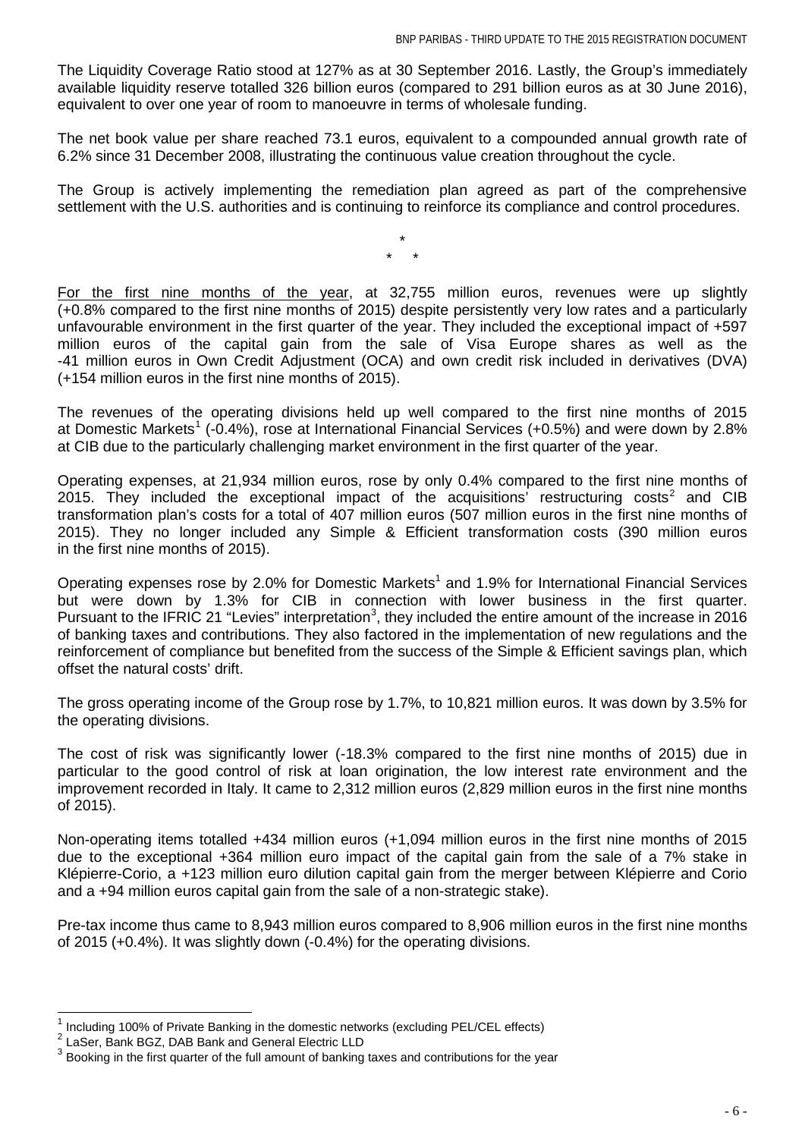The Liquidity Coverage Ratio stood at 127% as at 30 September 2016. Lastly, the Group's immediately available liquidity reserve totalled 326 billion euros (compared to 291 billion euros as at 30 June 2016), equivalent to over one year of room to manoeuvre in terms of wholesale funding.

The net book value per share reached 73.1 euros, equivalent to a compounded annual growth rate of 6.2% since 31 December 2008, illustrating the continuous value creation throughout the cycle.

The Group is actively implementing the remediation plan agreed as part of the comprehensive settlement with the U.S. authorities and is continuing to reinforce its compliance and control procedures.

> \* \* \*

For the first nine months of the year, at 32,755 million euros, revenues were up slightly (+0.8% compared to the first nine months of 2015) despite persistently very low rates and a particularly unfavourable environment in the first quarter of the year. They included the exceptional impact of +597 million euros of the capital gain from the sale of Visa Europe shares as well as the -41 million euros in Own Credit Adjustment (OCA) and own credit risk included in derivatives (DVA) (+154 million euros in the first nine months of 2015).

The revenues of the operating divisions held up well compared to the first nine months of 2015 at Domestic Markets<sup>[1](#page-4-4)</sup> (-0.4%), rose at International Financial Services (+0.5%) and were down by 2.8% at CIB due to the particularly challenging market environment in the first quarter of the year.

Operating expenses, at 21,934 million euros, rose by only 0.4% compared to the first nine months of [2](#page-5-0)015. They included the exceptional impact of the acquisitions' restructuring costs<sup>2</sup> and CIB transformation plan's costs for a total of 407 million euros (507 million euros in the first nine months of 2015). They no longer included any Simple & Efficient transformation costs (390 million euros in the first nine months of 2015).

Operating expenses rose by 2.0% for Domestic Markets<sup>1</sup> and 1.9% for International Financial Services but were down by 1.3% for CIB in connection with lower business in the first quarter. Pursuant to the IFRIC 21 "Levies" interpretation<sup>[3](#page-5-1)</sup>, they included the entire amount of the increase in 2016 of banking taxes and contributions. They also factored in the implementation of new regulations and the reinforcement of compliance but benefited from the success of the Simple & Efficient savings plan, which offset the natural costs' drift.

The gross operating income of the Group rose by 1.7%, to 10,821 million euros. It was down by 3.5% for the operating divisions.

The cost of risk was significantly lower (-18.3% compared to the first nine months of 2015) due in particular to the good control of risk at loan origination, the low interest rate environment and the improvement recorded in Italy. It came to 2,312 million euros (2,829 million euros in the first nine months of 2015).

Non-operating items totalled +434 million euros (+1,094 million euros in the first nine months of 2015 due to the exceptional +364 million euro impact of the capital gain from the sale of a 7% stake in Klépierre-Corio, a +123 million euro dilution capital gain from the merger between Klépierre and Corio and a +94 million euros capital gain from the sale of a non-strategic stake).

Pre-tax income thus came to 8,943 million euros compared to 8,906 million euros in the first nine months of 2015 (+0.4%). It was slightly down (-0.4%) for the operating divisions.

<span id="page-5-2"></span> <sup>1</sup> Including 100% of Private Banking in the domestic networks (excluding PEL/CEL effects)

<span id="page-5-0"></span><sup>2</sup> LaSer, Bank BGZ, DAB Bank and General Electric LLD

<span id="page-5-1"></span> $3$  Booking in the first quarter of the full amount of banking taxes and contributions for the year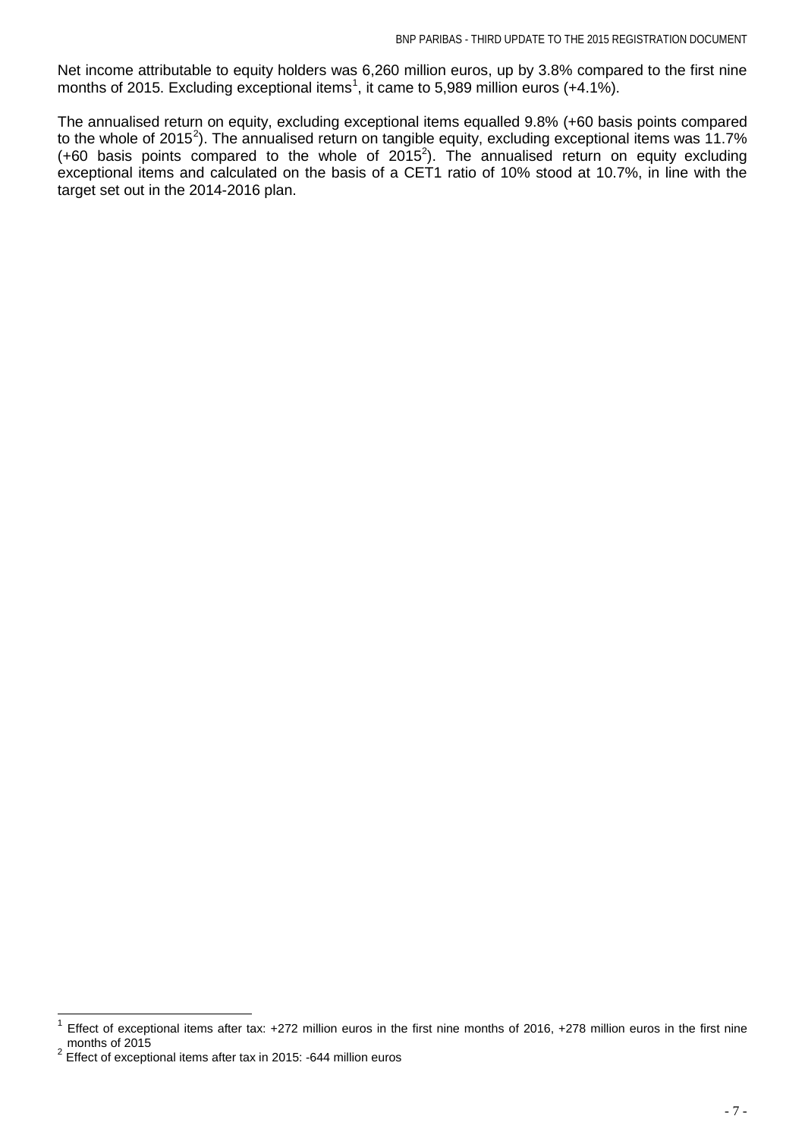Net income attributable to equity holders was 6,260 million euros, up by 3.8% compared to the first nine months of 20[1](#page-5-2)5. Excluding exceptional items<sup>1</sup>, it came to 5,989 million euros  $(+4.1\%)$ .

The annualised return on equity, excluding exceptional items equalled 9.8% (+60 basis points compared to the whole of [2](#page-6-0)015<sup>2</sup>). The annualised return on tangible equity, excluding exceptional items was 11.7%  $(+60)$  basis points compared to the whole of 2015<sup>2</sup>). The annualised return on equity excluding exceptional items and calculated on the basis of a CET1 ratio of 10% stood at 10.7%, in line with the target set out in the 2014-2016 plan.

<span id="page-6-1"></span>Effect of exceptional items after tax: +272 million euros in the first nine months of 2016, +278 million euros in the first nine months of 2015

<span id="page-6-0"></span><sup>&</sup>lt;sup>2</sup> Effect of exceptional items after tax in 2015: -644 million euros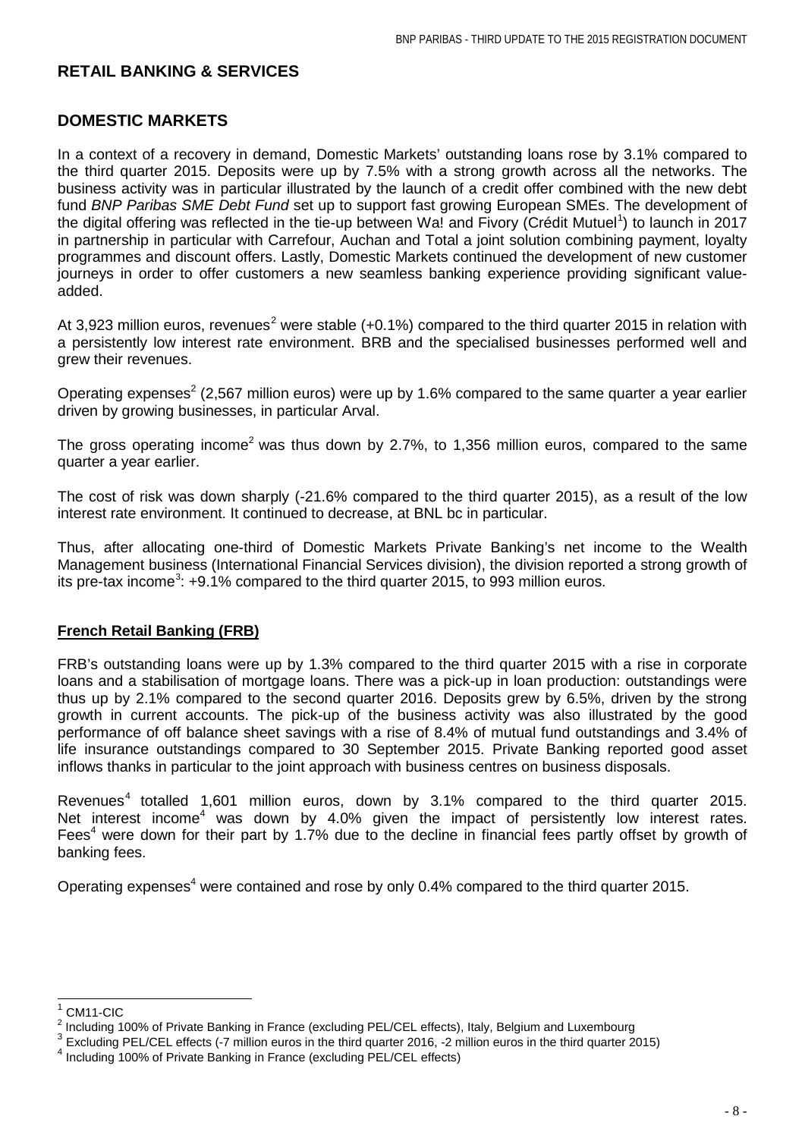### **RETAIL BANKING & SERVICES**

### **DOMESTIC MARKETS**

In a context of a recovery in demand, Domestic Markets' outstanding loans rose by 3.1% compared to the third quarter 2015. Deposits were up by 7.5% with a strong growth across all the networks. The business activity was in particular illustrated by the launch of a credit offer combined with the new debt fund *BNP Paribas SME Debt Fund* set up to support fast growing European SMEs. The development of the digital offering was reflected in the tie-up between Wa! and Fivory (Crédit Mutuel<sup>[1](#page-6-1)</sup>) to launch in 2017 in partnership in particular with Carrefour, Auchan and Total a joint solution combining payment, loyalty programmes and discount offers. Lastly, Domestic Markets continued the development of new customer journeys in order to offer customers a new seamless banking experience providing significant valueadded.

At 3,9[2](#page-7-0)3 million euros, revenues<sup>2</sup> were stable (+0.1%) compared to the third quarter 2015 in relation with a persistently low interest rate environment. BRB and the specialised businesses performed well and grew their revenues.

Operating expenses<sup>2</sup> (2,567 million euros) were up by 1.6% compared to the same quarter a year earlier driven by growing businesses, in particular Arval.

The gross operating income<sup>2</sup> was thus down by 2.7%, to 1,356 million euros, compared to the same quarter a year earlier.

The cost of risk was down sharply (-21.6% compared to the third quarter 2015), as a result of the low interest rate environment. It continued to decrease, at BNL bc in particular.

Thus, after allocating one-third of Domestic Markets Private Banking's net income to the Wealth Management business (International Financial Services division), the division reported a strong growth of its pre-tax income<sup>[3](#page-7-1)</sup>:  $+9.1\%$  compared to the third quarter 2015, to 993 million euros.

#### **French Retail Banking (FRB)**

FRB's outstanding loans were up by 1.3% compared to the third quarter 2015 with a rise in corporate loans and a stabilisation of mortgage loans. There was a pick-up in loan production: outstandings were thus up by 2.1% compared to the second quarter 2016. Deposits grew by 6.5%, driven by the strong growth in current accounts. The pick-up of the business activity was also illustrated by the good performance of off balance sheet savings with a rise of 8.4% of mutual fund outstandings and 3.4% of life insurance outstandings compared to 30 September 2015. Private Banking reported good asset inflows thanks in particular to the joint approach with business centres on business disposals.

Revenues<sup>[4](#page-7-2)</sup> totalled 1,601 million euros, down by 3.1% compared to the third quarter 2015. Net interest income<sup>4</sup> was down by 4.0% given the impact of persistently low interest rates. Fees<sup>4</sup> were down for their part by 1.7% due to the decline in financial fees partly offset by growth of banking fees.

Operating expenses<sup>4</sup> were contained and rose by only 0.4% compared to the third quarter 2015.

<span id="page-7-3"></span><span id="page-7-0"></span> $1$  CM11-CIC<br> $2$  Including 100% of Private Banking in France (excluding PEL/CEL effects), Italy, Belgium and Luxembourg

<span id="page-7-1"></span><sup>&</sup>lt;sup>3</sup> Excluding PEL/CEL effects (-7 million euros in the third quarter 2016, -2 million euros in the third quarter 2015)

<span id="page-7-2"></span><sup>&</sup>lt;sup>4</sup> Including 100% of Private Banking in France (excluding PEL/CEL effects)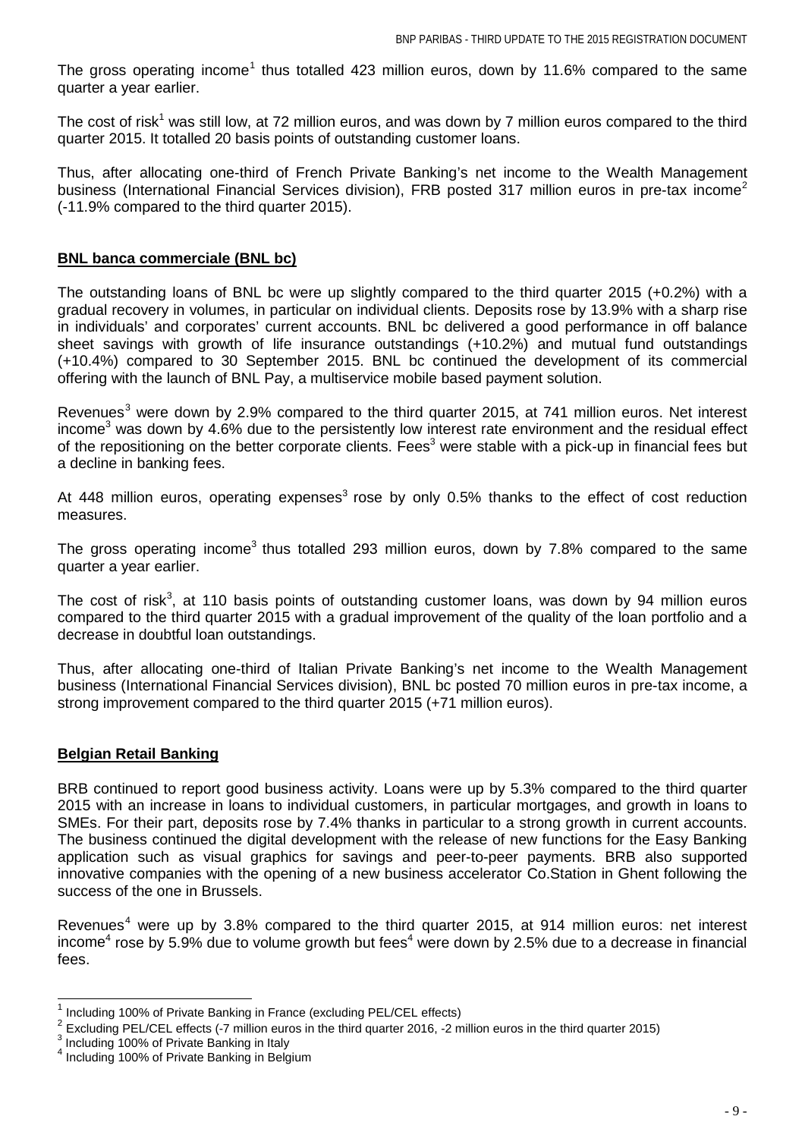The gross operating income<sup>[1](#page-7-3)</sup> thus totalled 423 million euros, down by 11.6% compared to the same quarter a year earlier.

The cost of risk<sup>1</sup> was still low, at 72 million euros, and was down by 7 million euros compared to the third quarter 2015. It totalled 20 basis points of outstanding customer loans.

Thus, after allocating one-third of French Private Banking's net income to the Wealth Management business (International Financial Services division), FRB posted 317 million euros in pre-tax income<sup>[2](#page-8-0)</sup> (-11.9% compared to the third quarter 2015).

#### **BNL banca commerciale (BNL bc)**

The outstanding loans of BNL bc were up slightly compared to the third quarter 2015 (+0.2%) with a gradual recovery in volumes, in particular on individual clients. Deposits rose by 13.9% with a sharp rise in individuals' and corporates' current accounts. BNL bc delivered a good performance in off balance sheet savings with growth of life insurance outstandings (+10.2%) and mutual fund outstandings (+10.4%) compared to 30 September 2015. BNL bc continued the development of its commercial offering with the launch of BNL Pay, a multiservice mobile based payment solution.

Revenues<sup>[3](#page-8-1)</sup> were down by 2.9% compared to the third quarter 2015, at 741 million euros. Net interest income<sup>3</sup> was down by 4.6% due to the persistently low interest rate environment and the residual effect of the repositioning on the better corporate clients. Fees<sup>3</sup> were stable with a pick-up in financial fees but a decline in banking fees.

At 448 million euros, operating expenses<sup>3</sup> rose by only 0.5% thanks to the effect of cost reduction measures.

The gross operating income<sup>3</sup> thus totalled 293 million euros, down by 7.8% compared to the same quarter a year earlier.

The cost of risk<sup>3</sup>, at 110 basis points of outstanding customer loans, was down by 94 million euros compared to the third quarter 2015 with a gradual improvement of the quality of the loan portfolio and a decrease in doubtful loan outstandings.

Thus, after allocating one-third of Italian Private Banking's net income to the Wealth Management business (International Financial Services division), BNL bc posted 70 million euros in pre-tax income, a strong improvement compared to the third quarter 2015 (+71 million euros).

#### **Belgian Retail Banking**

BRB continued to report good business activity. Loans were up by 5.3% compared to the third quarter 2015 with an increase in loans to individual customers, in particular mortgages, and growth in loans to SMEs. For their part, deposits rose by 7.4% thanks in particular to a strong growth in current accounts. The business continued the digital development with the release of new functions for the Easy Banking application such as visual graphics for savings and peer-to-peer payments. BRB also supported innovative companies with the opening of a new business accelerator Co.Station in Ghent following the success of the one in Brussels.

Revenues<sup>[4](#page-8-2)</sup> were up by 3.8% compared to the third quarter 2015, at 914 million euros: net interest income<sup>4</sup> rose by 5.9% due to volume growth but fees<sup>4</sup> were down by 2.5% due to a decrease in financial fees.

<sup>&</sup>lt;sup>1</sup> Including 100% of Private Banking in France (excluding PEL/CEL effects)<br> $\frac{2}{5}$  Excluding PEL/CEL effects (...7 million ourse in the third quarter 2016 ...2 m

<span id="page-8-3"></span><span id="page-8-0"></span><sup>&</sup>lt;sup>2</sup> Excluding PEL/CEL effects (-7 million euros in the third quarter 2016, -2 million euros in the third quarter 2015)  $3$  Including 100% of Private Banking in Italy

<span id="page-8-1"></span>

<span id="page-8-2"></span><sup>&</sup>lt;sup>4</sup> Including 100% of Private Banking in Belgium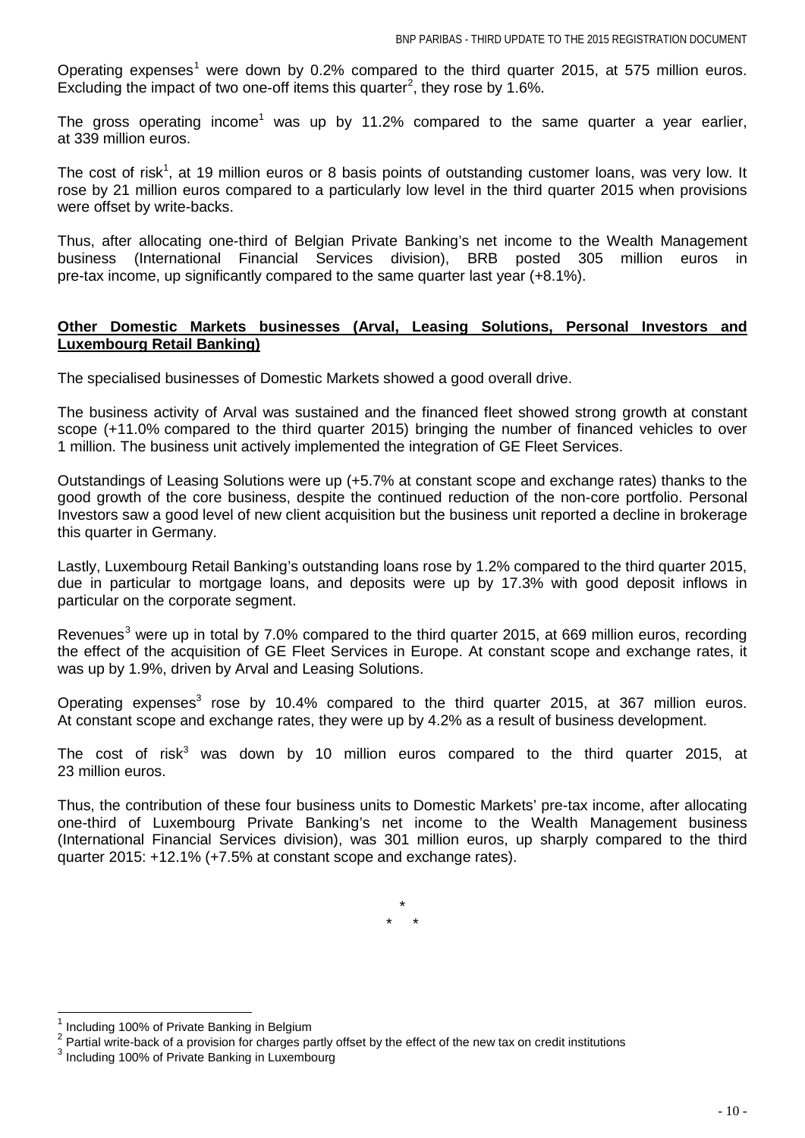Operating expenses<sup>[1](#page-8-3)</sup> were down by 0.2% compared to the third quarter 2015, at 575 million euros. Excluding the impact of two one-off items this quarter<sup>[2](#page-9-0)</sup>, they rose by 1.6%.

The gross operating income<sup>1</sup> was up by 11.2% compared to the same quarter a year earlier, at 339 million euros.

The cost of risk<sup>1</sup>, at 19 million euros or 8 basis points of outstanding customer loans, was very low. It rose by 21 million euros compared to a particularly low level in the third quarter 2015 when provisions were offset by write-backs.

Thus, after allocating one-third of Belgian Private Banking's net income to the Wealth Management business (International Financial Services division), BRB posted 305 million euros in pre-tax income, up significantly compared to the same quarter last year (+8.1%).

#### **Other Domestic Markets businesses (Arval, Leasing Solutions, Personal Investors and Luxembourg Retail Banking)**

The specialised businesses of Domestic Markets showed a good overall drive.

The business activity of Arval was sustained and the financed fleet showed strong growth at constant scope (+11.0% compared to the third quarter 2015) bringing the number of financed vehicles to over 1 million. The business unit actively implemented the integration of GE Fleet Services.

Outstandings of Leasing Solutions were up (+5.7% at constant scope and exchange rates) thanks to the good growth of the core business, despite the continued reduction of the non-core portfolio. Personal Investors saw a good level of new client acquisition but the business unit reported a decline in brokerage this quarter in Germany.

Lastly, Luxembourg Retail Banking's outstanding loans rose by 1.2% compared to the third quarter 2015, due in particular to mortgage loans, and deposits were up by 17.3% with good deposit inflows in particular on the corporate segment.

Revenues<sup>[3](#page-9-1)</sup> were up in total by 7.0% compared to the third quarter 2015, at 669 million euros, recording the effect of the acquisition of GE Fleet Services in Europe. At constant scope and exchange rates, it was up by 1.9%, driven by Arval and Leasing Solutions.

Operating expenses<sup>3</sup> rose by 10.4% compared to the third quarter 2015, at 367 million euros. At constant scope and exchange rates, they were up by 4.2% as a result of business development.

The cost of risk<sup>3</sup> was down by 10 million euros compared to the third quarter 2015, at 23 million euros.

Thus, the contribution of these four business units to Domestic Markets' pre-tax income, after allocating one-third of Luxembourg Private Banking's net income to the Wealth Management business (International Financial Services division), was 301 million euros, up sharply compared to the third quarter 2015: +12.1% (+7.5% at constant scope and exchange rates).

> \* \* \*

 <sup>1</sup> Including 100% of Private Banking in Belgium

<span id="page-9-0"></span> $2$  Partial write-back of a provision for charges partly offset by the effect of the new tax on credit institutions

<span id="page-9-1"></span><sup>3</sup> Including 100% of Private Banking in Luxembourg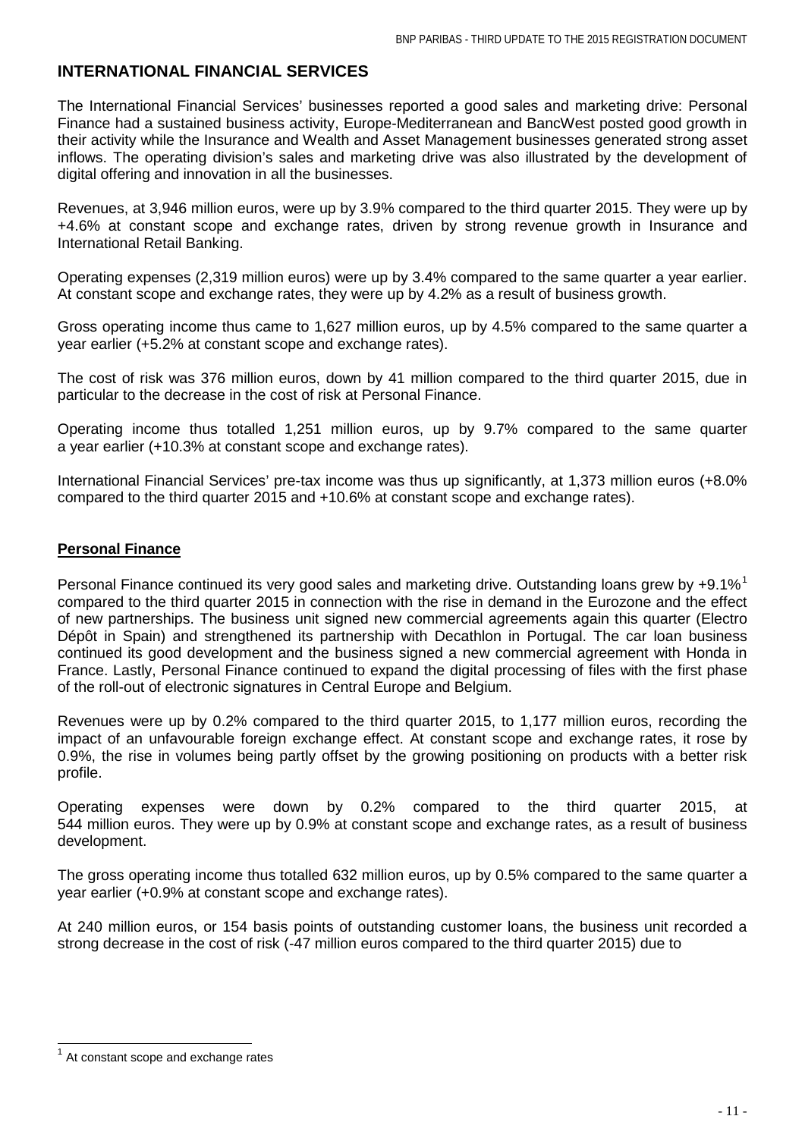### **INTERNATIONAL FINANCIAL SERVICES**

The International Financial Services' businesses reported a good sales and marketing drive: Personal Finance had a sustained business activity, Europe-Mediterranean and BancWest posted good growth in their activity while the Insurance and Wealth and Asset Management businesses generated strong asset inflows. The operating division's sales and marketing drive was also illustrated by the development of digital offering and innovation in all the businesses.

Revenues, at 3,946 million euros, were up by 3.9% compared to the third quarter 2015. They were up by +4.6% at constant scope and exchange rates, driven by strong revenue growth in Insurance and International Retail Banking.

Operating expenses (2,319 million euros) were up by 3.4% compared to the same quarter a year earlier. At constant scope and exchange rates, they were up by 4.2% as a result of business growth.

Gross operating income thus came to 1,627 million euros, up by 4.5% compared to the same quarter a year earlier (+5.2% at constant scope and exchange rates).

The cost of risk was 376 million euros, down by 41 million compared to the third quarter 2015, due in particular to the decrease in the cost of risk at Personal Finance.

Operating income thus totalled 1,251 million euros, up by 9.7% compared to the same quarter a year earlier (+10.3% at constant scope and exchange rates).

International Financial Services' pre-tax income was thus up significantly, at 1,373 million euros (+8.0% compared to the third quarter 2015 and +10.6% at constant scope and exchange rates).

#### **Personal Finance**

Personal Finance continued its very good sales and marketing drive. Outstanding loans grew by  $+9.1\%$  $+9.1\%$  $+9.1\%$ <sup>1</sup> compared to the third quarter 2015 in connection with the rise in demand in the Eurozone and the effect of new partnerships. The business unit signed new commercial agreements again this quarter (Electro Dépôt in Spain) and strengthened its partnership with Decathlon in Portugal. The car loan business continued its good development and the business signed a new commercial agreement with Honda in France. Lastly, Personal Finance continued to expand the digital processing of files with the first phase of the roll-out of electronic signatures in Central Europe and Belgium.

Revenues were up by 0.2% compared to the third quarter 2015, to 1,177 million euros, recording the impact of an unfavourable foreign exchange effect. At constant scope and exchange rates, it rose by 0.9%, the rise in volumes being partly offset by the growing positioning on products with a better risk profile.

Operating expenses were down by 0.2% compared to the third quarter 2015, at 544 million euros. They were up by 0.9% at constant scope and exchange rates, as a result of business development.

The gross operating income thus totalled 632 million euros, up by 0.5% compared to the same quarter a year earlier (+0.9% at constant scope and exchange rates).

At 240 million euros, or 154 basis points of outstanding customer loans, the business unit recorded a strong decrease in the cost of risk (-47 million euros compared to the third quarter 2015) due to

<span id="page-10-0"></span> $<sup>1</sup>$  At constant scope and exchange rates</sup>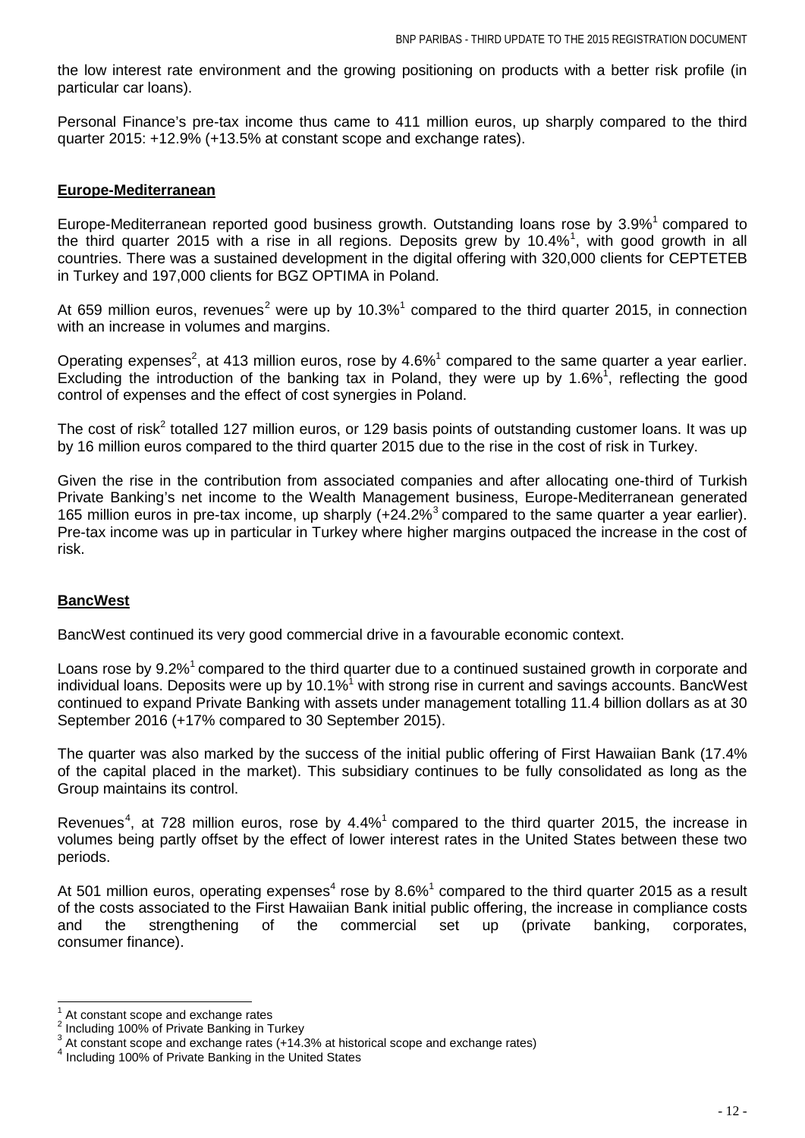the low interest rate environment and the growing positioning on products with a better risk profile (in particular car loans).

Personal Finance's pre-tax income thus came to 411 million euros, up sharply compared to the third quarter 2015: +12.9% (+13.5% at constant scope and exchange rates).

#### **Europe-Mediterranean**

Europe-Mediterranean reported good business growth. Outstanding loans rose by 3.9%<sup>1</sup> compared to the third quarter 20[1](#page-10-0)5 with a rise in all regions. Deposits grew by 10.4%<sup>1</sup>, with good growth in all countries. There was a sustained development in the digital offering with 320,000 clients for CEPTETEB in Turkey and 197,000 clients for BGZ OPTIMA in Poland.

At 659 million euros, revenues<sup>[2](#page-11-0)</sup> were up by 10.3%<sup>1</sup> compared to the third quarter 2015, in connection with an increase in volumes and margins.

Operating expenses<sup>2</sup>, at 413 million euros, rose by 4.6%<sup>1</sup> compared to the same quarter a year earlier. Excluding the introduction of the banking tax in Poland, they were up by 1.6% $^1$ , reflecting the good control of expenses and the effect of cost synergies in Poland.

The cost of risk<sup>2</sup> totalled 127 million euros, or 129 basis points of outstanding customer loans. It was up by 16 million euros compared to the third quarter 2015 due to the rise in the cost of risk in Turkey.

Given the rise in the contribution from associated companies and after allocating one-third of Turkish Private Banking's net income to the Wealth Management business, Europe-Mediterranean generated 165 million euros in pre-tax income, up sharply  $(+24.2\%)^3$  $(+24.2\%)^3$  compared to the same quarter a year earlier). Pre-tax income was up in particular in Turkey where higher margins outpaced the increase in the cost of risk.

#### **BancWest**

BancWest continued its very good commercial drive in a favourable economic context.

Loans rose by 9.2%<sup>1</sup> compared to the third quarter due to a continued sustained growth in corporate and individual loans. Deposits were up by 10.1%<sup>1</sup> with strong rise in current and savings accounts. BancWest continued to expand Private Banking with assets under management totalling 11.4 billion dollars as at 30 September 2016 (+17% compared to 30 September 2015).

The quarter was also marked by the success of the initial public offering of First Hawaiian Bank (17.4% of the capital placed in the market). This subsidiary continues to be fully consolidated as long as the Group maintains its control.

Revenues<sup>[4](#page-11-2)</sup>, at 728 million euros, rose by  $4.4\%$ <sup>1</sup> compared to the third quarter 2015, the increase in volumes being partly offset by the effect of lower interest rates in the United States between these two periods.

At 501 million euros, operating expenses<sup>4</sup> rose by 8.6%<sup>1</sup> compared to the third quarter 2015 as a result of the costs associated to the First Hawaiian Bank initial public offering, the increase in compliance costs and the strengthening of the commercial set up (private banking, corporates, consumer finance).

<span id="page-11-3"></span><span id="page-11-1"></span><span id="page-11-0"></span>

<sup>&</sup>lt;sup>1</sup> At constant scope and exchange rates<br>
<sup>2</sup> Including 100% of Private Banking in Turkey<br>  $\frac{3}{4}$  At constant scope and exchange rates (+14.3% at historical scope and exchange rates)<br>  $\frac{4}{4}$  Including 100% of Privat

<span id="page-11-2"></span>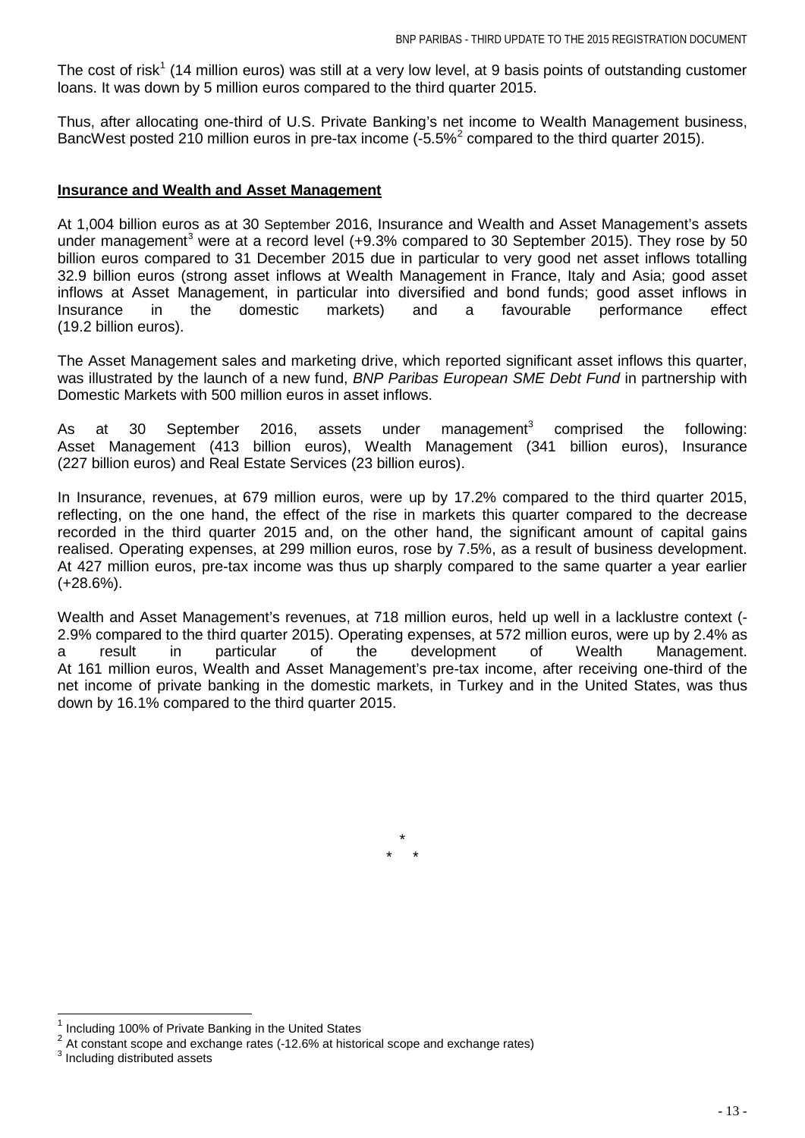The cost of risk<sup>[1](#page-11-3)</sup> (14 million euros) was still at a very low level, at 9 basis points of outstanding customer loans. It was down by 5 million euros compared to the third quarter 2015.

Thus, after allocating one-third of U.S. Private Banking's net income to Wealth Management business, BancWest posted [2](#page-12-0)10 million euros in pre-tax income (-5.5%<sup>2</sup> compared to the third quarter 2015).

#### **Insurance and Wealth and Asset Management**

At 1,004 billion euros as at 30 September 2016, Insurance and Wealth and Asset Management's assets under management<sup>[3](#page-12-1)</sup> were at a record level  $(+9.3\%$  compared to 30 September 2015). They rose by 50 billion euros compared to 31 December 2015 due in particular to very good net asset inflows totalling 32.9 billion euros (strong asset inflows at Wealth Management in France, Italy and Asia; good asset inflows at Asset Management, in particular into diversified and bond funds; good asset inflows in Insurance in the domestic markets) and a favourable performance effect (19.2 billion euros).

The Asset Management sales and marketing drive, which reported significant asset inflows this quarter, was illustrated by the launch of a new fund, *BNP Paribas European SME Debt Fund* in partnership with Domestic Markets with 500 million euros in asset inflows.

As at 30 September 2016, assets under management<sup>3</sup> comprised the following: Asset Management (413 billion euros), Wealth Management (341 billion euros), Insurance (227 billion euros) and Real Estate Services (23 billion euros).

In Insurance, revenues, at 679 million euros, were up by 17.2% compared to the third quarter 2015, reflecting, on the one hand, the effect of the rise in markets this quarter compared to the decrease recorded in the third quarter 2015 and, on the other hand, the significant amount of capital gains realised. Operating expenses, at 299 million euros, rose by 7.5%, as a result of business development. At 427 million euros, pre-tax income was thus up sharply compared to the same quarter a year earlier (+28.6%).

Wealth and Asset Management's revenues, at 718 million euros, held up well in a lacklustre context (- 2.9% compared to the third quarter 2015). Operating expenses, at 572 million euros, were up by 2.4% as a result in particular of the development of Wealth Management. At 161 million euros, Wealth and Asset Management's pre-tax income, after receiving one-third of the net income of private banking in the domestic markets, in Turkey and in the United States, was thus down by 16.1% compared to the third quarter 2015.

> \* \* \*

1 Including 100% of Private Banking in the United States

<span id="page-12-2"></span><span id="page-12-0"></span><sup>&</sup>lt;sup>2</sup> At constant scope and exchange rates (-12.6% at historical scope and exchange rates) <sup>3</sup> Including distributed assets

<span id="page-12-1"></span>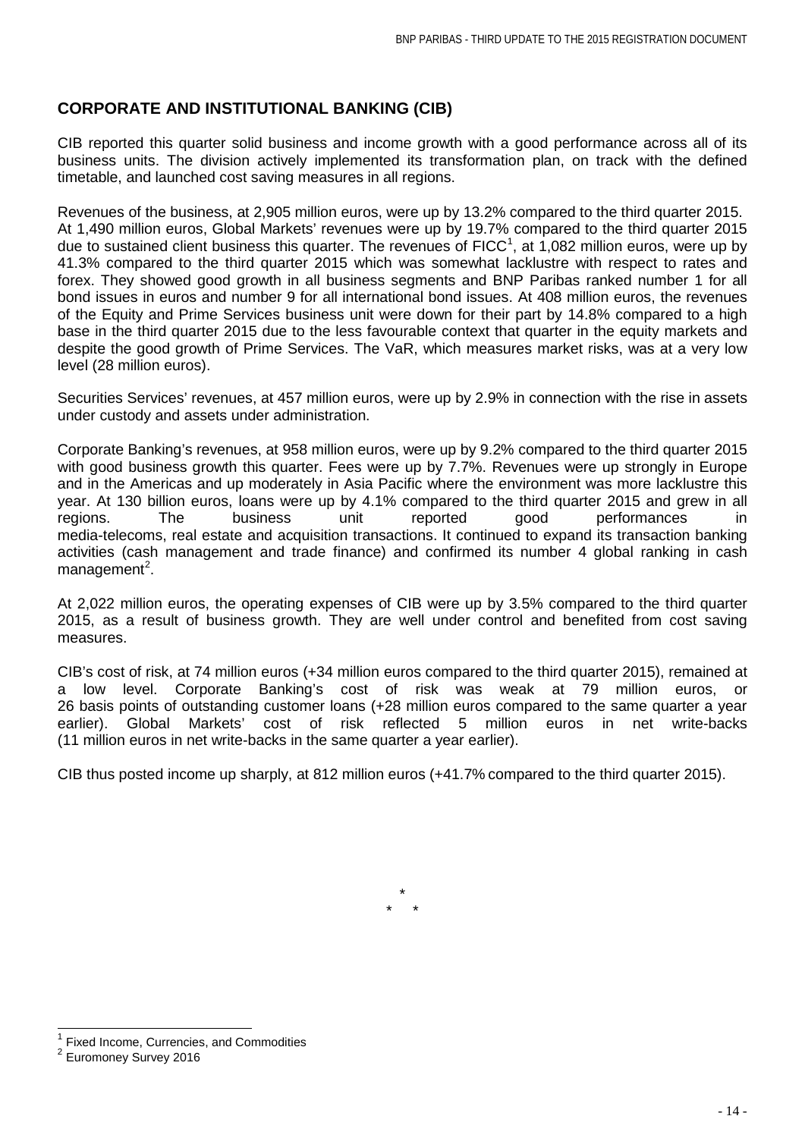### **CORPORATE AND INSTITUTIONAL BANKING (CIB)**

CIB reported this quarter solid business and income growth with a good performance across all of its business units. The division actively implemented its transformation plan, on track with the defined timetable, and launched cost saving measures in all regions.

Revenues of the business, at 2,905 million euros, were up by 13.2% compared to the third quarter 2015. At 1,490 million euros, Global Markets' revenues were up by 19.7% compared to the third quarter 2015 due to sustained client business this quarter. The revenues of  $FICC^1$  $FICC^1$ , at 1,082 million euros, were up by 41.3% compared to the third quarter 2015 which was somewhat lacklustre with respect to rates and forex. They showed good growth in all business segments and BNP Paribas ranked number 1 for all bond issues in euros and number 9 for all international bond issues. At 408 million euros, the revenues of the Equity and Prime Services business unit were down for their part by 14.8% compared to a high base in the third quarter 2015 due to the less favourable context that quarter in the equity markets and despite the good growth of Prime Services. The VaR, which measures market risks, was at a very low level (28 million euros).

Securities Services' revenues, at 457 million euros, were up by 2.9% in connection with the rise in assets under custody and assets under administration.

Corporate Banking's revenues, at 958 million euros, were up by 9.2% compared to the third quarter 2015 with good business growth this quarter. Fees were up by 7.7%. Revenues were up strongly in Europe and in the Americas and up moderately in Asia Pacific where the environment was more lacklustre this year. At 130 billion euros, loans were up by 4.1% compared to the third quarter 2015 and grew in all<br>regions. The business unit reported good performances in regions. The business unit reported good performances in media-telecoms, real estate and acquisition transactions. It continued to expand its transaction banking activities (cash management and trade finance) and confirmed its number 4 global ranking in cash management<sup>[2](#page-13-0)</sup>.

At 2,022 million euros, the operating expenses of CIB were up by 3.5% compared to the third quarter 2015, as a result of business growth. They are well under control and benefited from cost saving measures.

CIB's cost of risk, at 74 million euros (+34 million euros compared to the third quarter 2015), remained at a low level. Corporate Banking's cost of risk was weak at 79 million euros, or 26 basis points of outstanding customer loans (+28 million euros compared to the same quarter a year earlier). Global Markets' cost of risk reflected 5 million euros in net write-backs (11 million euros in net write-backs in the same quarter a year earlier).

CIB thus posted income up sharply, at 812 million euros (+41.7% compared to the third quarter 2015).

\* \* \*

<span id="page-13-1"></span>Fixed Income, Currencies, and Commodities

<span id="page-13-0"></span><sup>2</sup> Euromoney Survey 2016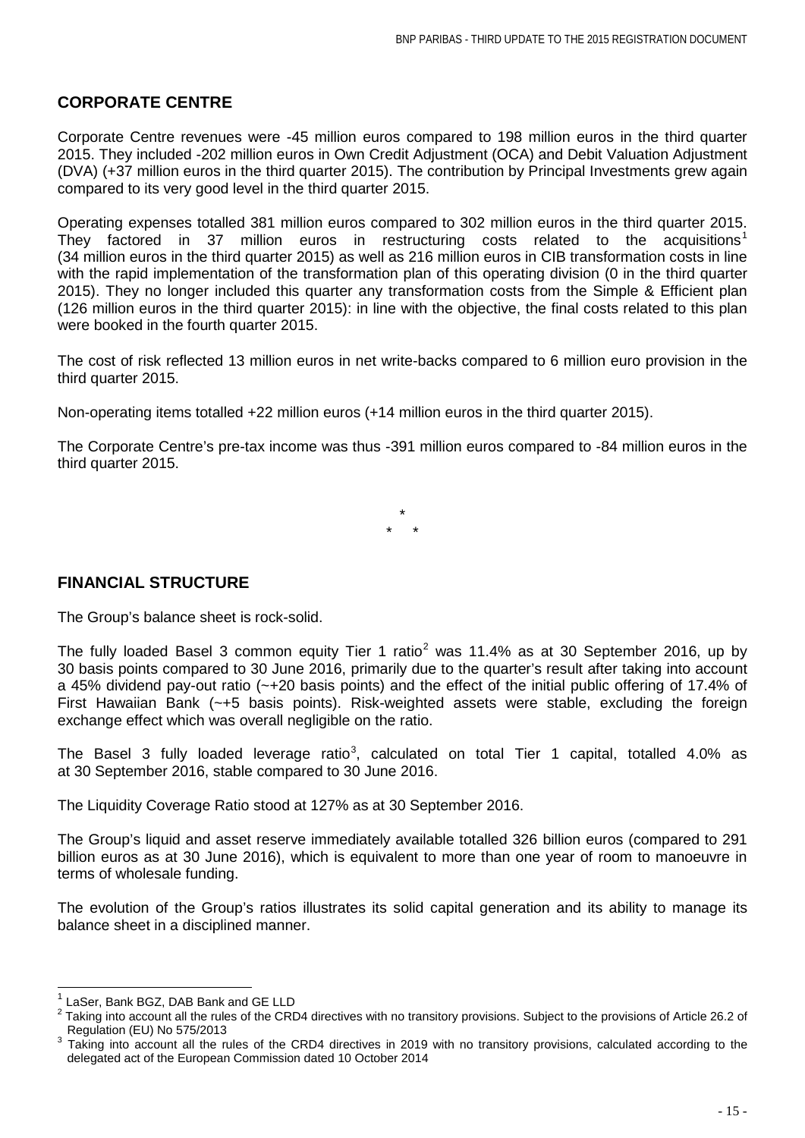### **CORPORATE CENTRE**

Corporate Centre revenues were -45 million euros compared to 198 million euros in the third quarter 2015. They included -202 million euros in Own Credit Adjustment (OCA) and Debit Valuation Adjustment (DVA) (+37 million euros in the third quarter 2015). The contribution by Principal Investments grew again compared to its very good level in the third quarter 2015.

Operating expenses totalled 381 million euros compared to 302 million euros in the third quarter 2015. They factored in 37 million euros in restructuring costs related to the acquisitions<sup>[1](#page-13-1)</sup> (34 million euros in the third quarter 2015) as well as 216 million euros in CIB transformation costs in line with the rapid implementation of the transformation plan of this operating division (0 in the third quarter 2015). They no longer included this quarter any transformation costs from the Simple & Efficient plan (126 million euros in the third quarter 2015): in line with the objective, the final costs related to this plan were booked in the fourth quarter 2015.

The cost of risk reflected 13 million euros in net write-backs compared to 6 million euro provision in the third quarter 2015.

Non-operating items totalled +22 million euros (+14 million euros in the third quarter 2015).

The Corporate Centre's pre-tax income was thus -391 million euros compared to -84 million euros in the third quarter 2015.

> \* \* \*

#### **FINANCIAL STRUCTURE**

The Group's balance sheet is rock-solid.

The fully loaded Basel 3 common equity Tier 1 ratio<sup>[2](#page-14-0)</sup> was 11.4% as at 30 September 2016, up by 30 basis points compared to 30 June 2016, primarily due to the quarter's result after taking into account a 45% dividend pay-out ratio (~+20 basis points) and the effect of the initial public offering of 17.4% of First Hawaiian Bank (~+5 basis points). Risk-weighted assets were stable, excluding the foreign exchange effect which was overall negligible on the ratio.

The Basel [3](#page-14-1) fully loaded leverage ratio<sup>3</sup>, calculated on total Tier 1 capital, totalled 4.0% as at 30 September 2016, stable compared to 30 June 2016.

The Liquidity Coverage Ratio stood at 127% as at 30 September 2016.

The Group's liquid and asset reserve immediately available totalled 326 billion euros (compared to 291 billion euros as at 30 June 2016), which is equivalent to more than one year of room to manoeuvre in terms of wholesale funding.

The evolution of the Group's ratios illustrates its solid capital generation and its ability to manage its balance sheet in a disciplined manner.

<span id="page-14-2"></span><span id="page-14-0"></span><sup>&</sup>lt;sup>1</sup> LaSer, Bank BGZ, DAB Bank and GE LLD<br><sup>2</sup> Taking into account all the rules of the CRD4 directives with no transitory provisions. Subject to the provisions of Article 26.2 of<br>Regulation (EU) No 575/2013

<span id="page-14-1"></span> $\frac{3}{3}$  Taking into account all the rules of the CRD4 directives in 2019 with no transitory provisions, calculated according to the delegated act of the European Commission dated 10 October 2014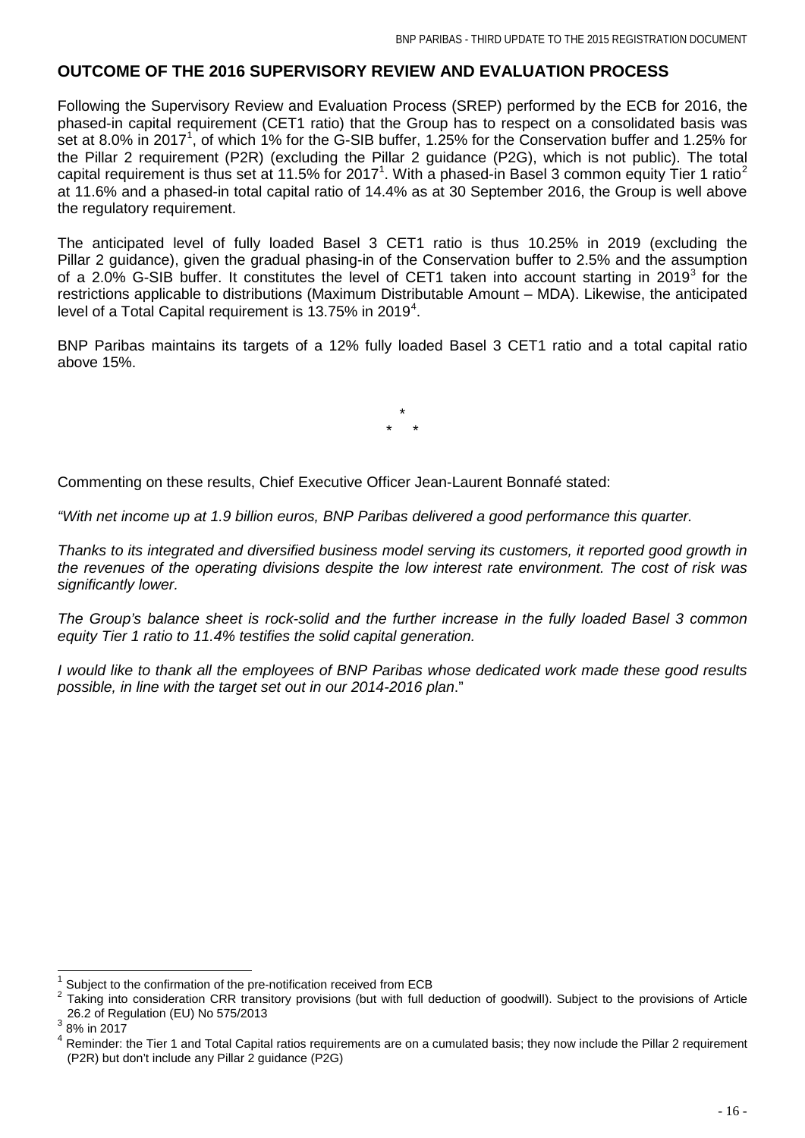### **OUTCOME OF THE 2016 SUPERVISORY REVIEW AND EVALUATION PROCESS**

Following the Supervisory Review and Evaluation Process (SREP) performed by the ECB for 2016, the phased-in capital requirement (CET1 ratio) that the Group has to respect on a consolidated basis was set at 8.0% in 20[1](#page-14-2)7<sup>1</sup>, of which 1% for the G-SIB buffer, 1.25% for the Conservation buffer and 1.25% for the Pillar 2 requirement (P2R) (excluding the Pillar 2 guidance (P2G), which is not public). The total capital requirement is thus set at 11.5% for [2](#page-15-0)017<sup>1</sup>. With a phased-in Basel 3 common equity Tier 1 ratio<sup>2</sup> at 11.6% and a phased-in total capital ratio of 14.4% as at 30 September 2016, the Group is well above the regulatory requirement.

The anticipated level of fully loaded Basel 3 CET1 ratio is thus 10.25% in 2019 (excluding the Pillar 2 guidance), given the gradual phasing-in of the Conservation buffer to 2.5% and the assumption of a 2.0% G-SIB buffer. It constitutes the level of CET1 taken into account starting in 2019[3](#page-15-1) for the restrictions applicable to distributions (Maximum Distributable Amount – MDA). Likewise, the anticipated level of a Total Capital requirement is 13.75% in 2019 $^4\!$  $^4\!$  $^4\!$ .

BNP Paribas maintains its targets of a 12% fully loaded Basel 3 CET1 ratio and a total capital ratio above 15%.

> \* \* \*

Commenting on these results, Chief Executive Officer Jean-Laurent Bonnafé stated:

*"With net income up at 1.9 billion euros, BNP Paribas delivered a good performance this quarter.*

*Thanks to its integrated and diversified business model serving its customers, it reported good growth in the revenues of the operating divisions despite the low interest rate environment. The cost of risk was significantly lower.*

*The Group's balance sheet is rock-solid and the further increase in the fully loaded Basel 3 common equity Tier 1 ratio to 11.4% testifies the solid capital generation.*

*I would like to thank all the employees of BNP Paribas whose dedicated work made these good results possible, in line with the target set out in our 2014-2016 plan*."

<span id="page-15-0"></span>Subject to the confirmation of the pre-notification received from ECB<br>Taking into consideration CRR transitory provisions (but with full deduction of goodwill). Subject to the provisions of Article 26.2 of Regulation (EU) No 575/2013<br><sup>3</sup> 8% in 2017

<span id="page-15-1"></span>

<span id="page-15-2"></span><sup>&</sup>lt;sup>4</sup> Reminder: the Tier 1 and Total Capital ratios requirements are on a cumulated basis; they now include the Pillar 2 requirement (P2R) but don't include any Pillar 2 guidance (P2G)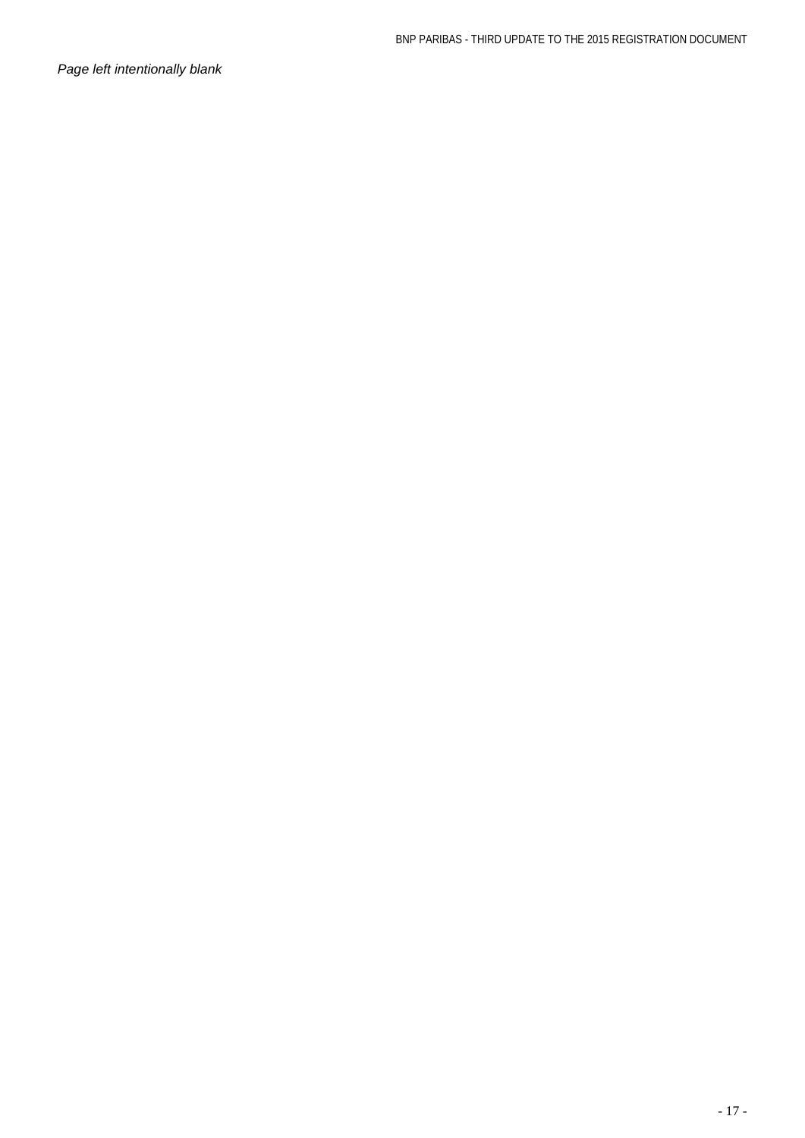*Page left intentionally blank*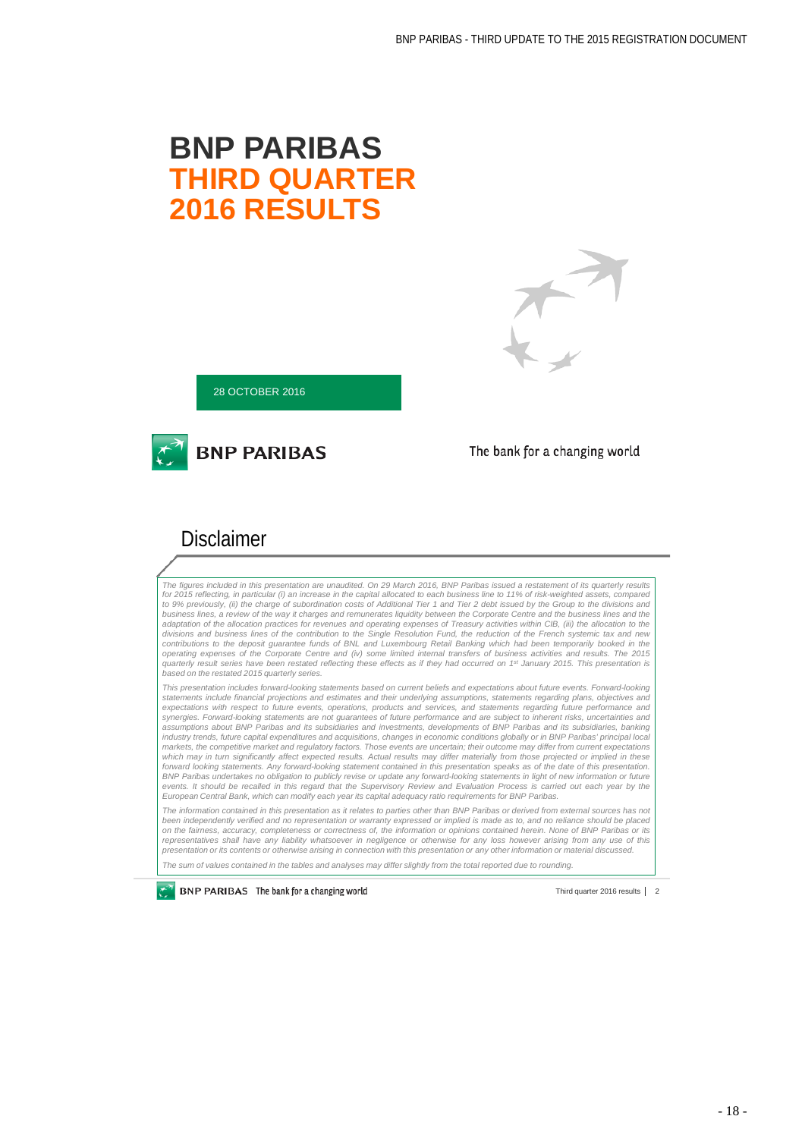# **BNP PARIBAS THIRD QUARTER 2016 RESULTS**



28 OCTOBER 2016



The bank for a changing world

# **Disclaimer**

The figures included in this presentation are unaudited. On 29 March 2016, BNP Paribas issued a restatement of its quarterly results for 2015 reflecting, in particular (i) an increase in the capital allocated to each business line to 11% of risk-weighted assets, compared to 9% previously, (ii) the charge of subordination costs of Additional Tier 1 and Tier 2 debt issued by the Group to the divisions and<br>business lines, a review of the way it charges and remunerates liquidity between the Co adaptation of the allocation practices for revenues and operating expenses of Treasury activities within CIB, (iii) the allocation to the<br>divisions and business lines of the contribution to the Single Resolution Fund, the contributions to the deposit guarantee funds of BNL and Luxembourg Retail Banking which had been temporarily booked in the<br>operating expenses of the Corporate Centre and (iv) some limited internal transfers of business act quarterly result series have been restated reflecting these effects as if they had occurred on 1st January 2015. This presentation is *based on the restated 2015 quarterly series.*

This presentation includes forward-looking statements based on current beliefs and expectations about future events. Forward-looking statements include financial projections and estimates and their underlying assumptions, statements regarding plans, objectives and expectations with respect to future events, operations, products and services, and statements regarding future performance and<br>synergies. Forward-looking statements are not guarantees of future performance and are subject assumptions about BNP Paribas and its subsidiaries and investments, developments of BNP Paribas and its subsidiaries, banking<br>industry trends, future capital expenditures and acquisitions, changes in economic conditions gl markets, the competitive market and regulatory factors. Those events are uncertain; their outcome may differ from current expectations which may in turn significantly affect expected results. Actual results may differ materially from those projected or implied in these forward looking statements. Any forward-looking statement contained in this presentation speaks as of the date of this presentation. BNP Paribas undertakes no obligation to publicly revise or update any forward-looking statements in light of new information or future<br>events. It should be recalled in this regard that the Supervisory Review and Evaluation *European Central Bank, which can modify each year its capital adequacy ratio requirements for BNP Paribas.*

The information contained in this presentation as it relates to parties other than BNP Paribas or derived from external sources has not been independently verified and no representation or warranty expressed or implied is made as to, and no reliance should be placed<br>on the fairness, accuracy, completeness or correctness of, the information or opinions cont representatives shall have any liability whatsoever in negligence or otherwise for any loss however arising from any use of this<br>presentationor its contentsor otherwisearising in connection with this presentationor any oth

*The sum of values contained in the tables and analyses may differ slightly from the total reported due to rounding.*

BNP PARIBAS The bank for a changing world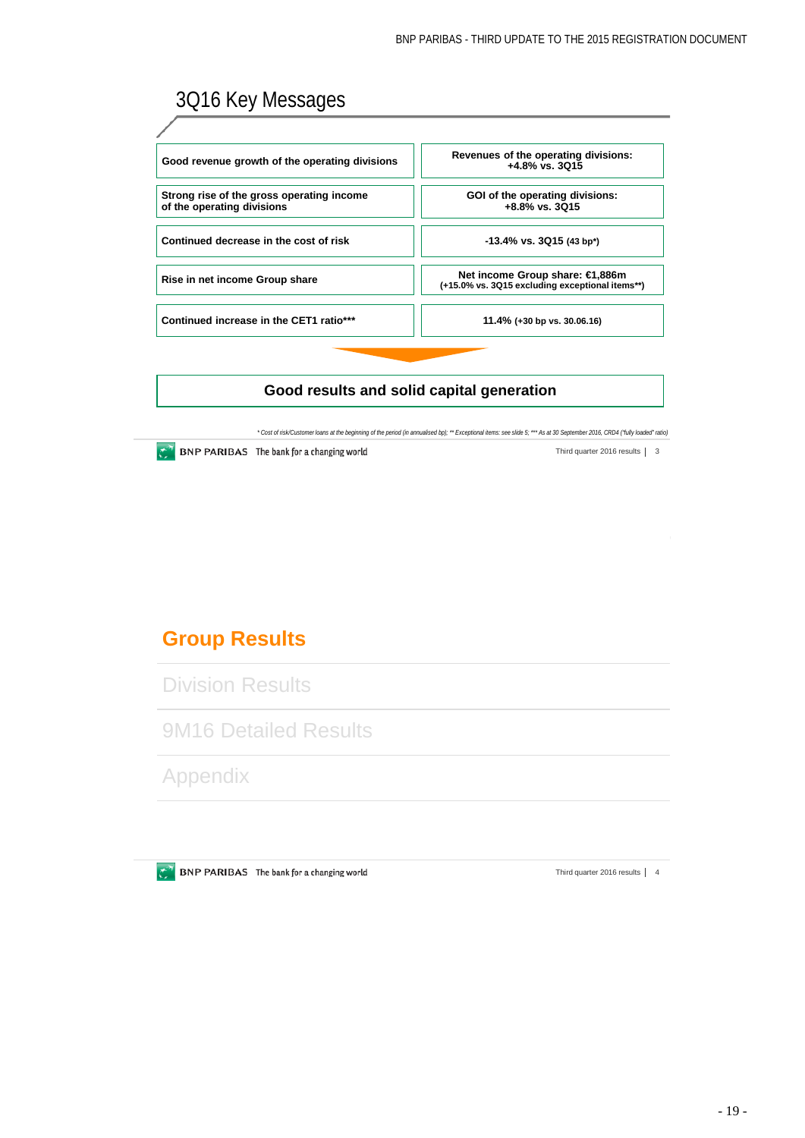# 3Q16 Key Messages



\* Cost of risk/Customer loans at the beginning of the period (in annualised bp); \*\* Exceptional items: see slide 5; \*\*\* As at 30 September 2016, CRD4 ('fully loaded' ratio)



Third quarter 2016 results | 3

# **Group Results**

Division Results

9M16 Detailed Results

Appendix

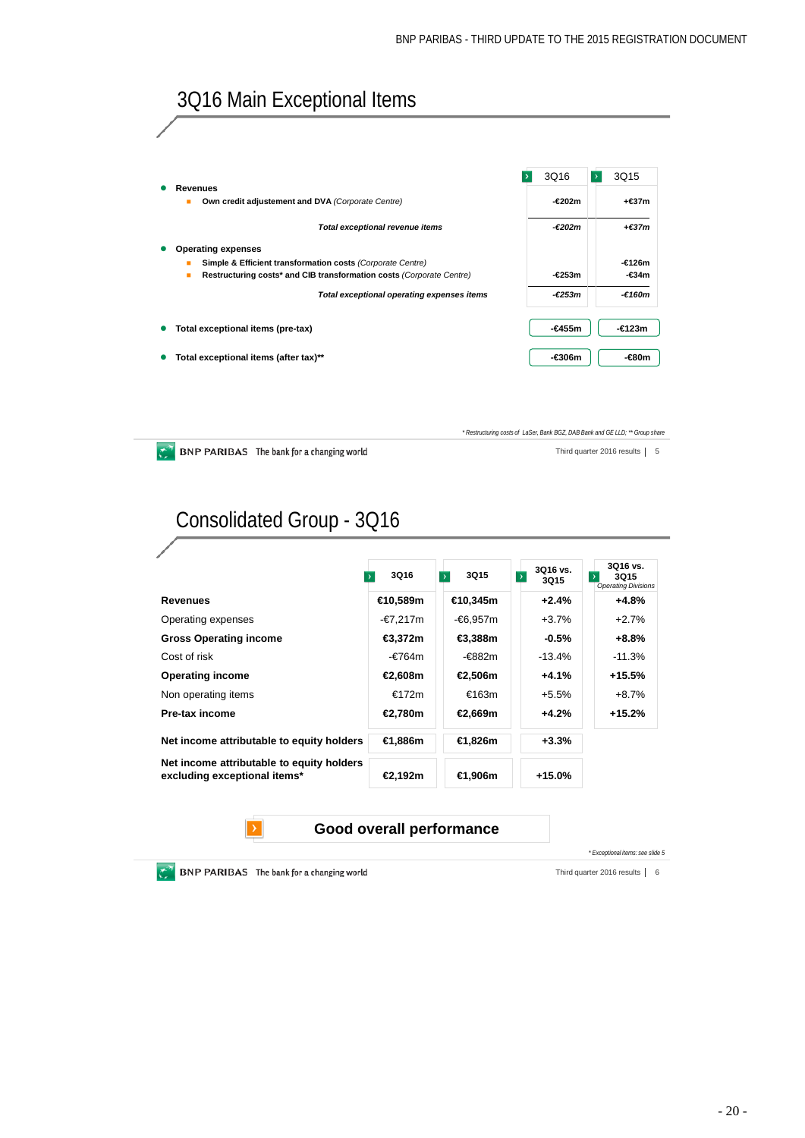3Q16 Main Exceptional Items

|                                                                           | 3Q16                | 3Q15   |
|---------------------------------------------------------------------------|---------------------|--------|
| Revenues<br>Own credit adjustement and DVA (Corporate Centre)<br>٠        | -€202m              | +€37m  |
| Total exceptional revenue items                                           | -€202m              | +€37m  |
| <b>Operating expenses</b>                                                 |                     |        |
| Simple & Efficient transformation costs (Corporate Centre)                |                     | -€126m |
| Restructuring costs* and CIB transformation costs (Corporate Centre)<br>٠ | -€253m              | -€34m  |
| Total exceptional operating expenses items                                | -€253m              | -€160m |
|                                                                           |                     |        |
| Total exceptional items (pre-tax)                                         | - <del>€</del> 455m | -€123m |
| Total exceptional items (after tax)**                                     | -€306m              | -—630m |

*\* Restructuring costs of LaSer, Bank BGZ, DAB Bank and GE LLD; \*\* Group share*

 $\mathcal{L}^{\mathcal{A}}$  BNP PARIBAS The bank for a changing world

Third quarter 2016 results | 5

# Consolidated Group - 3Q16

| ◢                                                                         | 3Q16           | 3Q15<br>$\rightarrow$ | 3016 vs.<br>$\rightarrow$<br>3Q15 | 3Q16 vs.<br>3Q15<br><b>Operating Divisions</b> |
|---------------------------------------------------------------------------|----------------|-----------------------|-----------------------------------|------------------------------------------------|
| <b>Revenues</b>                                                           | €10,589m       | €10,345m              | $+2.4%$                           | $+4.8%$                                        |
| Operating expenses                                                        | -€7,217m       | -€6.957m              | $+3.7%$                           | $+2.7%$                                        |
| <b>Gross Operating income</b>                                             | €3,372m        | <b>€3.388m</b>        | $-0.5%$                           | +8.8%                                          |
| Cost of risk                                                              | -€764m         | -€882m                | $-13.4%$                          | $-11.3%$                                       |
| <b>Operating income</b>                                                   | €2,608m        | <b>€2.506m</b>        | $+4.1%$                           | +15.5%                                         |
| Non operating items                                                       | €172m          | €163m                 | $+5.5%$                           | $+8.7%$                                        |
| Pre-tax income                                                            | <b>€2.780m</b> | €2.669m               | $+4.2%$                           | $+15.2%$                                       |
| Net income attributable to equity holders                                 | €1,886m        | €1,826m               | $+3.3%$                           |                                                |
| Net income attributable to equity holders<br>excluding exceptional items* | €2,192m        | €1,906m               | $+15.0%$                          |                                                |

#### **Good overall performance**

*\* Exceptional items: see slide 5*

 $\vec{r}^{\pi}$ BNP PARIBAS The bank for a changing world

Ы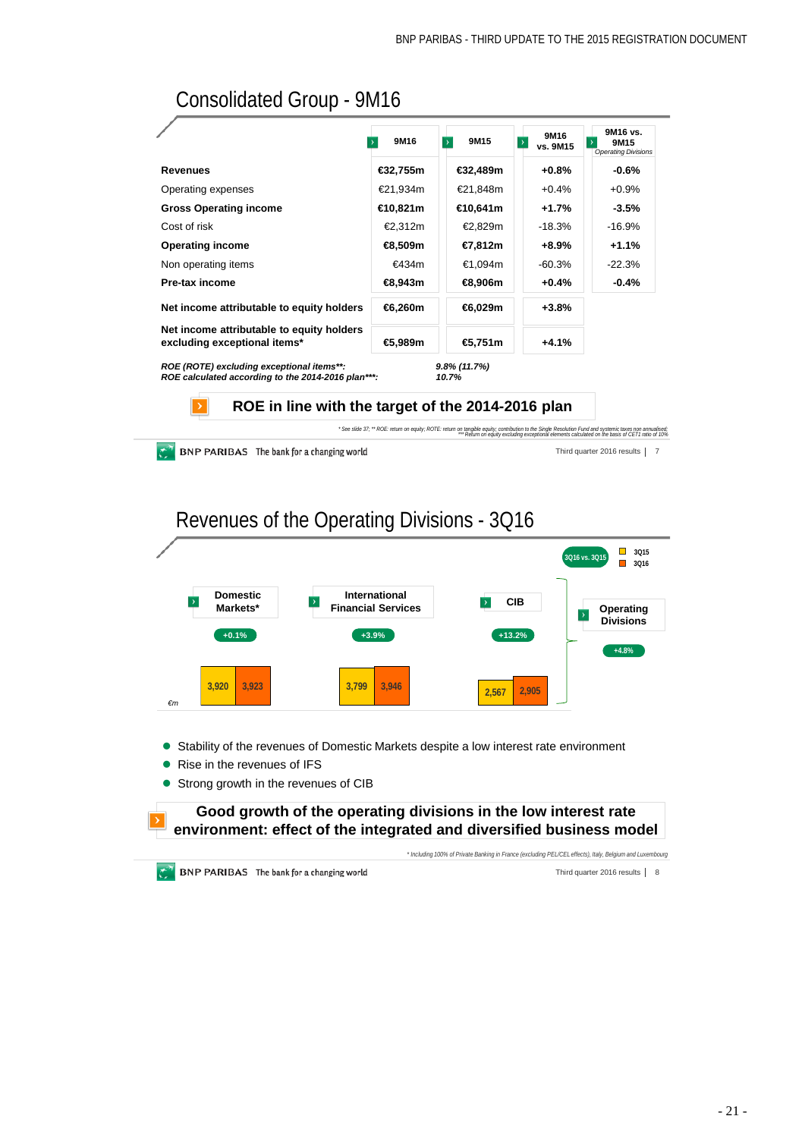Consolidated Group - 9M16 **9M16 vs. 9M15 9M16 9M16**  $\overline{\mathcal{Y}}$  $\overline{\mathcal{E}}$ **9M15 vs. 9M15** *<i><u>I</u>ding Divi* **Revenues €32,755m €32,489m +0.8% -0.6%** Operating expenses  $\epsilon_{21,934m}$   $\epsilon_{21,848m}$  +0.4% +0.9% **Gross Operating income €10,821m €10,641m +1.7% -3.5%** Cost of risk €2,312m €2,829m -18.3% -16.9% **Operating income €8,509m €7,812m +8.9% +1.1%** Non operating items **€434m**  $\epsilon$ 434m <del>€</del>1,094m -60.3% -22.3% **Pre-tax income €8,943m €8,906m +0.4% -0.4% Net income attributable to equity holders €6,260m €6,029m +3.8% Net income attributable to equity holders excluding exceptional items\* €5,989m €5,751m +4.1%** *ROE (ROTE) excluding exceptional items\*\*: 9.8% (11.7%) ROE calculated according to the 2014-2016 plan\*\*\*: 10.7%* **ROE in line with the target of the 2014-2016 plan** See slide 37; \*\* ROE: relum on equity; ROTE: relum on langible equity: contribution to the Single Resolution Fund and systemic taxes non annualised:<br>Relum on equity excluding exceptional elements calculated on the basis of BNP PARIBAS The bank for a changing world Third quarter 2016 results | 7 Revenues of the Operating Divisions - 3Q16 **3Q15 3Q16 vs. 3Q15**  $\mathcal{L}_{\mathcal{A}}$ **3Q16 Domestic International Financial Services CIB Markets\* Operating**   $\rightarrow$ **Divisions +0.1% +3.9% +13.2% +4.8% 3,920 3,923 3,799 3,946 2,567 2,905** *€m* **Stability of the revenues of Domestic Markets despite a low interest rate environment** • Rise in the revenues of IFS Strong growth in the revenues of CIB **Good growth of the operating divisions in the low interest rate environment: effect of the integrated and diversified business model** *\* Including 100% of Private Banking in France (excluding PEL/CEL effects), Italy, Belgium and Luxembourg*BNP PARIBAS The bank for a changing world Third quarter 2016 results | 8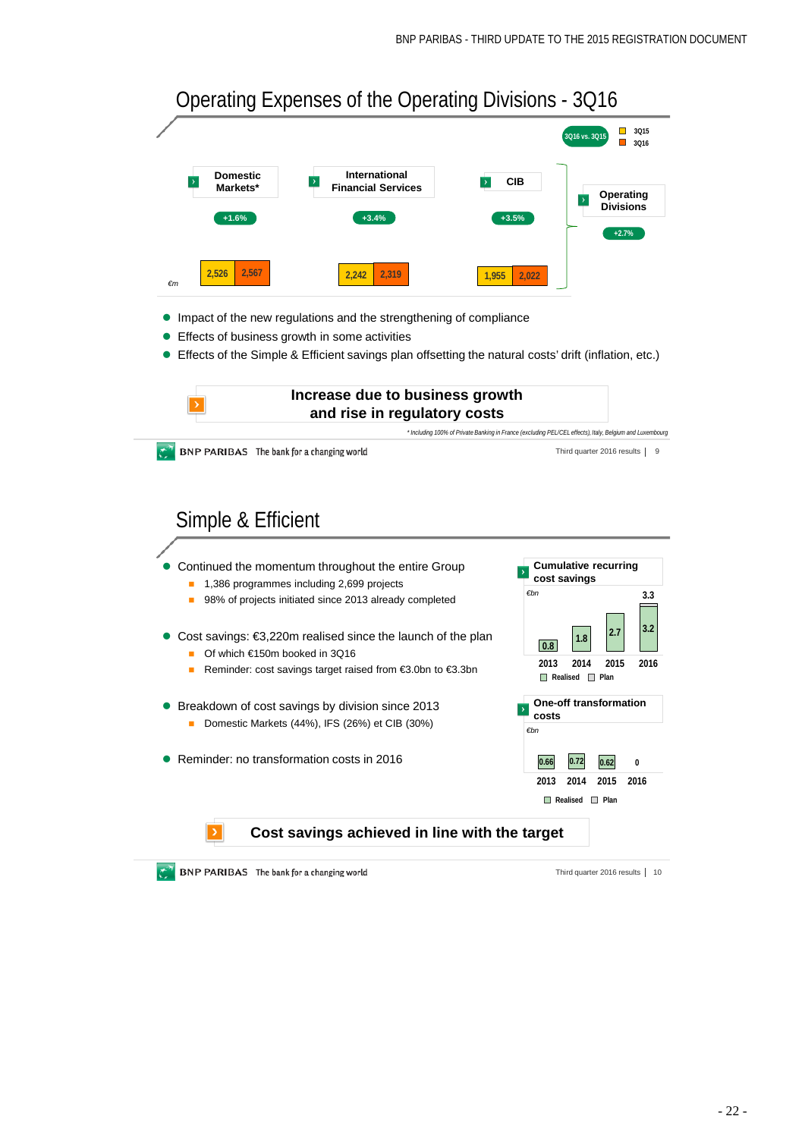

BNP PARIBAS The bank for a changing world

Third quarter 2016 results  $\vert$  10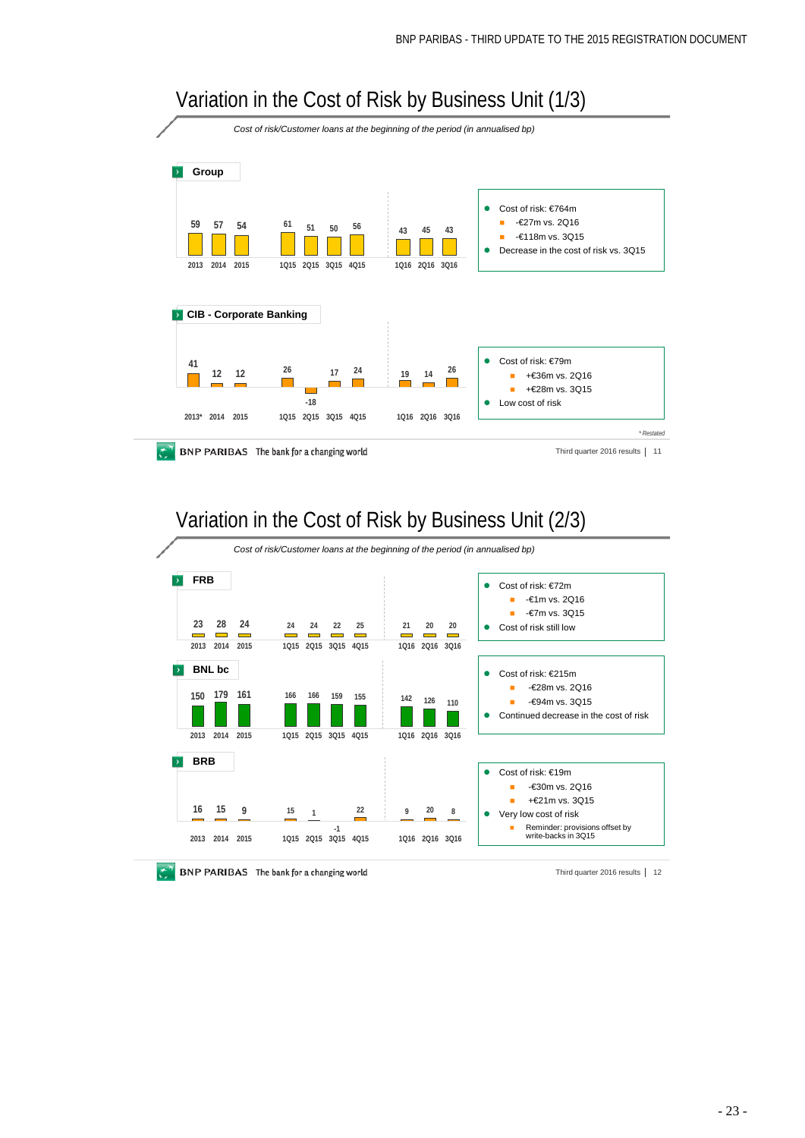

# Variation in the Cost of Risk by Business Unit (2/3)



BNP PARIBAS The bank for a changing world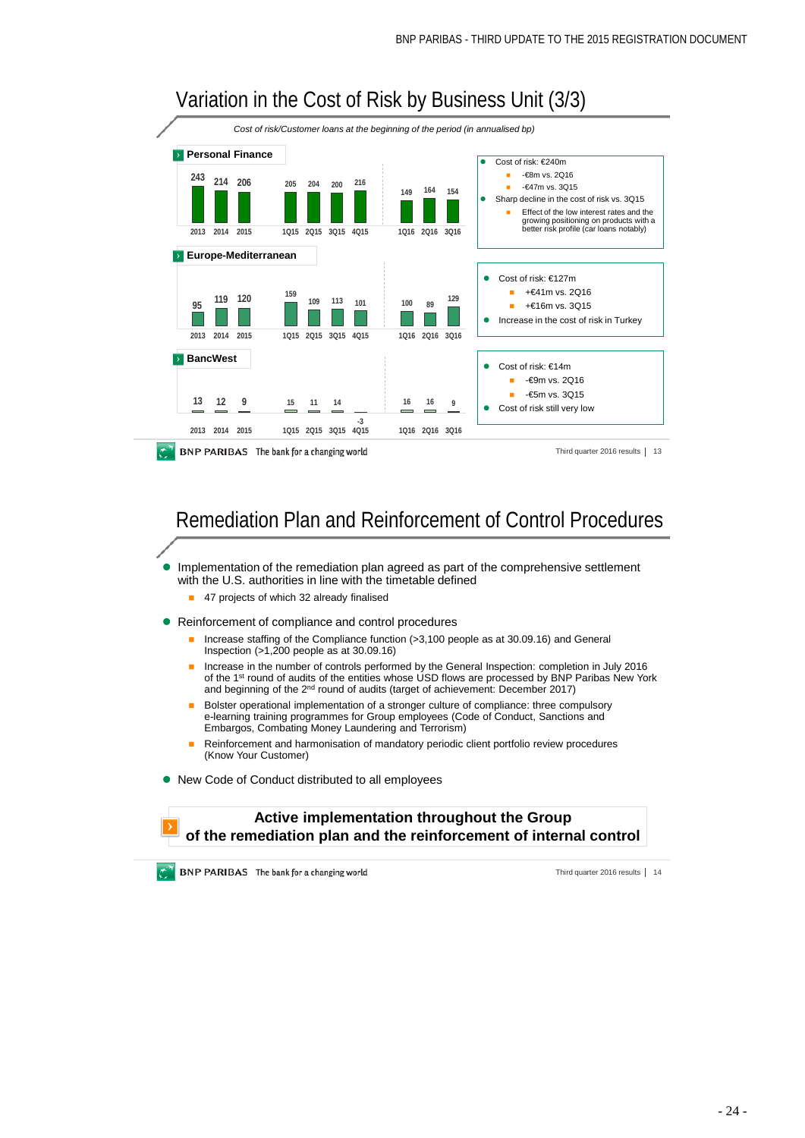

# Remediation Plan and Reinforcement of Control Procedures

 Implementation of the remediation plan agreed as part of the comprehensive settlement with the U.S. authorities in line with the timetable defined

- 47 projects of which 32 already finalised
- Reinforcement of compliance and control procedures
	- Increase staffing of the Compliance function  $(>3,100$  people as at 30.09.16) and General Inspection  $(>1,200$  people as at 30.09.16)
	- Increase in the number of controls performed by the General Inspection: completion in July 2016 of the 1<sup>st</sup> round of audits of the entities whose USD flows are processed by BNP Paribas New York and beginning of the 2<sup>nd</sup> round of audits (target of achievement: December 2017)
	- Bolster operational implementation of a stronger culture of compliance: three compulsory e-learning training programmes for Group employees (Code of Conduct, Sanctions and Embargos, Combating Money Laundering and Terrorism)
	- Reinforcement and harmonisation of mandatory periodic client portfolio review procedures (Know Your Customer)
- New Code of Conduct distributed to all employees

#### **Active implementation throughout the Group of the remediation plan and the reinforcement of internal control**

BNP PARIBAS The bank for a changing world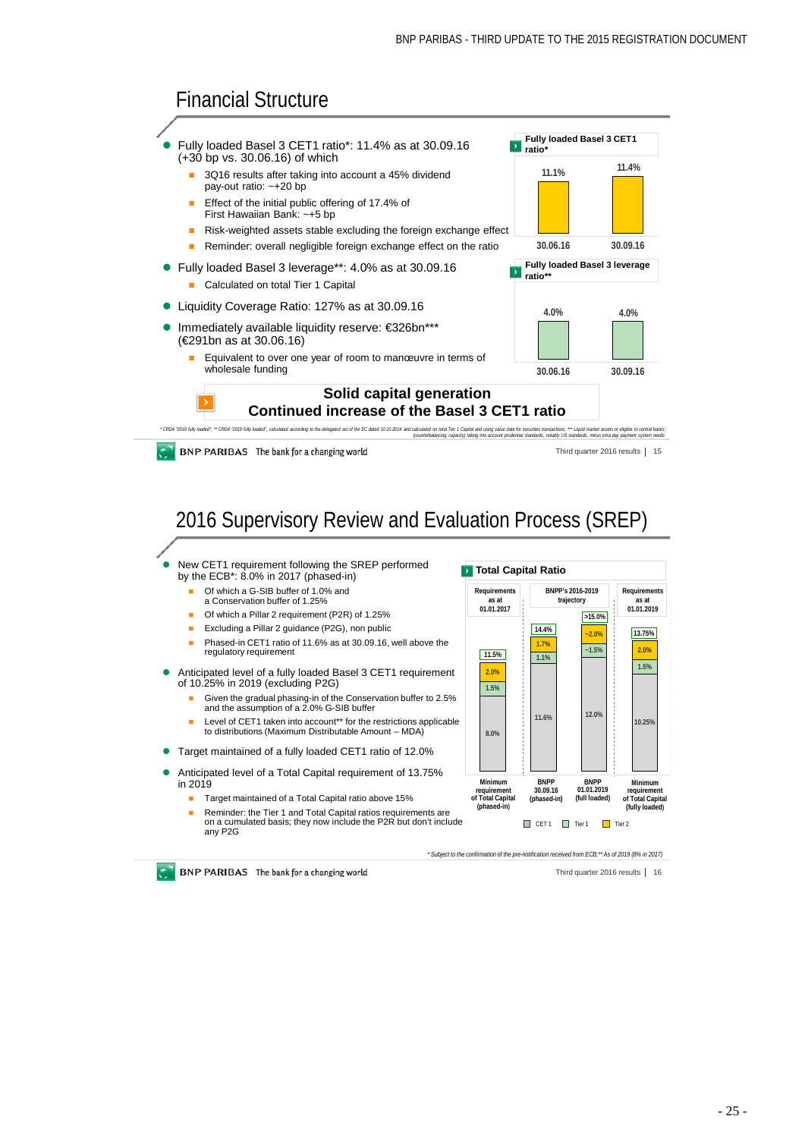

# 2016 Supervisory Review and Evaluation Process (SREP)



BNP PARIBAS The bank for a changing world

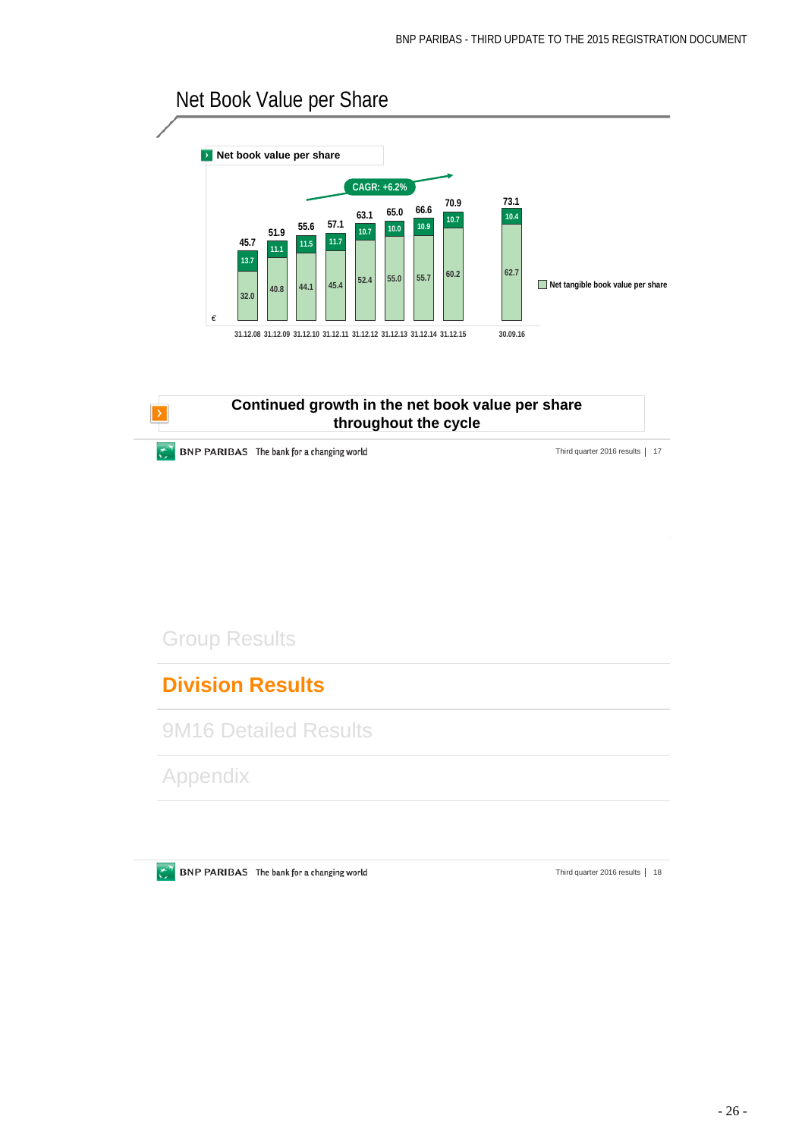

**Continued growth in the net book value per share throughout the cycle**

 $\mathcal{L}^{\mathcal{A}}$  BNP PARIBAS The bank for a changing world

Third quarter 2016 results  $\vert$  17

# Group Results

## **Division Results**

9M16 Detailed Results

Appendix



Third quarter 2016 results  $\vert$  18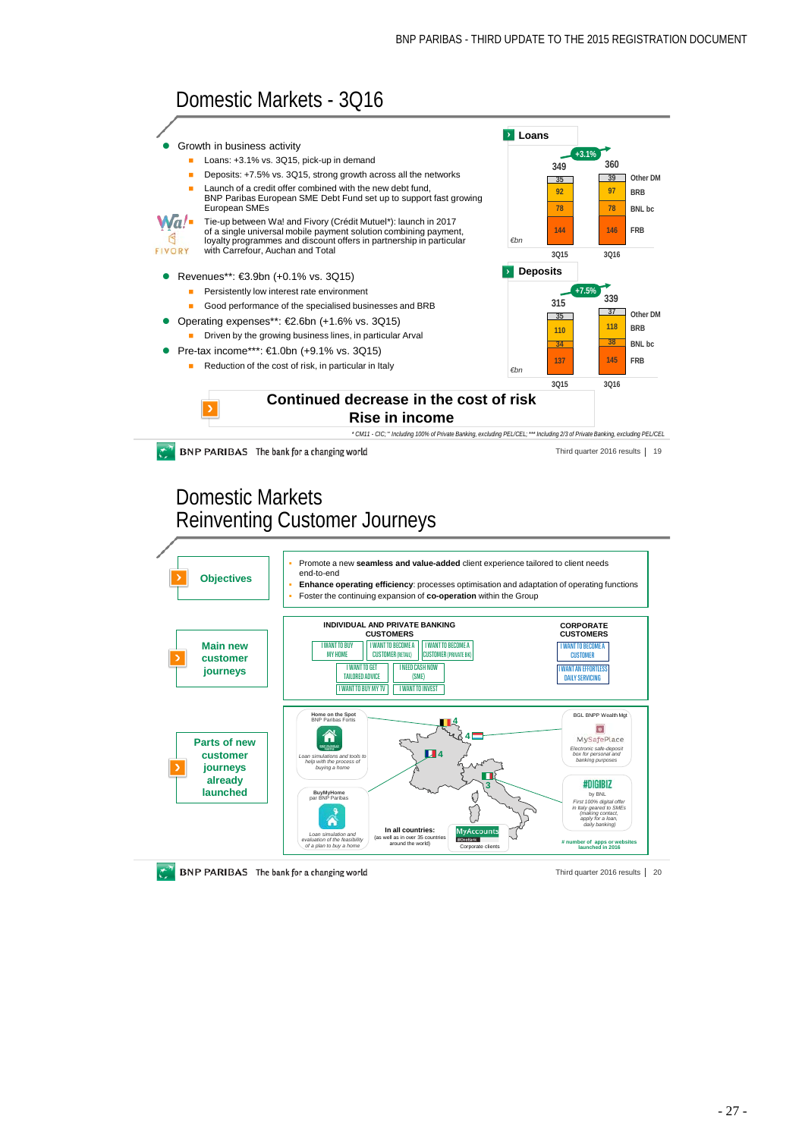

BNP PARIBAS The bank for a changing world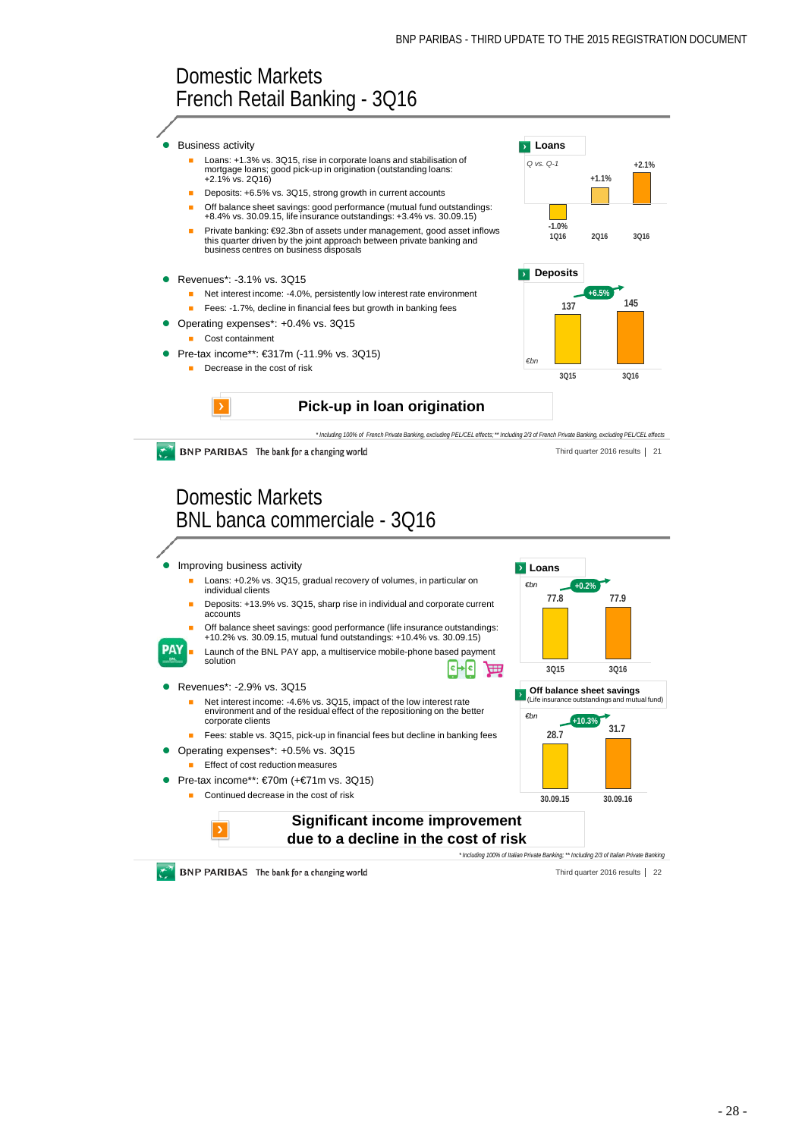### Domestic Markets French Retail Banking - 3Q16

 Business activity **Loans**  Loans: +1.3% vs. 3Q15, rise in corporate loans and stabilisation of *Q vs. Q-1* **+2.1%** mortgage loans; good pick-up in origination (outstanding loans: +2.1% vs. 2Q16) **+1.1%** Deposits: +6.5% vs. 3Q15, strong growth in current accounts Off balance sheet savings: good performance (mutual fund outstandings: +8.4% vs. 30.09.15, life insurance outstandings: +3.4% vs. 30.09.15) **-1.0%** ■ Private banking: €92.3bn of assets under management, good asset inflows<br>this quarter driven by the joint approach between private banking and **1Q16 2Q16 3Q16** business centres on business disposals **Deposits Revenues\*: -3.1% vs. 3015** Net interest income: -4.0%, persistently low interest rate environment **+6.5% 137 145** ■ Fees: -1.7%, decline in financial fees but growth in banking fees Operating expenses\*: +0.4% vs. 3Q15 Cost containment Pre-tax income\*\*: €317m (-11.9% vs. 3Q15) *€bn* Decrease in the cost of risk **3Q15 3Q16 Pick-up in loan origination** *\* Including 100% of French Private Banking, excluding PEL/CEL effects; \*\* Including 2/3 of French Private Banking, excluding PEL/CEL effects* BNP PARIBAS The bank for a changing world Third quarter 2016 results | 21

## Domestic Markets BNL banca commerciale - 3Q16

**Improving business activity Loans**  Loans: +0.2% vs. 3Q15, gradual recovery of volumes, in particular on *€bn* **+0.2%**individual clients **77.8 77.9** Deposits: +13.9% vs. 3Q15, sharp rise in individual and corporate current accounts Off balance sheet savings: good performance (life insurance outstandings: +10.2% vs. 30.09.15, mutual fund outstandings: +10.4% vs. 30.09.15) **PAY**  Launch of the BNL PAY app, a multiservice mobile-phone based payment solution  $\epsilon \rightarrow \epsilon$ 画 **3Q15 3Q16 Revenues\*: -2.9% vs. 3Q15 b** Off balance sheet savings  $\overline{\mathsf{H}}$  insurance outstandings and  $\overline{\mathsf{H}}$  Net interest income: -4.6% vs. 3Q15, impact of the low interest rate environment and of the residual effect of the repositioning on the better *€bn* corporate clients **+10.3% 28.7 31.7** Fees: stable vs. 3Q15, pick-up in financial fees but decline in banking fees ● Operating expenses\*: +0.5% vs. 3Q15 **E** Fffect of cost reduction measures Pre-tax income\*\*: €70m (+€71m vs. 3Q15) Continued decrease in the cost of risk **30.09.15 30.09.16 Significant income improvement due to a decline in the cost of risk** *\* Including 100% of Italian Private Banking; \*\* Including 2/3 of Italian Private Banking*

BNP PARIBAS The bank for a changing world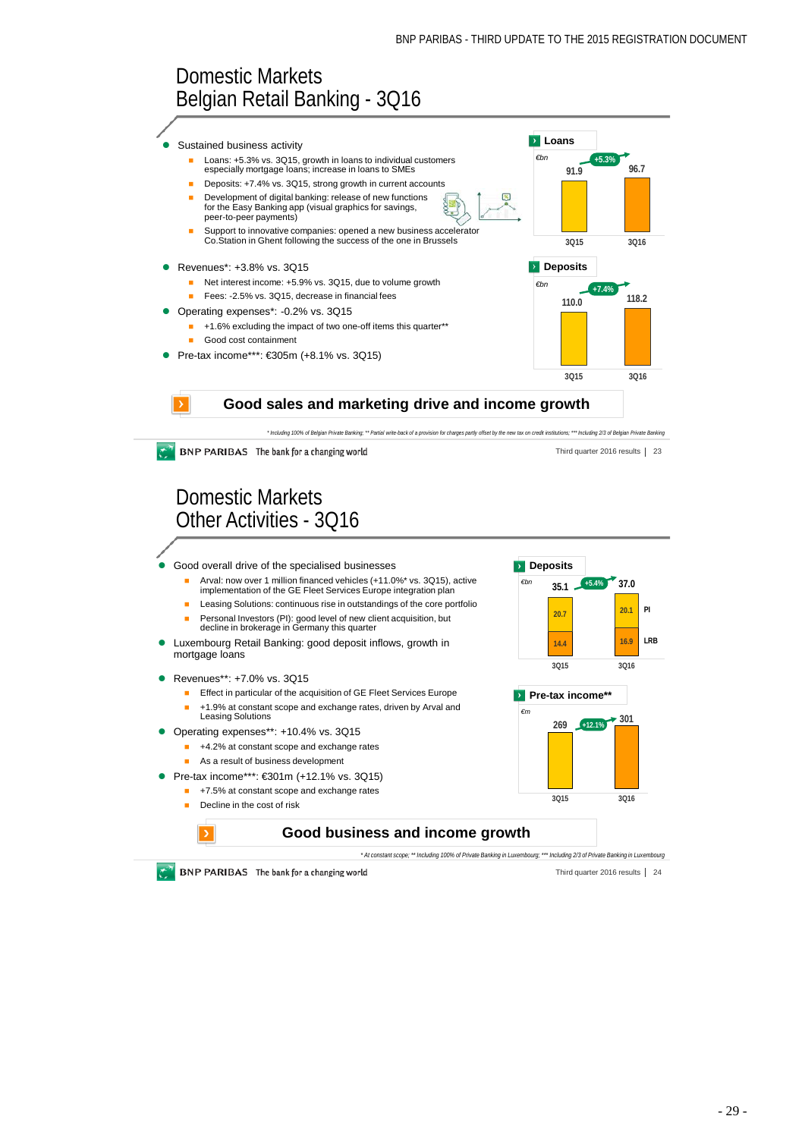### Domestic Markets Belgian Retail Banking - 3Q16



*\* Including 100% of Belgian Private Banking; \*\* Partial write-back of a provision for charges partly offset by the new tax on credit institutions; \*\*\* Including 2/3 of Belgian Private Banking*

BNP PARIBAS The bank for a changing world

Third quarter 2016 results | 23

## Domestic Markets Other Activities - 3Q16

Good overall drive of the specialised businesses

- Arval: now over 1 million financed vehicles (+11.0%\* vs. 3Q15), active
- implementation of the GE Fleet Services Europe integration plan Leasing Solutions: continuous rise in outstandings of the core portfolio
- Personal Investors (PI): good level of new client acquisition, but decline in brokerage in Germany this quarter
- Luxembourg Retail Banking: good deposit inflows, growth in mortgage loans
- Revenues\*\*: +7.0% vs. 3Q15
	- **Effect in particular of the acquisition of GE Fleet Services Europe**
	- +1.9% at constant scope and exchange rates, driven by Arval and **Leasing Solutions**
- Operating expenses\*\*: +10.4% vs. 3Q15
	- +4.2% at constant scope and exchange rates As a result of business development
- Pre-tax income\*\*\*: €301m (+12.1% vs. 3Q15)
	- +7.5% at constant scope and exchange rates
	- Decline in the cost of risk

**Good business and income growth**



**Deposits** *€bn*

BNP PARIBAS The bank for a changing world

Third quarter 2016 results | 24

*\* At constant scope; \*\* Including 100% of Private Banking in Luxembourg; \*\*\* Including 2/3 of Private Banking in Luxembourg*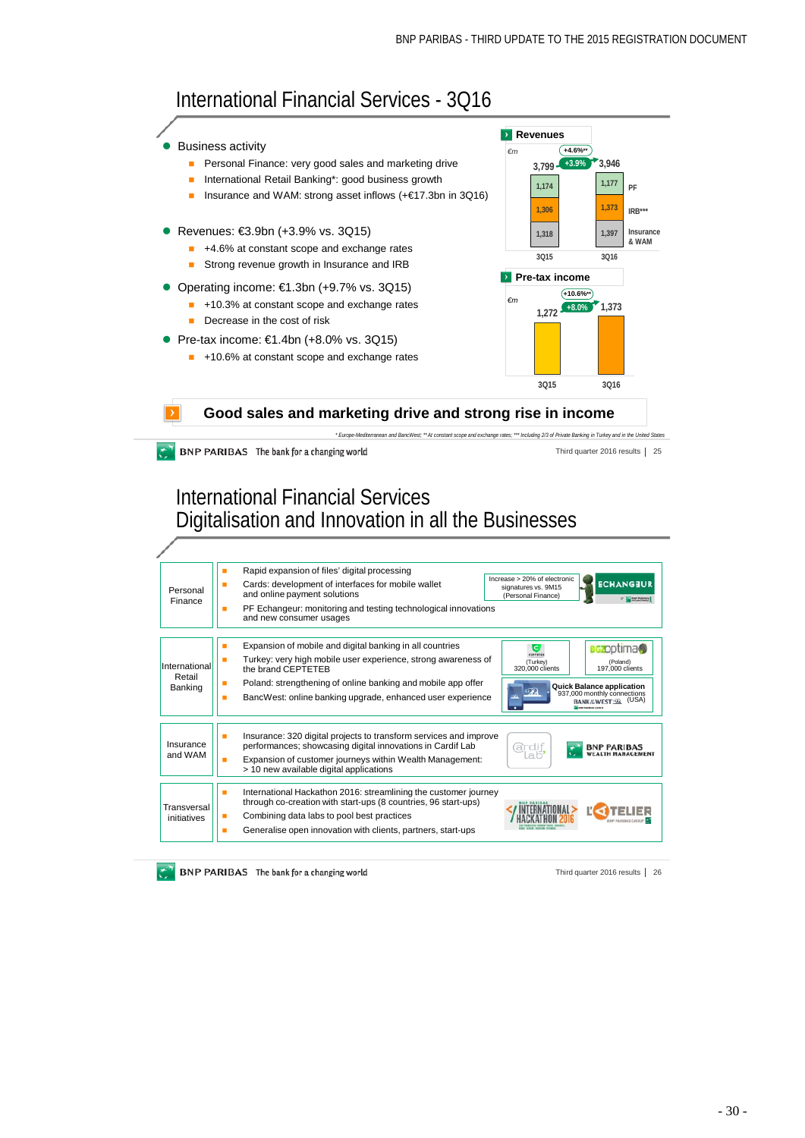

BNP PARIBAS The bank for a changing world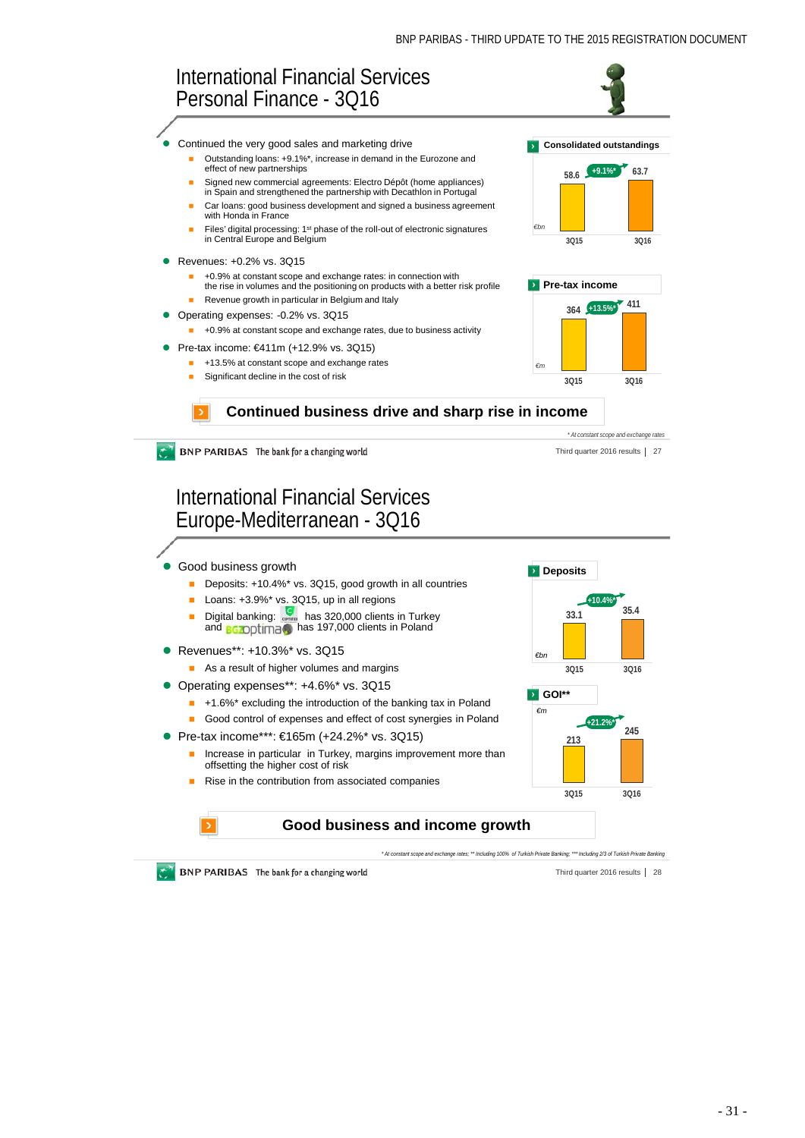### International Financial Services Personal Finance - 3Q16



Continued the very good sales and marketing drive

- Outstanding loans: +9.1%\*, increase in demand in the Eurozone and effect of new partnerships
- Signed new commercial agreements: Electro Dépôt (home appliances) in Spain and strengthened the partnership with Decathlon in Portugal
- Car loans: good business development and signed a business agreement with Honda in France
- Files' digital processing: 1<sup>st</sup> phase of the roll-out of electronic signatures in Central Europe and Belgium
- **Revenues: +0.2% vs. 3Q15** 
	- +0.9% at constant scope and exchange rates: in connection with the rise in volumes and the positioning on products with a better risk profile
	- Revenue growth in particular in Belgium and Italy
- Operating expenses: -0.2% vs. 3Q15
	- +0.9% at constant scope and exchange rates, due to business activity
- Pre-tax income: €411m (+12.9% vs. 3Q15)
	- +13.5% at constant scope and exchange rates
	- Significant decline in the cost of risk

#### **Continued business drive and sharp rise in income**

 $\boldsymbol{\phi}^{\mathcal{A}}$  BNP PARIBAS The bank for a changing world



**<sup>364</sup> <sup>411</sup> +13.5%\***

**58.6 63.7 +9.1%\***

**Consolidated outstandings**

**3Q15 3Q16**

**Pre-tax income**

*€m*

*€bn*

**3Q15 3Q16**

Third quarter 2016 results | 27

## International Financial Services Europe-Mediterranean - 3Q16

#### ● Good business growth

- Deposits: +10.4%\* vs. 3Q15, good growth in all countries
- Loans: +3.9%\* vs. 3Q15, up in all regions
- Digital banking: <sub>spars</sub> has 320,000 clients in Turkey and **BGZODUITHEOD** has 197,000 clients in Poland
- Revenues\*\*: +10.3%\* vs. 3Q15
	- As a result of higher volumes and margins
- Operating expenses\*\*: +4.6%\* vs. 3Q15
	- +1.6%<sup>\*</sup> excluding the introduction of the banking tax in Poland
	- Good control of expenses and effect of cost synergies in Poland
- Pre-tax income\*\*\*: €165m (+24.2%\* vs. 3Q15)
	- Increase in particular in Turkey, margins improvement more than offsetting the higher cost of risk
	- Rise in the contribution from associated companies

#### **Good business and income growth**

BNP PARIBAS The bank for a changing world

Third quarter 2016 results | 28

**3Q15 3Q16**

*\* At constant scope and exchange rates; \*\* Including 100% of Turkish Private Banking; \*\*\* Including 2/3 of Turkish Private Banking*

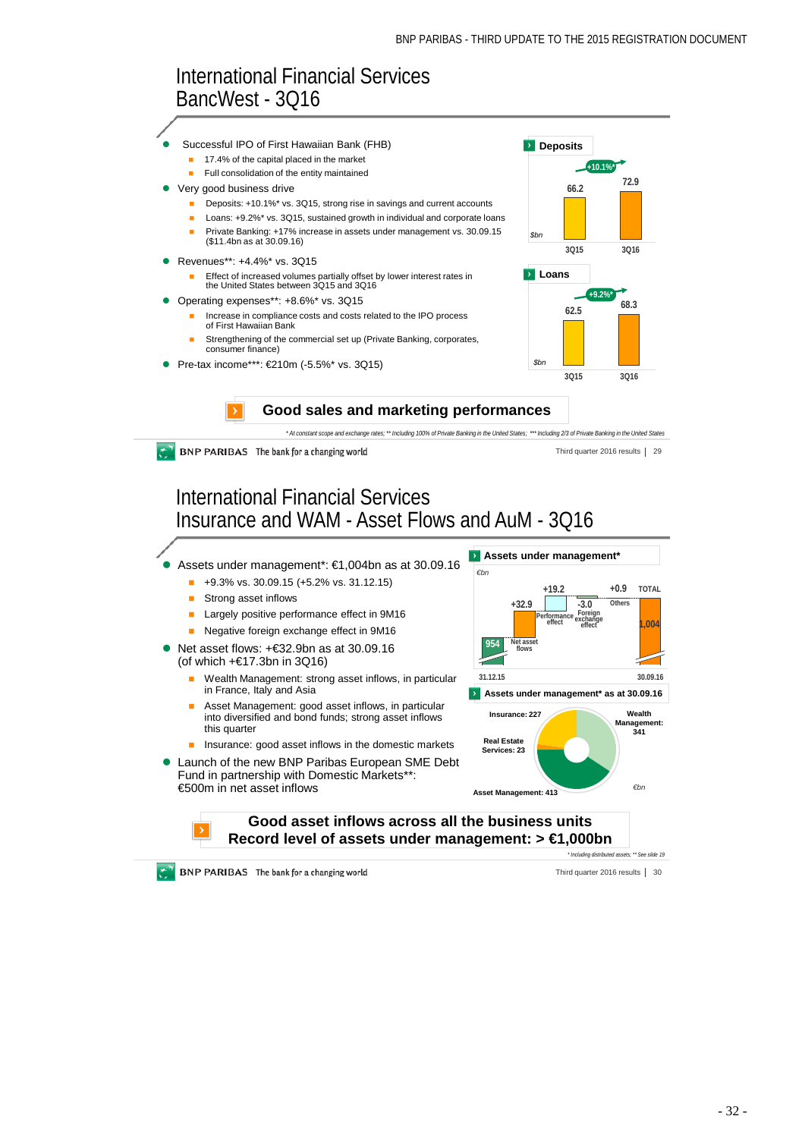### International Financial Services BancWest - 3Q16



BNP PARIBAS The bank for a changing world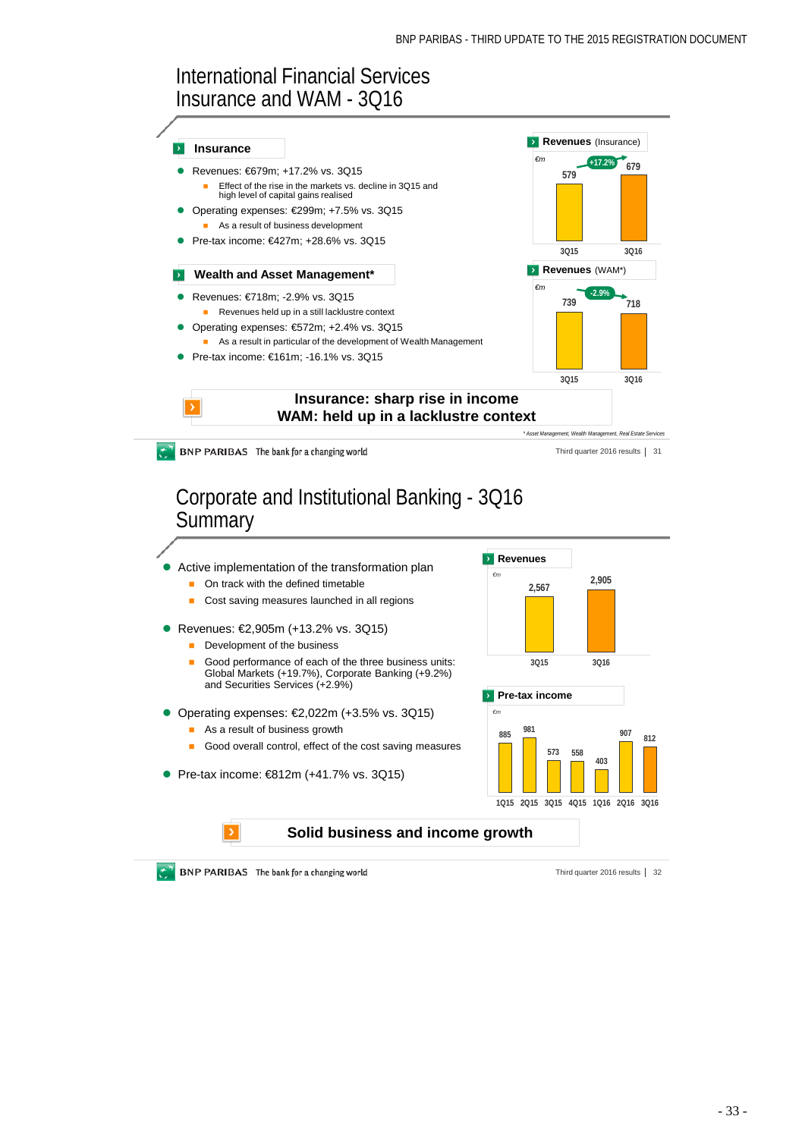### International Financial Services Insurance and WAM - 3Q16



- Good overall control, effect of the cost saving measures
- Pre-tax income:  $€812m (+41.7% vs. 3Q15)$



**Solid business and income growth** 

BNP PARIBAS The bank for a changing world

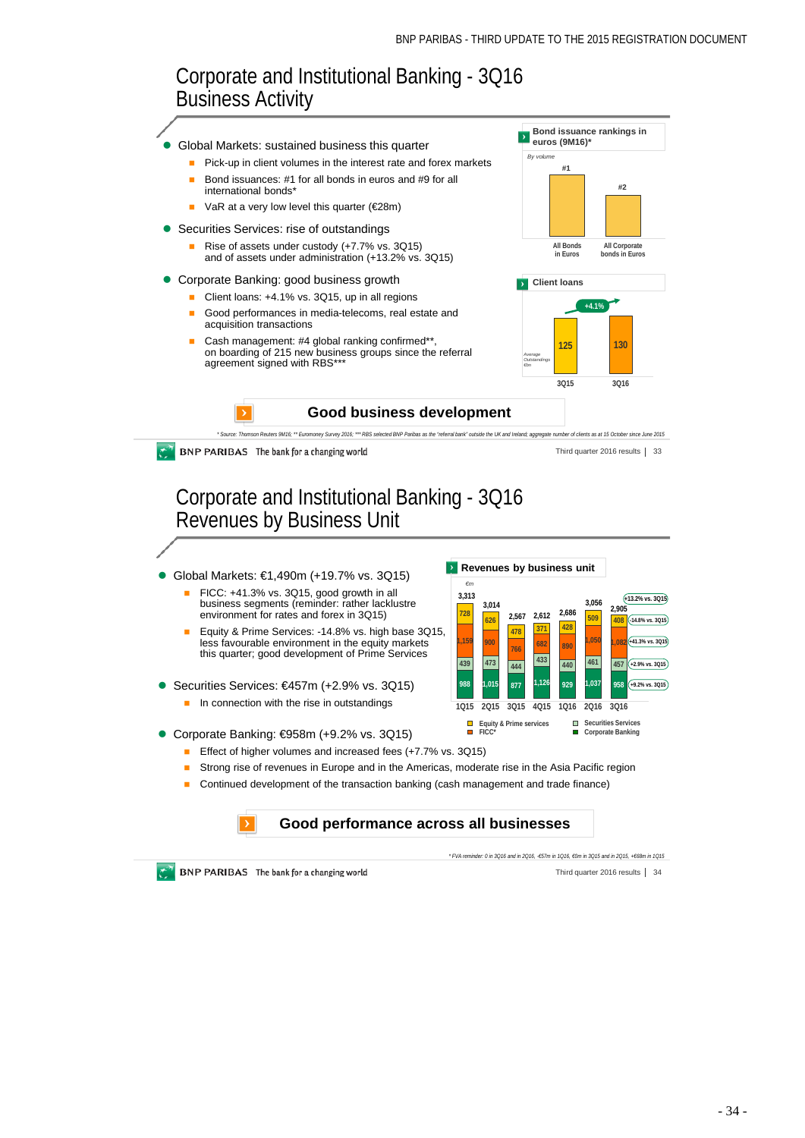## Corporate and Institutional Banking - 3Q16 Business Activity



- business segments (reminder: rather lacklustre environment for rates and forex in 3Q15)
- Equity & Prime Services: -14.8% vs. high base 3Q15, less favourable environment in the equity markets this quarter; good development of Prime Services
- Securities Services: €457m (+2.9% vs. 3Q15)  $\blacksquare$  In connection with the rise in outstandings



- Corporate Banking: €958m (+9.2% vs. 3Q15)
	- Effect of higher volumes and increased fees (+7.7% vs. 3Q15)
	- Strong rise of revenues in Europe and in the Americas, moderate rise in the Asia Pacific region
	- **Continued development of the transaction banking (cash management and trade finance)**

**Good performance across all businesses**

*\* FVA reminder: 0 in 3Q16 and in 2Q16, -€57m in 1Q16, €0m in 3Q15 and in 2Q15, +€68m in 1Q15*

BNP PARIBAS The bank for a changing world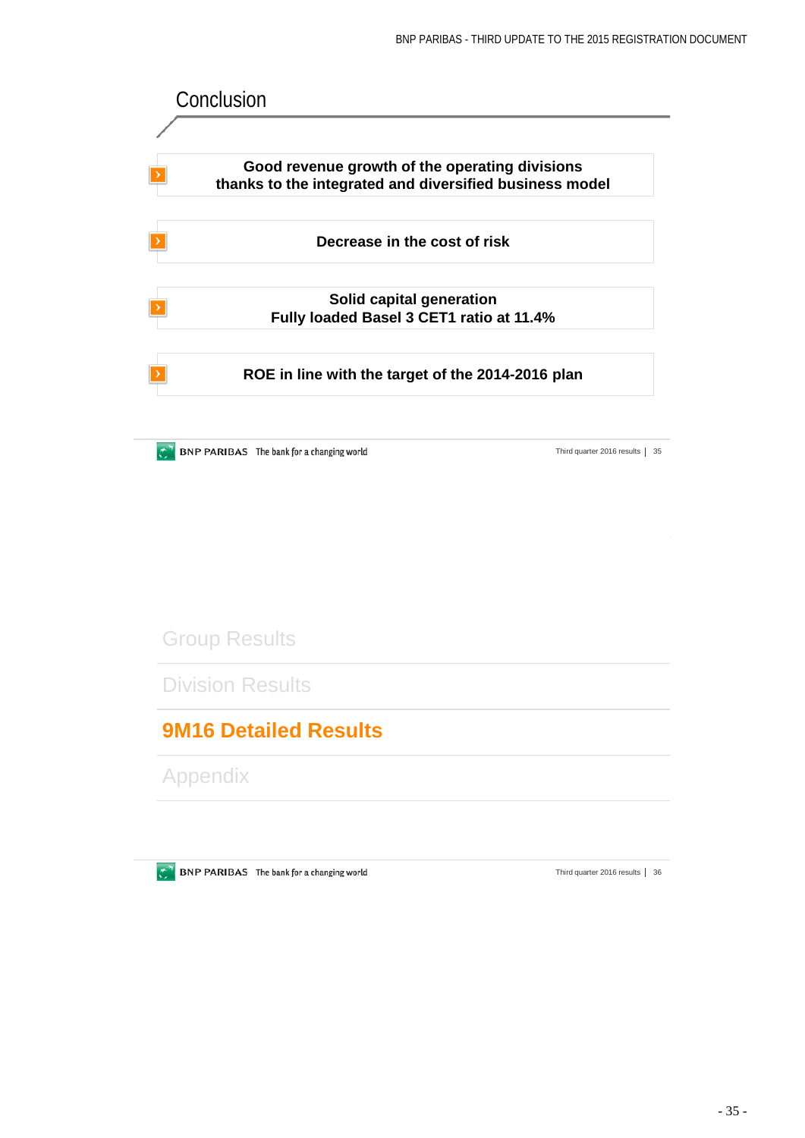

 $\mathbb{C}^{\mathbb{Z}}$  BNP PARIBAS The bank for a changing world

Third quarter 2016 results | 35

Group Results

Division Results

# **9M16 Detailed Results**

Appendix

 $\mathcal{F}^{\mathcal{A}}$  BNP PARIBAS The bank for a changing world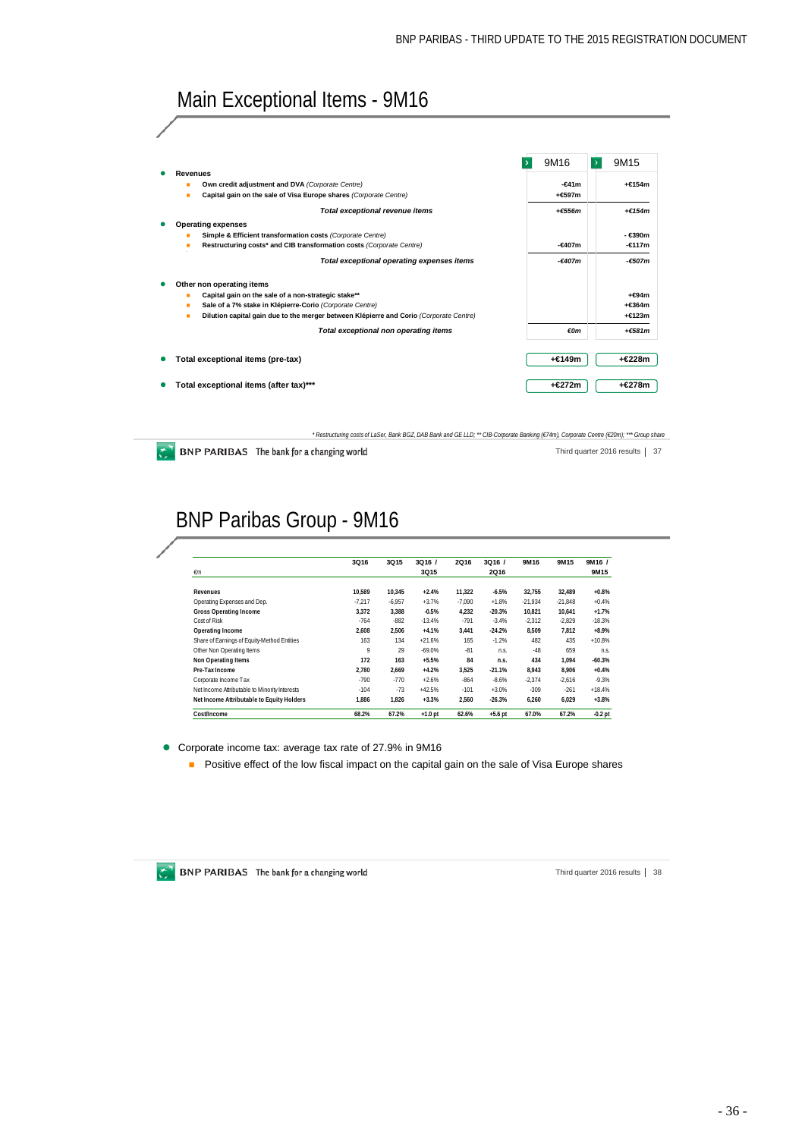Main Exceptional Items - 9M16

|                                                                                             | 9M16     | 9M15        |
|---------------------------------------------------------------------------------------------|----------|-------------|
| <b>Revenues</b>                                                                             |          |             |
| Own credit adjustment and DVA (Corporate Centre)<br>٠                                       | $-641m$  | $+6154m$    |
| Capital gain on the sale of Visa Europe shares (Corporate Centre)<br>٠                      | $+6597m$ |             |
| Total exceptional revenue items                                                             | $+6556m$ | $+6154m$    |
| <b>Operating expenses</b>                                                                   |          |             |
| Simple & Efficient transformation costs (Corporate Centre)                                  |          | $ 6390m$    |
| Restructuring costs* and CIB transformation costs (Corporate Centre)<br>٠                   | $-6407m$ | $-6117m$    |
| Total exceptional operating expenses items                                                  | $-6407m$ | $-6507m$    |
| Other non operating items                                                                   |          |             |
| Capital gain on the sale of a non-strategic stake**<br>٠                                    |          | $+694m$     |
| Sale of a 7% stake in Klépierre-Corio (Corporate Centre)<br>٠                               |          | $+6364m$    |
| Dilution capital gain due to the merger between Klépierre and Corio (Corporate Centre)<br>٠ |          | $+$ $E123m$ |
| Total exceptional non operating items                                                       | €0m      | $+6581m$    |
|                                                                                             | +€149m   | $+$ $E228m$ |
| Total exceptional items (pre-tax)                                                           |          |             |
| Total exceptional items (after tax)***                                                      | +€272m   | +€278m      |
|                                                                                             |          |             |

*\* Restructuring costs of LaSer, Bank BGZ, DAB Bank and GE LLD; \*\* CIB-Corporate Banking (€74m), Corporate Centre (€20m); \*\*\* Group share*



Third quarter 2016 results | 37

# BNP Paribas Group - 9M16

|                                               | 3Q16     | 3Q15     | 3Q16 /    | <b>2Q16</b> | 3Q16 /      | 9M16      | 9M15      | 9M16 /    |
|-----------------------------------------------|----------|----------|-----------|-------------|-------------|-----------|-----------|-----------|
| $\epsilon$ m                                  |          |          | 3Q15      |             | <b>2Q16</b> |           |           | 9M15      |
| Revenues                                      | 10.589   | 10.345   | $+2.4%$   | 11.322      | $-6.5%$     | 32.755    | 32.489    | $+0.8%$   |
| Operating Expenses and Dep.                   | $-7.217$ | $-6.957$ | $+3.7%$   | $-7.090$    | $+1.8%$     | $-21.934$ | $-21.848$ | $+0.4%$   |
| <b>Gross Operating Income</b>                 | 3.372    | 3.388    | $-0.5%$   | 4.232       | $-20.3%$    | 10.821    | 10.641    | $+1.7%$   |
| Cost of Risk                                  | $-764$   | $-882$   | $-13.4%$  | $-791$      | $-3.4%$     | $-2,312$  | $-2.829$  | $-18.3%$  |
| Operating Income                              | 2.608    | 2.506    | $+4.1%$   | 3.441       | $-24.2%$    | 8.509     | 7.812     | $+8.9%$   |
| Share of Earnings of Equity-Method Entities   | 163      | 134      | $+21.6%$  | 165         | $-1.2%$     | 482       | 435       | $+10.8%$  |
| Other Non Operating Items                     | 9        | 29       | $-69.0%$  | $-81$       | n.s.        | $-48$     | 659       | n.s.      |
| Non Operating Items                           | 172      | 163      | $+5.5%$   | 84          | n.s.        | 434       | 1,094     | $-60.3%$  |
| Pre-Tax Income                                | 2,780    | 2,669    | $+4.2%$   | 3,525       | $-21.1%$    | 8,943     | 8,906     | $+0.4%$   |
| Corporate Income Tax                          | $-790$   | $-770$   | $+2.6%$   | $-864$      | $-8.6%$     | $-2,374$  | $-2,616$  | $-9.3%$   |
| Net Income Attributable to Minority Interests | $-104$   | $-73$    | $+42.5%$  | $-101$      | $+3.0%$     | $-309$    | $-261$    | $+18.4%$  |
| Net Income Attributable to Equity Holders     | 1.886    | 1.826    | $+3.3%$   | 2.560       | $-26.3%$    | 6.260     | 6.029     | $+3.8%$   |
| <b>Cost/Income</b>                            | 68.2%    | 67.2%    | $+1.0$ pt | 62.6%       | $+5.6$ pt   | 67.0%     | 67.2%     | $-0.2$ pt |

Corporate income tax: average tax rate of 27.9% in 9M16

**Positive effect of the low fiscal impact on the capital gain on the sale of Visa Europe shares** 

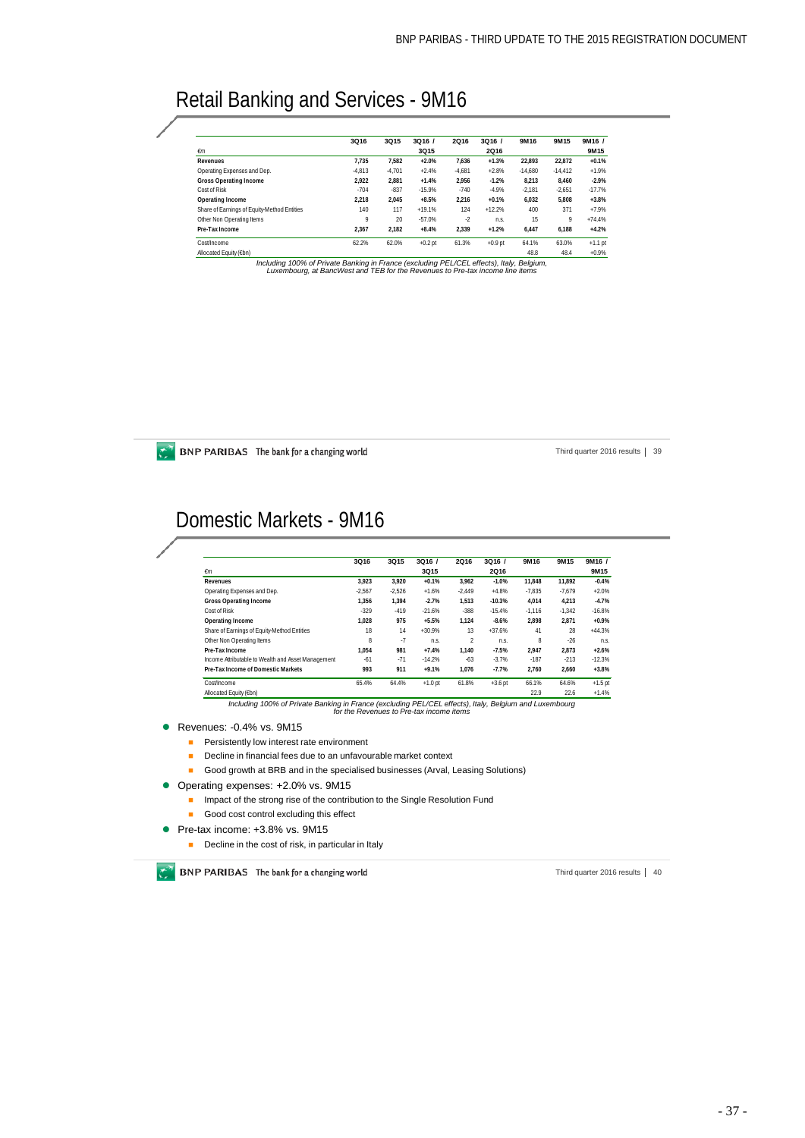# Retail Banking and Services - 9M16

|                                             | 3Q16     | 3Q15     | 3016/     | <b>2Q16</b> | 3016/       | 9M16      | 9M15      | 9M16 /    |
|---------------------------------------------|----------|----------|-----------|-------------|-------------|-----------|-----------|-----------|
| $\epsilon$ m                                |          |          | 3Q15      |             | <b>2Q16</b> |           |           | 9M15      |
| Revenues                                    | 7.735    | 7.582    | $+2.0%$   | 7.636       | $+1.3%$     | 22.893    | 22.872    | $+0.1%$   |
| Operating Expenses and Dep.                 | $-4.813$ | $-4.701$ | $+2.4%$   | $-4.681$    | $+2.8%$     | $-14.680$ | $-14.412$ | $+1.9%$   |
| <b>Gross Operating Income</b>               | 2.922    | 2.881    | $+1.4%$   | 2.956       | $-1.2%$     | 8.213     | 8.460     | $-2.9%$   |
| Cost of Risk                                | $-704$   | $-837$   | $-15.9%$  | $-740$      | $-4.9%$     | $-2.181$  | $-2.651$  | $-17.7%$  |
| Operating Income                            | 2.218    | 2.045    | $+8.5%$   | 2.216       | $+0.1%$     | 6.032     | 5.808     | $+3.8%$   |
| Share of Earnings of Equity-Method Entities | 140      | 117      | $+19.1%$  | 124         | $+12.2%$    | 400       | 371       | $+7.9%$   |
| Other Non Operating Items                   | 9        | 20       | $-57.0%$  | $-2$        | n.S.        | 15        | 9         | $+74.4%$  |
| Pre-Tax Income                              | 2.367    | 2.182    | $+8.4%$   | 2.339       | $+1.2%$     | 6.447     | 6.188     | $+4.2%$   |
| Cost/Income                                 | 62.2%    | 62.0%    | $+0.2$ pt | 61.3%       | $+0.9$ pt   | 64.1%     | 63.0%     | $+1.1$ pt |
| Allocated Equity (€bn)                      |          |          |           |             |             | 48.8      | 48.4      | $+0.9%$   |

*Including 100% of Private Banking in France (excluding PEL/CEL effects), Italy, Belgium, Luxembourg, at BancWest and TEB for the Revenues to Pre-tax income line items*

 $\mathbb{C}^{\mathbb{Z}}$  BNP PARIBAS The bank for a changing world

Third quarter 2016 results | 39

# Domestic Markets - 9M16

|                                                    | 3Q16     | 3Q15     | 3Q16/     | <b>2Q16</b>    | 3Q16/       | 9M16     | 9M15     | 9M16 /    |
|----------------------------------------------------|----------|----------|-----------|----------------|-------------|----------|----------|-----------|
| $\epsilon$ m                                       |          |          | 3Q15      |                | <b>2Q16</b> |          |          | 9M15      |
| Revenues                                           | 3.923    | 3.920    | $+0.1%$   | 3.962          | $-1.0%$     | 11.848   | 11.892   | $-0.4%$   |
| Operating Expenses and Dep.                        | $-2.567$ | $-2.526$ | $+1.6%$   | $-2.449$       | $+4.8%$     | $-7.835$ | $-7.679$ | $+2.0%$   |
| <b>Gross Operating Income</b>                      | 1.356    | 1.394    | $-2.7%$   | 1.513          | $-10.3%$    | 4,014    | 4,213    | $-4.7%$   |
| Cost of Risk                                       | $-329$   | $-419$   | $-21.6%$  | $-388$         | $-15.4%$    | $-1.116$ | $-1.342$ | $-16.8%$  |
| Operating Income                                   | 1.028    | 975      | $+5.5%$   | 1.124          | $-8.6%$     | 2.898    | 2,871    | $+0.9%$   |
| Share of Earnings of Equity-Method Entities        | 18       | 14       | $+30.9%$  | 13             | $+37.6%$    | 41       | 28       | $+44.3%$  |
| Other Non Operating Items                          | 8        | $-7$     | n.s.      | $\overline{2}$ | n.s.        | 8        | $-26$    | n.s.      |
| Pre-Tax Income                                     | 1.054    | 981      | $+7.4%$   | 1.140          | $-7.5%$     | 2.947    | 2,873    | $+2.6%$   |
| Income Attributable to Wealth and Asset Management | $-61$    | $-71$    | $-14.2%$  | $-63$          | $-3.7%$     | $-187$   | $-213$   | $-12.3%$  |
| Pre-Tax Income of Domestic Markets                 | 993      | 911      | $+9.1%$   | 1,076          | $-7.7%$     | 2,760    | 2,660    | $+3.8%$   |
| Cost/Income                                        | 65.4%    | 64.4%    | $+1.0$ pt | 61.8%          | $+3.6$ pt   | 66.1%    | 64.6%    | $+1.5$ pt |
| Allocated Equity (€bn)                             |          |          |           |                |             | 22.9     | 22.6     | $+1.4%$   |

*Including 100% of Private Banking in France (excluding PEL/CEL effects), Italy, Belgium and Luxembourg for the Revenues to Pre-tax income items*

- Revenues: -0.4% vs. 9M15
	- **Persistently low interest rate environment**
	- Decline in financial fees due to an unfavourable market context
	- Good growth at BRB and in the specialised businesses (Arval, Leasing Solutions)
- Operating expenses: +2.0% vs. 9M15
	- **Impact of the strong rise of the contribution to the Single Resolution Fund**
	- Good cost control excluding this effect
- Pre-tax income: +3.8% vs. 9M15
	- Decline in the cost of risk, in particular in Italy

**EXP PARIBAS** The bank for a changing world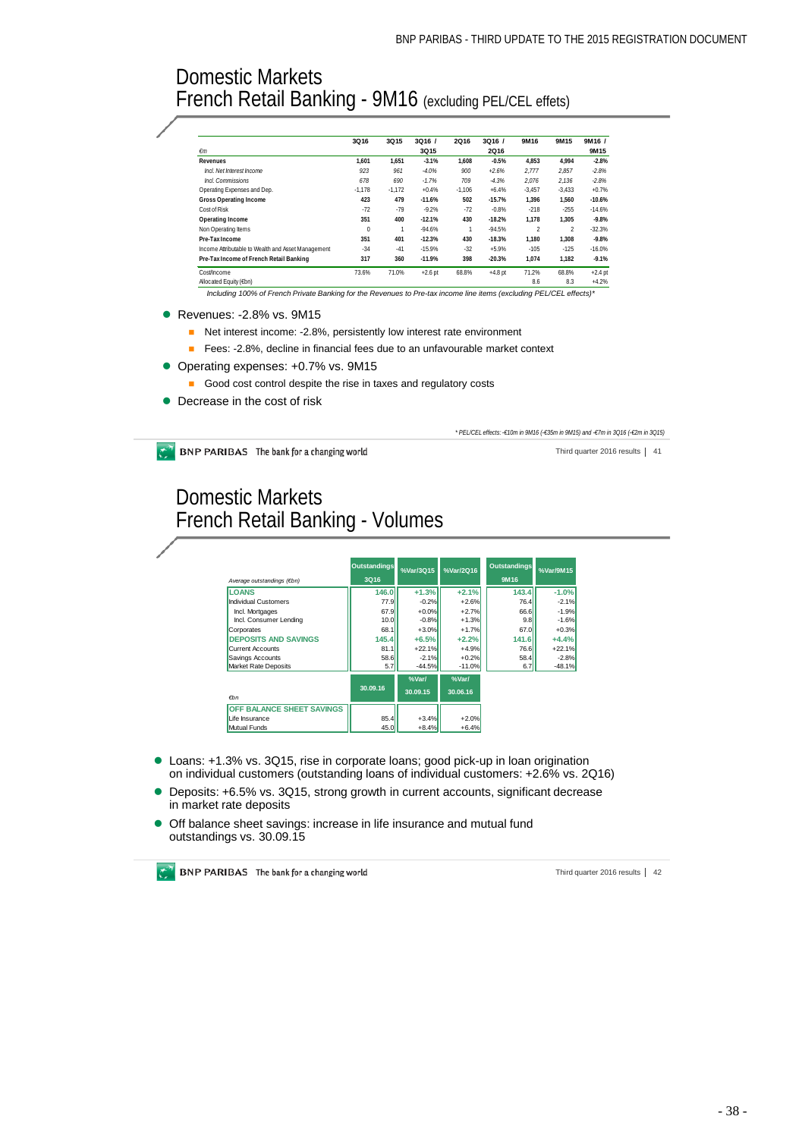# Domestic Markets French Retail Banking - 9M16 (excluding PEL/CEL effets)

|                                                    | 3Q16     | 3Q15     | 3Q16/     | <b>2Q16</b> | 3Q16/       | 9M16           | 9M15           | 9M16 /    |
|----------------------------------------------------|----------|----------|-----------|-------------|-------------|----------------|----------------|-----------|
| $\epsilon$ m                                       |          |          | 3Q15      |             | <b>2Q16</b> |                |                | 9M15      |
| <b>Revenues</b>                                    | 1.601    | 1.651    | $-3.1%$   | 1.608       | $-0.5%$     | 4.853          | 4.994          | $-2.8%$   |
| Incl. Net Interest Income                          | 923      | 961      | $-4.0%$   | 900         | $+2.6%$     | 2.777          | 2,857          | $-2.8%$   |
| Incl. Commissions                                  | 678      | 690      | $-1.7%$   | 709         | $-4.3%$     | 2,076          | 2,136          | $-2.8%$   |
| Operating Expenses and Dep.                        | $-1.178$ | $-1.172$ | $+0.4%$   | $-1.106$    | $+6.4%$     | $-3,457$       | $-3,433$       | $+0.7%$   |
| <b>Gross Operating Income</b>                      | 423      | 479      | $-11.6%$  | 502         | $-15.7%$    | 1.396          | 1.560          | $-10.6%$  |
| Cost of Risk                                       | $-72$    | $-79$    | $-9.2%$   | $-72$       | $-0.8%$     | $-218$         | $-255$         | $-14.6%$  |
| Operating Income                                   | 351      | 400      | $-12.1%$  | 430         | $-18.2%$    | 1,178          | 1,305          | $-9.8%$   |
| Non Operating Items                                | $\Omega$ | 1        | $-94.6%$  |             | $-94.5%$    | $\mathfrak{p}$ | $\mathfrak{p}$ | $-32.3%$  |
| Pre-Tax Income                                     | 351      | 401      | $-12.3%$  | 430         | $-18.3%$    | 1.180          | 1,308          | $-9.8%$   |
| Income Attributable to Wealth and Asset Management | $-34$    | $-41$    | $-15.9%$  | $-32$       | $+5.9%$     | $-105$         | $-125$         | $-16.0%$  |
| Pre-Tax Income of French Retail Banking            | 317      | 360      | $-11.9%$  | 398         | $-20.3%$    | 1.074          | 1,182          | $-9.1%$   |
| Cost/Income                                        | 73.6%    | 71.0%    | $+2.6$ pt | 68.8%       | $+4.8$ pt   | 71.2%          | 68.8%          | $+2.4$ pt |
| Allocated Equity (€bn)                             |          |          |           |             |             | 8.6            | 8.3            | $+4.2%$   |

*Including 100% of French Private Banking for the Revenues to Pre-tax income line items (excluding PEL/CEL effects)\**

- Revenues: -2.8% vs. 9M15
	- Net interest income: -2.8%, persistently low interest rate environment
	- Fees: -2.8%, decline in financial fees due to an unfavourable market context
- Operating expenses: +0.7% vs. 9M15
	- Good cost control despite the rise in taxes and regulatory costs
- Decrease in the cost of risk

*\* PEL/CEL effects: -€10m in 9M16 (-€35m in 9M15) and -€7m in 3Q16 (-€2m in 3Q15)* 

**THE BNP PARIBAS** The bank for a changing world

Third quarter 2016 results  $\vert$  41

# Domestic Markets French Retail Banking - Volumes

| Average outstandings (Ebn)       | <b>Outstandings</b><br>3Q16 | %Var/3Q15 | %Var/2Q16 | <b>Outstandings</b><br>9M16 | %Var/9M15 |
|----------------------------------|-----------------------------|-----------|-----------|-----------------------------|-----------|
| <b>LOANS</b>                     | 146.0                       | $+1.3%$   | $+2.1%$   | 143.4                       | $-1.0%$   |
| <b>Individual Customers</b>      | 77.9                        | $-0.2%$   | $+2.6%$   | 76.4                        | $-2.1%$   |
| Incl. Mortgages                  | 67.9                        | $+0.0%$   | $+2.7%$   | 66.6                        | $-1.9%$   |
| Incl. Consumer Lending           | 10.0 <sub>l</sub>           | $-0.8%$   | $+1.3%$   | 9.8                         | $-1.6%$   |
| Corporates                       | 68.1                        | $+3.0%$   | $+1.7%$   | 67.0                        | $+0.3%$   |
| <b>DEPOSITS AND SAVINGS</b>      | 145.4                       | $+6.5%$   | $+2.2%$   | 141.6                       | $+4.4%$   |
| <b>Current Accounts</b>          | 81.1                        | $+22.1%$  | $+4.9%$   | 76.6                        | $+22.1%$  |
| Savings Accounts                 | 58.6                        | $-2.1%$   | $+0.2%$   | 58.4                        | $-2.8%$   |
| Market Rate Deposits             | 5.7                         | $-44.5%$  | $-11.0%$  | 6.7                         | $-48.1%$  |
|                                  |                             | %Var/     | %Var/     |                             |           |
| $\epsilon$ <sub>bn</sub>         | 30.09.16                    | 30.09.15  | 30.06.16  |                             |           |
| <b>OFF BALANCE SHEET SAVINGS</b> |                             |           |           |                             |           |
| Life Insurance                   | 85.4                        | $+3.4%$   | $+2.0%$   |                             |           |
| Mutual Funds                     | 45.0                        | $+8.4%$   | $+6.4%$   |                             |           |

- Loans: +1.3% vs. 3Q15, rise in corporate loans; good pick-up in loan origination on individual customers (outstanding loans of individual customers: +2.6% vs. 2Q16)
- Deposits: +6.5% vs. 3Q15, strong growth in current accounts, significant decrease in market rate deposits
- Off balance sheet savings: increase in life insurance and mutual fund outstandings vs. 30.09.15

BNP PARIBAS The bank for a changing world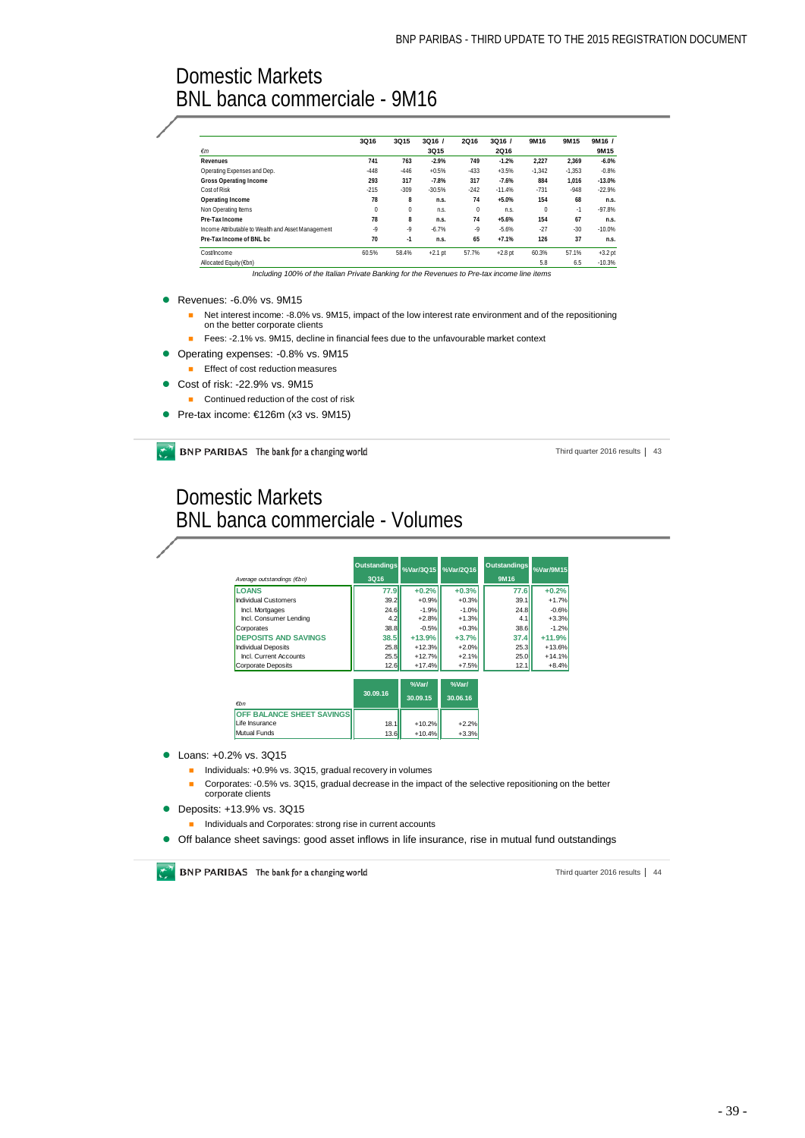## Domestic Markets BNL banca commerciale - 9M16

|                                                    | <b>3Q16</b> | 3Q15        | 3Q16 /    | <b>2Q16</b> | 3Q16/     | 9M16     | 9M15     | 9M16 /    |
|----------------------------------------------------|-------------|-------------|-----------|-------------|-----------|----------|----------|-----------|
| $\epsilon$ m                                       |             |             | 3Q15      |             | 2Q16      |          |          | 9M15      |
| Revenues                                           | 741         | 763         | $-2.9%$   | 749         | $-1.2%$   | 2.227    | 2.369    | $-6.0%$   |
| Operating Expenses and Dep.                        | $-448$      | $-446$      | $+0.5%$   | $-433$      | $+3.5%$   | $-1.342$ | $-1.353$ | $-0.8%$   |
| <b>Gross Operating Income</b>                      | 293         | 317         | $-7.8%$   | 317         | $-7.6%$   | 884      | 1.016    | $-13.0%$  |
| Cost of Risk                                       | $-215$      | $-309$      | $-30.5%$  | $-242$      | $-11.4%$  | $-731$   | $-948$   | $-22.9%$  |
| Operating Income                                   | 78          | 8           | n.s.      | 74          | $+5.0%$   | 154      | 68       | n.s.      |
| Non Operating Items                                | $\bf{0}$    | $\mathbf 0$ | n.s.      | $\bf{0}$    | n.s.      | $\Omega$ | $-1$     | $-97.8%$  |
| Pre-Tax Income                                     | 78          | 8           | n.s.      | 74          | $+5.6%$   | 154      | 67       | n.s.      |
| Income Attributable to Wealth and Asset Management | $-9$        | $-9$        | $-6.7%$   | $-9$        | $-5.6%$   | $-27$    | $-30$    | $-10.0%$  |
| Pre-Tax Income of BNI bc.                          | 70          | $-1$        | n.s.      | 65          | $+7.1%$   | 126      | 37       | n.s.      |
| Cost/Income                                        | 60.5%       | 58.4%       | $+2.1$ pt | 57.7%       | $+2.8$ pt | 60.3%    | 57.1%    | $+3.2$ pt |
| Allocated Equity (€bn)                             |             |             |           |             |           | 5.8      | 6.5      | $-10.3%$  |

*Including 100% of the Italian Private Banking for the Revenues to Pre-tax income line items*

- Revenues: -6.0% vs. 9M15
	- Net interest income: -8.0% vs. 9M15, impact of the low interest rate environment and of the repositioning on the better corporate clients
	- Fees: -2.1% vs. 9M15, decline in financial fees due to the unfavourable market context
- Operating expenses: -0.8% vs. 9M15
	- **Effect of cost reduction measures**
- Cost of risk: -22.9% vs. 9M15
- **Continued reduction of the cost of risk**
- Pre-tax income: €126m (x3 vs. 9M15)

**C**<sup>2</sup> BNP PARIBAS The bank for a changing world

Third quarter 2016 results | 43

# Domestic Markets BNL banca commerciale - Volumes

| Average outstandings (Ebn)  | <b>Outstandings</b><br><b>3Q16</b> | %Var/3Q15         | %Var/2Q16         | <b>Outstandings</b><br>9M16 | %Var/9M15 |
|-----------------------------|------------------------------------|-------------------|-------------------|-----------------------------|-----------|
| <b>LOANS</b>                | 77.9                               | $+0.2%$           | $+0.3%$           | 77.6                        | $+0.2%$   |
| <b>Individual Customers</b> | 39.2                               | $+0.9%$           | $+0.3%$           | 39.1                        | $+1.7%$   |
| Incl. Mortgages             | 24.6                               | $-1.9%$           | $-1.0%$           | 24.8                        | $-0.6%$   |
| Incl. Consumer Lending      | 4.2                                | $+2.8%$           | $+1.3%$           | 4.1                         | $+3.3%$   |
| Corporates                  | 38.8                               | $-0.5%$           | $+0.3%$           | 38.6                        | $-1.2%$   |
| <b>DEPOSITS AND SAVINGS</b> | 38.5                               | $+13.9%$          | $+3.7%$           | 37.4                        | $+11.9%$  |
| <b>Individual Deposits</b>  | 25.8                               | $+12.3%$          | $+2.0%$           | 25.3                        | $+13.6%$  |
| Incl. Current Accounts      | 25.5                               | $+12.7%$          | $+2.1%$           | 25.0                        | $+14.1%$  |
| <b>Corporate Deposits</b>   | 12.6                               | $+17.4%$          | $+7.5%$           | 12.1                        | $+8.4%$   |
|                             | 30.09.16                           | %Var/<br>30.09.15 | %Var/<br>30.06.16 |                             |           |

**Loans: +0.2% vs. 3Q15** 

Individuals: +0.9% vs. 3Q15, gradual recovery in volumes

**OFF BALANCE SHEET SAVINGS** 

Corporates: -0.5% vs. 3Q15, gradual decrease in the impact of the selective repositioning on the better corporate clients

Life Insurance  $||$  18.1 +10.2% +2.2% Mutual Funds 13.6 +10.4% +3.3%

- Deposits: +13.9% vs. 3Q15
	- Individuals and Corporates: strong rise in current accounts
- Off balance sheet savings: good asset inflows in life insurance, rise in mutual fund outstandings

BNP PARIBAS The bank for a changing world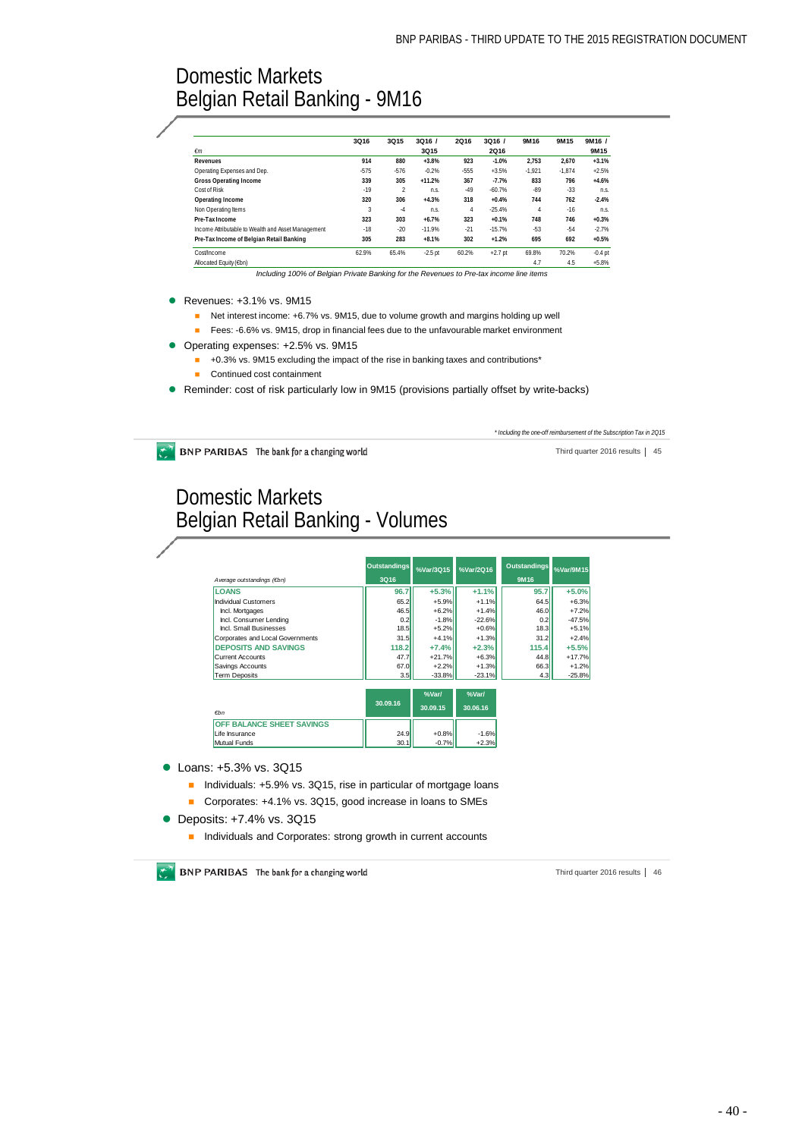# Domestic Markets Belgian Retail Banking - 9M16

|                                                    | 3Q16   | 3Q15           | 3Q16 /    | <b>2Q16</b> | 3Q16 /      | 9M16     | 9M15     | 9M16 /    |
|----------------------------------------------------|--------|----------------|-----------|-------------|-------------|----------|----------|-----------|
| €m                                                 |        |                | 3Q15      |             | <b>2Q16</b> |          |          | 9M15      |
| Revenues                                           | 914    | 880            | $+3.8%$   | 923         | $-1.0%$     | 2.753    | 2.670    | $+3.1%$   |
| Operating Expenses and Dep.                        | $-575$ | $-576$         | $-0.2%$   | $-555$      | $+3.5%$     | $-1.921$ | $-1.874$ | $+2.5%$   |
| <b>Gross Operating Income</b>                      | 339    | 305            | $+11.2%$  | 367         | $-7.7%$     | 833      | 796      | $+4.6%$   |
| Cost of Risk                                       | $-19$  | $\overline{2}$ | n.S.      | $-49$       | $-60.7%$    | $-89$    | $-33$    | n.s.      |
| Operating Income                                   | 320    | 306            | $+4.3%$   | 318         | $+0.4%$     | 744      | 762      | $-2.4%$   |
| Non Operating Items                                | 3      | $-4$           | n.s.      | 4           | $-25.4%$    | 4        | $-16$    | n.s.      |
| Pre-Tax Income                                     | 323    | 303            | $+6.7%$   | 323         | $+0.1%$     | 748      | 746      | $+0.3%$   |
| Income Attributable to Wealth and Asset Management | $-18$  | $-20$          | $-11.9%$  | $-21$       | $-15.7%$    | $-53$    | $-54$    | $-2.7%$   |
| Pre-Tax Income of Belgian Retail Banking           | 305    | 283            | $+8.1%$   | 302         | $+1.2%$     | 695      | 692      | $+0.5%$   |
| Cost/Income                                        | 62.9%  | 65.4%          | $-2.5$ pt | 60.2%       | $+2.7$ pt   | 69.8%    | 70.2%    | $-0.4$ pt |
| Allocated Equity (€bn)                             |        |                |           |             |             | 4.7      | 4.5      | $+5.8%$   |

*Including 100% of Belgian Private Banking for the Revenues to Pre-tax income line items*

- **Revenues: +3.1% vs. 9M15** 
	- Net interest income: +6.7% vs. 9M15, due to volume growth and margins holding up well
	- Fees: -6.6% vs. 9M15, drop in financial fees due to the unfavourable market environment
- Operating expenses: +2.5% vs. 9M15
	- +0.3% vs. 9M15 excluding the impact of the rise in banking taxes and contributions\*
	- Continued cost containment
- Reminder: cost of risk particularly low in 9M15 (provisions partially offset by write-backs)

**THE BNP PARIBAS** The bank for a changing world

Third quarter 2016 results | 45

*\* Including the one-off reimbursement of the Subscription Tax in 2Q15*

# Domestic Markets Belgian Retail Banking - Volumes

| Average outstandings (Ebn)       | <b>Outstandings</b><br>3Q16 | %Var/3Q15 | %Var/2Q16 | <b>Outstandings</b><br>9M16 | %Var/9M15 |
|----------------------------------|-----------------------------|-----------|-----------|-----------------------------|-----------|
| <b>LOANS</b>                     | 96.7                        | $+5.3%$   | $+1.1%$   | 95.7                        | $+5.0%$   |
| <b>Individual Customers</b>      | 65.2                        | $+5.9%$   | $+1.1%$   | 64.5                        | $+6.3%$   |
| Incl. Mortgages                  | 46.5                        | $+6.2%$   | $+1.4%$   | 46.0                        | $+7.2%$   |
| Incl. Consumer Lending           | 0.2                         | $-1.8%$   | $-22.6%$  | 0.2                         | $-47.5%$  |
| Incl. Small Businesses           | 18.5                        | $+5.2%$   | $+0.6%$   | 18.3                        | $+5.1%$   |
| Corporates and Local Governments | 31.5                        | $+4.1%$   | $+1.3%$   | 31.2                        | $+2.4%$   |
| <b>DEPOSITS AND SAVINGS</b>      | 118.2                       | $+7.4%$   | $+2.3%$   | 115.4                       | $+5.5%$   |
| <b>Current Accounts</b>          | 47.7                        | $+21.7%$  | $+6.3%$   | 44.8                        | $+17.7%$  |
| Savings Accounts                 | 67.0                        | $+2.2%$   | $+1.3%$   | 66.3                        | $+1.2%$   |
| <b>Term Deposits</b>             | 3.5                         | $-33.8%$  | $-23.1%$  | 4.3                         | $-25.8%$  |
|                                  |                             |           |           |                             |           |
|                                  |                             | %Var/     | %Var/     |                             |           |

| $F$ hn                           | 30.09.16 | 30.09.15 | 30.06.16 |
|----------------------------------|----------|----------|----------|
| <b>OFF BALANCE SHEET SAVINGS</b> |          |          |          |
| Life Insurance                   | 24.9     | $+0.8%$  | $-1.6%$  |
| Mutual Funds                     | 30.1     | $-0.7%$  | $+2.3%$  |

● Loans: +5.3% vs. 3Q15

- Individuals: +5.9% vs. 3Q15, rise in particular of mortgage loans
- Corporates: +4.1% vs. 3Q15, good increase in loans to SMEs
- **Deposits: +7.4% vs. 3Q15** 
	- **Individuals and Corporates: strong growth in current accounts**

BNP PARIBAS The bank for a changing world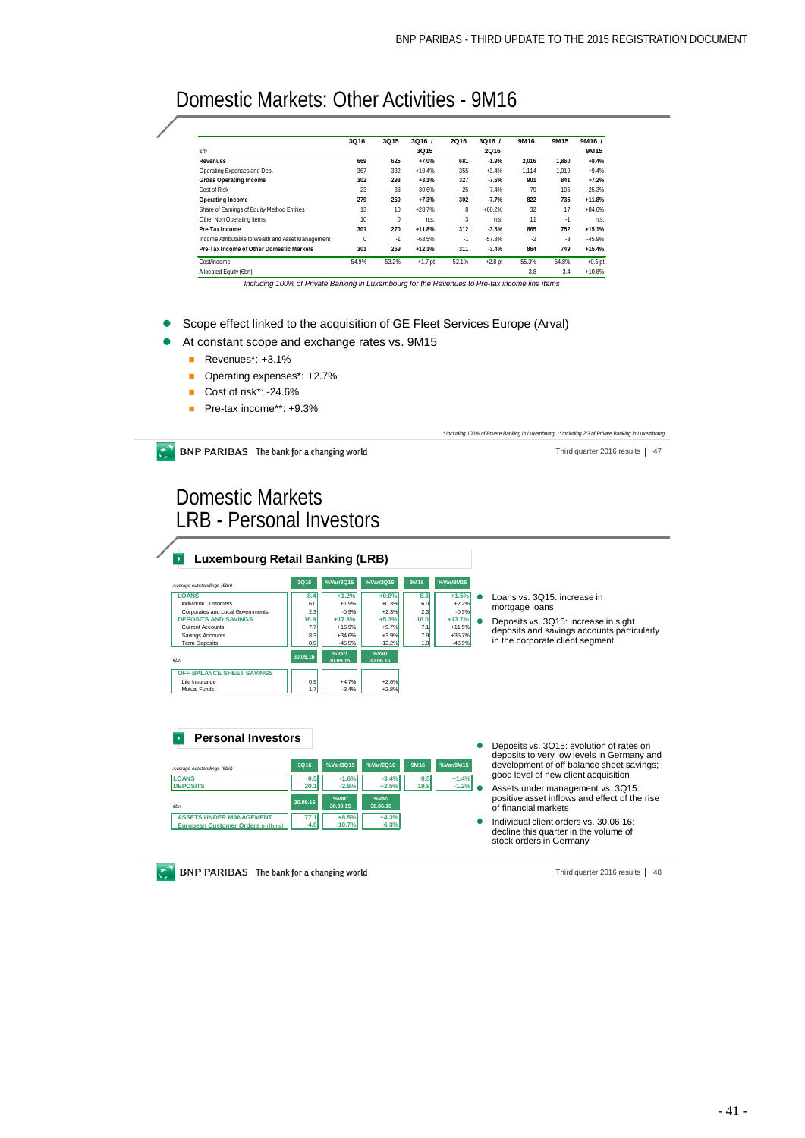# Domestic Markets: Other Activities - 9M16

|                                                    | 3Q16         | 3Q15        | 3Q16 /    | <b>2Q16</b> | 3Q16 /      | 9M16     | 9M15     | 9M16 /    |
|----------------------------------------------------|--------------|-------------|-----------|-------------|-------------|----------|----------|-----------|
| $\epsilon$ m                                       |              |             | 3Q15      |             | <b>2Q16</b> |          |          | 9M15      |
| Revenues                                           | 669          | 625         | $+7.0%$   | 681         | $-1.9%$     | 2.016    | 1.860    | $+8.4%$   |
| Operating Expenses and Dep.                        | $-367$       | $-332$      | $+10.4%$  | $-355$      | $+3.4%$     | $-1.114$ | $-1.019$ | $+9.4%$   |
| <b>Gross Operating Income</b>                      | 302          | 293         | $+3.1%$   | 327         | $-7.6%$     | 901      | 841      | $+7.2%$   |
| Cost of Risk                                       | $-23$        | $-33$       | $-30.6%$  | $-25$       | $-7.4%$     | $-79$    | $-105$   | $-25.3%$  |
| Operating Income                                   | 279          | 260         | $+7.3%$   | 302         | $-7.7%$     | 822      | 735      | $+11.8%$  |
| Share of Earnings of Equity-Method Entities        | 13           | 10          | $+28.7%$  | 8           | $+60.2%$    | 32       | 17       | $+84.6%$  |
| Other Non Operating Items                          | 10           | $\mathbf 0$ | n.s.      | 3           | n.s.        | 11       | $-1$     | n.s.      |
| Pre-Tax Income                                     | 301          | 270         | $+11.8%$  | 312         | $-3.5%$     | 865      | 752      | $+15.1%$  |
| Income Attributable to Wealth and Asset Management | $\mathbf{0}$ | $-1$        | $-63.5%$  | $-1$        | $-57.3%$    | $-2$     | $-3$     | $-45.9%$  |
| Pre-Tax Income of Other Domestic Markets           | 301          | 269         | $+12.1%$  | 311         | $-3.4%$     | 864      | 749      | $+15.4%$  |
| Cost/Income                                        | 54.9%        | 53.2%       | $+1.7$ pt | 52.1%       | $+2.8$ pt   | 55.3%    | 54.8%    | $+0.5$ pt |
| Allocated Equity (€bn)                             |              |             |           |             |             | 3.8      | 3.4      | $+10.8%$  |

*Including 100% of Private Banking in Luxembourg for the Revenues to Pre-tax income line items*

- Scope effect linked to the acquisition of GE Fleet Services Europe (Arval)
- At constant scope and exchange rates vs. 9M15
	- Revenues\*: +3.1%
	- Operating expenses\*: +2.7%
	- Cost of risk\*: -24.6%
	- Pre-tax income\*\*: +9.3%

 $\mathcal{L}^{\mathcal{A}}$  BNP PARIBAS The bank for a changing world

*\* Including 100% of Private Banking in Luxembourg; \*\* Including 2/3 of Private Banking in Luxembourg* 

Third quarter 2016 results | 47

# Domestic Markets LRB - Personal Investors

| Average outstandings (Ebn)                                                                                                                                                                                                                                                       | <b>3Q16</b>                                                              | %Var/3Q15                                                                                                                | %Var/2Q16                                                                                                             | 9M16                                           | %Var/9M15                                                                     |                                                                                                                                                                                                                                                                                                                                                                                                         |
|----------------------------------------------------------------------------------------------------------------------------------------------------------------------------------------------------------------------------------------------------------------------------------|--------------------------------------------------------------------------|--------------------------------------------------------------------------------------------------------------------------|-----------------------------------------------------------------------------------------------------------------------|------------------------------------------------|-------------------------------------------------------------------------------|---------------------------------------------------------------------------------------------------------------------------------------------------------------------------------------------------------------------------------------------------------------------------------------------------------------------------------------------------------------------------------------------------------|
| <b>LOANS</b><br><b>Individual Customers</b><br>Corporates and Local Governments<br><b>DEPOSITS AND SAVINGS</b><br><b>Current Accounts</b><br>Savings Accounts<br><b>Term Deposits</b><br>$\epsilon$ <sub>bn</sub><br>OFF BALANCE SHEET SAVINGS<br>Life Insurance<br>Mutual Funds | 8.4<br>6.0<br>2.3<br>16.9<br>7.7<br>8.3<br>0.9<br>30.09.16<br>0.9<br>1.7 | $+1.2%$<br>$+1.9%$<br>$-0.9%$<br>$+17.3%$<br>$+16.9%$<br>$+34.6%$<br>$-45.5%$<br>%Var/<br>30.09.15<br>$+4.7%$<br>$-3.4%$ | $+0.8%$<br>$+0.3%$<br>$+2.3%$<br>$+5.3%$<br>$+9.7%$<br>$+3.9%$<br>$-13.2%$<br>%Var/<br>30.06.16<br>$+2.6%$<br>$+2.8%$ | 8.3<br>6.0<br>2.3<br>16.0<br>7.1<br>7.9<br>1.0 | $+1.5%$<br>$+2.2%$<br>$-0.3%$<br>$+13.7%$<br>$+11.5%$<br>$+35.7%$<br>$-46.9%$ | Loans vs. 3015: increase in<br>mortgage loans<br>Deposits vs. 3Q15: increase in sight<br>deposits and savings accounts particularly<br>in the corporate client segment                                                                                                                                                                                                                                  |
| <b>Personal Investors</b><br>$\rightarrow$<br>Average outstandings (Ebn)<br><b>LOANS</b><br><b>DEPOSITS</b><br>$\epsilon$ <sub>bn</sub><br><b>ASSETS UNDER MANAGEMENT</b><br><b>European Customer Orders (millions)</b>                                                          | 3Q16<br>0.5<br>20.1<br>30.09.16<br>77.1<br>4.0                           | %Var/3Q15<br>$-1.6%$<br>$-2.8%$<br>%Var/<br>30.09.15<br>$+8.5%$<br>$-10.7%$                                              | %Var/2Q16<br>$-3.4%$<br>$+2.5%$<br>%Var/<br>30.06.16<br>$+4.3%$<br>$-6.3%$                                            | 9M16<br>0.5<br>19.8                            | %Var/9M15<br>$+1.4%$<br>$-1.2%$                                               | Deposits vs. 3Q15: evolution of rates on<br>deposits to very low levels in Germany and<br>development of off balance sheet savings;<br>good level of new client acquisition<br>Assets under management vs. 3Q15:<br>positive asset inflows and effect of the rise<br>of financial markets<br>Individual client orders vs. 30.06.16;<br>decline this quarter in the volume of<br>stock orders in Germany |

**A<sup>N</sup>** BNP PARIBAS The bank for a changing world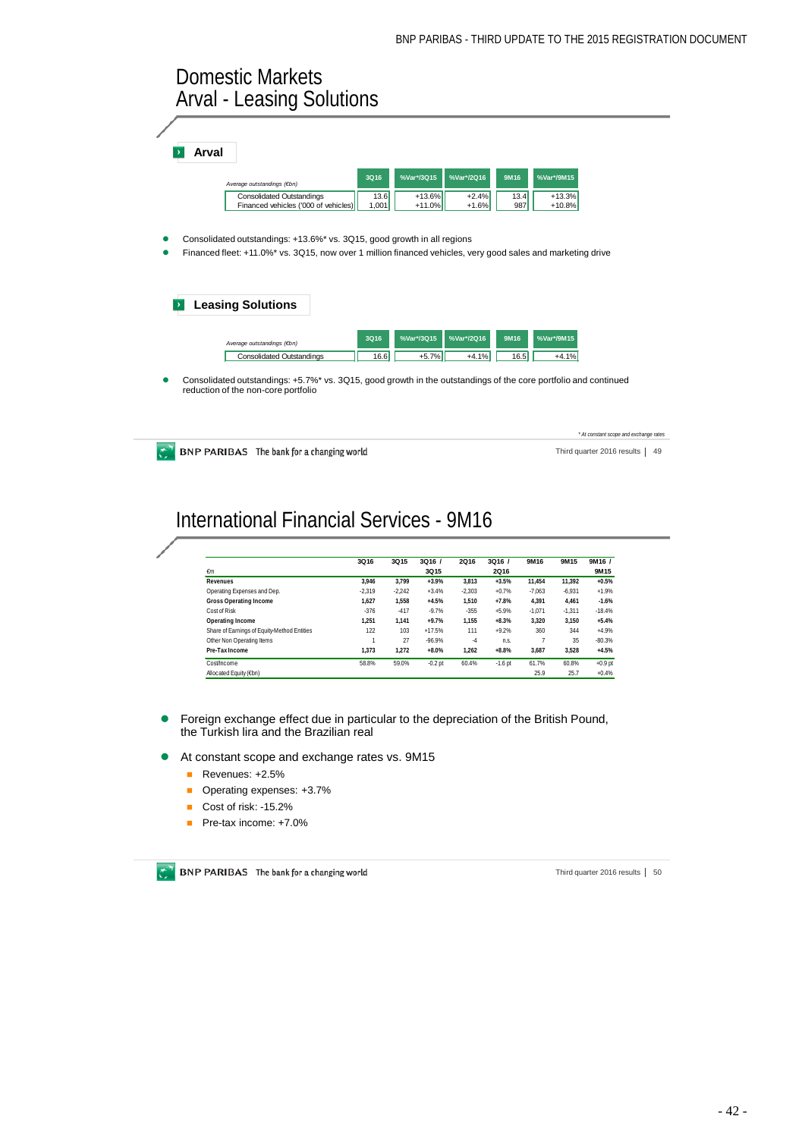|       | Domestic Markets<br>Arval - Leasing Solutions                                                                                                                                  |
|-------|--------------------------------------------------------------------------------------------------------------------------------------------------------------------------------|
| Arval |                                                                                                                                                                                |
|       | %Var*/3Q15<br>%Var*/2Q16<br>9M16<br>%Var*/9M15<br>3Q16<br>Average outstandings (Ebn)                                                                                           |
|       | $+13.6%$<br>$+2.4%$<br>$+13.3%$<br><b>Consolidated Outstandings</b><br>13.6<br>13.4<br>Financed vehicles ('000 of vehicles)<br>1.001<br>$+11.0%$<br>$+1.6%$<br>987<br>$+10.8%$ |
|       |                                                                                                                                                                                |
|       | <b>Leasing Solutions</b>                                                                                                                                                       |
|       | %Var*/3Q15<br>%Var*/2Q16<br>%Var*/9M15<br>3Q16<br>9M16<br>Average outstandings (Ebn)                                                                                           |
|       | 16.6<br>$+5.7%$<br>16.5<br>$+4.1%$<br>$+4.1%$<br><b>Consolidated Outstandings</b>                                                                                              |

```
\mathcal{L}^{\mathcal{A}} BNP PARIBAS The bank for a changing world
```
*\* At constant scope and exchange rates*

Third quarter 2016 results | 49

# International Financial Services - 9M16

|                                             | 3Q16     | 3Q15     | 3Q16 /    | <b>2Q16</b> | 3Q16 /      | 9M16     | 9M15     | 9M16 /    |
|---------------------------------------------|----------|----------|-----------|-------------|-------------|----------|----------|-----------|
| €m                                          |          |          | 3Q15      |             | <b>2Q16</b> |          |          | 9M15      |
| Revenues                                    | 3.946    | 3.799    | $+3.9%$   | 3.813       | $+3.5%$     | 11.454   | 11.392   | $+0.5%$   |
| Operating Expenses and Dep.                 | $-2.319$ | $-2.242$ | $+3.4%$   | $-2,303$    | $+0.7%$     | $-7.063$ | $-6.931$ | $+1.9%$   |
| <b>Gross Operating Income</b>               | 1.627    | 1.558    | $+4.5%$   | 1.510       | $+7.8%$     | 4,391    | 4.461    | $-1.6%$   |
| Cost of Risk                                | $-376$   | $-417$   | $-9.7%$   | $-355$      | $+5.9%$     | $-1.071$ | $-1.311$ | $-18.4%$  |
| Operating Income                            | 1.251    | 1.141    | $+9.7%$   | 1.155       | $+8.3%$     | 3.320    | 3.150    | $+5.4%$   |
| Share of Earnings of Equity-Method Entities | 122      | 103      | $+17.5%$  | 111         | $+9.2%$     | 360      | 344      | $+4.9%$   |
| Other Non Operating Items                   |          | 27       | $-96.9%$  | $-4$        | n.s.        |          | 35       | $-80.3%$  |
| Pre-Tax Income                              | 1.373    | 1.272    | $+8.0%$   | 1.262       | $+8.8%$     | 3.687    | 3.528    | $+4.5%$   |
| Cost/Income                                 | 58.8%    | 59.0%    | $-0.2$ pt | 60.4%       | $-1.6$ pt   | 61.7%    | 60.8%    | $+0.9$ pt |
| Allocated Equity (€bn)                      |          |          |           |             |             | 25.9     | 25.7     | $+0.4%$   |

- **•** Foreign exchange effect due in particular to the depreciation of the British Pound, the Turkish lira and the Brazilian real
- At constant scope and exchange rates vs. 9M15
	- Revenues: +2.5%
	- Operating expenses: +3.7%
	- Cost of risk: -15.2%
	- Pre-tax income: +7.0%

**A<sup>N</sup>** BNP PARIBAS The bank for a changing world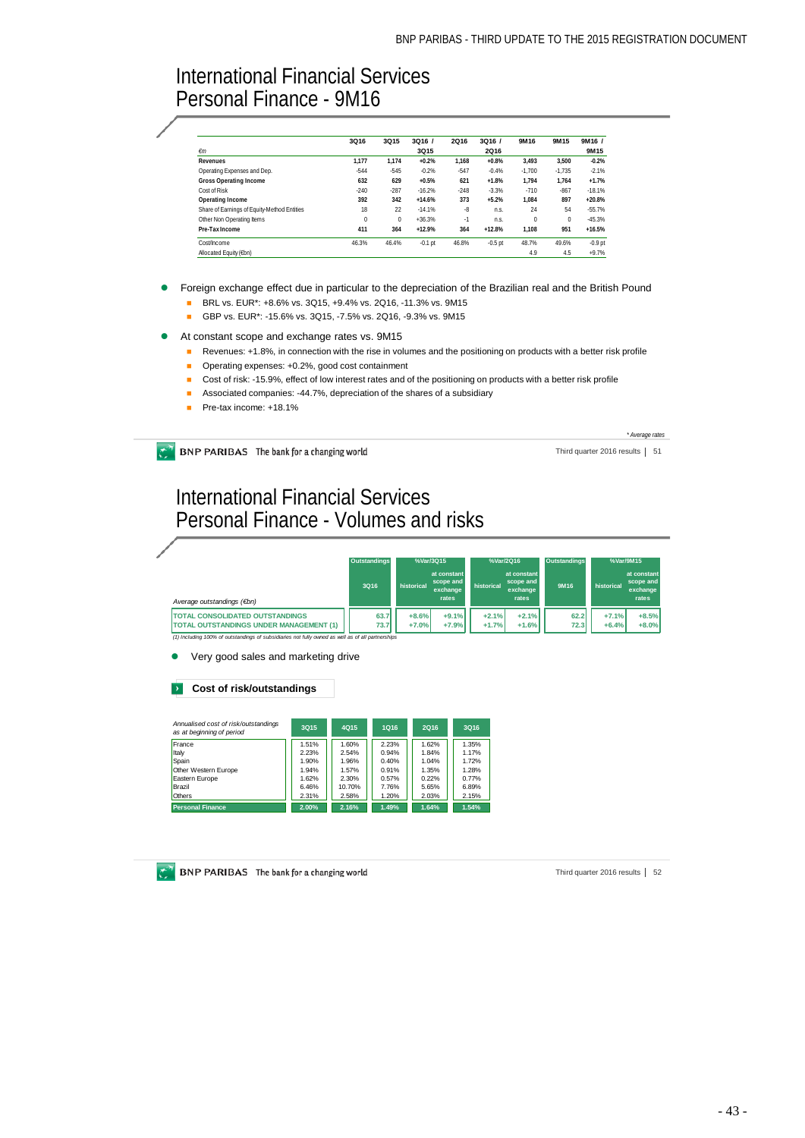## International Financial Services Personal Finance - 9M16

|                                             | 3Q16         | 3Q15   | 3Q16 /    | <b>2Q16</b> | 3Q16 /      | 9M16     | 9M15     | 9M16 /    |
|---------------------------------------------|--------------|--------|-----------|-------------|-------------|----------|----------|-----------|
| $\epsilon$ m                                |              |        | 3Q15      |             | <b>2Q16</b> |          |          | 9M15      |
| Revenues                                    | 1.177        | 1.174  | $+0.2%$   | 1.168       | $+0.8%$     | 3.493    | 3.500    | $-0.2%$   |
| Operating Expenses and Dep.                 | $-544$       | $-545$ | $-0.2%$   | $-547$      | $-0.4%$     | $-1.700$ | $-1.735$ | $-2.1%$   |
| <b>Gross Operating Income</b>               | 632          | 629    | $+0.5%$   | 621         | $+1.8%$     | 1.794    | 1.764    | $+1.7%$   |
| Cost of Risk                                | $-240$       | $-287$ | $-16.2%$  | $-248$      | $-3.3%$     | $-710$   | $-867$   | $-18.1%$  |
| Operating Income                            | 392          | 342    | $+14.6%$  | 373         | $+5.2%$     | 1.084    | 897      | $+20.8%$  |
| Share of Earnings of Equity-Method Entities | 18           | 22     | $-14.1%$  | $-8$        | n.s.        | 24       | 54       | $-55.7%$  |
| Other Non Operating Items                   | $\mathbf{0}$ | 0      | $+36.3%$  | $-1$        | n.s.        | 0        | $\Omega$ | $-45.3%$  |
| Pre-Tax Income                              | 411          | 364    | $+12.9%$  | 364         | $+12.8%$    | 1.108    | 951      | $+16.5%$  |
| Cost/Income                                 | 46.3%        | 46.4%  | $-0.1$ pt | 46.8%       | $-0.5$ pt   | 48.7%    | 49.6%    | $-0.9$ pt |
| Allocated Equity (€bn)                      |              |        |           |             |             | 4.9      | 4.5      | $+9.7%$   |

- Foreign exchange effect due in particular to the depreciation of the Brazilian real and the British Pound **BRL vs. EUR\*: +8.6% vs. 3Q15, +9.4% vs. 2Q16, -11.3% vs. 9M15** 
	- GBP vs. EUR\*: -15.6% vs. 3Q15, -7.5% vs. 2Q16, -9.3% vs. 9M15
- At constant scope and exchange rates vs. 9M15
	- Revenues: +1.8%, in connection with the rise in volumes and the positioning on products with a better risk profile
	- Operating expenses: +0.2%, good cost containment
	- Cost of risk: -15.9%, effect of low interest rates and of the positioning on products with a better risk profile
	- Associated companies: -44.7%, depreciation of the shares of a subsidiary
	- Pre-tax income: +18.1%

 $\mathcal{F}^{\mathcal{A}}$  BNP PARIBAS The bank for a changing world

*\* Average rates*

Third quarter 2016 results  $\vert$  51

# International Financial Services Personal Finance - Volumes and risks



Very good sales and marketing drive

**Cost of risk/outstandings**

| Annualised cost of risk/outstandings<br>as at beginning of period | 3015  | 4015   | 1Q16  | 2016  | 3016  |
|-------------------------------------------------------------------|-------|--------|-------|-------|-------|
| France                                                            | 1.51% | 1.60%  | 2.23% | 1.62% | 1.35% |
| Italy                                                             | 2.23% | 2.54%  | 0.94% | 1.84% | 1.17% |
| Spain                                                             | 1.90% | 1.96%  | 0.40% | 1.04% | 1.72% |
| Other Western Europe                                              | 1.94% | 1.57%  | 0.91% | 1.35% | 1.28% |
| Eastern Europe                                                    | 1.62% | 2.30%  | 0.57% | 0.22% | 0.77% |
| Brazil                                                            | 6.46% | 10.70% | 7.76% | 5.65% | 6.89% |
| <b>Others</b>                                                     | 2.31% | 2.58%  | 1.20% | 2.03% | 2.15% |
| <b>Personal Finance</b>                                           | 2.00% | 2.16%  | 1.49% | 1.64% | 1.54% |

BNP PARIBAS The bank for a changing world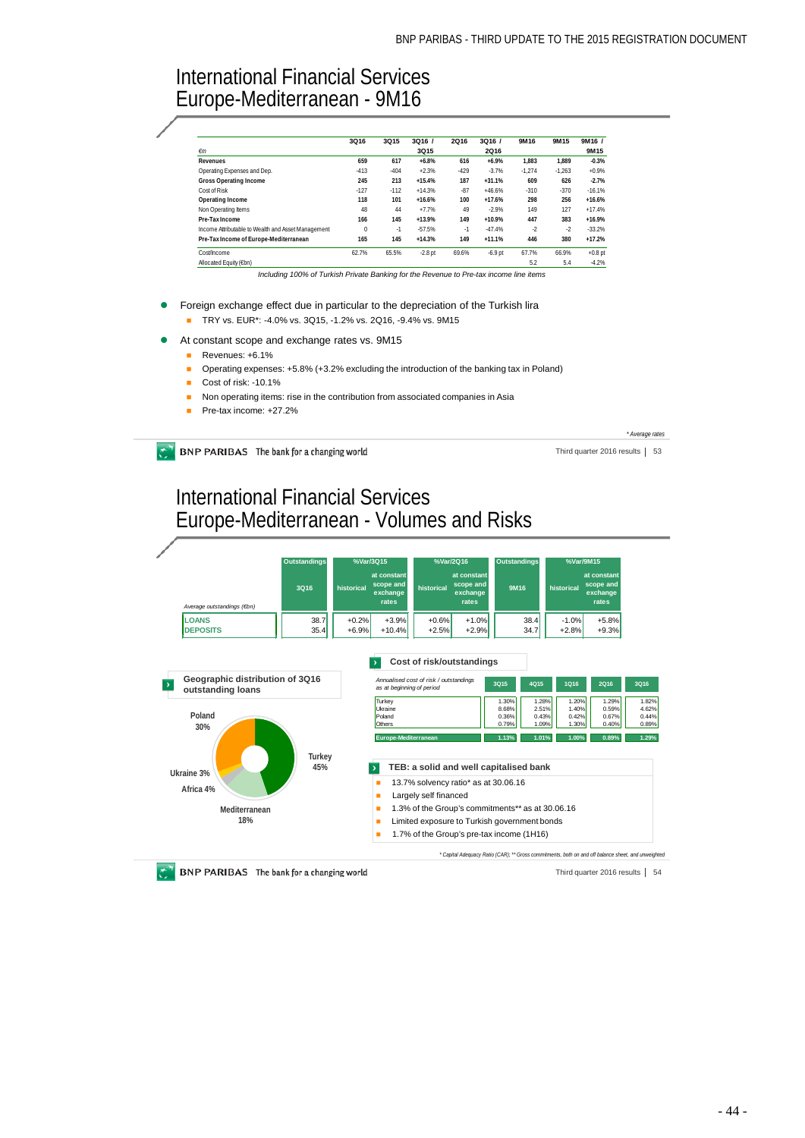# International Financial Services Europe-Mediterranean - 9M16

|                                                    | 3Q16     | 3Q15   | 3Q16/     | <b>2Q16</b> | 3Q16/       | 9M16     | 9M15     | 9M16 /    |
|----------------------------------------------------|----------|--------|-----------|-------------|-------------|----------|----------|-----------|
| $\epsilon$ m                                       |          |        | 3Q15      |             | <b>2Q16</b> |          |          | 9M15      |
| Revenues                                           | 659      | 617    | $+6.8%$   | 616         | $+6.9%$     | 1.883    | 1.889    | $-0.3%$   |
| Operating Expenses and Dep.                        | $-413$   | $-404$ | $+2.3%$   | $-429$      | $-3.7%$     | $-1.274$ | $-1.263$ | $+0.9%$   |
| <b>Gross Operating Income</b>                      | 245      | 213    | $+15.4%$  | 187         | $+31.1%$    | 609      | 626      | $-2.7%$   |
| Cost of Risk                                       | $-127$   | $-112$ | $+14.3%$  | $-87$       | $+46.6%$    | $-310$   | $-370$   | $-16.1%$  |
| Operating Income                                   | 118      | 101    | $+16.6%$  | 100         | $+17.6%$    | 298      | 256      | $+16.6%$  |
| Non Operating Items                                | 48       | 44     | $+7.7%$   | 49          | $-2.9%$     | 149      | 127      | $+17.4%$  |
| Pre-Tax Income                                     | 166      | 145    | $+13.9%$  | 149         | $+10.9%$    | 447      | 383      | $+16.9%$  |
| Income Attributable to Wealth and Asset Management | $\theta$ | $-1$   | $-57.5%$  | $-1$        | $-47.4%$    | $\cdot$  | $\cdot$  | $-33.2%$  |
| Pre-Tax Income of Europe-Mediterranean             | 165      | 145    | $+14.3%$  | 149         | $+11.1%$    | 446      | 380      | $+17.2%$  |
| Cost/Income                                        | 62.7%    | 65.5%  | $-2.8$ pt | 69.6%       | $-6.9$ pt   | 67.7%    | 66.9%    | $+0.8$ pt |
| Allocated Equity (€bn)                             |          |        |           |             |             | 5.2      | 5.4      | $-4.2%$   |

*Including 100% of Turkish Private Banking for the Revenue to Pre-tax income line items*

- Foreign exchange effect due in particular to the depreciation of the Turkish lira ■ TRY vs. EUR\*: -4.0% vs. 3Q15, -1.2% vs. 2Q16, -9.4% vs. 9M15
- 
- At constant scope and exchange rates vs. 9M15
	- $R$ evenues:  $+6.1\%$
	- Operating expenses: +5.8% (+3.2% excluding the introduction of the banking tax in Poland)
	- Cost of risk: -10.1%
	- Non operating items: rise in the contribution from associated companies in Asia
	- Pre-tax income: +27.2%

**THE BNP PARIBAS** The bank for a changing world

*\* Average rates*

Third quarter 2016 results  $\vert$  53

# International Financial Services Europe-Mediterranean - Volumes and Risks



BNP PARIBAS The bank for a changing world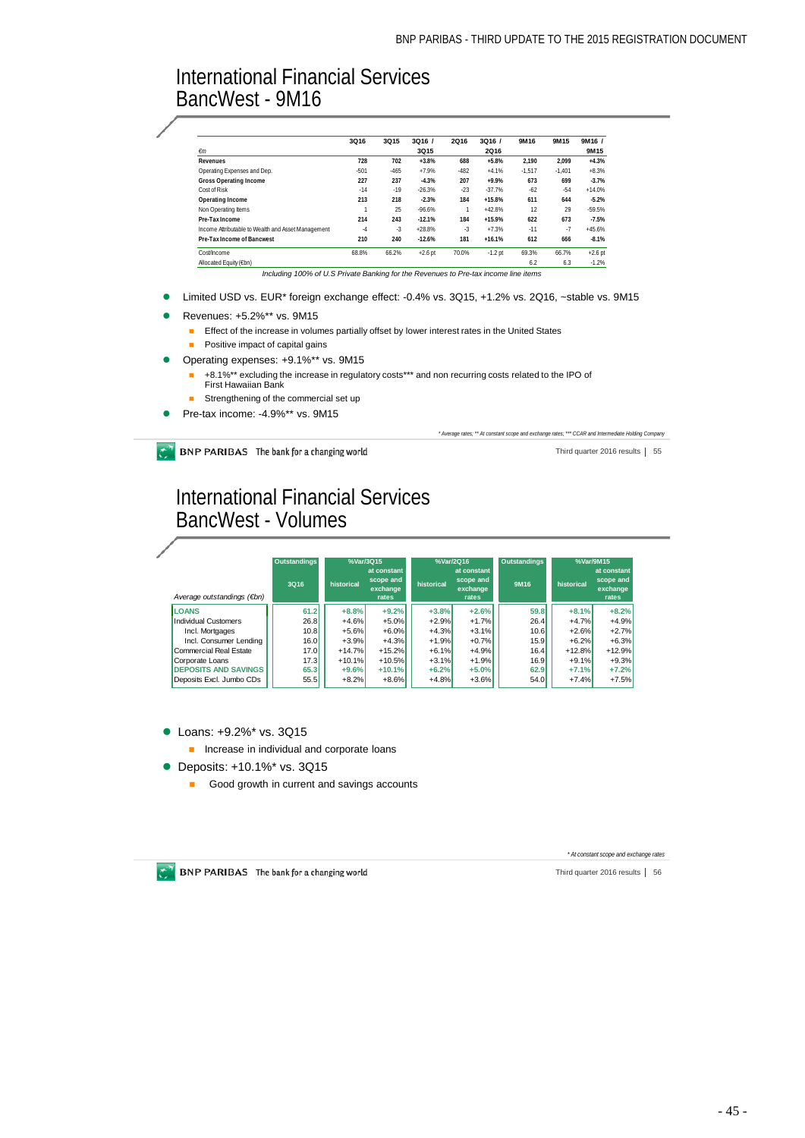# International Financial Services BancWest - 9M16

|                                                    | 3Q16   | 3Q15   | 3016 /    | <b>2Q16</b> | 3Q16/       | 9M16     | 9M15     | 9M16 /    |
|----------------------------------------------------|--------|--------|-----------|-------------|-------------|----------|----------|-----------|
| $\epsilon$ m                                       |        |        | 3Q15      |             | <b>2Q16</b> |          |          | 9M15      |
| Revenues                                           | 728    | 702    | $+3.8%$   | 688         | $+5.8%$     | 2.190    | 2.099    | $+4.3%$   |
| Operating Expenses and Dep.                        | $-501$ | $-465$ | $+7.9%$   | $-482$      | $+4.1%$     | $-1.517$ | $-1.401$ | $+8.3%$   |
| <b>Gross Operating Income</b>                      | 227    | 237    | $-4.3%$   | 207         | $+9.9%$     | 673      | 699      | $-3.7%$   |
| Cost of Risk                                       | $-14$  | $-19$  | $-26.3%$  | $-23$       | $-37.7%$    | $-62$    | $-54$    | $+14.0%$  |
| Operating Income                                   | 213    | 218    | $-2.3%$   | 184         | $+15.8%$    | 611      | 644      | $-5.2%$   |
| Non Operating Items                                |        | 25     | $-96.6%$  |             | $+42.8%$    | 12       | 29       | $-59.5%$  |
| Pre-Tax Income                                     | 214    | 243    | $-12.1%$  | 184         | $+15.9%$    | 622      | 673      | $-7.5%$   |
| Income Attributable to Wealth and Asset Management | $-4$   | $-3$   | $+28.8%$  | $-3$        | $+7.3%$     | $-11$    | $-7$     | $+45.6%$  |
| Pre-Tax Income of Bancwest                         | 210    | 240    | $-12.6%$  | 181         | $+16.1%$    | 612      | 666      | $-8.1%$   |
| Cost/Income                                        | 68.8%  | 66.2%  | $+2.6$ pt | 70.0%       | $-1.2$ pt   | 69.3%    | 66.7%    | $+2.6$ pt |
| Allocated Equity (€bn)                             |        |        |           |             |             | 6.2      | 6.3      | $-1.2%$   |

*Including 100% of U.S Private Banking for the Revenues to Pre-tax income line items*

- Limited USD vs. EUR\* foreign exchange effect: -0.4% vs. 3Q15, +1.2% vs. 2Q16, ~stable vs. 9M15
- Revenues: +5.2%\*\* vs. 9M15
	- **Effect of the increase in volumes partially offset by lower interest rates in the United States**
	- **Positive impact of capital gains**
- Operating expenses: +9.1%\*\* vs. 9M15
	- +8.1%\*\* excluding the increase in regulatory costs\*\*\* and non recurring costs related to the IPO of
		- First Hawaiian Bank
	- Strengthening of the commercial set up
- Pre-tax income: -4.9%\*\* vs. 9M15

 $\triangle^{\mathcal{A}}$  BNP PARIBAS The bank for a changing world

Third quarter 2016 results  $\vert$  55

*\* Average rates; \*\* At constant scope and exchange rates; \*\*\* CCAR and Intermediate Holding Company*

# International Financial Services BancWest - Volumes

|                             | <b>Outstandings</b> | %Var/3Q15  |                                               | %Var/2Q16  |                                               | <b>Outstandings</b> | %Var/9M15  |                                               |
|-----------------------------|---------------------|------------|-----------------------------------------------|------------|-----------------------------------------------|---------------------|------------|-----------------------------------------------|
| Average outstandings (€bn)  | 3Q16                | historical | at constant<br>scope and<br>exchange<br>rates | historical | at constant<br>scope and<br>exchange<br>rates | 9M16                | historical | at constant<br>scope and<br>exchange<br>rates |
| <b>LOANS</b>                | 61.2                | $+8.8%$    | $+9.2%$                                       | $+3.8%$    | $+2.6%$                                       | 59.8                | $+8.1%$    | $+8.2%$                                       |
| <b>Individual Customers</b> | 26.8                | $+4.6%$    | $+5.0%$                                       | $+2.9%$    | $+1.7%$                                       | 26.4                | $+4.7%$    | $+4.9%$                                       |
| Incl. Mortgages             | 10.8                | $+5.6%$    | $+6.0%$                                       | $+4.3%$    | $+3.1%$                                       | 10.6                | $+2.6%$    | $+2.7%$                                       |
| Incl. Consumer Lending      | 16.0                | $+3.9%$    | $+4.3%$                                       | $+1.9%$    | $+0.7%$                                       | 15.9                | $+6.2%$    | $+6.3%$                                       |
| Commercial Real Estate      | 17.0                | $+14.7%$   | $+15.2%$                                      | $+6.1%$    | $+4.9%$                                       | 16.4                | $+12.8%$   | $+12.9%$                                      |
| Corporate Loans             | 17.3                | $+10.1%$   | $+10.5%$                                      | $+3.1%$    | $+1.9%$                                       | 16.9                | $+9.1%$    | $+9.3%$                                       |
| <b>DEPOSITS AND SAVINGS</b> | 65.3                | $+9.6%$    | $+10.1%$                                      | $+6.2%$    | $+5.0%$                                       | 62.9                | $+7.1%$    | $+7.2%$                                       |
| Deposits Excl. Jumbo CDs    | 55.5                | $+8.2%$    | $+8.6%$                                       | $+4.8%$    | $+3.6%$                                       | 54.0                | $+7.4%$    | $+7.5%$                                       |

- Loans: +9.2%<sup>\*</sup> vs. 3Q15
	- **Increase in individual and corporate loans**
- Deposits: +10.1%<sup>\*</sup> vs. 3Q15
	- Good growth in current and savings accounts

 $\mathcal{J}^{\mathcal{A}}$  BNP PARIBAS The bank for a changing world

*\* At constant scope and exchange rates*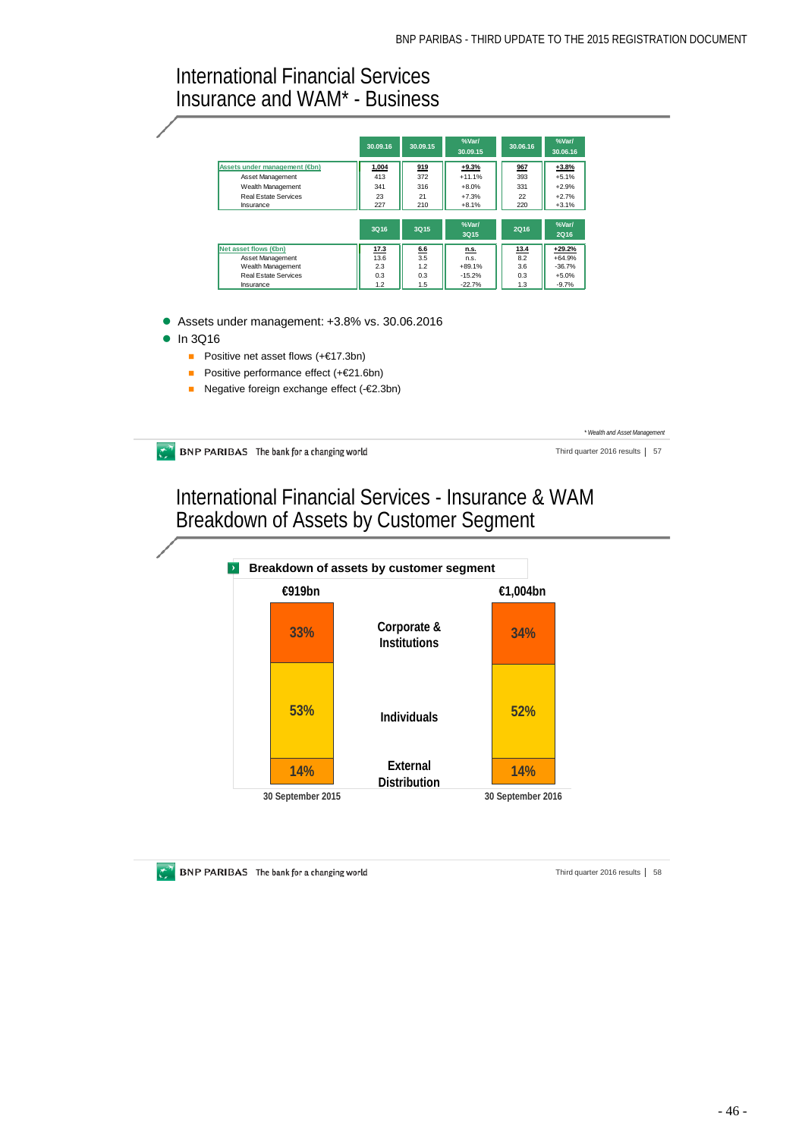## International Financial Services Insurance and WAM\* - Business

|                               | 30.09.16     | 30.09.15   | %Var/<br>30.09.15   | 30.06.16    | %Var/<br>30.06.16                |
|-------------------------------|--------------|------------|---------------------|-------------|----------------------------------|
| Assets under management (€on) | 1,004        | 919        | $+9.3%$             | 967         | $+3.8%$                          |
| Asset Management              | 413          | 372        | $+11.1%$            | 393         | $+5.1%$                          |
| Wealth Management             | 341          | 316        | $+8.0%$             | 331         | $+2.9%$                          |
| Real Estate Services          | 23           | 21         | $+7.3%$             | 22          | $+2.7%$                          |
|                               |              |            |                     |             |                                  |
| Insurance                     | 227          | 210        | $+8.1%$             | 220         |                                  |
|                               | 3016         | 3Q15       | %Var/<br>3Q15       | <b>2Q16</b> | $+3.1%$<br>%Var/<br><b>2Q16</b>  |
| Net asset flows (Om)          |              |            |                     |             |                                  |
| Asset Management              | 17.3<br>13.6 | 6.6<br>3.5 | <u>n.s.</u><br>n.S. | 13.4<br>8.2 |                                  |
| Wealth Management             | 2.3          | 1.2        | $+89.1%$            | 3.6         | $+29.2%$<br>$+64.9%$<br>$-36.7%$ |
| Real Estate Services          | 0.3          | 0.3        | $-15.2%$            | 0.3         | $+5.0%$                          |

- Assets under management: +3.8% vs. 30.06.2016
- In 3Q16
	- Positive net asset flows (+€17.3bn)
	- Positive performance effect (+€21.6bn)
	- Negative foreign exchange effect (-€2.3bn)

**CONDITY BRISTS** The bank for a changing world

*\* Wealth and Asset Management*

Third quarter 2016 results  $\vert$  57

# International Financial Services - Insurance & WAM Breakdown of Assets by Customer Segment



BNP PARIBAS The bank for a changing world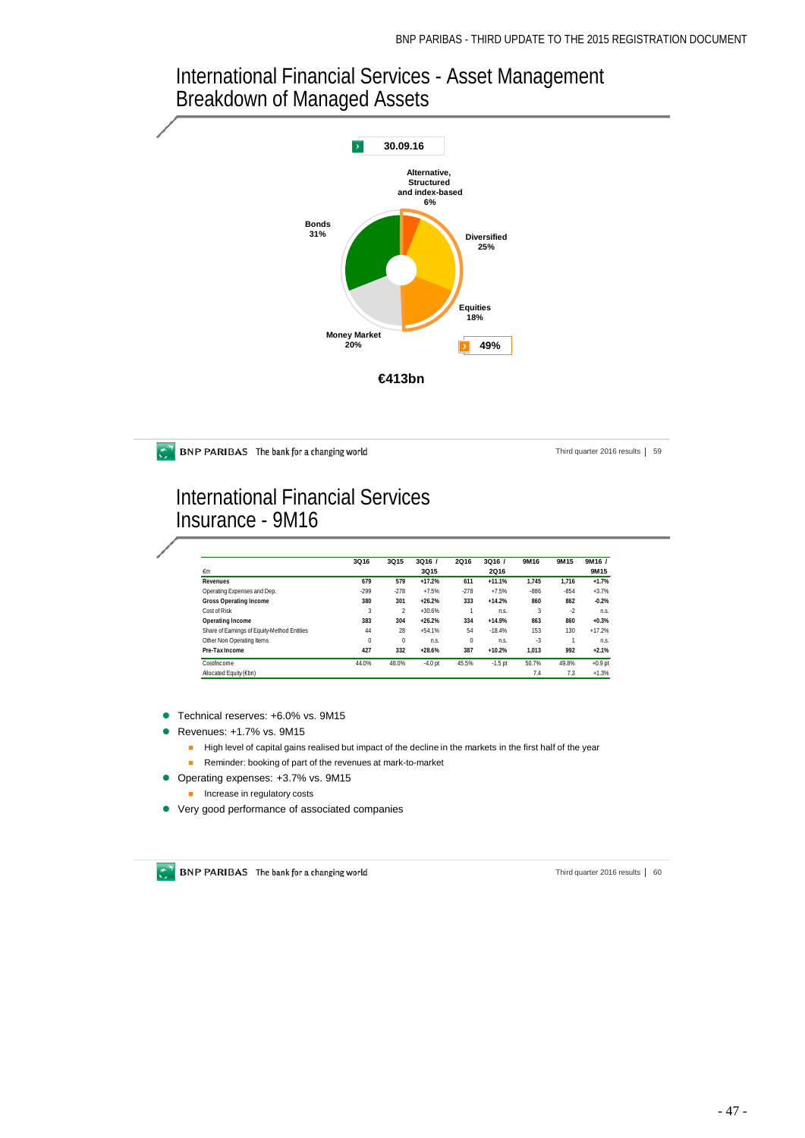## International Financial Services - Asset Management Breakdown of Managed Assets



 $\mathcal{F}^{\mathcal{A}}$  BNP PARIBAS The bank for a changing world

Third quarter 2016 results | 59

## International Financial Services Insurance - 9M16

|                                             | 3Q16         | 3Q15   | 3Q16/     | <b>2Q16</b>  | 3Q16/       | 9M16   | 9M15   | 9M16 /    |
|---------------------------------------------|--------------|--------|-----------|--------------|-------------|--------|--------|-----------|
| €m                                          |              |        | 3Q15      |              | <b>2Q16</b> |        |        | 9M15      |
| Revenues                                    | 679          | 579    | $+17.2%$  | 611          | $+11.1%$    | 1.745  | 1.716  | $+1.7%$   |
| Operating Expenses and Dep.                 | $-299$       | $-278$ | $+7.5%$   | $-278$       | $+7.5%$     | $-886$ | $-854$ | $+3.7%$   |
| <b>Gross Operating Income</b>               | 380          | 301    | $+26.2%$  | 333          | $+14.2%$    | 860    | 862    | $-0.2%$   |
| Cost of Risk                                | 3            | 2      | $+30.6%$  |              | n.s.        | 3      | $-2$   | n.s.      |
| Operating Income                            | 383          | 304    | $+26.2%$  | 334          | $+14.9%$    | 863    | 860    | $+0.3%$   |
| Share of Earnings of Equity-Method Entities | 44           | 28     | $+54.1%$  | 54           | $-18.4%$    | 153    | 130    | $+17.2%$  |
| Other Non Operating Items                   | $\mathbf{0}$ | 0      | n.s.      | $\mathbf{0}$ | n.s.        | $-3$   |        | n.s.      |
| Pre-Tax Income                              | 427          | 332    | $+28.6%$  | 387          | $+10.2%$    | 1.013  | 992    | $+2.1%$   |
| Cost/Income                                 | 44.0%        | 48.0%  | $-4.0$ pt | 45.5%        | $-1.5$ pt   | 50.7%  | 49.8%  | $+0.9$ pt |
| Allocated Equity (€bn)                      |              |        |           |              |             | 7.4    | 7.3    | $+1.3%$   |

- Technical reserves: +6.0% vs. 9M15
- Revenues: +1.7% vs. 9M15
	- High level of capital gains realised but impact of the decline in the markets in the first half of the year Reminder: booking of part of the revenues at mark-to-market
- Operating expenses: +3.7% vs. 9M15
	- **Increase in regulatory costs**
- Very good performance of associated companies

BNP PARIBAS The bank for a changing world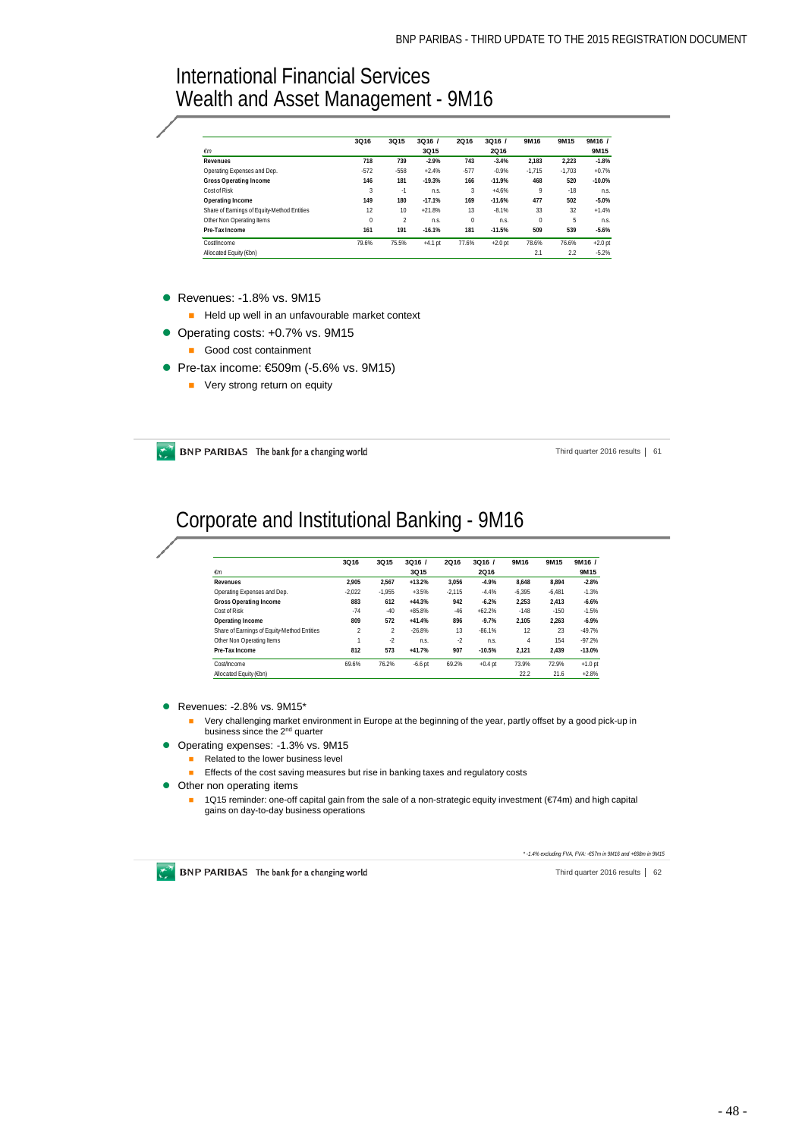## International Financial Services Wealth and Asset Management - 9M16

|                                             | 3Q16     | 3Q15           | 3Q16 /    | <b>2Q16</b> | 3Q16 /      | 9M16     | 9M15     | 9M16 /    |
|---------------------------------------------|----------|----------------|-----------|-------------|-------------|----------|----------|-----------|
| $\epsilon$ m                                |          |                | 3Q15      |             | <b>2Q16</b> |          |          | 9M15      |
| Revenues                                    | 718      | 739            | $-2.9%$   | 743         | $-3.4%$     | 2.183    | 2.223    | $-1.8%$   |
| Operating Expenses and Dep.                 | $-572$   | $-558$         | $+2.4%$   | $-577$      | $-0.9%$     | $-1.715$ | $-1.703$ | $+0.7%$   |
| <b>Gross Operating Income</b>               | 146      | 181            | $-19.3%$  | 166         | $-11.9%$    | 468      | 520      | $-10.0%$  |
| Cost of Risk                                | 3        | $-1$           | n.s.      | 3           | $+4.6%$     | 9        | $-18$    | n.S.      |
| Operating Income                            | 149      | 180            | $-17.1%$  | 169         | $-11.6%$    | 477      | 502      | $-5.0%$   |
| Share of Earnings of Equity-Method Entities | 12       | 10             | $+21.8%$  | 13          | $-8.1%$     | 33       | 32       | $+1.4%$   |
| Other Non Operating Items                   | $\bf{0}$ | $\mathfrak{p}$ | n.s.      | $\bf{0}$    | n.s.        | $\bf{0}$ | 5        | n.s.      |
| Pre-Tax Income                              | 161      | 191            | $-16.1%$  | 181         | $-11.5%$    | 509      | 539      | $-5.6%$   |
| Cost/Income                                 | 79.6%    | 75.5%          | $+4.1$ pt | 77.6%       | $+2.0$ pt   | 78.6%    | 76.6%    | $+2.0$ pt |
| Allocated Equity (€bn)                      |          |                |           |             |             | 2.1      | 2.2      | $-5.2%$   |

- Revenues: -1.8% vs. 9M15
	- Held up well in an unfavourable market context
- Operating costs: +0.7% vs. 9M15
	- Good cost containment
- Pre-tax income: €509m (-5.6% vs. 9M15)
	- **Very strong return on equity**

**CONDITY BARK** The bank for a changing world

Third quarter 2016 results  $\vert$  61

# Corporate and Institutional Banking - 9M16

|                                             | 3Q16           | 3Q15           | 3Q16 /    | <b>2Q16</b> | 3Q16 /    | 9M16     | 9M15     | 9M16 /    |
|---------------------------------------------|----------------|----------------|-----------|-------------|-----------|----------|----------|-----------|
| €m                                          |                |                | 3Q15      |             | 2Q16      |          |          | 9M15      |
| Revenues                                    | 2.905          | 2.567          | $+13.2%$  | 3.056       | $-4.9%$   | 8.648    | 8.894    | $-2.8%$   |
| Operating Expenses and Dep.                 | $-2.022$       | $-1.955$       | $+3.5%$   | $-2.115$    | $-4.4%$   | $-6.395$ | $-6.481$ | $-1.3%$   |
| <b>Gross Operating Income</b>               | 883            | 612            | $+44.3%$  | 942         | $-6.2%$   | 2.253    | 2.413    | $-6.6%$   |
| Cost of Risk                                | $-74$          | $-40$          | $+85.8%$  | $-46$       | $+62.2%$  | $-148$   | $-150$   | $-1.5%$   |
| Operating Income                            | 809            | 572            | $+41.4%$  | 896         | $-9.7%$   | 2.105    | 2.263    | $-6.9%$   |
| Share of Earnings of Equity-Method Entities | $\overline{2}$ | $\mathfrak{p}$ | $-26.8%$  | 13          | $-86.1%$  | 12       | 23       | $-49.7%$  |
| Other Non Operating Items                   |                | $-2$           | n.s.      | $-2$        | n.s.      | 4        | 154      | $-97.2%$  |
| Pre-Tax Income                              | 812            | 573            | $+41.7%$  | 907         | $-10.5%$  | 2.121    | 2.439    | $-13.0%$  |
| Cost/Income                                 | 69.6%          | 76.2%          | $-6.6$ pt | 69.2%       | $+0.4$ pt | 73.9%    | 72.9%    | $+1.0$ pt |
| Allocated Equity (€bn)                      |                |                |           |             |           | 22.2     | 21.6     | $+2.8%$   |

- Revenues: -2.8% vs. 9M15\*
	- Very challenging market environment in Europe at the beginning of the year, partly offset by a good pick-up in business since the 2<sup>nd</sup> quarter
- Operating expenses: -1.3% vs. 9M15
	- Related to the lower business level
	- **Effects of the cost saving measures but rise in banking taxes and regulatory costs**
- Other non operating items
	- 1Q15 reminder: one-off capital gain from the sale of a non-strategic equity investment (€74m) and high capital gains on day-to-day business operations

BNP PARIBAS The bank for a changing world

*\* -1.4% excluding FVA, FVA: -€57m in 9M16 and +€68m in 9M15*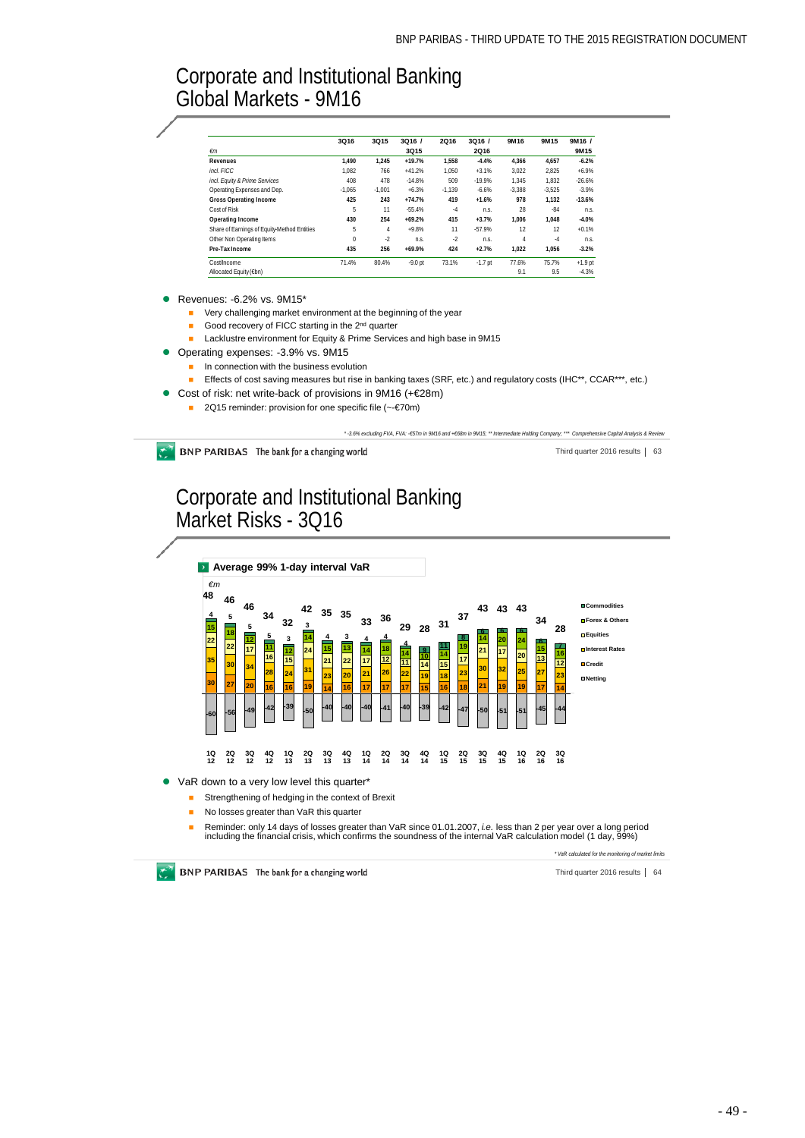### Corporate and Institutional Banking Global Markets - 9M16

|                                             | 3Q16     | 3Q15     | 3Q16 /    | <b>2Q16</b> | 3Q16 /      | 9M16     | 9M15     | 9M16 /    |
|---------------------------------------------|----------|----------|-----------|-------------|-------------|----------|----------|-----------|
| $\epsilon$ m                                |          |          | 3Q15      |             | <b>2Q16</b> |          |          | 9M15      |
| Revenues                                    | 1.490    | 1.245    | $+19.7%$  | 1.558       | $-4.4%$     | 4.366    | 4.657    | $-6.2%$   |
| incl. FICC                                  | 1.082    | 766      | $+41.2%$  | 1.050       | $+3.1%$     | 3.022    | 2.825    | $+6.9%$   |
| incl. Equity & Prime Services               | 408      | 478      | $-14.8%$  | 509         | $-19.9%$    | 1.345    | 1.832    | $-26.6%$  |
| Operating Expenses and Dep.                 | $-1.065$ | $-1.001$ | $+6.3%$   | $-1.139$    | $-6.6%$     | $-3.388$ | $-3.525$ | $-3.9%$   |
| <b>Gross Operating Income</b>               | 425      | 243      | $+74.7%$  | 419         | $+1.6%$     | 978      | 1.132    | $-13.6%$  |
| Cost of Risk                                | 5        | 11       | $-55.4%$  | $-4$        | n.s.        | 28       | $-84$    | n.s.      |
| Operating Income                            | 430      | 254      | $+69.2%$  | 415         | $+3.7%$     | 1.006    | 1.048    | $-4.0%$   |
| Share of Earnings of Equity-Method Entities | 5        | 4        | $+9.8%$   | 11          | $-57.9%$    | 12       | 12       | $+0.1%$   |
| Other Non Operating Items                   | $\Omega$ | $-2$     | n.s.      | $-2$        | n.s.        | 4        | $-4$     | n.s.      |
| Pre-Tax Income                              | 435      | 256      | $+69.9%$  | 424         | $+2.7%$     | 1.022    | 1.056    | $-3.2%$   |
| Cost/Income                                 | 71.4%    | 80.4%    | $-9.0$ pt | 73.1%       | $-1.7$ pt   | 77.6%    | 75.7%    | $+1.9$ pt |
| Allocated Equity (€bn)                      |          |          |           |             |             | 9.1      | 9.5      | $-4.3%$   |

Revenues: -6.2% vs. 9M15\*

- **Part Very challenging market environment at the beginning of the year**
- Good recovery of FICC starting in the 2<sup>nd</sup> quarter
- **Lacklustre environment for Equity & Prime Services and high base in 9M15**
- Operating expenses: -3.9% vs. 9M15
	- $\blacksquare$  In connection with the business evolution

Effects of cost saving measures but rise in banking taxes (SRF, etc.) and regulatory costs (IHC\*\*, CCAR\*\*\*, etc.)

- Cost of risk: net write-back of provisions in 9M16 (+€28m)
	- 2Q15 reminder: provision for one specific file (~-€70m)

*\* -3.6% excluding FVA, FVA: -€57m in 9M16 and +€68m in 9M15; \*\* Intermediate Holding Company; \*\*\* Comprehensive Capital Analysis & Review*

 $\boldsymbol{\phi}^{\mathcal{A}}$  BNP PARIBAS The bank for a changing world

Third quarter 2016 results  $\vert$  63

## Corporate and Institutional Banking Market Risks - 3Q16



**Strengthening of hedging in the context of Brexit** 

No losses greater than VaR this quarter

 Reminder: only 14 days of losses greater than VaR since 01.01.2007, *i.e.* less than 2 per year over a long period including the financial crisis, which confirms the soundness of the internal VaR calculation model (1 day, 99%)

BNP PARIBAS The bank for a changing world

Third quarter 2016 results  $\vert$  64 *\* VaR calculated for the monitoring of market limits*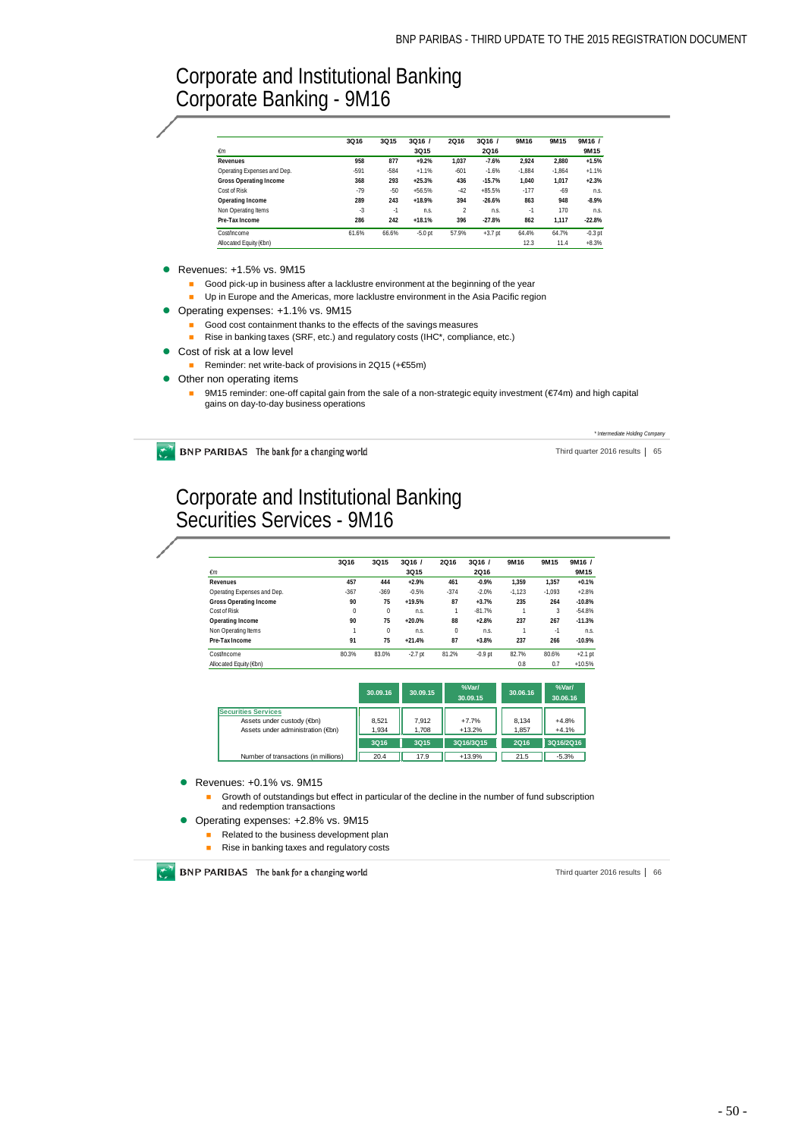### Corporate and Institutional Banking Corporate Banking - 9M16

|                               | 3Q16   | 3Q15      | 3Q16/     | <b>2Q16</b>    | 3Q16/       | 9M16     | 9M15     | 9M16 /    |
|-------------------------------|--------|-----------|-----------|----------------|-------------|----------|----------|-----------|
| €m                            |        |           | 3Q15      |                | <b>2Q16</b> |          |          | 9M15      |
| Revenues                      | 958    | 877       | $+9.2%$   | 1.037          | $-7.6%$     | 2.924    | 2.880    | $+1.5%$   |
| Operating Expenses and Dep.   | $-591$ | $-584$    | $+1.1%$   | $-601$         | $-1.6%$     | $-1.884$ | $-1.864$ | $+1.1%$   |
| <b>Gross Operating Income</b> | 368    | 293       | $+25.3%$  | 436            | $-15.7%$    | 1.040    | 1.017    | $+2.3%$   |
| Cost of Risk                  | $-79$  | $-50$     | $+56.5%$  | $-42$          | $+85.5%$    | $-177$   | $-69$    | n.s.      |
| Operating Income              | 289    | 243       | $+18.9%$  | 394            | $-26.6%$    | 863      | 948      | $-8.9%$   |
| Non Operating Items           | $-3$   | $\cdot$ 1 | n.S.      | $\mathfrak{p}$ | n.s.        | $-1$     | 170      | n.s.      |
| Pre-Tax Income                | 286    | 242       | $+18.1%$  | 396            | $-27.8%$    | 862      | 1.117    | $-22.8%$  |
| Cost/Income                   | 61.6%  | 66.6%     | $-5.0$ pt | 57.9%          | $+3.7$ pt   | 64.4%    | 64.7%    | $-0.3$ pt |
| Allocated Equity (€bn)        |        |           |           |                |             | 12.3     | 11.4     | $+8.3%$   |

● Revenues: +1.5% vs. 9M15

- Good pick-up in business after a lacklustre environment at the beginning of the year
- **D** Up in Europe and the Americas, more lacklustre environment in the Asia Pacific region
- Operating expenses: +1.1% vs. 9M15
	- Good cost containment thanks to the effects of the savings measures
		- Rise in banking taxes (SRF, etc.) and regulatory costs (IHC\*, compliance, etc.)
- Cost of risk at a low level
	- Reminder: net write-back of provisions in 2Q15 (+€55m)

• Other non operating items

 9M15 reminder: one-off capital gain from the sale of a non-strategic equity investment (€74m) and high capital gains on day-to-day business operations

**CONDITY BARK** The bank for a changing world

*\* Intermediate Holding Company*

Third quarter 2016 results  $\vert$  65

### Corporate and Institutional Banking Securities Services - 9M16

|                               | 3Q16   | 3Q15         | 3Q16 /    | <b>2Q16</b> | 3Q16/       | 9M16     | 9M15     | 9M16 /    |
|-------------------------------|--------|--------------|-----------|-------------|-------------|----------|----------|-----------|
| $\epsilon$ m                  |        |              | 3Q15      |             | <b>2Q16</b> |          |          | 9M15      |
| Revenues                      | 457    | 444          | $+2.9%$   | 461         | $-0.9%$     | 1.359    | 1.357    | $+0.1%$   |
| Operating Expenses and Dep.   | $-367$ | $-369$       | $-0.5%$   | $-374$      | $-2.0%$     | $-1.123$ | $-1.093$ | $+2.8%$   |
| <b>Gross Operating Income</b> | 90     | 75           | $+19.5%$  | 87          | $+3.7%$     | 235      | 264      | $-10.8%$  |
| Cost of Risk                  | 0      | $\mathbf{0}$ | n.s.      |             | $-81.7%$    |          | 3        | $-54.8%$  |
| Operating Income              | 90     | 75           | $+20.0%$  | 88          | $+2.8%$     | 237      | 267      | $-11.3%$  |
| Non Operating Items           | 1      | $\mathbf{0}$ | n.s.      | $\bf{0}$    | n.s.        |          | $-1$     | n.s.      |
| Pre-Tax Income                | 91     | 75           | $+21.4%$  | 87          | $+3.8%$     | 237      | 266      | $-10.9%$  |
| Cost/Income                   | 80.3%  | 83.0%        | $-2.7$ pt | 81.2%       | $-0.9$ pt   | 82.7%    | 80.6%    | $+2.1$ pt |
| Allocated Equity (€bn)        |        |              |           |             |             | 0.8      | 0.7      | $+10.5%$  |

|                                                                                               | 30.09.16       | 30.09.15       | %Var/<br>30.09.15   | 30.06.16       | %Var/<br>30.06.16  |
|-----------------------------------------------------------------------------------------------|----------------|----------------|---------------------|----------------|--------------------|
| <b>Securities Services</b><br>Assets under custody (€bn)<br>Assets under administration (€bn) | 8.521<br>1.934 | 7.912<br>1.708 | $+7.7%$<br>$+13.2%$ | 8.134<br>1.857 | $+4.8%$<br>$+4.1%$ |
|                                                                                               | 3Q16           | 3Q15           | 3Q16/3Q15           | <b>2Q16</b>    | 3Q16/2Q16          |
| Number of transactions (in millions)                                                          | 20.4           | 17.9           | $+13.9%$            | 21.5           | $-5.3%$            |

Revenues: +0.1% vs. 9M15

Growth of outstandings but effect in particular of the decline in the number of fund subscription and redemption transactions

- Operating expenses: +2.8% vs. 9M15
	- Related to the business development plan
	- Rise in banking taxes and regulatory costs

BNP PARIBAS The bank for a changing world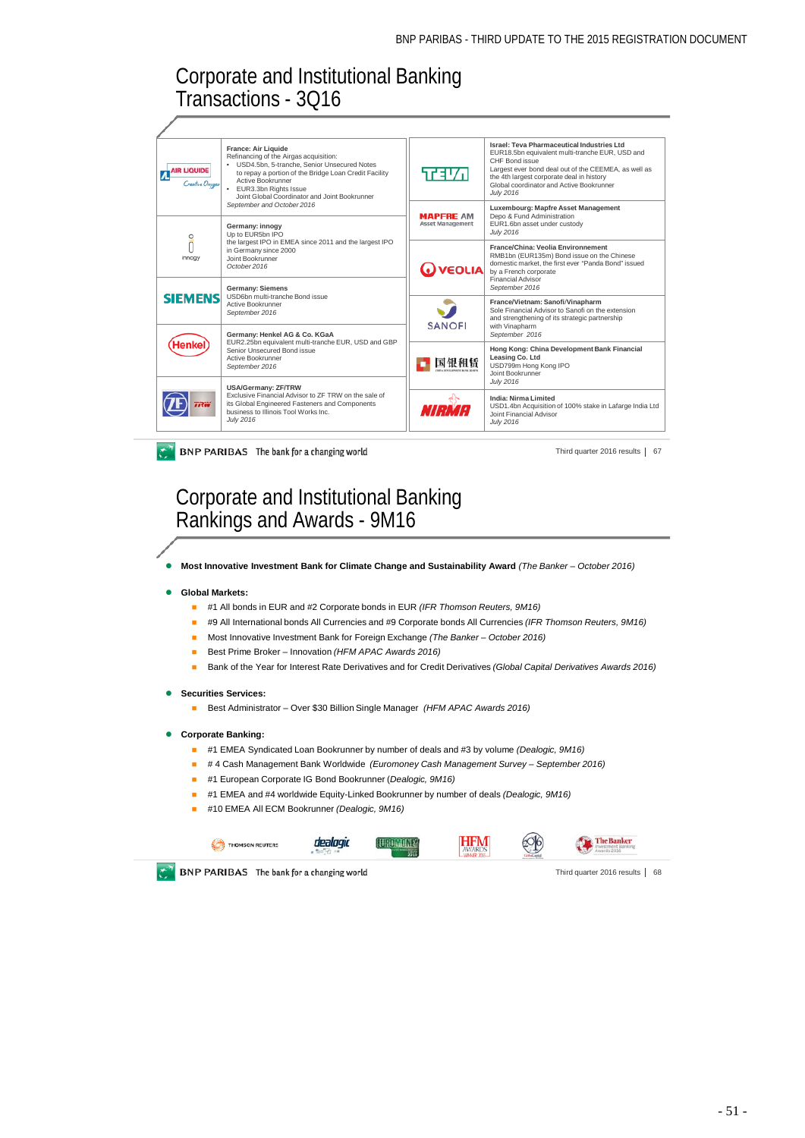## Corporate and Institutional Banking Transactions - 3Q16

| <b>IR LIQUIDE</b><br>Creative Orygen | <b>France: Air Liquide</b><br>Refinancing of the Airgas acquisition:<br>USD4.5bn, 5-tranche, Senior Unsecured Notes<br>to repay a portion of the Bridge Loan Credit Facility<br>Active Bookrunner<br>EUR3.3bn Rights Issue<br>Joint Global Coordinator and Joint Bookrunner | 57377                                | <b>Israel: Teva Pharmaceutical Industries Ltd</b><br>EUR18.5bn equivalent multi-tranche EUR, USD and<br>CHF Bond issue<br>Largest ever bond deal out of the CEEMEA, as well as<br>the 4th largest corporate deal in history<br>Global coordinator and Active Bookrunner<br>July 2016 |  |  |  |
|--------------------------------------|-----------------------------------------------------------------------------------------------------------------------------------------------------------------------------------------------------------------------------------------------------------------------------|--------------------------------------|--------------------------------------------------------------------------------------------------------------------------------------------------------------------------------------------------------------------------------------------------------------------------------------|--|--|--|
| $\circ$                              | September and October 2016<br>Germany: innogy<br>Up to EUR5bn IPO                                                                                                                                                                                                           | <b>MAPFRE AM</b><br>Asset Management | Luxembourg: Mapfre Asset Management<br>Depo & Fund Administration<br>EUR1.6bn asset under custody<br>July 2016                                                                                                                                                                       |  |  |  |
| innogy                               | the largest IPO in EMEA since 2011 and the largest IPO<br>in Germany since 2000<br>Joint Bookrunner<br>October 2016                                                                                                                                                         | (.) VEOLIA                           | France/China: Veolia Environnement<br>RMB1bn (EUR135m) Bond issue on the Chinese<br>domestic market, the first ever "Panda Bond" issued<br>by a French corporate<br><b>Financial Advisor</b>                                                                                         |  |  |  |
| <b>SIEMENS</b>                       | <b>Germany: Siemens</b><br>USD6bn multi-tranche Bond issue<br>Active Bookrunner<br>September 2016                                                                                                                                                                           | <b>SANOFI</b>                        | September 2016<br>France/Vietnam: Sanofi/Vinapharm<br>Sole Financial Advisor to Sanofi on the extension<br>and strengthening of its strategic partnership<br>with Vinapharm                                                                                                          |  |  |  |
|                                      | Germany: Henkel AG & Co. KGaA                                                                                                                                                                                                                                               |                                      | September 2016                                                                                                                                                                                                                                                                       |  |  |  |
|                                      | EUR2.25bn equivalent multi-tranche EUR, USD and GBP<br>Senior Unsecured Bond issue<br><b>Active Bookrunner</b><br>September 2016                                                                                                                                            |                                      | Hong Kong: China Development Bank Financial<br>Leasing Co. Ltd<br>USD799m Hong Kong IPO<br>Joint Bookrunner<br>July 2016                                                                                                                                                             |  |  |  |
| 78.7                                 | USA/Germany: ZF/TRW<br>Exclusive Financial Advisor to ZF TRW on the sale of                                                                                                                                                                                                 |                                      | India: Nirma Limited                                                                                                                                                                                                                                                                 |  |  |  |
|                                      | its Global Engineered Fasteners and Components<br>business to Illinois Tool Works Inc.<br>July 2016                                                                                                                                                                         | wewe                                 | USD1.4bn Acquisition of 100% stake in Lafarge India Ltd<br>Joint Financial Advisor<br>July 2016                                                                                                                                                                                      |  |  |  |

**BNP PARIBAS** The bank for a changing world

Third quarter 2016 results  $\vert$  67

# Corporate and Institutional Banking Rankings and Awards - 9M16

#### **Most Innovative Investment Bank for Climate Change and Sustainability Award** *(The Banker – October 2016)*

#### **Global Markets:**

- #1 All bonds in EUR and #2 Corporate bonds in EUR (IFR Thomson Reuters, 9M16)
- #9 All International bonds All Currencies and #9 Corporate bonds All Currencies *(IFR Thomson Reuters, 9M16)*
- Most Innovative Investment Bank for Foreign Exchange (The Banker October 2016)
- Best Prime Broker Innovation *(HFM APAC Awards 2016)*
- Bank of the Year for Interest Rate Derivatives and for Credit Derivatives *(Global Capital Derivatives Awards 2016)*

#### **Securities Services:**

■ Best Administrator – Over \$30 Billion Single Manager *(HFM APAC Awards 2016)* 

#### **Corporate Banking:**

- #1 EMEA Syndicated Loan Bookrunner by number of deals and #3 by volume *(Dealogic, 9M16)*
- # 4 Cash Management Bank Worldwide *(Euromoney Cash Management Survey – September 2016)*
- #1 European Corporate IG Bond Bookrunner (*Dealogic, 9M16)*
- #1 EMEA and #4 worldwide Equity-Linked Bookrunner by number of deals *(Dealogic, 9M16)*
- #10 EMEA All ECM Bookrunner *(Dealogic, 9M16)*



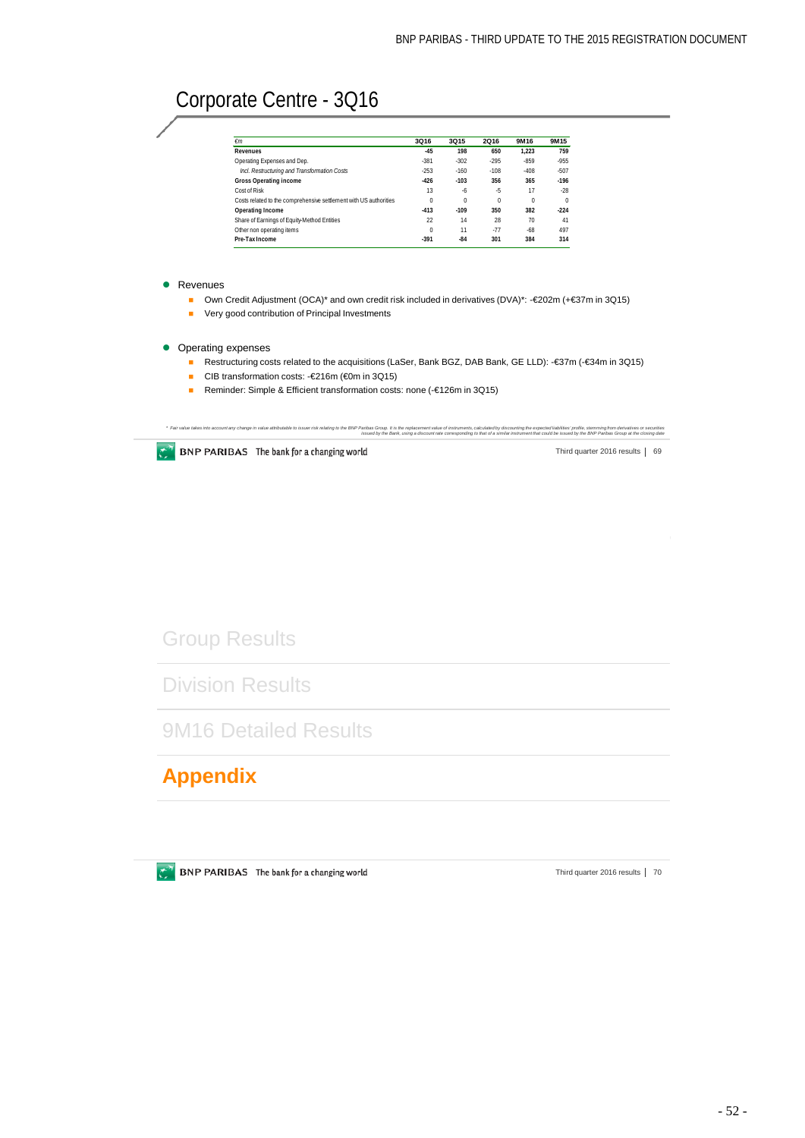Corporate Centre - 3Q16

| $\epsilon$ m                                                      | 3Q16         | 3015   | 2Q16     | 9M16   | 9M15     |
|-------------------------------------------------------------------|--------------|--------|----------|--------|----------|
| <b>Revenues</b>                                                   | $-45$        | 198    | 650      | 1.223  | 759      |
| Operating Expenses and Dep.                                       | $-381$       | $-302$ | $-295$   | $-859$ | $-955$   |
| Incl. Restructuring and Transformation Costs                      | $-253$       | $-160$ | $-108$   | $-408$ | $-507$   |
| <b>Gross Operating income</b>                                     | $-426$       | $-103$ | 356      | 365    | $-196$   |
| Cost of Risk                                                      | 13           | -6     | $-5$     | 17     | $-28$    |
| Costs related to the comprehensive settlement with US authorities | $\mathbf{0}$ | 0      | $\bf{0}$ | 0      | $\Omega$ |
| Operating Income                                                  | $-413$       | $-109$ | 350      | 382    | $-224$   |
| Share of Earnings of Equity-Method Entities                       | 22           | 14     | 28       | 70     | 41       |
| Other non operating items                                         | $\Omega$     | 11     | $-77$    | $-68$  | 497      |
| Pre-Tax Income                                                    | $-391$       | $-84$  | 301      | 384    | 314      |

### **•** Revenues

- Own Credit Adjustment (OCA)\* and own credit risk included in derivatives (DVA)\*: -€202m (+€37m in 3Q15)
- **valuat** Very good contribution of Principal Investments

### • Operating expenses

- Restructuring costs related to the acquisitions (LaSer, Bank BGZ, DAB Bank, GE LLD): -€37m (-€34m in 3Q15)
- CIB transformation costs: -€216m (€0m in 3Q15)
- Reminder: Simple & Efficient transformation costs: none (-€126m in 3Q15)

Fair value takes into account any change in value attributable to issuer risk relating to the BNP Pathos Group. Its the replacement value of instrument includied by discounting the basing the proclement that could be issue



Third quarter 2016 results | 69

Group Results

Division Results

9M16 Detailed Results

# **Appendix**

BNP PARIBAS The bank for a changing world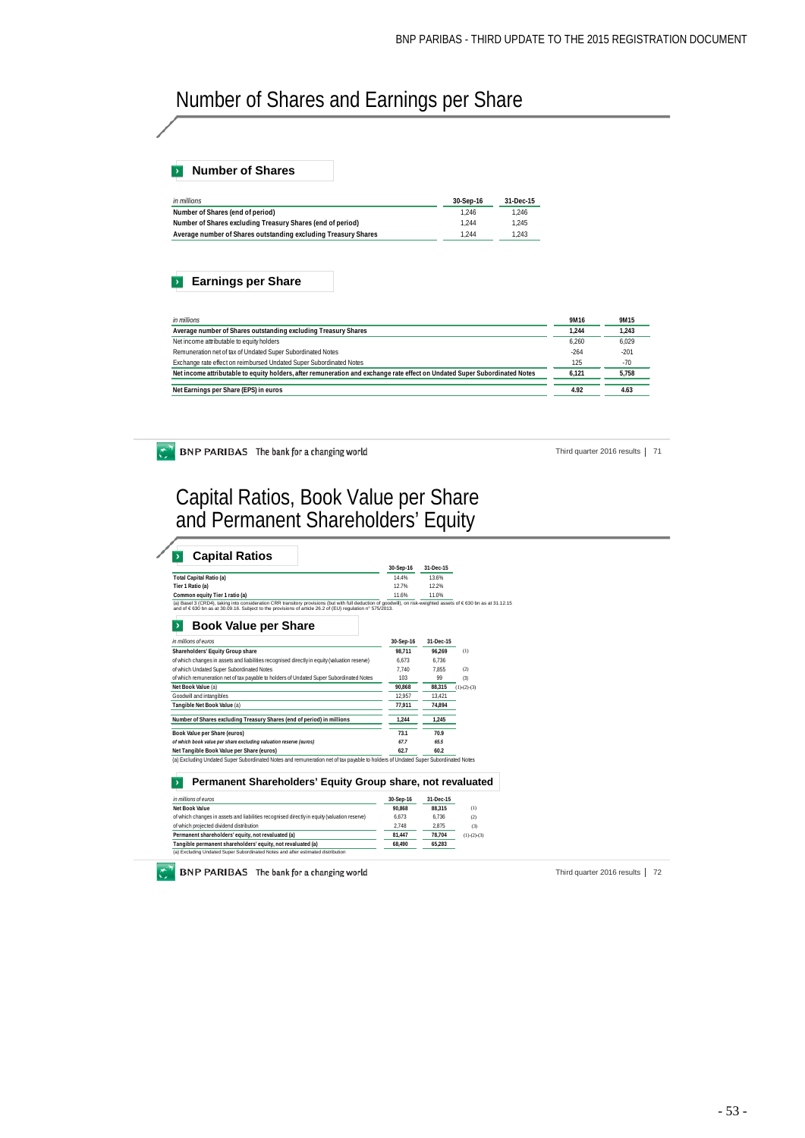# Number of Shares and Earnings per Share

#### $\overline{\mathcal{E}}$ **Number of Shares**

| in millions                                                    | 30-Sep-16 | 31-Dec-15 |
|----------------------------------------------------------------|-----------|-----------|
| Number of Shares (end of period)                               | 1.246     | 1.246     |
| Number of Shares excluding Treasury Shares (end of period)     | 1.244     | 1.245     |
| Average number of Shares outstanding excluding Treasury Shares | 1.244     | 1.243     |

### **Earnings per Share**

| in millions                                                                                                                | 9M16   | 9M15   |
|----------------------------------------------------------------------------------------------------------------------------|--------|--------|
| Average number of Shares outstanding excluding Treasury Shares                                                             | 1.244  | 1.243  |
| Net income attributable to equity holders                                                                                  | 6.260  | 6.029  |
| Remuneration net of tax of Undated Super Subordinated Notes                                                                | $-264$ | $-201$ |
| Exchange rate effect on reimbursed Undated Super Subordinated Notes                                                        | 125    | $-70$  |
| Net income attributable to equity holders, after remuneration and exchange rate effect on Undated Super Subordinated Notes | 6.121  | 5.758  |
|                                                                                                                            |        |        |
| Net Earnings per Share (EPS) in euros                                                                                      | 4.92   | 4.63   |

 $\mathbb{C}^{\mathbb{Z}}$  BNP PARIBAS The bank for a changing world

Third quarter 2016 results | 71

## Capital Ratios, Book Value per Share and Permanent Shareholders' Equity

| <b>Capital Ratios</b> |  |
|-----------------------|--|

|                                                                                                                                                                                                                                                                               | 30-Sep-16 | 31-Dec-15 |               |
|-------------------------------------------------------------------------------------------------------------------------------------------------------------------------------------------------------------------------------------------------------------------------------|-----------|-----------|---------------|
| Total Capital Ratio (a)                                                                                                                                                                                                                                                       | 14.4%     | 13.6%     |               |
| Tier 1 Ratio (a)                                                                                                                                                                                                                                                              | 12.7%     | 12.2%     |               |
| Common equity Tier 1 ratio (a)                                                                                                                                                                                                                                                | 11.6%     | 11.0%     |               |
| (a) Basel 3 (CRD4), taking into consideration CRR transitory provisions (but with full deduction of goodwill), on risk-weighted assets of € 630 bn as at 31.12.15<br>and of €630 bn as at 30.09.16. Subject to the provisions of article 26.2 of (EU) regulation n° 575/2013. |           |           |               |
| <b>Book Value per Share</b>                                                                                                                                                                                                                                                   |           |           |               |
| in millions of euros                                                                                                                                                                                                                                                          | 30-Sep-16 | 31-Dec-15 |               |
| Shareholders' Equity Group share                                                                                                                                                                                                                                              | 98.711    | 96.269    | (1)           |
| of which changes in assets and liabilities recognised directly in equity (valuation reserve)                                                                                                                                                                                  | 6.673     | 6.736     |               |
| of which Undated Super Subordinated Notes                                                                                                                                                                                                                                     | 7.740     | 7.855     | (2)           |
| of which remuneration net of tax payable to holders of Undated Super Subordinated Notes                                                                                                                                                                                       | 103       | 99        | (3)           |
| Net Book Value (a)                                                                                                                                                                                                                                                            | 90.868    | 88.315    | $(1)-(2)-(3)$ |
| Goodwill and intangibles                                                                                                                                                                                                                                                      | 12.957    | 13.421    |               |
| Tangible Net Book Value (a)                                                                                                                                                                                                                                                   | 77,911    | 74.894    |               |
| Number of Shares excluding Treasury Shares (end of period) in millions                                                                                                                                                                                                        | 1.244     | 1.245     |               |
| Book Value per Share (euros)                                                                                                                                                                                                                                                  | 73.1      | 70.9      |               |
| of which book value per share excluding valuation reserve (euros)                                                                                                                                                                                                             | 67.7      | 65.5      |               |
| Net Tangible Book Value per Share (euros)                                                                                                                                                                                                                                     | 62.7      | 60.2      |               |
| (a) Excluding Undated Super Subordinated Notes and remuneration net of tax payable to holders of Undated Super Subordinated Notes                                                                                                                                             |           |           |               |
| Permanent Shareholders' Equity Group share, not revaluated                                                                                                                                                                                                                    |           |           |               |
|                                                                                                                                                                                                                                                                               |           |           |               |
| in millions of euros                                                                                                                                                                                                                                                          | 30-Sep-16 | 31-Dec-15 |               |
| Net Book Value                                                                                                                                                                                                                                                                | 90.868    | 88.315    | (1)           |
| of which changes in assets and liabilities recognised directly in equity (valuation reserve)                                                                                                                                                                                  | 6.673     | 6.736     | (2)           |
| of which projected dividend distribution                                                                                                                                                                                                                                      | 2.748     | 2875      | (3)           |
| Permanent shareholders' equity, not revaluated (a)                                                                                                                                                                                                                            | 81.447    | 78.704    | $(1)-(2)-(3)$ |

BNP PARIBAS The bank for a changing world

**Tangible permanent shareholders' equity, not revaluated (a)<br>(a) Excluding Undated Super Subordinated Notes and after estimated distribution <b>commence of the State of the State**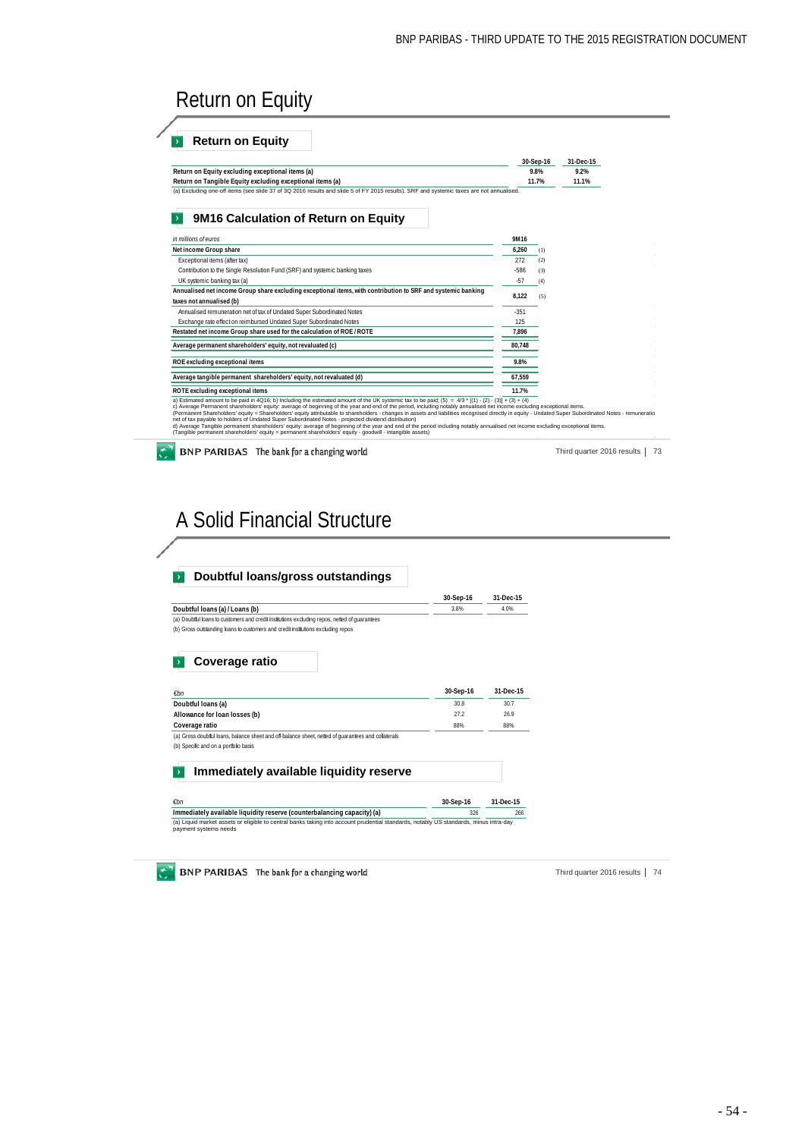### Return on Equity **Return on Equity 30-Sep-16 31-Dec-15** Return on Equity excluding exceptional items (a)<br>
Return on Tangible Equity excluding exceptional items (a)<br> **9.8% 9.2%**<br>
11.1%<br>
11.1% **Return on Tangible Equity excluding exceptional items (a)** (a) Excluding one-off items (see slide 37 of 3Q 2016 results and slide 5 of FY 2015 results). SRF and systemic taxes are not annualised. **9M16 Calculation of Return on Equity** *in millions of euros* **9M16 Net income Group share 6,260** (1) Exceptional items (after tax) 272 (2) Contribution to the Single Resolution Fund (SRF) and systemic banking taxes -586 (3)<br>I. K systemic banking tax (a) -57 (4) UK systemic banking tax (a)  $-57$  (4) **Annualised net income Group share excluding exceptional items, with contribution to SRF and systemic banking taxes not annualised (b) 8,122** (5) Annualised remuneration net of tax of Undated Super Subordinated Notes -351 Exchange rate effect on reimbursed Undated Super Subordinated Notes **Restated net income Group share used for the calculation of ROE / ROTE 7,896 Average permanent shareholders' equity, not revaluated (c) 80,748 ROE excluding exceptional items 9.8% Average tangible permanent shareholders' equity, not revaluated (d) 67,559** ROTE excluding exceptional items<br>a) Estimated amount to be paid in 4Q16: b) Including the estimated amount of the UK systemic tax to be paid; (5) = 4/3 \* [(1) - (2) - (3)] + (3)]<br>c) Average Permanent shareholders' equity:  $\mathcal{J}^{\mathcal{A}}$  BNP PARIBAS The bank for a changing world Third quarter 2016 results | 73

# A Solid Financial Structure

|                                                                                                                                                                                   | 30-Sep-16 | 31-Dec-15 |
|-----------------------------------------------------------------------------------------------------------------------------------------------------------------------------------|-----------|-----------|
| Doubtful loans (a) / Loans (b)                                                                                                                                                    | 3.8%      | 4.0%      |
| (a) Doubtful loans to customers and credit institutions excluding repos, netted of quarantees<br>(b) Gross outstanding loans to customers and credit institutions excluding repos |           |           |
| Coverage ratio                                                                                                                                                                    |           |           |
| $f$ <sub>f</sub> $h$ n                                                                                                                                                            | 30-Sep-16 | 31-Dec-15 |
| Doubtful loans (a)                                                                                                                                                                | 30.8      | 30.7      |
| Allowance for loan losses (b)                                                                                                                                                     | 27.2      | 26.9      |
| Coverage ratio                                                                                                                                                                    | 88%       | 88%       |
| (a) Gross doubtful loans, balance sheet and off-balance sheet, netted of quarantees and collaterals<br>(b) Specific and on a portfolio basis                                      |           |           |
| Immediately available liquidity reserve                                                                                                                                           |           |           |
| $f$ <sub>f</sub> $h$ n                                                                                                                                                            | 30-Sep-16 | 31-Dec-15 |
| Immediately available liquidity reserve (counterbalancing capacity) (a)                                                                                                           | 326       | 266       |

BNP PARIBAS The bank for a changing world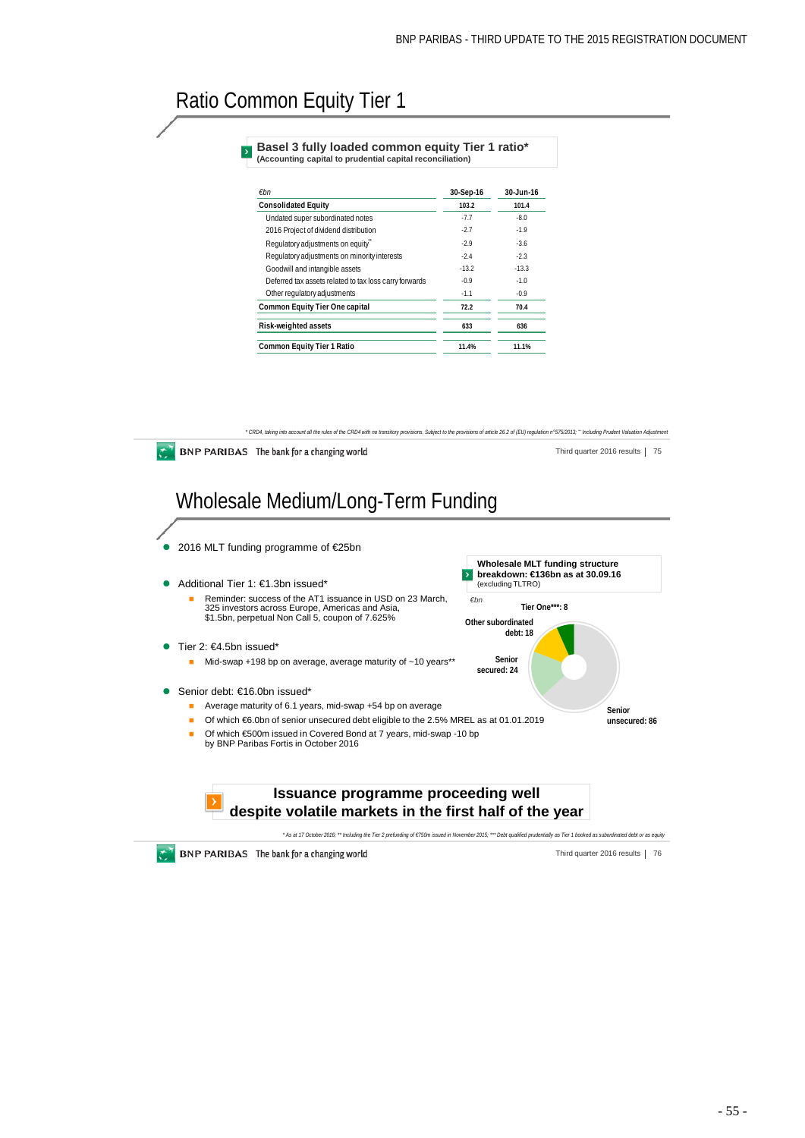# Ratio Common Equity Tier 1

**Basel 3 fully loaded common equity Tier 1 ratio\***  $\overline{\phantom{a}}$ **(Accounting capital to prudential capital reconciliation)**

| $\not\varepsilon$ bn                                   | 30-Sep-16 | $30 - Jun - 16$ |
|--------------------------------------------------------|-----------|-----------------|
| <b>Consolidated Equity</b>                             | 103.2     | 101.4           |
| Undated super subordinated notes                       | $-7.7$    | $-8.0$          |
| 2016 Project of dividend distribution                  | $-2.7$    | $-1.9$          |
| Regulatory adjustments on equity                       | $-2.9$    | $-3.6$          |
| Regulatory adjustments on minority interests           | $-2.4$    | $-2.3$          |
| Goodwill and intangible assets                         | $-13.2$   | $-13.3$         |
| Deferred tax assets related to tax loss carry forwards | $-0.9$    | $-1.0$          |
| Other regulatory adjustments                           | $-1.1$    | $-0.9$          |
| Common Equity Tier One capital                         | 72.2      | 70.4            |
| Risk-weighted assets                                   | 633       | 636             |
| <b>Common Equity Tier 1 Ratio</b>                      | 11.4%     | 11.1%           |

\* CRD4, taking into account all the rules of the CRD4 with no transitory provisions. Subject to the provisions of article 26.2 of (EU) regulation n°575/2013; " Including Prudent Valuation Adjustment



BNP PARIBAS The bank for a changing world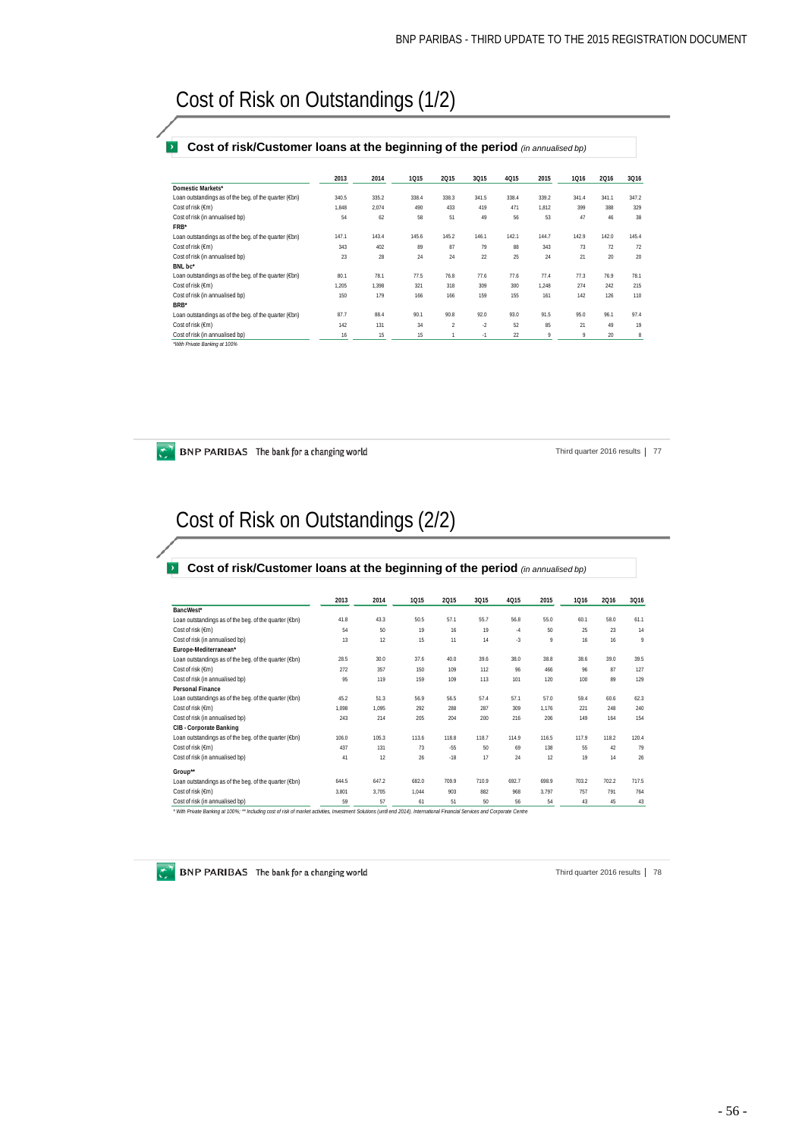# Cost of Risk on Outstandings (1/2)

### **Cost of risk/Customer loans at the beginning of the period** *(in annualised bp)*

|                                                       | 2013  | 2014  | 1015  | 2015           | 3Q15  | 4015  | 2015  | 1016  | 2016  | 3Q16  |
|-------------------------------------------------------|-------|-------|-------|----------------|-------|-------|-------|-------|-------|-------|
| Domestic Markets*                                     |       |       |       |                |       |       |       |       |       |       |
| Loan outstandings as of the beg. of the quarter (€bn) | 340.5 | 335.2 | 338.4 | 338.3          | 341.5 | 338.4 | 339.2 | 341.4 | 341.1 | 347.2 |
| Cost of risk (€m)                                     | 1.848 | 2,074 | 490   | 433            | 419   | 471   | 1.812 | 399   | 388   | 329   |
| Cost of risk (in annualised bp)                       | 54    | 62    | 58    | 51             | 49    | 56    | 53    | 47    | 46    | 38    |
| FRB*                                                  |       |       |       |                |       |       |       |       |       |       |
| Loan outstandings as of the beg. of the quarter (€bn) | 147.1 | 143.4 | 145.6 | 145.2          | 146.1 | 142.1 | 144.7 | 142.9 | 142.0 | 145.4 |
| Cost of risk (€m)                                     | 343   | 402   | 89    | 87             | 79    | 88    | 343   | 73    | 72    | 72    |
| Cost of risk (in annualised bp)                       | 23    | 28    | 24    | 24             | 22    | 25    | 24    | 21    | 20    | 20    |
| BNL bc*                                               |       |       |       |                |       |       |       |       |       |       |
| Loan outstandings as of the beg. of the quarter (€bn) | 80.1  | 78.1  | 77.5  | 76.8           | 77.6  | 77.6  | 77.4  | 77.3  | 76.9  | 78.1  |
| Cost of risk (€m)                                     | 1,205 | 1,398 | 321   | 318            | 309   | 300   | 1.248 | 274   | 242   | 215   |
| Cost of risk (in annualised bp)                       | 150   | 179   | 166   | 166            | 159   | 155   | 161   | 142   | 126   | 110   |
| BRB*                                                  |       |       |       |                |       |       |       |       |       |       |
| Loan outstandings as of the beg. of the quarter (€bn) | 87.7  | 88.4  | 90.1  | 90.8           | 92.0  | 93.0  | 91.5  | 95.0  | 96.1  | 97.4  |
| Cost of risk (€m)                                     | 142   | 131   | 34    | $\overline{2}$ | $-2$  | 52    | 85    | 21    | 49    | 19    |
| Cost of risk (in annualised bp)                       | 16    | 15    | 15    | 1              | $-1$  | 22    | 9     | 9     | 20    | 8     |
| "With Private Banking at 100%                         |       |       |       |                |       |       |       |       |       |       |

 $\mathbb{C}^{\mathbb{Z}}$  BNP PARIBAS The bank for a changing world

Third quarter 2016 results | 77

# Cost of Risk on Outstandings (2/2)

### **Cost of risk/Customer loans at the beginning of the period** *(in annualised bp)*

|                                                       | 2013  | 2014  | 1015  | 2015  | 3015  | 4015  | 2015  | 1016  | 2016  | 3016  |
|-------------------------------------------------------|-------|-------|-------|-------|-------|-------|-------|-------|-------|-------|
| BancWest*                                             |       |       |       |       |       |       |       |       |       |       |
| Loan outstandings as of the beg. of the quarter (€bn) | 41.8  | 43.3  | 50.5  | 57.1  | 55.7  | 56.8  | 55.0  | 60.1  | 58.0  | 61.1  |
| Cost of risk (€m)                                     | 54    | 50    | 19    | 16    | 19    | $-4$  | 50    | 25    | 23    | 14    |
| Cost of risk (in annualised bp)                       | 13    | 12    | 15    | 11    | 14    | $-3$  | 9     | 16    | 16    | 9     |
| Europe-Mediterranean*                                 |       |       |       |       |       |       |       |       |       |       |
| Loan outstandings as of the beg. of the quarter (€bn) | 28.5  | 30.0  | 37.6  | 40.0  | 39.6  | 38.0  | 38.8  | 38.6  | 39.0  | 39.5  |
| Cost of risk (€m)                                     | 272   | 357   | 150   | 109   | 112   | 96    | 466   | 96    | 87    | 127   |
| Cost of risk (in annualised bp)                       | 95    | 119   | 159   | 109   | 113   | 101   | 120   | 100   | 89    | 129   |
| <b>Personal Finance</b>                               |       |       |       |       |       |       |       |       |       |       |
| Loan outstandings as of the beg. of the quarter (€bn) | 45.2  | 51.3  | 56.9  | 56.5  | 57.4  | 57.1  | 57.0  | 59.4  | 60.6  | 62.3  |
| Cost of risk (€m)                                     | 1.098 | 1.095 | 292   | 288   | 287   | 309   | 1.176 | 221   | 248   | 240   |
| Cost of risk (in annualised bp)                       | 243   | 214   | 205   | 204   | 200   | 216   | 206   | 149   | 164   | 154   |
| CIB - Corporate Banking                               |       |       |       |       |       |       |       |       |       |       |
| Loan outstandings as of the beg. of the quarter (€bn) | 106.0 | 105.3 | 113.6 | 118.8 | 118.7 | 114.9 | 116.5 | 117.9 | 118.2 | 120.4 |
| Cost of risk (€m)                                     | 437   | 131   | 73    | $-55$ | 50    | 69    | 138   | 55    | 42    | 79    |
| Cost of risk (in annualised bp)                       | 41    | 12    | 26    | $-18$ | 17    | 24    | 12    | 19    | 14    | 26    |
| Group**                                               |       |       |       |       |       |       |       |       |       |       |
| Loan outstandings as of the beg. of the quarter (€bn) | 644.5 | 647.2 | 682.0 | 709.9 | 710.9 | 692.7 | 698.9 | 703.2 | 702.2 | 717.5 |
| Cost of risk (€m)                                     | 3.801 | 3.705 | 1.044 | 903   | 882   | 968   | 3.797 | 757   | 791   | 764   |
| Cost of risk (in annualised bp)                       | 59    | 57    | 61    | 51    | 50    | 56    | 54    | 43    | 45    | 43    |
|                                                       |       |       |       |       |       |       |       |       |       |       |

*\* With Private Banking at 100%; \*\* Including cost of risk of market activities, Investment Solutions (until end 2014), International Financial Services and Corporate Centre* 

BNP PARIBAS The bank for a changing world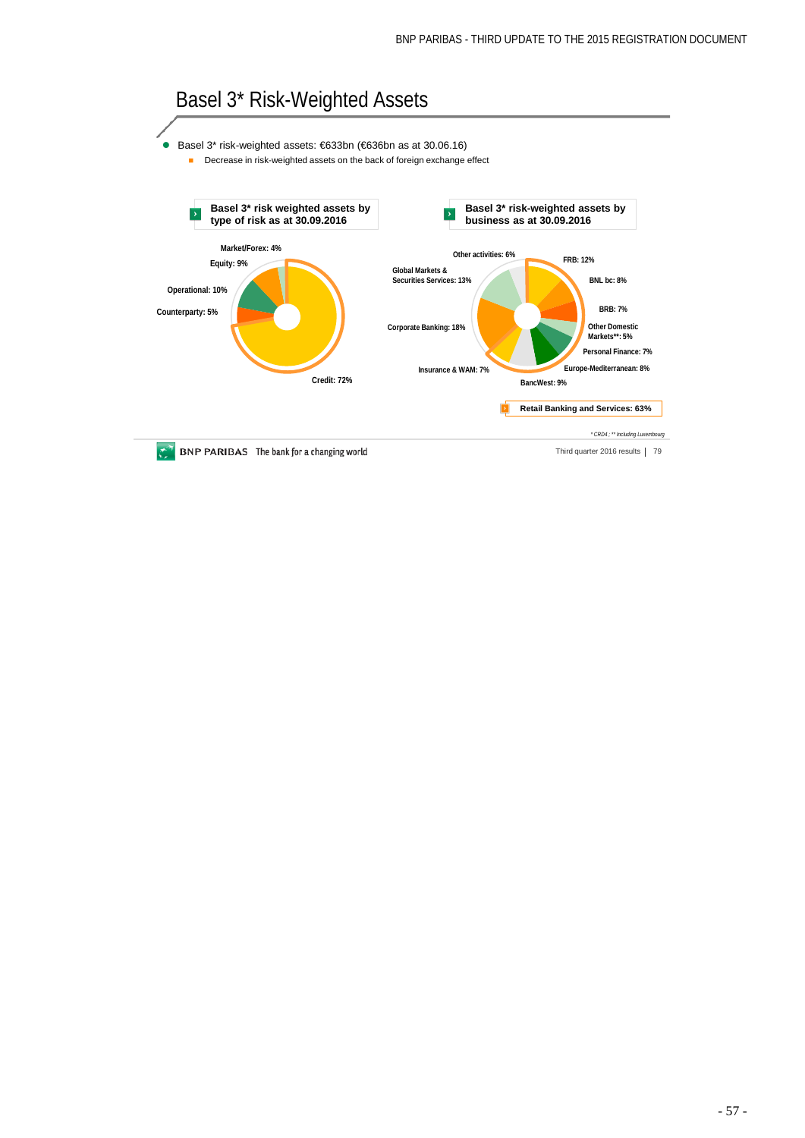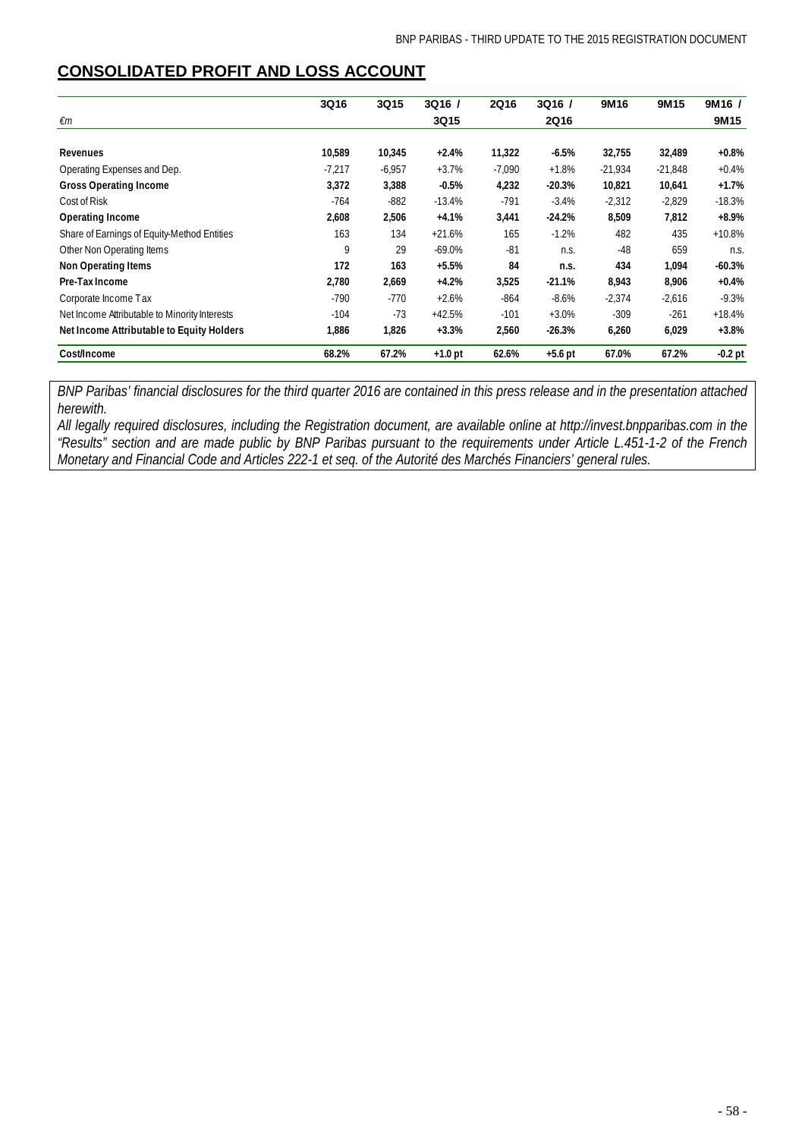### **CONSOLIDATED PROFIT AND LOSS ACCOUNT**

|                                               | 3Q16     | 3Q15     | 3Q16 /    | <b>2Q16</b> | 3Q16 /      | 9M16      | 9M15      | 9M16 /    |
|-----------------------------------------------|----------|----------|-----------|-------------|-------------|-----------|-----------|-----------|
| €m                                            |          |          | 3Q15      |             | <b>2Q16</b> |           |           | 9M15      |
|                                               | 10,589   | 10,345   | $+2.4%$   | 11,322      | $-6.5%$     | 32,755    | 32,489    | $+0.8%$   |
| Revenues<br>Operating Expenses and Dep.       | $-7,217$ | $-6,957$ | $+3.7%$   | $-7,090$    | $+1.8%$     | $-21,934$ | $-21,848$ | $+0.4%$   |
| <b>Gross Operating Income</b>                 | 3,372    | 3,388    | $-0.5%$   | 4,232       | $-20.3%$    | 10,821    | 10,641    | $+1.7%$   |
| Cost of Risk                                  | $-764$   | $-882$   | $-13.4%$  | $-791$      | $-3.4%$     | $-2,312$  | $-2,829$  | $-18.3%$  |
| Operating Income                              | 2,608    | 2,506    | $+4.1%$   | 3,441       | $-24.2%$    | 8,509     | 7,812     | $+8.9%$   |
| Share of Earnings of Equity-Method Entities   | 163      | 134      | $+21.6%$  | 165         | $-1.2%$     | 482       | 435       | $+10.8%$  |
| Other Non Operating Items                     | 9        | 29       | $-69.0%$  | $-81$       | n.s.        | $-48$     | 659       | n.s.      |
| <b>Non Operating Items</b>                    | 172      | 163      | $+5.5%$   | 84          | n.s.        | 434       | 1,094     | $-60.3%$  |
| Pre-Tax Income                                | 2,780    | 2,669    | $+4.2%$   | 3,525       | $-21.1%$    | 8,943     | 8,906     | $+0.4%$   |
| Corporate Income Tax                          | $-790$   | $-770$   | $+2.6%$   | $-864$      | $-8.6%$     | $-2,374$  | $-2,616$  | $-9.3%$   |
| Net Income Attributable to Minority Interests | $-104$   | $-73$    | $+42.5%$  | $-101$      | $+3.0%$     | $-309$    | $-261$    | $+18.4%$  |
| Net Income Attributable to Equity Holders     | 1,886    | 1,826    | $+3.3%$   | 2,560       | $-26.3%$    | 6,260     | 6,029     | $+3.8%$   |
| Cost/Income                                   | 68.2%    | 67.2%    | $+1.0$ pt | 62.6%       | $+5.6$ pt   | 67.0%     | 67.2%     | $-0.2$ pt |

*BNP Paribas' financial disclosures for the third quarter 2016 are contained in this press release and in the presentation attached herewith.*

*All legally required disclosures, including the Registration document, are available online at http://invest.bnpparibas.com in the "Results" section and are made public by BNP Paribas pursuant to the requirements under Article L.451-1-2 of the French Monetary and Financial Code and Articles 222-1 et seq. of the Autorité des Marchés Financiers' general rules.*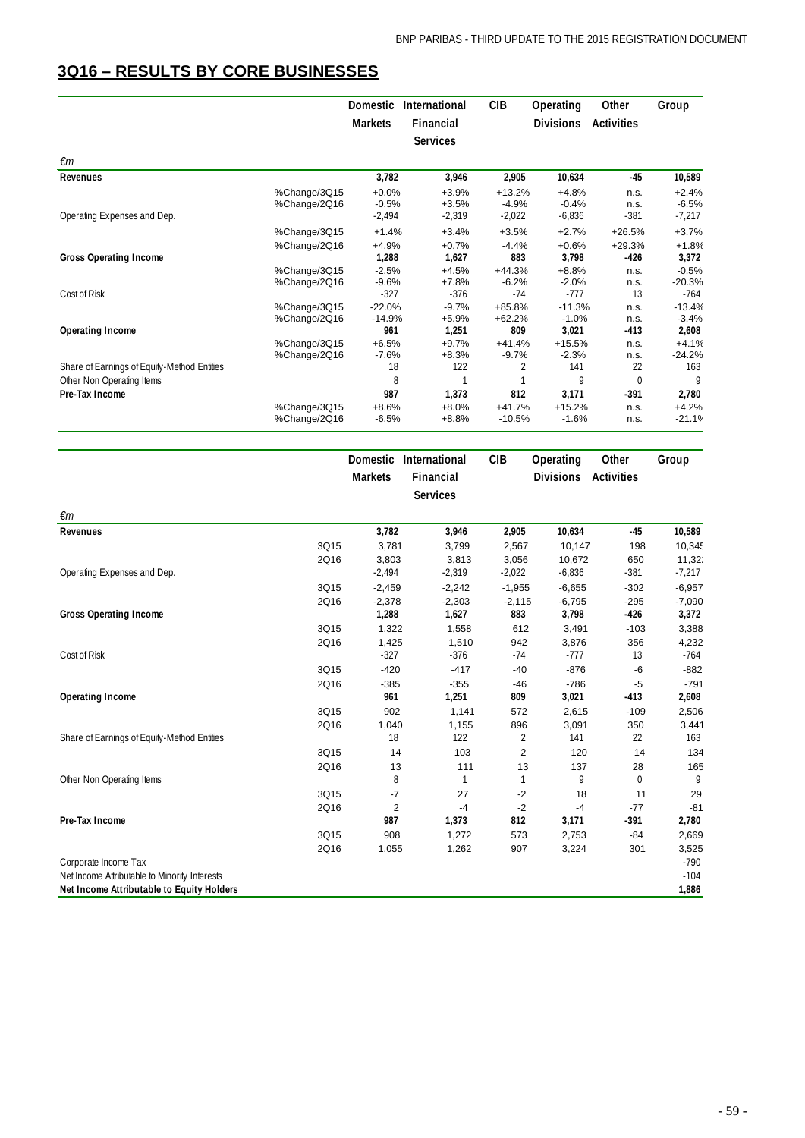### **3Q16 – RESULTS BY CORE BUSINESSES**

|                                             |                              | Domestic                       | International                  | <b>CIB</b>                      | Operating                      | Other                  | Group                          |
|---------------------------------------------|------------------------------|--------------------------------|--------------------------------|---------------------------------|--------------------------------|------------------------|--------------------------------|
|                                             |                              | <b>Markets</b>                 | Financial                      |                                 | <b>Divisions</b>               | <b>Activities</b>      |                                |
|                                             |                              |                                | <b>Services</b>                |                                 |                                |                        |                                |
| €m                                          |                              |                                |                                |                                 |                                |                        |                                |
| Revenues                                    |                              | 3,782                          | 3,946                          | 2,905                           | 10,634                         | -45                    | 10,589                         |
| Operating Expenses and Dep.                 | %Change/3Q15<br>%Change/2Q16 | $+0.0%$<br>$-0.5%$<br>$-2,494$ | $+3.9%$<br>$+3.5%$<br>$-2,319$ | $+13.2%$<br>$-4.9%$<br>$-2,022$ | $+4.8%$<br>$-0.4%$<br>$-6,836$ | n.s.<br>n.s.<br>$-381$ | $+2.4%$<br>$-6.5%$<br>$-7,217$ |
|                                             | %Change/3Q15                 | $+1.4%$                        | $+3.4%$                        | $+3.5%$                         | $+2.7%$                        | $+26.5%$               | $+3.7%$                        |
| <b>Gross Operating Income</b>               | %Change/2Q16                 | $+4.9%$<br>1,288               | $+0.7%$<br>1,627               | $-4.4%$<br>883                  | $+0.6%$<br>3,798               | $+29.3%$<br>-426       | $+1.8%$<br>3,372               |
|                                             | %Change/3Q15<br>%Change/2Q16 | $-2.5%$<br>$-9.6%$             | $+4.5%$<br>$+7.8%$             | $+44.3%$<br>$-6.2%$             | $+8.8%$<br>$-2.0%$             | n.s.<br>n.s.           | $-0.5%$<br>$-20.3%$            |
| Cost of Risk                                | %Change/3Q15<br>%Change/2Q16 | $-327$<br>$-22.0%$<br>$-14.9%$ | $-376$<br>$-9.7%$<br>$+5.9%$   | $-74$<br>$+85.8%$<br>$+62.2%$   | $-777$<br>$-11.3%$<br>$-1.0%$  | 13<br>n.s.<br>n.s.     | $-764$<br>$-13.4%$<br>$-3.4%$  |
| Operating Income                            |                              | 961                            | 1,251                          | 809                             | 3,021                          | -413                   | 2,608                          |
|                                             | %Change/3Q15<br>%Change/2Q16 | $+6.5%$<br>$-7.6%$             | $+9.7%$<br>$+8.3%$             | $+41.4%$<br>$-9.7%$             | $+15.5%$<br>$-2.3%$            | n.s.<br>n.s.           | $+4.1%$<br>$-24.2%$            |
| Share of Earnings of Equity-Method Entities |                              | 18                             | 122                            | 2                               | 141                            | 22                     | 163                            |
| Other Non Operating Items                   |                              | 8                              |                                |                                 | 9                              | $\mathbf 0$            | 9                              |
| Pre-Tax Income                              |                              | 987                            | 1,373                          | 812                             | 3,171                          | $-391$                 | 2,780                          |
|                                             | %Change/3Q15<br>%Change/2Q16 | $+8.6%$<br>$-6.5%$             | $+8.0%$<br>$+8.8%$             | $+41.7%$<br>$-10.5%$            | $+15.2%$<br>$-1.6%$            | n.s.<br>n.s.           | $+4.2%$<br>$-21.1%$            |

|                                               |      | <b>Domestic</b> | International   | <b>CIB</b>     | Operating        | Other             | Group    |  |
|-----------------------------------------------|------|-----------------|-----------------|----------------|------------------|-------------------|----------|--|
|                                               |      | <b>Markets</b>  | Financial       |                | <b>Divisions</b> | <b>Activities</b> |          |  |
|                                               |      |                 | <b>Services</b> |                |                  |                   |          |  |
| $\epsilon$ m                                  |      |                 |                 |                |                  |                   |          |  |
| Revenues                                      |      | 3,782           | 3,946           | 2,905          | 10,634           | $-45$             | 10,589   |  |
|                                               | 3Q15 | 3,781           | 3,799           | 2,567          | 10,147           | 198               | 10,345   |  |
|                                               | 2Q16 | 3,803           | 3,813           | 3,056          | 10,672           | 650               | 11,322   |  |
| Operating Expenses and Dep.                   |      | $-2,494$        | $-2,319$        | $-2,022$       | $-6,836$         | $-381$            | $-7,217$ |  |
|                                               | 3Q15 | $-2,459$        | $-2,242$        | $-1,955$       | $-6,655$         | $-302$            | $-6,957$ |  |
|                                               | 2Q16 | $-2,378$        | $-2,303$        | $-2,115$       | $-6,795$         | $-295$            | $-7,090$ |  |
| <b>Gross Operating Income</b>                 |      | 1,288           | 1,627           | 883            | 3,798            | $-426$            | 3,372    |  |
|                                               | 3Q15 | 1,322           | 1,558           | 612            | 3,491            | $-103$            | 3,388    |  |
|                                               | 2Q16 | 1,425           | 1,510           | 942            | 3,876            | 356               | 4,232    |  |
| Cost of Risk                                  |      | $-327$          | $-376$          | $-74$          | $-777$           | 13                | $-764$   |  |
|                                               | 3Q15 | $-420$          | $-417$          | $-40$          | $-876$           | $-6$              | $-882$   |  |
|                                               | 2Q16 | $-385$          | $-355$          | $-46$          | $-786$           | $-5$              | $-791$   |  |
| Operating Income                              |      | 961             | 1,251           | 809            | 3,021            | $-413$            | 2,608    |  |
|                                               | 3Q15 | 902             | 1,141           | 572            | 2,615            | $-109$            | 2,506    |  |
|                                               | 2Q16 | 1,040           | 1,155           | 896            | 3,091            | 350               | 3,441    |  |
| Share of Earnings of Equity-Method Entities   |      | 18              | 122             | $\overline{2}$ | 141              | 22                | 163      |  |
|                                               | 3Q15 | 14              | 103             | 2              | 120              | 14                | 134      |  |
|                                               | 2Q16 | 13              | 111             | 13             | 137              | 28                | 165      |  |
| Other Non Operating Items                     |      | 8               | $\mathbf{1}$    | $\mathbf{1}$   | 9                | $\Omega$          | 9        |  |
|                                               | 3Q15 | $-7$            | 27              | $-2$           | 18               | 11                | 29       |  |
|                                               | 2Q16 | 2               | $-4$            | $-2$           | $-4$             | $-77$             | $-81$    |  |
| Pre-Tax Income                                |      | 987             | 1,373           | 812            | 3,171            | $-391$            | 2,780    |  |
|                                               | 3Q15 | 908             | 1,272           | 573            | 2,753            | $-84$             | 2,669    |  |
|                                               | 2Q16 | 1,055           | 1,262           | 907            | 3,224            | 301               | 3,525    |  |
| Corporate Income Tax                          |      |                 |                 |                |                  |                   | $-790$   |  |
| Net Income Attributable to Minority Interests |      |                 |                 |                |                  |                   | $-104$   |  |
| Net Income Attributable to Equity Holders     |      |                 |                 |                |                  |                   | 1,886    |  |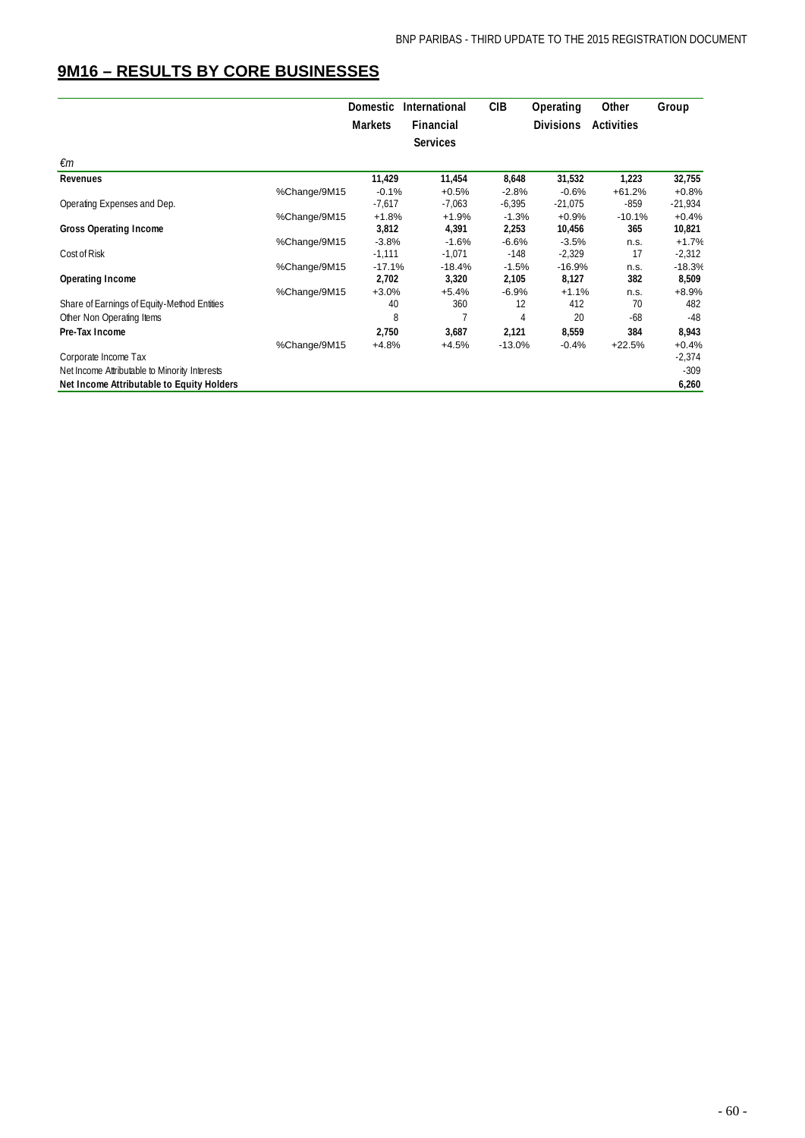### **9M16 – RESULTS BY CORE BUSINESSES**

|                                               |              | Domestic            | International       | <b>CIB</b>          | Operating            | Other              | Group                |
|-----------------------------------------------|--------------|---------------------|---------------------|---------------------|----------------------|--------------------|----------------------|
|                                               |              | <b>Markets</b>      | Financial           |                     | <b>Divisions</b>     | <b>Activities</b>  |                      |
|                                               |              |                     | <b>Services</b>     |                     |                      |                    |                      |
| €m                                            |              |                     |                     |                     |                      |                    |                      |
| Revenues                                      |              | 11,429              | 11,454              | 8,648               | 31,532               | 1,223              | 32,755               |
| Operating Expenses and Dep.                   | %Change/9M15 | $-0.1%$<br>$-7,617$ | $+0.5%$<br>$-7,063$ | $-2.8%$<br>$-6,395$ | $-0.6%$<br>$-21,075$ | $+61.2%$<br>$-859$ | $+0.8%$<br>$-21,934$ |
| <b>Gross Operating Income</b>                 | %Change/9M15 | $+1.8%$<br>3,812    | $+1.9%$<br>4,391    | $-1.3%$<br>2,253    | $+0.9%$<br>10,456    | $-10.1%$<br>365    | $+0.4%$<br>10,821    |
| Cost of Risk                                  | %Change/9M15 | $-3.8%$<br>$-1,111$ | $-1.6%$<br>$-1,071$ | $-6.6%$<br>-148     | $-3.5%$<br>$-2,329$  | n.s.<br>17         | $+1.7%$<br>$-2,312$  |
| Operating Income                              | %Change/9M15 | $-17.1%$<br>2,702   | $-18.4%$<br>3,320   | $-1.5%$<br>2,105    | $-16.9%$<br>8,127    | n.s.<br>382        | $-18.3%$<br>8,509    |
| Share of Earnings of Equity-Method Entities   | %Change/9M15 | $+3.0%$<br>40       | $+5.4%$<br>360      | $-6.9%$<br>12       | $+1.1%$<br>412       | n.s.<br>70         | $+8.9%$<br>482       |
| Other Non Operating Items                     |              | 8                   | 7                   | 4                   | 20                   | -68                | $-48$                |
| Pre-Tax Income                                |              | 2,750               | 3,687               | 2,121               | 8,559                | 384                | 8,943                |
| Corporate Income Tax                          | %Change/9M15 | $+4.8%$             | $+4.5%$             | $-13.0%$            | $-0.4%$              | $+22.5%$           | $+0.4%$<br>$-2,374$  |
| Net Income Attributable to Minority Interests |              |                     |                     |                     |                      |                    | $-309$               |
| Net Income Attributable to Equity Holders     |              |                     |                     |                     |                      |                    | 6,260                |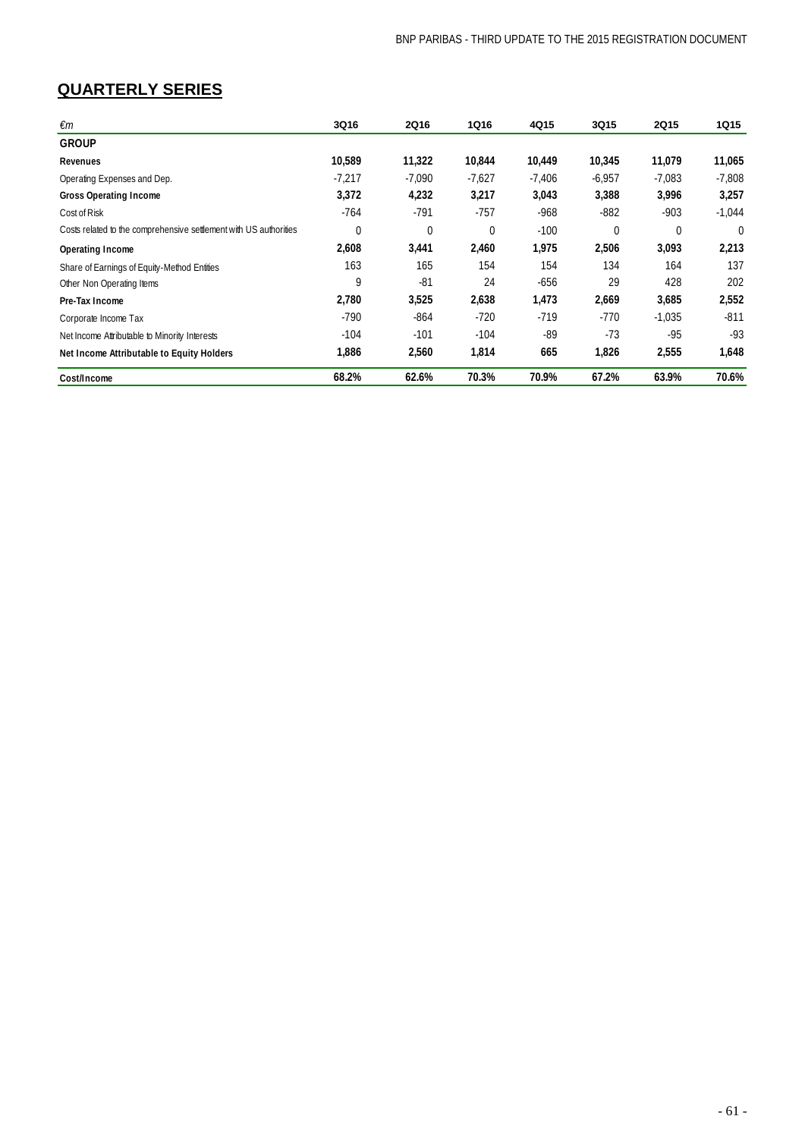### **QUARTERLY SERIES**

| €m                                                                | 3Q16        | <b>2Q16</b>  | <b>1Q16</b> | 4Q15     | 3Q15        | <b>2Q15</b> | <b>1Q15</b> |
|-------------------------------------------------------------------|-------------|--------------|-------------|----------|-------------|-------------|-------------|
| <b>GROUP</b>                                                      |             |              |             |          |             |             |             |
| Revenues                                                          | 10,589      | 11,322       | 10,844      | 10,449   | 10,345      | 11,079      | 11,065      |
| Operating Expenses and Dep.                                       | $-7,217$    | $-7,090$     | $-7,627$    | $-7,406$ | $-6,957$    | $-7.083$    | $-7.808$    |
| <b>Gross Operating Income</b>                                     | 3.372       | 4,232        | 3,217       | 3,043    | 3,388       | 3,996       | 3,257       |
| Cost of Risk                                                      | $-764$      | $-791$       | $-757$      | $-968$   | $-882$      | $-903$      | $-1,044$    |
| Costs related to the comprehensive settlement with US authorities | $\mathbf 0$ | $\mathbf{0}$ | $\Omega$    | $-100$   | $\mathbf 0$ | $\Omega$    | $\Omega$    |
| Operating Income                                                  | 2,608       | 3,441        | 2,460       | 1,975    | 2,506       | 3,093       | 2,213       |
| Share of Earnings of Equity-Method Entities                       | 163         | 165          | 154         | 154      | 134         | 164         | 137         |
| Other Non Operating Items                                         | 9           | $-81$        | 24          | $-656$   | 29          | 428         | 202         |
| Pre-Tax Income                                                    | 2,780       | 3,525        | 2,638       | 1,473    | 2,669       | 3,685       | 2,552       |
| Corporate Income Tax                                              | $-790$      | $-864$       | $-720$      | $-719$   | $-770$      | $-1,035$    | $-811$      |
| Net Income Attributable to Minority Interests                     | $-104$      | $-101$       | $-104$      | $-89$    | $-73$       | $-95$       | $-93$       |
| Net Income Attributable to Equity Holders                         | 1,886       | 2,560        | 1,814       | 665      | 1,826       | 2,555       | 1,648       |
| Cost/Income                                                       | 68.2%       | 62.6%        | 70.3%       | 70.9%    | 67.2%       | 63.9%       | 70.6%       |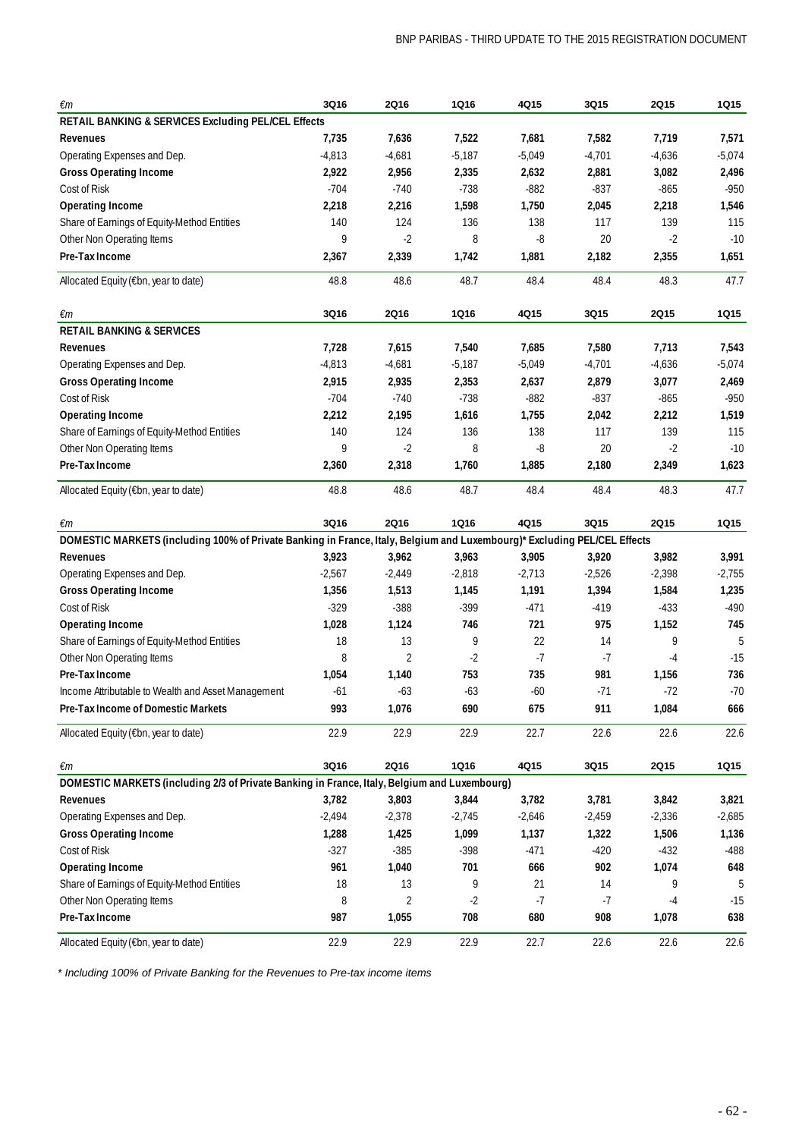| €m                                                                                                                       | 3Q16     | <b>2Q16</b>    | <b>1Q16</b> | 4Q15     | 3Q15     | <b>2Q15</b> | 1Q15        |
|--------------------------------------------------------------------------------------------------------------------------|----------|----------------|-------------|----------|----------|-------------|-------------|
| RETAIL BANKING & SERVICES Excluding PEL/CEL Effects                                                                      |          |                |             |          |          |             |             |
| Revenues                                                                                                                 | 7,735    | 7,636          | 7,522       | 7,681    | 7,582    | 7,719       | 7,571       |
| Operating Expenses and Dep.                                                                                              | $-4,813$ | $-4,681$       | $-5,187$    | $-5,049$ | $-4,701$ | $-4,636$    | $-5,074$    |
| <b>Gross Operating Income</b>                                                                                            | 2,922    | 2,956          | 2,335       | 2,632    | 2,881    | 3,082       | 2,496       |
| Cost of Risk                                                                                                             | $-704$   | $-740$         | $-738$      | $-882$   | $-837$   | $-865$      | $-950$      |
| <b>Operating Income</b>                                                                                                  | 2,218    | 2,216          | 1,598       | 1,750    | 2,045    | 2,218       | 1,546       |
| Share of Earnings of Equity-Method Entities                                                                              | 140      | 124            | 136         | 138      | 117      | 139         | 115         |
| Other Non Operating Items                                                                                                | 9        | $-2$           | 8           | -8       | 20       | $-2$        | $-10$       |
| Pre-Tax Income                                                                                                           | 2,367    | 2,339          | 1,742       | 1,881    | 2,182    | 2,355       | 1,651       |
| Allocated Equity (€bn, year to date)                                                                                     | 48.8     | 48.6           | 48.7        | 48.4     | 48.4     | 48.3        | 47.7        |
| €m                                                                                                                       | 3Q16     | <b>2Q16</b>    | <b>1Q16</b> | 4Q15     | 3Q15     | <b>2Q15</b> | <b>1Q15</b> |
| <b>RETAIL BANKING &amp; SERVICES</b>                                                                                     |          |                |             |          |          |             |             |
| Revenues                                                                                                                 | 7,728    | 7,615          | 7,540       | 7,685    | 7,580    | 7,713       | 7,543       |
| Operating Expenses and Dep.                                                                                              | $-4,813$ | $-4,681$       | $-5,187$    | $-5,049$ | $-4,701$ | $-4,636$    | $-5,074$    |
| <b>Gross Operating Income</b>                                                                                            | 2,915    | 2,935          | 2,353       | 2,637    | 2,879    | 3,077       | 2,469       |
| Cost of Risk                                                                                                             | $-704$   | $-740$         | $-738$      | $-882$   | $-837$   | $-865$      | $-950$      |
| <b>Operating Income</b>                                                                                                  | 2,212    | 2,195          | 1,616       | 1,755    | 2,042    | 2,212       | 1,519       |
| Share of Earnings of Equity-Method Entities                                                                              | 140      | 124            | 136         | 138      | 117      | 139         | 115         |
| Other Non Operating Items                                                                                                | 9        | $-2$           | 8           | -8       | 20       | $-2$        | $-10$       |
| Pre-Tax Income                                                                                                           | 2,360    | 2,318          | 1,760       | 1,885    | 2,180    | 2,349       | 1,623       |
| Allocated Equity (€bn, year to date)                                                                                     | 48.8     | 48.6           | 48.7        | 48.4     | 48.4     | 48.3        | 47.7        |
| €m                                                                                                                       | 3Q16     | <b>2Q16</b>    | <b>1Q16</b> | 4Q15     | 3Q15     | <b>2Q15</b> | <b>1Q15</b> |
| DOMESTIC MARKETS (including 100% of Private Banking in France, Italy, Belgium and Luxembourg)* Excluding PEL/CEL Effects |          |                |             |          |          |             |             |
| <b>Revenues</b>                                                                                                          | 3,923    | 3,962          | 3,963       | 3,905    | 3,920    | 3,982       | 3,991       |
| Operating Expenses and Dep.                                                                                              | $-2,567$ | $-2,449$       | $-2,818$    | $-2,713$ | $-2,526$ | $-2,398$    | $-2,755$    |
| <b>Gross Operating Income</b>                                                                                            | 1,356    | 1,513          | 1,145       | 1,191    | 1,394    | 1,584       | 1,235       |
| Cost of Risk                                                                                                             | $-329$   | $-388$         | $-399$      | $-471$   | $-419$   | $-433$      | $-490$      |
| Operating Income                                                                                                         | 1,028    | 1,124          | 746         | 721      | 975      | 1,152       | 745         |
| Share of Earnings of Equity-Method Entities                                                                              | 18       | 13             | 9           | 22       | 14       | 9           | 5           |
| Other Non Operating Items                                                                                                | 8        | $\overline{2}$ | $-2$        | $-7$     | $-7$     | $-4$        | $-15$       |
| Pre-Tax Income                                                                                                           | 1,054    | 1,140          | 753         | 735      | 981      | 1,156       | 736         |
| Income Attributable to Wealth and Asset Management                                                                       | $-61$    | $-63$          | $-63$       | $-60$    | $-71$    | $-72$       | $-70$       |
| Pre-Tax Income of Domestic Markets                                                                                       | 993      | 1,076          | 690         | 675      | 911      | 1,084       | 666         |
| Allocated Equity (€bn, year to date)                                                                                     | 22.9     | 22.9           | 22.9        | 22.7     | 22.6     | 22.6        | 22.6        |
| €m                                                                                                                       | 3Q16     | 2Q16           | <b>1Q16</b> | 4Q15     | 3Q15     | 2Q15        | <b>1Q15</b> |
| DOMESTIC MARKETS (including 2/3 of Private Banking in France, Italy, Belgium and Luxembourg)                             |          |                |             |          |          |             |             |
| Revenues                                                                                                                 | 3,782    | 3,803          | 3,844       | 3,782    | 3,781    | 3,842       | 3,821       |
| Operating Expenses and Dep.                                                                                              | $-2,494$ | $-2,378$       | $-2,745$    | $-2,646$ | $-2,459$ | $-2,336$    | $-2,685$    |
| <b>Gross Operating Income</b>                                                                                            | 1,288    | 1,425          | 1,099       | 1,137    | 1,322    | 1,506       | 1,136       |
| Cost of Risk                                                                                                             | $-327$   | $-385$         | $-398$      | $-471$   | $-420$   | $-432$      | $-488$      |
| <b>Operating Income</b>                                                                                                  | 961      | 1,040          | 701         | 666      | 902      | 1,074       | 648         |
| Share of Earnings of Equity-Method Entities                                                                              | 18       | 13             | 9           | 21       | 14       | 9           | 5           |
| Other Non Operating Items                                                                                                | 8        | $\overline{2}$ | $-2$        | $-7$     | $-7$     | $-4$        | $-15$       |
| Pre-Tax Income                                                                                                           | 987      | 1,055          | 708         | 680      | 908      | 1,078       | 638         |
| Allocated Equity (€bn, year to date)                                                                                     | 22.9     | 22.9           | 22.9        | 22.7     | 22.6     | 22.6        | 22.6        |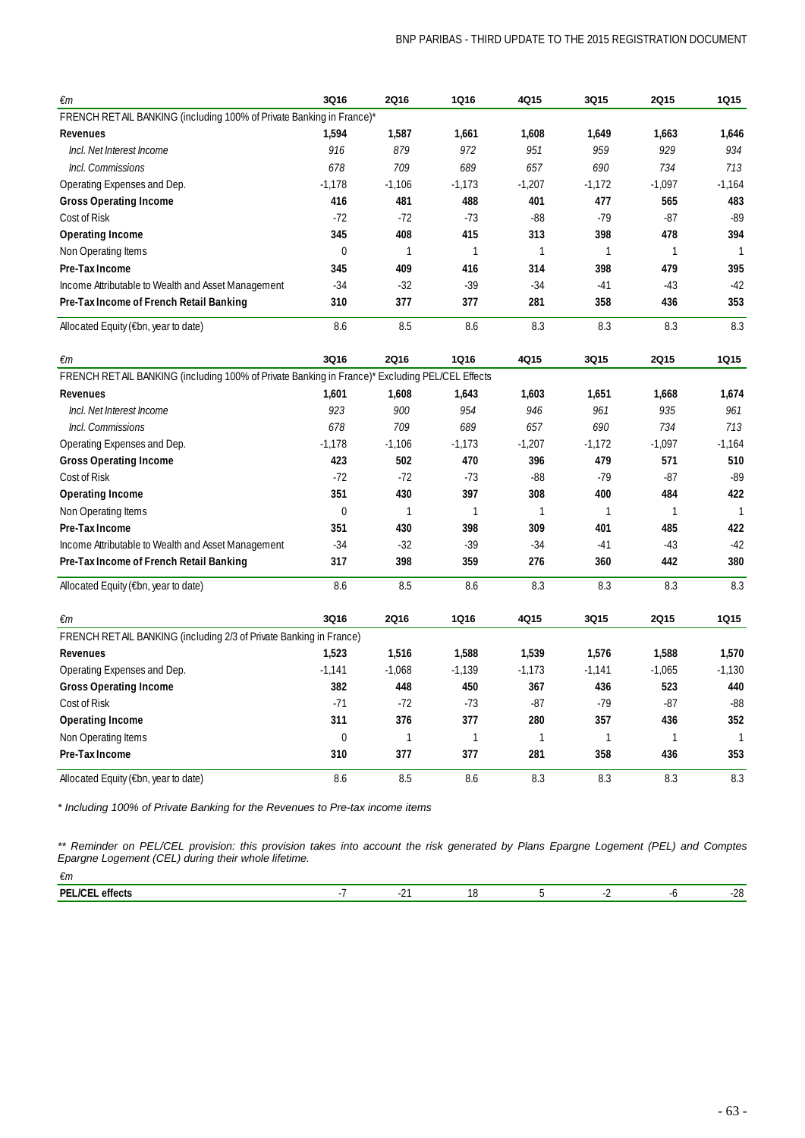| €m                                                                                              | 3Q16         | 2Q16         | 1Q16         | 4Q15         | 3Q15         | 2Q15         | 1Q15         |
|-------------------------------------------------------------------------------------------------|--------------|--------------|--------------|--------------|--------------|--------------|--------------|
| FRENCH RETAIL BANKING (including 100% of Private Banking in France)*                            |              |              |              |              |              |              |              |
| Revenues                                                                                        | 1,594        | 1,587        | 1,661        | 1,608        | 1,649        | 1,663        | 1,646        |
| Incl. Net Interest Income                                                                       | 916          | 879          | 972          | 951          | 959          | 929          | 934          |
| Incl. Commissions                                                                               | 678          | 709          | 689          | 657          | 690          | 734          | 713          |
| Operating Expenses and Dep.                                                                     | $-1,178$     | $-1,106$     | $-1,173$     | $-1,207$     | $-1,172$     | $-1,097$     | $-1,164$     |
| <b>Gross Operating Income</b>                                                                   | 416          | 481          | 488          | 401          | 477          | 565          | 483          |
| Cost of Risk                                                                                    | $-72$        | $-72$        | $-73$        | $-88$        | $-79$        | $-87$        | $-89$        |
| Operating Income                                                                                | 345          | 408          | 415          | 313          | 398          | 478          | 394          |
| Non Operating Items                                                                             | $\mathbf{0}$ | $\mathbf{1}$ | $\mathbf{1}$ | $\mathbf{1}$ | $\mathbf{1}$ | $\mathbf{1}$ | $\mathbf{1}$ |
| Pre-Tax Income                                                                                  | 345          | 409          | 416          | 314          | 398          | 479          | 395          |
| Income Attributable to Wealth and Asset Management                                              | $-34$        | $-32$        | $-39$        | $-34$        | $-41$        | $-43$        | $-42$        |
| Pre-Tax Income of French Retail Banking                                                         | 310          | 377          | 377          | 281          | 358          | 436          | 353          |
| Allocated Equity (€bn, year to date)                                                            | 8.6          | 8.5          | 8.6          | 8.3          | 8.3          | 8.3          | 8.3          |
| €m                                                                                              | 3Q16         | <b>2Q16</b>  | <b>1Q16</b>  | 4Q15         | 3Q15         | 2Q15         | 1Q15         |
| FRENCH RET AIL BANKING (including 100% of Private Banking in France)* Excluding PEL/CEL Effects |              |              |              |              |              |              |              |
| Revenues                                                                                        | 1,601        | 1,608        | 1,643        | 1,603        | 1,651        | 1,668        | 1,674        |
| Incl. Net Interest Income                                                                       | 923          | 900          | 954          | 946          | 961          | 935          | 961          |
| Incl. Commissions                                                                               | 678          | 709          | 689          | 657          | 690          | 734          | 713          |
| Operating Expenses and Dep.                                                                     | $-1,178$     | $-1,106$     | $-1,173$     | $-1,207$     | $-1,172$     | $-1,097$     | $-1,164$     |
| <b>Gross Operating Income</b>                                                                   | 423          | 502          | 470          | 396          | 479          | 571          | 510          |
| Cost of Risk                                                                                    | $-72$        | $-72$        | $-73$        | $-88$        | $-79$        | $-87$        | $-89$        |
| <b>Operating Income</b>                                                                         | 351          | 430          | 397          | 308          | 400          | 484          | 422          |
| Non Operating Items                                                                             | $\mathbf{0}$ | 1            | 1            | $\mathbf{1}$ | $\mathbf{1}$ | 1            | $\mathbf{1}$ |
| Pre-Tax Income                                                                                  | 351          | 430          | 398          | 309          | 401          | 485          | 422          |
| Income Attributable to Wealth and Asset Management                                              | $-34$        | $-32$        | $-39$        | $-34$        | $-41$        | $-43$        | $-42$        |
| Pre-Tax Income of French Retail Banking                                                         | 317          | 398          | 359          | 276          | 360          | 442          | 380          |
| Allocated Equity (€bn, year to date)                                                            | 8.6          | 8.5          | 8.6          | 8.3          | 8.3          | 8.3          | 8.3          |
| €m                                                                                              | 3Q16         | <b>2Q16</b>  | <b>1Q16</b>  | 4Q15         | 3Q15         | 2Q15         | <b>1Q15</b>  |
| FRENCH RET AL BANKING (including 2/3 of Private Banking in France)                              |              |              |              |              |              |              |              |
| <b>Revenues</b>                                                                                 | 1,523        | 1,516        | 1,588        | 1,539        | 1,576        | 1,588        | 1,570        |
| Operating Expenses and Dep.                                                                     | $-1,141$     | $-1,068$     | $-1,139$     | $-1,173$     | $-1,141$     | $-1,065$     | $-1,130$     |
| <b>Gross Operating Income</b>                                                                   | 382          | 448          | 450          | 367          | 436          | 523          | 440          |
| Cost of Risk                                                                                    | $-71$        | $-72$        | $-73$        | $-87$        | $-79$        | $-87$        | $-88$        |
| <b>Operating Income</b>                                                                         | 311          | 376          | 377          | 280          | 357          | 436          | 352          |
| Non Operating Items                                                                             | $\mathbf 0$  | 1            | 1            | 1            | 1            | 1            | 1            |
| Pre-Tax Income                                                                                  | 310          | 377          | 377          | 281          | 358          | 436          | 353          |
| Allocated Equity (€bn, year to date)                                                            | 8.6          | 8.5          | 8.6          | 8.3          | 8.3          | 8.3          | 8.3          |

*\*\* Reminder on PEL/CEL provision: this provision takes into account the risk generated by Plans Epargne Logement (PEL) and Comptes Epargne Logement (CEL) during their whole lifetime.*

| €m                    |  |  |  |            |
|-----------------------|--|--|--|------------|
| DEL<br>effects<br>--- |  |  |  | າດ<br>72 C |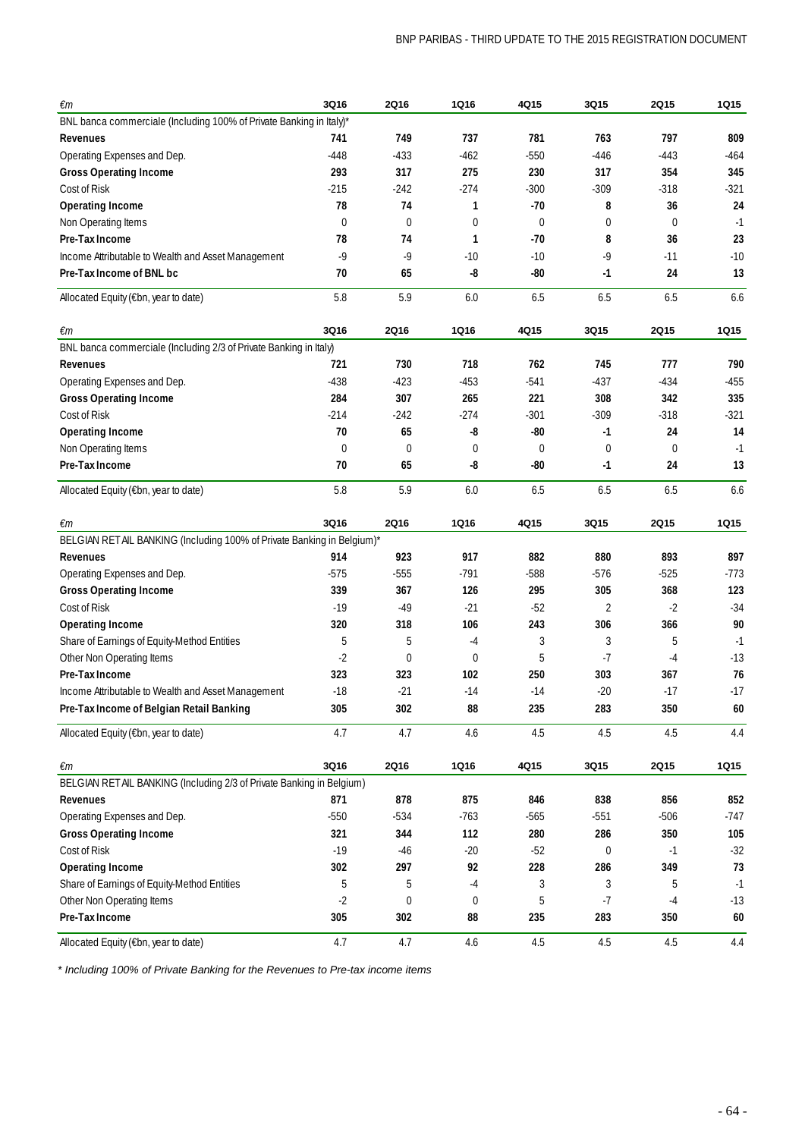| €m                                                                      | 3Q16             | 2Q16             | 1Q16             | 4Q15   | 3Q15             | <b>2Q15</b>      | 1Q15        |
|-------------------------------------------------------------------------|------------------|------------------|------------------|--------|------------------|------------------|-------------|
| BNL banca commerciale (Including 100% of Private Banking in Italy)*     |                  |                  |                  |        |                  |                  |             |
| Revenues                                                                | 741              | 749              | 737              | 781    | 763              | 797              | 809         |
| Operating Expenses and Dep.                                             | $-448$           | $-433$           | $-462$           | $-550$ | $-446$           | $-443$           | $-464$      |
| <b>Gross Operating Income</b>                                           | 293              | 317              | 275              | 230    | 317              | 354              | 345         |
| Cost of Risk                                                            | $-215$           | $-242$           | $-274$           | $-300$ | $-309$           | $-318$           | $-321$      |
| <b>Operating Income</b>                                                 | 78               | 74               | 1                | $-70$  | 8                | 36               | 24          |
| Non Operating Items                                                     | $\boldsymbol{0}$ | $\boldsymbol{0}$ | $\boldsymbol{0}$ | 0      | $\mathbf 0$      | $\boldsymbol{0}$ | $-1$        |
| Pre-Tax Income                                                          | 78               | 74               | 1                | $-70$  | 8                | 36               | 23          |
| Income Attributable to Wealth and Asset Management                      | $-9$             | $-9$             | $-10$            | $-10$  | $-9$             | $-11$            | $-10$       |
| Pre-Tax Income of BNL bc                                                | 70               | 65               | -8               | $-80$  | $-1$             | 24               | 13          |
| Allocated Equity (€bn, year to date)                                    | 5.8              | 5.9              | 6.0              | 6.5    | 6.5              | 6.5              | 6.6         |
| €m                                                                      | 3Q16             | <b>2Q16</b>      | <b>1Q16</b>      | 4Q15   | 3Q15             | <b>2Q15</b>      | 1Q15        |
| BNL banca commerciale (Including 2/3 of Private Banking in Italy)       |                  |                  |                  |        |                  |                  |             |
| Revenues                                                                | 721              | 730              | 718              | 762    | 745              | 777              | 790         |
| Operating Expenses and Dep.                                             | $-438$           | $-423$           | $-453$           | $-541$ | $-437$           | $-434$           | $-455$      |
| <b>Gross Operating Income</b>                                           | 284              | 307              | 265              | 221    | 308              | 342              | 335         |
| Cost of Risk                                                            | $-214$           | $-242$           | $-274$           | $-301$ | $-309$           | $-318$           | $-321$      |
| <b>Operating Income</b>                                                 | 70               | 65               | -8               | $-80$  | $-1$             | 24               | 14          |
| Non Operating Items                                                     | $\mathbf 0$      | $\boldsymbol{0}$ | 0                | 0      | $\boldsymbol{0}$ | $\boldsymbol{0}$ | $-1$        |
| Pre-Tax Income                                                          | 70               | 65               | -8               | $-80$  | $-1$             | 24               | 13          |
| Allocated Equity (€bn, year to date)                                    | 5.8              | 5.9              | 6.0              | 6.5    | 6.5              | 6.5              | 6.6         |
| €m                                                                      | 3Q16             | 2Q16             | <b>1Q16</b>      | 4Q15   | 3Q15             | 2Q15             | <b>1Q15</b> |
| BELGIAN RET AIL BANKING (Including 100% of Private Banking in Belgium)* |                  |                  |                  |        |                  |                  |             |
| <b>Revenues</b>                                                         | 914              | 923              | 917              | 882    | 880              | 893              | 897         |
| Operating Expenses and Dep.                                             | $-575$           | $-555$           | $-791$           | $-588$ | $-576$           | $-525$           | $-773$      |
| <b>Gross Operating Income</b>                                           | 339              | 367              | 126              | 295    | 305              | 368              | 123         |
| Cost of Risk                                                            | $-19$            | $-49$            | $-21$            | $-52$  | 2                | $-2$             | $-34$       |
| <b>Operating Income</b>                                                 | 320              | 318              | 106              | 243    | 306              | 366              | 90          |
| Share of Earnings of Equity-Method Entities                             | 5                | 5                | $-4$             | 3      | 3                | 5                | $-1$        |
| Other Non Operating Items                                               | $-2$             | 0                | $\boldsymbol{0}$ | 5      | $-7$             | $-4$             | $-13$       |
| Pre-Tax Income                                                          | 323              | 323              | 102              | 250    | 303              | 367              | 76          |
| Income Attributable to Wealth and Asset Management                      | $-18$            | $-21$            | $-14$            | $-14$  | $-20$            | $-17$            | $-17$       |
| Pre-Tax Income of Belgian Retail Banking                                | 305              | 302              | 88               | 235    | 283              | 350              | 60          |
| Allocated Equity (€bn, year to date)                                    | 4.7              | $4.7\,$          | 4.6              | 4.5    | 4.5              | 4.5              | 4.4         |
| €m                                                                      | 3Q16             | 2Q16             | <b>1Q16</b>      | 4Q15   | 3Q15             | 2Q15             | <b>1Q15</b> |
| BELGIAN RET AIL BANKING (Including 2/3 of Private Banking in Belgium)   |                  |                  |                  |        |                  |                  |             |
| Revenues                                                                | 871              | 878              | 875              | 846    | 838              | 856              | 852         |
| Operating Expenses and Dep.                                             | $-550$           | $-534$           | $-763$           | $-565$ | $-551$           | $-506$           | $-747$      |
| <b>Gross Operating Income</b>                                           | 321              | 344              | 112              | 280    | 286              | 350              | 105         |
| Cost of Risk                                                            | $-19$            | $-46$            | $-20$            | $-52$  | $\boldsymbol{0}$ | $-1$             | $-32$       |
| <b>Operating Income</b>                                                 | 302              | 297              | 92               | 228    | 286              | 349              | 73          |
| Share of Earnings of Equity-Method Entities                             | 5                | 5                | $-4$             | 3      | 3                | 5                | $-1$        |
| Other Non Operating Items                                               | $-2$             | 0                | $\boldsymbol{0}$ | 5      | $-7$             | $-4$             | $-13$       |
| Pre-Tax Income                                                          | 305              | 302              | 88               | 235    | 283              | 350              | 60          |
| Allocated Equity (€bn, year to date)                                    | 4.7              | 4.7              | 4.6              | 4.5    | 4.5              | 4.5              | 4.4         |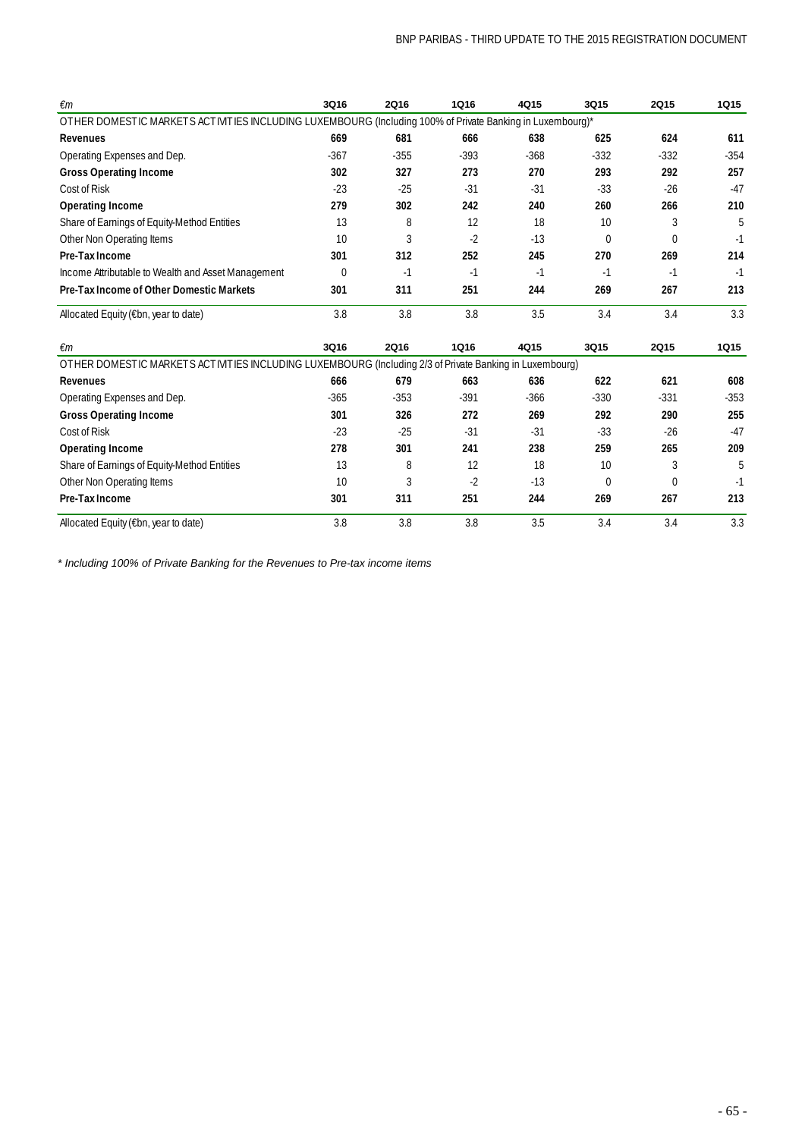| €m                                                                                                        | 3Q16     | 2Q16   | <b>1Q16</b> | 4Q15   | 3Q15     | 2Q15        | <b>1Q15</b> |
|-----------------------------------------------------------------------------------------------------------|----------|--------|-------------|--------|----------|-------------|-------------|
| OTHER DOMESTIC MARKETS ACTIVITIES INCLUDING LUXEMBOURG (Including 100% of Private Banking in Luxembourg)* |          |        |             |        |          |             |             |
| <b>Revenues</b>                                                                                           | 669      | 681    | 666         | 638    | 625      | 624         | 611         |
| Operating Expenses and Dep.                                                                               | $-367$   | $-355$ | $-393$      | $-368$ | $-332$   | $-332$      | $-354$      |
| <b>Gross Operating Income</b>                                                                             | 302      | 327    | 273         | 270    | 293      | 292         | 257         |
| Cost of Risk                                                                                              | $-23$    | $-25$  | $-31$       | $-31$  | $-33$    | $-26$       | $-47$       |
| Operating Income                                                                                          | 279      | 302    | 242         | 240    | 260      | 266         | 210         |
| Share of Earnings of Equity-Method Entities                                                               | 13       | 8      | 12          | 18     | 10       | 3           | 5           |
| Other Non Operating Items                                                                                 | 10       | 3      | $-2$        | $-13$  | $\theta$ | $\Omega$    | $-1$        |
| Pre-Tax Income                                                                                            | 301      | 312    | 252         | 245    | 270      | 269         | 214         |
| Income Attributable to Wealth and Asset Management                                                        | $\Omega$ | $-1$   | $-1$        | $-1$   | $-1$     | $-1$        | $-1$        |
| Pre-Tax Income of Other Domestic Markets                                                                  | 301      | 311    | 251         | 244    | 269      | 267         | 213         |
| Allocated Equity (€bn, year to date)                                                                      | 3.8      | 3.8    | 3.8         | 3.5    | 3.4      | 3.4         | 3.3         |
| $\epsilon$ m                                                                                              | 3Q16     | 2Q16   | <b>1Q16</b> | 4Q15   | 3Q15     | <b>2Q15</b> | <b>1Q15</b> |
| OTHER DOMESTIC MARKETS ACTIVITIES INCLUDING LUXEMBOURG (Including 2/3 of Private Banking in Luxembourg)   |          |        |             |        |          |             |             |
| Revenues                                                                                                  | 666      | 679    | 663         | 636    | 622      | 621         | 608         |
| Operating Expenses and Dep.                                                                               | $-365$   | $-353$ | $-391$      | $-366$ | $-330$   | $-331$      | $-353$      |
| <b>Gross Operating Income</b>                                                                             | 301      | 326    | 272         | 269    | 292      | 290         | 255         |
| Cost of Risk                                                                                              | $-23$    | $-25$  | $-31$       | $-31$  | $-33$    | $-26$       | $-47$       |
| <b>Operating Income</b>                                                                                   | 278      | 301    | 241         | 238    | 259      | 265         | 209         |
| Share of Earnings of Equity-Method Entities                                                               | 13       | 8      | 12          | 18     | 10       | 3           | 5           |
| Other Non Operating Items                                                                                 | 10       | 3      | $-2$        | $-13$  | 0        | $\Omega$    | $-1$        |
| Pre-Tax Income                                                                                            | 301      | 311    | 251         | 244    | 269      | 267         | 213         |
| Allocated Equity (€bn, year to date)                                                                      | 3.8      | 3.8    | 3.8         | 3.5    | 3.4      | 3.4         | 3.3         |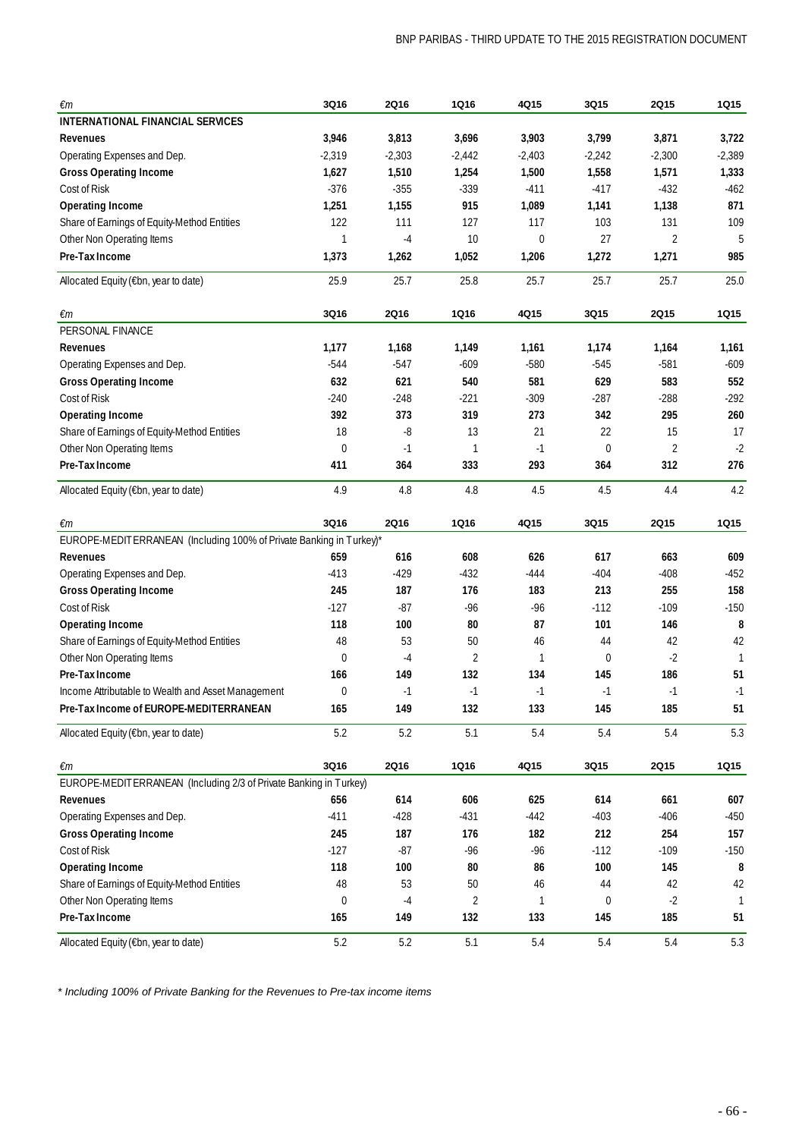| $\epsilon$ m                                                        | 3Q16     | <b>2Q16</b> | <b>1Q16</b>    | 4Q15     | 3Q15     | <b>2Q15</b> | <b>1Q15</b>  |
|---------------------------------------------------------------------|----------|-------------|----------------|----------|----------|-------------|--------------|
| INTERNATIONAL FINANCIAL SERVICES                                    |          |             |                |          |          |             |              |
| <b>Revenues</b>                                                     | 3,946    | 3,813       | 3,696          | 3,903    | 3,799    | 3,871       | 3,722        |
| Operating Expenses and Dep.                                         | $-2,319$ | $-2,303$    | $-2,442$       | $-2,403$ | $-2,242$ | $-2,300$    | $-2,389$     |
| <b>Gross Operating Income</b>                                       | 1,627    | 1,510       | 1,254          | 1,500    | 1,558    | 1,571       | 1,333        |
| Cost of Risk                                                        | $-376$   | $-355$      | $-339$         | $-411$   | $-417$   | $-432$      | $-462$       |
| <b>Operating Income</b>                                             | 1,251    | 1,155       | 915            | 1,089    | 1,141    | 1,138       | 871          |
| Share of Earnings of Equity-Method Entities                         | 122      | 111         | 127            | 117      | 103      | 131         | 109          |
| Other Non Operating Items                                           | 1        | $-4$        | 10             | $\bf{0}$ | 27       | 2           | 5            |
| Pre-Tax Income                                                      | 1,373    | 1,262       | 1,052          | 1,206    | 1,272    | 1,271       | 985          |
| Allocated Equity (€bn, year to date)                                | 25.9     | 25.7        | 25.8           | 25.7     | 25.7     | 25.7        | 25.0         |
| €m                                                                  | 3Q16     | <b>2Q16</b> | <b>1Q16</b>    | 4Q15     | 3Q15     | <b>2Q15</b> | <b>1Q15</b>  |
| PERSONAL FINANCE                                                    |          |             |                |          |          |             |              |
| Revenues                                                            | 1,177    | 1,168       | 1,149          | 1,161    | 1,174    | 1,164       | 1,161        |
| Operating Expenses and Dep.                                         | $-544$   | $-547$      | $-609$         | $-580$   | $-545$   | $-581$      | $-609$       |
| <b>Gross Operating Income</b>                                       | 632      | 621         | 540            | 581      | 629      | 583         | 552          |
| Cost of Risk                                                        | $-240$   | $-248$      | $-221$         | $-309$   | $-287$   | $-288$      | $-292$       |
| <b>Operating Income</b>                                             | 392      | 373         | 319            | 273      | 342      | 295         | 260          |
| Share of Earnings of Equity-Method Entities                         | 18       | $-8$        | 13             | 21       | 22       | 15          | 17           |
| Other Non Operating Items                                           | 0        | $-1$        | 1              | $-1$     | 0        | 2           | $-2$         |
| Pre-Tax Income                                                      | 411      | 364         | 333            | 293      | 364      | 312         | 276          |
|                                                                     |          |             |                |          |          |             |              |
| Allocated Equity (€bn, year to date)                                | 4.9      | 4.8         | 4.8            | 4.5      | 4.5      | 4.4         | 4.2          |
| €m                                                                  | 3Q16     | 2Q16        | <b>1Q16</b>    | 4Q15     | 3Q15     | <b>2Q15</b> | <b>1Q15</b>  |
| EUROPE-MEDITERRANEAN (Including 100% of Private Banking in Turkey)* |          |             |                |          |          |             |              |
| Revenues                                                            | 659      | 616         | 608            | 626      | 617      | 663         | 609          |
| Operating Expenses and Dep.                                         | $-413$   | $-429$      | $-432$         | $-444$   | $-404$   | $-408$      | $-452$       |
| <b>Gross Operating Income</b>                                       | 245      | 187         | 176            | 183      | 213      | 255         | 158          |
| Cost of Risk                                                        | $-127$   | $-87$       | $-96$          | $-96$    | $-112$   | $-109$      | $-150$       |
| <b>Operating Income</b>                                             | 118      | 100         | 80             | 87       | 101      | 146         | 8            |
| Share of Earnings of Equity-Method Entities                         | 48       | 53          | 50             | 46       | 44       | 42          | 42           |
| Other Non Operating Items                                           | 0        | $-4$        | $\overline{2}$ | 1        | 0        | $-2$        | 1            |
| Pre-Tax Income                                                      | 166      | 149         | 132            | 134      | 145      | 186         | 51           |
| Income Attributable to Wealth and Asset Management                  | 0        | $-1$        | $-1$           | -1       | $-1$     | $-1$        | $-1$         |
| Pre-Tax Income of EUROPE-MEDITERRANEAN                              | 165      | 149         | 132            | 133      | 145      | 185         | 51           |
| Allocated Equity (€bn, year to date)                                | 5.2      | 5.2         | 5.1            | 5.4      | 5.4      | 5.4         | $5.3\,$      |
| $\epsilon$ m                                                        | 3Q16     | <b>2Q16</b> | 1Q16           | 4Q15     | 3Q15     | 2Q15        | <b>1Q15</b>  |
| EUROPE-MEDITERRANEAN (Including 2/3 of Private Banking in Turkey)   |          |             |                |          |          |             |              |
| Revenues                                                            | 656      | 614         | 606            | 625      | 614      | 661         | 607          |
| Operating Expenses and Dep.                                         | $-411$   | $-428$      | $-431$         | $-442$   | $-403$   | $-406$      | $-450$       |
| <b>Gross Operating Income</b>                                       | 245      | 187         | 176            | 182      | 212      | 254         | 157          |
| Cost of Risk                                                        | $-127$   | $-87$       | $-96$          | $-96$    | $-112$   | $-109$      | $-150$       |
| <b>Operating Income</b>                                             | 118      | 100         | 80             | 86       | 100      | 145         | 8            |
| Share of Earnings of Equity-Method Entities                         | 48       | 53          | 50             | 46       | 44       | 42          | 42           |
| Other Non Operating Items                                           | 0        | $-4$        | $\overline{2}$ | 1        | 0        | $-2$        | $\mathbf{1}$ |
| Pre-Tax Income                                                      | 165      | 149         | 132            | 133      | 145      | 185         | 51           |
| Allocated Equity (€bn, year to date)                                | 5.2      | 5.2         | 5.1            | 5.4      | 5.4      | 5.4         | 5.3          |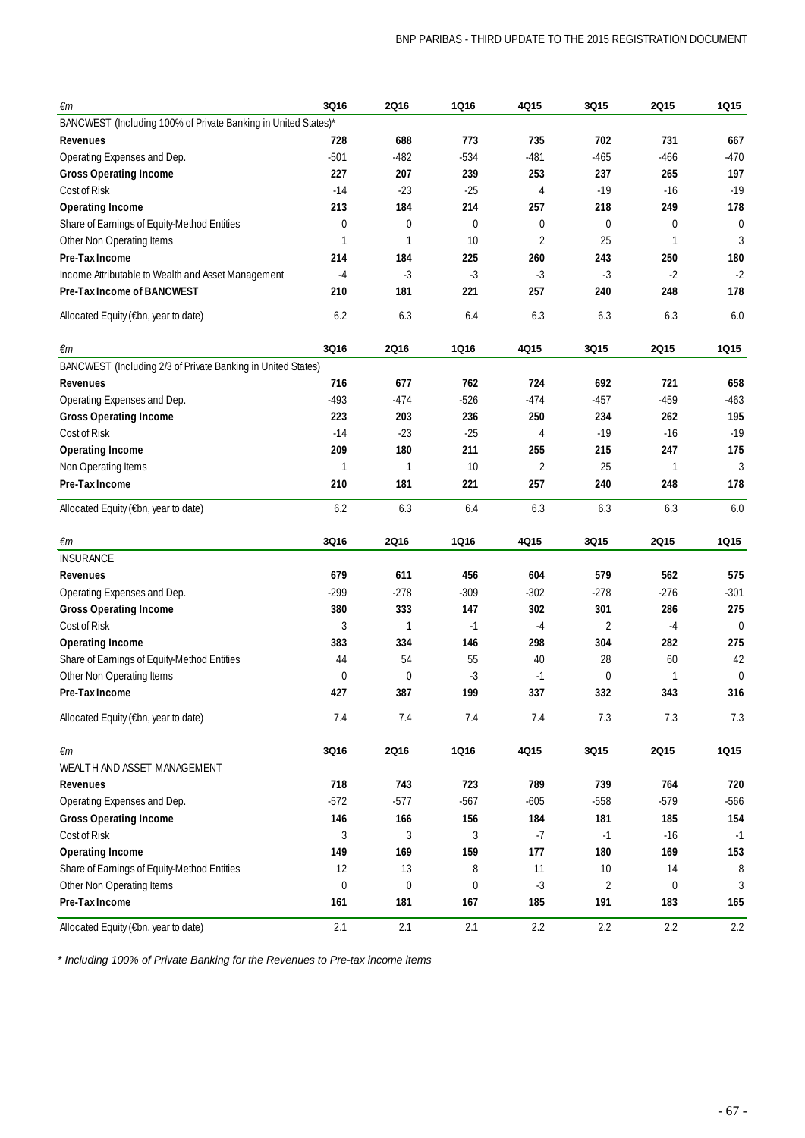| €m                                                             | 3Q16             | <b>2Q16</b>      | <b>1Q16</b>      | 4Q15   | 3Q15             | <b>2Q15</b>      | <b>1Q15</b>    |
|----------------------------------------------------------------|------------------|------------------|------------------|--------|------------------|------------------|----------------|
| BANCWEST (Including 100% of Private Banking in United States)* |                  |                  |                  |        |                  |                  |                |
| Revenues                                                       | 728              | 688              | 773              | 735    | 702              | 731              | 667            |
| Operating Expenses and Dep.                                    | $-501$           | $-482$           | $-534$           | $-481$ | $-465$           | $-466$           | $-470$         |
| <b>Gross Operating Income</b>                                  | 227              | 207              | 239              | 253    | 237              | 265              | 197            |
| Cost of Risk                                                   | $-14$            | $-23$            | $-25$            | 4      | $-19$            | $-16$            | $-19$          |
| <b>Operating Income</b>                                        | 213              | 184              | 214              | 257    | 218              | 249              | 178            |
| Share of Earnings of Equity-Method Entities                    | $\boldsymbol{0}$ | $\boldsymbol{0}$ | $\boldsymbol{0}$ | 0      | $\boldsymbol{0}$ | $\boldsymbol{0}$ | $\mathbf 0$    |
| Other Non Operating Items                                      | 1                | 1                | 10               | 2      | 25               | 1                | 3              |
| Pre-Tax Income                                                 | 214              | 184              | 225              | 260    | 243              | 250              | 180            |
| Income Attributable to Wealth and Asset Management             | $-4$             | $-3$             | $-3$             | $-3$   | $-3$             | $-2$             | $-2$           |
| Pre-Tax Income of BANCWEST                                     | 210              | 181              | 221              | 257    | 240              | 248              | 178            |
| Allocated Equity (€bn, year to date)                           | 6.2              | 6.3              | 6.4              | 6.3    | 6.3              | 6.3              | 6.0            |
| €m                                                             | 3Q16             | <b>2Q16</b>      | <b>1Q16</b>      | 4Q15   | 3Q15             | <b>2Q15</b>      | <b>1Q15</b>    |
| BANCWEST (Including 2/3 of Private Banking in United States)   |                  |                  |                  |        |                  |                  |                |
| Revenues                                                       | 716              | 677              | 762              | 724    | 692              | 721              | 658            |
| Operating Expenses and Dep.                                    | $-493$           | $-474$           | $-526$           | $-474$ | $-457$           | $-459$           | $-463$         |
| <b>Gross Operating Income</b>                                  | 223              | 203              | 236              | 250    | 234              | 262              | 195            |
| Cost of Risk                                                   | $-14$            | $-23$            | $-25$            | 4      | $-19$            | $-16$            | $-19$          |
| <b>Operating Income</b>                                        | 209              | 180              | 211              | 255    | 215              | 247              | 175            |
| Non Operating Items                                            | 1                | 1                | 10               | 2      | 25               | 1                | 3              |
| Pre-Tax Income                                                 | 210              | 181              | 221              | 257    | 240              | 248              | 178            |
| Allocated Equity (€bn, year to date)                           | 6.2              | 6.3              | 6.4              | 6.3    | 6.3              | 6.3              | 6.0            |
| €m                                                             | 3Q16             | <b>2Q16</b>      | <b>1Q16</b>      | 4Q15   | 3Q15             | <b>2Q15</b>      | <b>1Q15</b>    |
| <b>INSURANCE</b>                                               |                  |                  |                  |        |                  |                  |                |
| Revenues                                                       | 679              | 611              | 456              | 604    | 579              | 562              | 575            |
| Operating Expenses and Dep.                                    | $-299$           | $-278$           | $-309$           | $-302$ | $-278$           | $-276$           | $-301$         |
| <b>Gross Operating Income</b>                                  | 380              | 333              | 147              | 302    | 301              | 286              | 275            |
| Cost of Risk                                                   | 3                | 1                | $-1$             | $-4$   | 2                | $-4$             | $\overline{0}$ |
| <b>Operating Income</b>                                        | 383              | 334              | 146              | 298    | 304              | 282              | 275            |
| Share of Earnings of Equity-Method Entities                    | 44               | 54               | 55               | 40     | 28               | 60               | 42             |
| Other Non Operating Items                                      | $\mathbf 0$      | $\mathbf 0$      | $-3$             | $-1$   | $\boldsymbol{0}$ | 1                | $\mathbf 0$    |
| Pre-Tax Income                                                 | 427              | 387              | 199              | 337    | 332              | 343              | 316            |
| Allocated Equity (€bn, year to date)                           | 7.4              | $7.4\,$          | 7.4              | 7.4    | 7.3              | 7.3              | 7.3            |
| €m                                                             | 3Q16             | 2Q16             | <b>1Q16</b>      | 4Q15   | 3Q15             | 2Q15             | 1Q15           |
| WEALTH AND ASSET MANAGEMENT                                    |                  |                  |                  |        |                  |                  |                |
| Revenues                                                       | 718              | 743              | 723              | 789    | 739              | 764              | 720            |
| Operating Expenses and Dep.                                    | $-572$           | $-577$           | $-567$           | $-605$ | $-558$           | $-579$           | $-566$         |
| <b>Gross Operating Income</b>                                  | 146              | 166              | 156              | 184    | 181              | 185              | 154            |
| Cost of Risk                                                   | 3                | 3                | 3                | $-7$   | $-1$             | $-16$            | $-1$           |
| <b>Operating Income</b>                                        | 149              | 169              | 159              | 177    | 180              | 169              | 153            |
| Share of Earnings of Equity-Method Entities                    | 12               | 13               | 8                | 11     | 10               | 14               | 8              |
| Other Non Operating Items                                      | $\mathbf{0}$     | 0                | $\boldsymbol{0}$ | $-3$   | 2                | $\boldsymbol{0}$ | 3              |
| Pre-Tax Income                                                 | 161              | 181              | 167              | 185    | 191              | 183              | 165            |
| Allocated Equity (€bn, year to date)                           | 2.1              | 2.1              | 2.1              | 2.2    | 2.2              | 2.2              | 2.2            |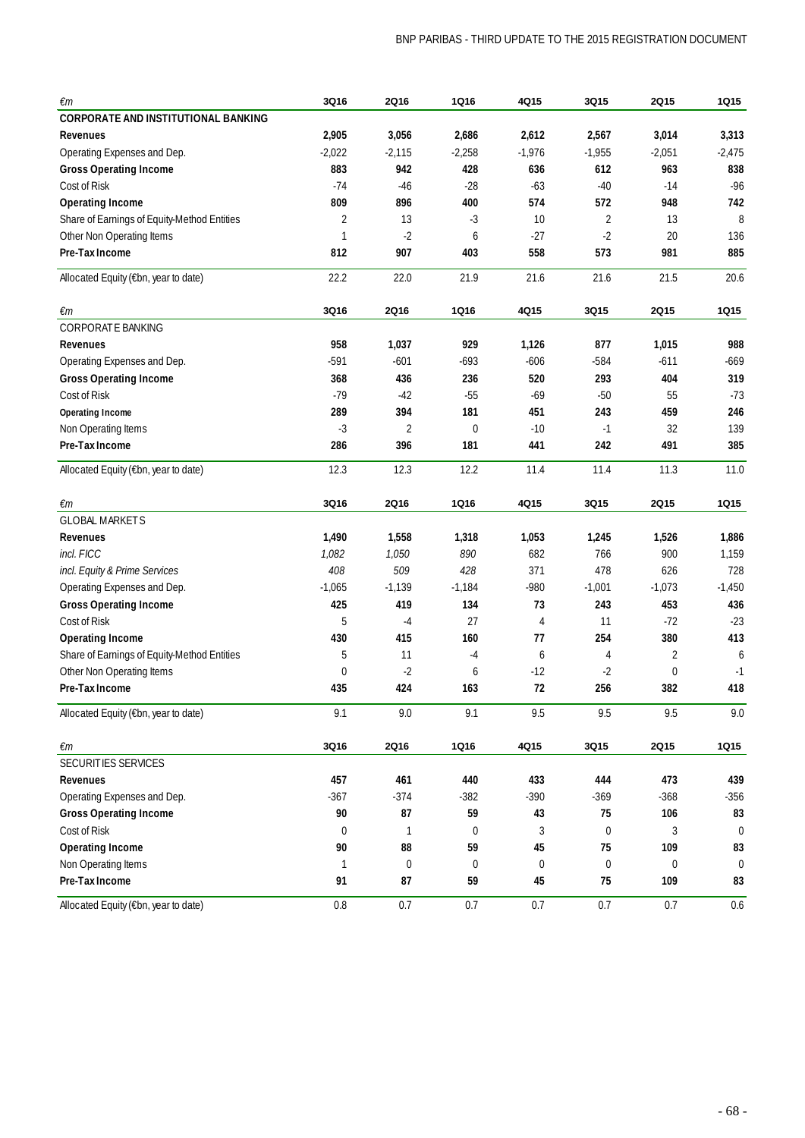| €m                                          | 3Q16        | 2Q16             | <b>1Q16</b>      | 4Q15             | 3Q15     | 2Q15             | 1Q15             |
|---------------------------------------------|-------------|------------------|------------------|------------------|----------|------------------|------------------|
| CORPORATE AND INSTITUTIONAL BANKING         |             |                  |                  |                  |          |                  |                  |
| <b>Revenues</b>                             | 2,905       | 3,056            | 2,686            | 2,612            | 2,567    | 3,014            | 3,313            |
| Operating Expenses and Dep.                 | $-2,022$    | $-2,115$         | $-2,258$         | $-1,976$         | $-1,955$ | $-2,051$         | $-2,475$         |
| <b>Gross Operating Income</b>               | 883         | 942              | 428              | 636              | 612      | 963              | 838              |
| Cost of Risk                                | $-74$       | $-46$            | $-28$            | $-63$            | $-40$    | $-14$            | $-96$            |
| Operating Income                            | 809         | 896              | 400              | 574              | 572      | 948              | 742              |
| Share of Earnings of Equity-Method Entities | 2           | 13               | $-3$             | 10               | 2        | 13               | 8                |
| Other Non Operating Items                   | 1           | $-2$             | 6                | $-27$            | $-2$     | 20               | 136              |
| Pre-Tax Income                              | 812         | 907              | 403              | 558              | 573      | 981              | 885              |
| Allocated Equity (€bn, year to date)        | 22.2        | 22.0             | 21.9             | 21.6             | 21.6     | 21.5             | 20.6             |
| €m                                          | 3Q16        | 2Q16             | <b>1Q16</b>      | 4Q15             | 3Q15     | <b>2Q15</b>      | 1Q15             |
| CORPORATE BANKING                           |             |                  |                  |                  |          |                  |                  |
| Revenues                                    | 958         | 1,037            | 929              | 1,126            | 877      | 1,015            | 988              |
| Operating Expenses and Dep.                 | $-591$      | $-601$           | $-693$           | $-606$           | $-584$   | $-611$           | $-669$           |
| <b>Gross Operating Income</b>               | 368         | 436              | 236              | 520              | 293      | 404              | 319              |
| Cost of Risk                                | $-79$       | $-42$            | $-55$            | $-69$            | $-50$    | 55               | $-73$            |
| Operating Income                            | 289         | 394              | 181              | 451              | 243      | 459              | 246              |
| Non Operating Items                         | $-3$        | 2                | 0                | $-10$            | $-1$     | 32               | 139              |
| Pre-Tax Income                              | 286         | 396              | 181              | 441              | 242      | 491              | 385              |
| Allocated Equity (€bn, year to date)        | 12.3        | 12.3             | 12.2             | 11.4             | 11.4     | 11.3             | 11.0             |
| €m                                          | 3Q16        | 2Q16             | <b>1Q16</b>      | 4Q15             | 3Q15     | <b>2Q15</b>      | <b>1Q15</b>      |
| <b>GLOBAL MARKETS</b>                       |             |                  |                  |                  |          |                  |                  |
| Revenues                                    | 1,490       | 1,558            | 1,318            | 1,053            | 1,245    | 1,526            | 1,886            |
| incl. FICC                                  | 1,082       | 1,050            | 890              | 682              | 766      | 900              | 1,159            |
| incl. Equity & Prime Services               | 408         | 509              | 428              | 371              | 478      | 626              | 728              |
| Operating Expenses and Dep.                 | $-1,065$    | $-1,139$         | $-1,184$         | $-980$           | $-1,001$ | $-1,073$         | $-1,450$         |
| <b>Gross Operating Income</b>               | 425         | 419              | 134              | 73               | 243      | 453              | 436              |
| Cost of Risk                                | 5           | $-4$             | 27               | 4                | 11       | $-72$            | $-23$            |
| Operating Income                            | 430         | 415              | 160              | 77               | 254      | 380              | 413              |
| Share of Earnings of Equity-Method Entities | 5           | 11               | $-4$             | 6                | 4        | $\overline{2}$   | 6                |
| Other Non Operating Items                   | $\mathbf 0$ | $-2$             | 6                | $-12$            | $-2$     | $\overline{0}$   | $-1$             |
| Pre-Tax Income                              | 435         | 424              | 163              | 72               | 256      | 382              | 418              |
| Allocated Equity (€bn, year to date)        | 9.1         | $9.0\,$          | 9.1              | 9.5              | 9.5      | 9.5              | $9.0\,$          |
| €m                                          | 3Q16        | 2Q16             | <b>1Q16</b>      | 4Q15             | 3Q15     | <b>2Q15</b>      | <b>1Q15</b>      |
| SECURITIES SERVICES                         |             |                  |                  |                  |          |                  |                  |
| Revenues                                    | 457         | 461              | 440              | 433              | 444      | 473              | 439              |
| Operating Expenses and Dep.                 | $-367$      | $-374$           | $-382$           | $-390$           | $-369$   | $-368$           | $-356$           |
| <b>Gross Operating Income</b>               | 90          | 87               | 59               | 43               | 75       | 106              | 83               |
| Cost of Risk                                | 0           | $\mathbf{1}$     | $\boldsymbol{0}$ | 3                | 0        | 3                | $\mathbf 0$      |
| Operating Income                            | 90          | 88               | 59               | 45               | 75       | 109              | 83               |
| Non Operating Items                         | 1           | $\boldsymbol{0}$ | $\boldsymbol{0}$ | $\boldsymbol{0}$ | 0        | $\boldsymbol{0}$ | $\boldsymbol{0}$ |
|                                             |             |                  |                  |                  |          |                  |                  |
| Pre-Tax Income                              | 91          | 87               | 59               | 45               | 75       | 109              | 83               |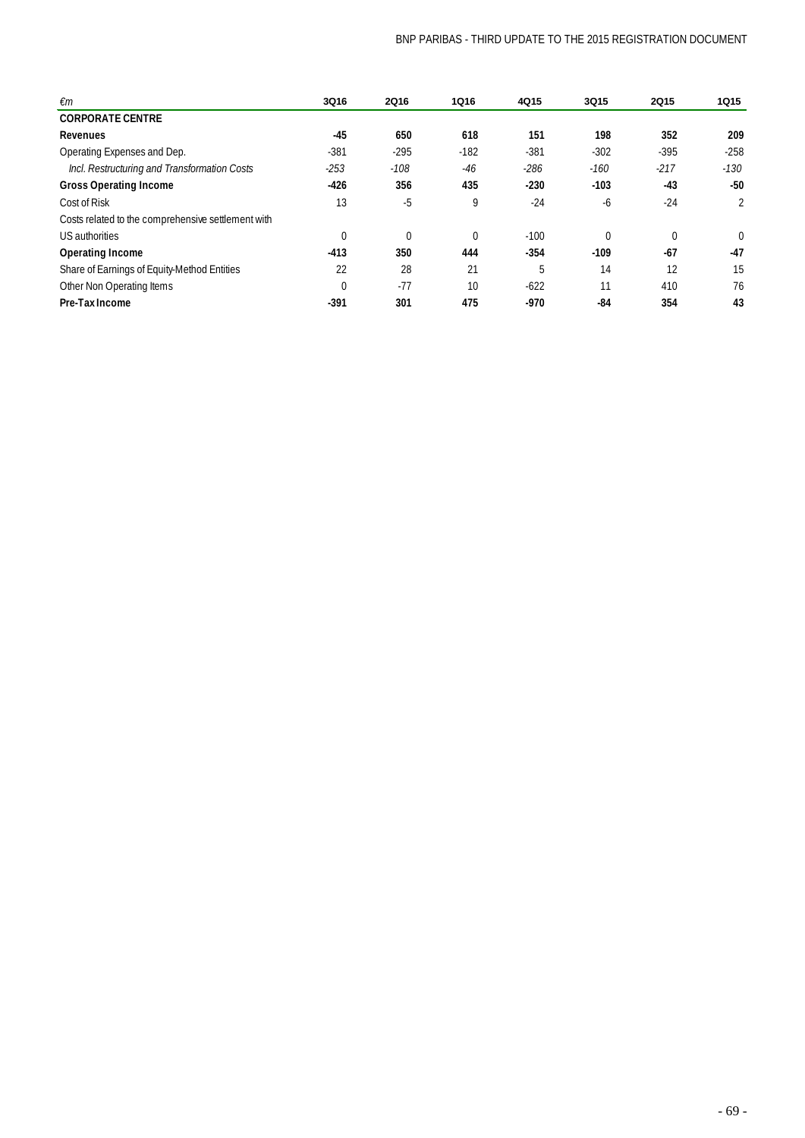| €m                                                 | 3Q16     | <b>2Q16</b> | 1Q16     | 4Q15   | 3Q15     | <b>2Q15</b> | <b>1Q15</b>    |
|----------------------------------------------------|----------|-------------|----------|--------|----------|-------------|----------------|
| <b>CORPORATE CENTRE</b>                            |          |             |          |        |          |             |                |
| Revenues                                           | $-45$    | 650         | 618      | 151    | 198      | 352         | 209            |
| Operating Expenses and Dep.                        | $-381$   | $-295$      | $-182$   | $-381$ | $-302$   | $-395$      | $-258$         |
| Incl. Restructuring and Transformation Costs       | $-253$   | $-108$      | $-46$    | $-286$ | -160     | $-217$      | $-130$         |
| <b>Gross Operating Income</b>                      | $-426$   | 356         | 435      | $-230$ | $-103$   | $-43$       | $-50$          |
| Cost of Risk                                       | 13       | $-5$        | 9        | $-24$  | -6       | $-24$       | $\overline{2}$ |
| Costs related to the comprehensive settlement with |          |             |          |        |          |             |                |
| US authorities                                     | $\Omega$ | 0           | $\Omega$ | $-100$ | $\Omega$ |             | 0              |
| Operating Income                                   | $-413$   | 350         | 444      | $-354$ | $-109$   | $-67$       | $-47$          |
| Share of Earnings of Equity-Method Entities        | 22       | 28          | 21       | 5      | 14       | 12          | 15             |
| Other Non Operating Items                          | $\Omega$ | $-77$       | 10       | $-622$ | 11       | 410         | 76             |
| Pre-Tax Income                                     | $-391$   | 301         | 475      | $-970$ | -84      | 354         | 43             |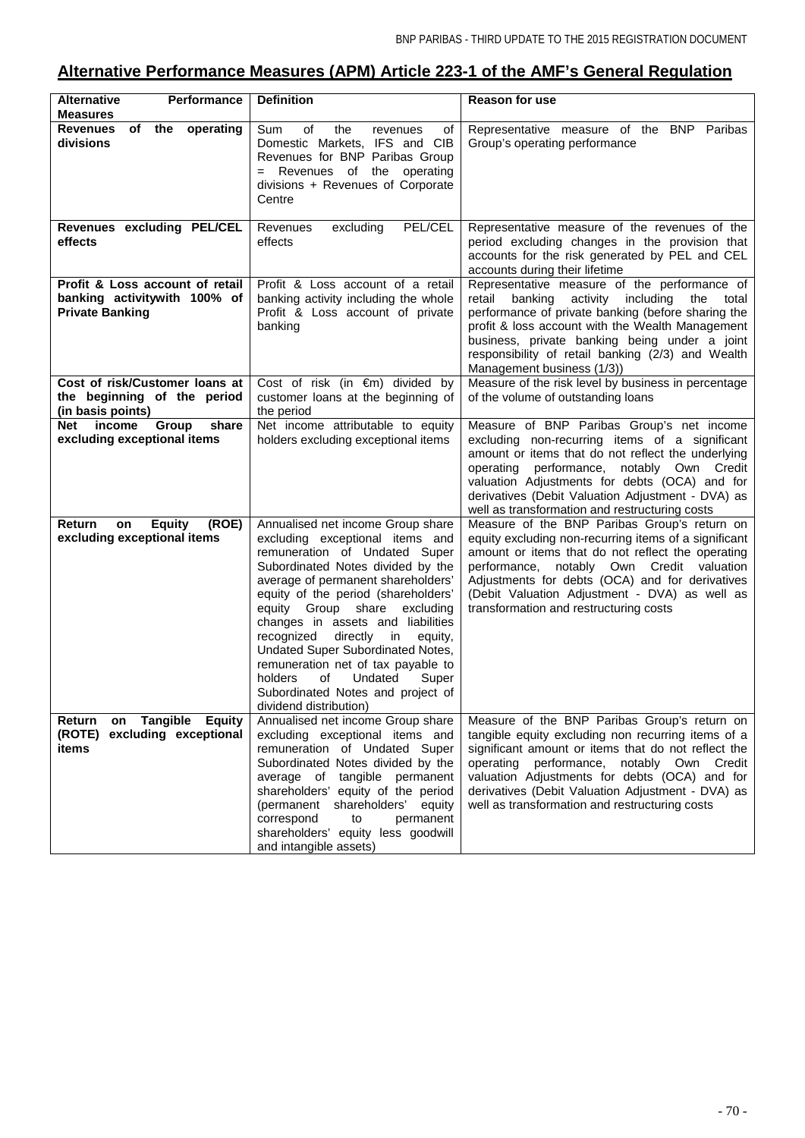# **Alternative Performance Measures (APM) Article 223-1 of the AMF's General Regulation**

| <b>Alternative</b><br><b>Performance</b><br><b>Measures</b>                               | <b>Definition</b>                                                                                                                                                                                                                                                                                                                                                                                                                                                                                                      | <b>Reason for use</b>                                                                                                                                                                                                                                                                                                                                          |
|-------------------------------------------------------------------------------------------|------------------------------------------------------------------------------------------------------------------------------------------------------------------------------------------------------------------------------------------------------------------------------------------------------------------------------------------------------------------------------------------------------------------------------------------------------------------------------------------------------------------------|----------------------------------------------------------------------------------------------------------------------------------------------------------------------------------------------------------------------------------------------------------------------------------------------------------------------------------------------------------------|
| <b>Revenues</b><br>the<br>operating<br>of<br>divisions                                    | Sum<br><b>of</b><br>the<br>οf<br>revenues<br>Domestic Markets, IFS and CIB<br>Revenues for BNP Paribas Group<br>= Revenues of the operating<br>divisions + Revenues of Corporate<br>Centre                                                                                                                                                                                                                                                                                                                             | Representative measure of the BNP Paribas<br>Group's operating performance                                                                                                                                                                                                                                                                                     |
| Revenues excluding PEL/CEL<br>effects                                                     | PEL/CEL<br>Revenues<br>excluding<br>effects                                                                                                                                                                                                                                                                                                                                                                                                                                                                            | Representative measure of the revenues of the<br>period excluding changes in the provision that<br>accounts for the risk generated by PEL and CEL<br>accounts during their lifetime                                                                                                                                                                            |
| Profit & Loss account of retail<br>banking activitywith 100% of<br><b>Private Banking</b> | Profit & Loss account of a retail<br>banking activity including the whole<br>Profit & Loss account of private<br>banking                                                                                                                                                                                                                                                                                                                                                                                               | Representative measure of the performance of<br>banking<br>activity including<br>the<br>retail<br>total<br>performance of private banking (before sharing the<br>profit & loss account with the Wealth Management<br>business, private banking being under a joint<br>responsibility of retail banking (2/3) and Wealth<br>Management business (1/3))          |
| Cost of risk/Customer Ioans at<br>the beginning of the period<br>(in basis points)        | Cost of risk (in €m) divided by<br>customer loans at the beginning of<br>the period                                                                                                                                                                                                                                                                                                                                                                                                                                    | Measure of the risk level by business in percentage<br>of the volume of outstanding loans                                                                                                                                                                                                                                                                      |
| income<br>Group<br>Net<br>share<br>excluding exceptional items                            | Net income attributable to equity<br>holders excluding exceptional items                                                                                                                                                                                                                                                                                                                                                                                                                                               | Measure of BNP Paribas Group's net income<br>excluding non-recurring items of a significant<br>amount or items that do not reflect the underlying<br>performance, notably Own Credit<br>operating<br>valuation Adjustments for debts (OCA) and for<br>derivatives (Debit Valuation Adjustment - DVA) as<br>well as transformation and restructuring costs      |
| Return<br><b>Equity</b><br>(ROE)<br>on<br>excluding exceptional items                     | Annualised net income Group share<br>excluding exceptional items and<br>remuneration of Undated Super<br>Subordinated Notes divided by the<br>average of permanent shareholders'<br>equity of the period (shareholders'<br>equity Group share excluding<br>changes in assets and liabilities<br>recognized<br>directly<br>in<br>equity,<br>Undated Super Subordinated Notes,<br>remuneration net of tax payable to<br>holders<br>Undated<br>Super<br>οf<br>Subordinated Notes and project of<br>dividend distribution) | Measure of the BNP Paribas Group's return on<br>equity excluding non-recurring items of a significant<br>amount or items that do not reflect the operating<br>performance, notably Own Credit valuation<br>Adjustments for debts (OCA) and for derivatives<br>(Debit Valuation Adjustment - DVA) as well as<br>transformation and restructuring costs          |
| on Tangible<br><b>Equity</b><br>Return<br>(ROTE) excluding exceptional<br>items           | Annualised net income Group share<br>excluding exceptional items and<br>remuneration of Undated Super<br>Subordinated Notes divided by the<br>average of tangible permanent<br>shareholders' equity of the period<br>shareholders'<br>(permanent<br>equity<br>correspond<br>to<br>permanent<br>shareholders' equity less goodwill<br>and intangible assets)                                                                                                                                                            | Measure of the BNP Paribas Group's return on<br>tangible equity excluding non recurring items of a<br>significant amount or items that do not reflect the<br>operating performance, notably Own Credit<br>valuation Adjustments for debts (OCA) and for<br>derivatives (Debit Valuation Adjustment - DVA) as<br>well as transformation and restructuring costs |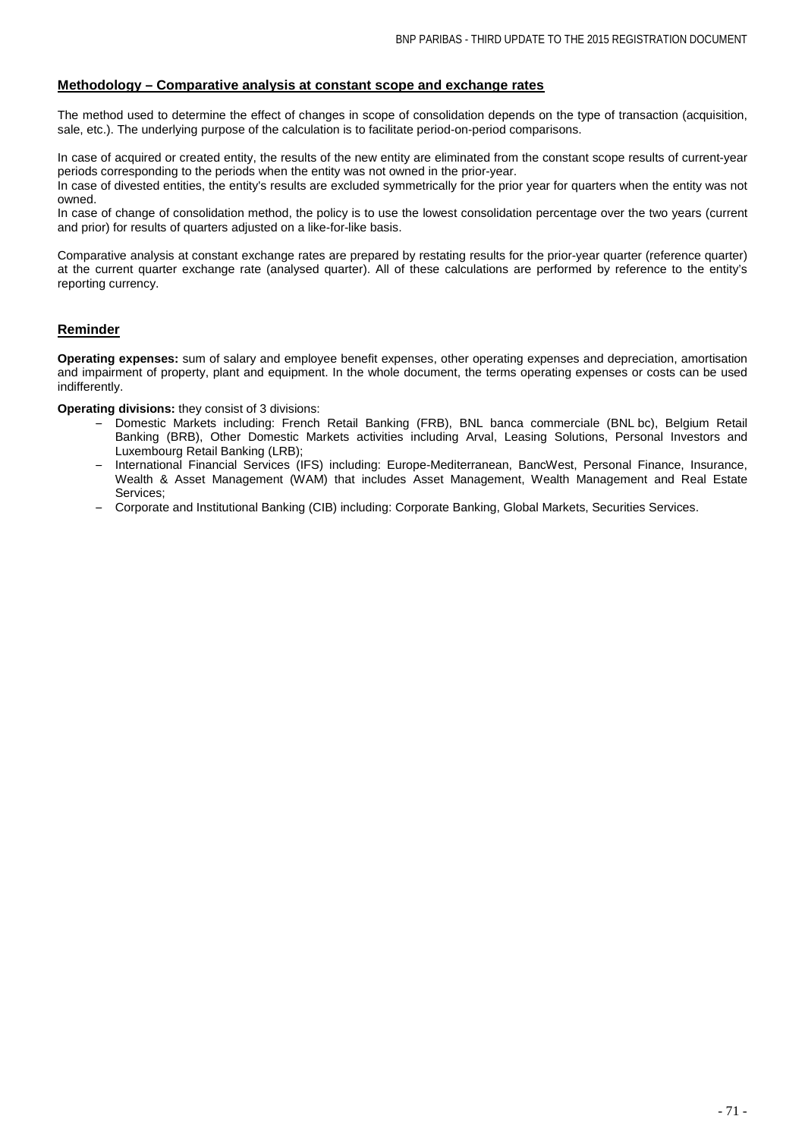### **Methodology – Comparative analysis at constant scope and exchange rates**

The method used to determine the effect of changes in scope of consolidation depends on the type of transaction (acquisition, sale, etc.). The underlying purpose of the calculation is to facilitate period-on-period comparisons.

In case of acquired or created entity, the results of the new entity are eliminated from the constant scope results of current-year periods corresponding to the periods when the entity was not owned in the prior-year.

In case of divested entities, the entity's results are excluded symmetrically for the prior year for quarters when the entity was not owned.

In case of change of consolidation method, the policy is to use the lowest consolidation percentage over the two years (current and prior) for results of quarters adjusted on a like-for-like basis.

Comparative analysis at constant exchange rates are prepared by restating results for the prior-year quarter (reference quarter) at the current quarter exchange rate (analysed quarter). All of these calculations are performed by reference to the entity's reporting currency.

### **Reminder**

**Operating expenses:** sum of salary and employee benefit expenses, other operating expenses and depreciation, amortisation and impairment of property, plant and equipment. In the whole document, the terms operating expenses or costs can be used indifferently.

**Operating divisions:** they consist of 3 divisions:

- Domestic Markets including: French Retail Banking (FRB), BNL banca commerciale (BNL bc), Belgium Retail Banking (BRB), Other Domestic Markets activities including Arval, Leasing Solutions, Personal Investors and Luxembourg Retail Banking (LRB);
- International Financial Services (IFS) including: Europe-Mediterranean, BancWest, Personal Finance, Insurance, Wealth & Asset Management (WAM) that includes Asset Management, Wealth Management and Real Estate Services;
- Corporate and Institutional Banking (CIB) including: Corporate Banking, Global Markets, Securities Services.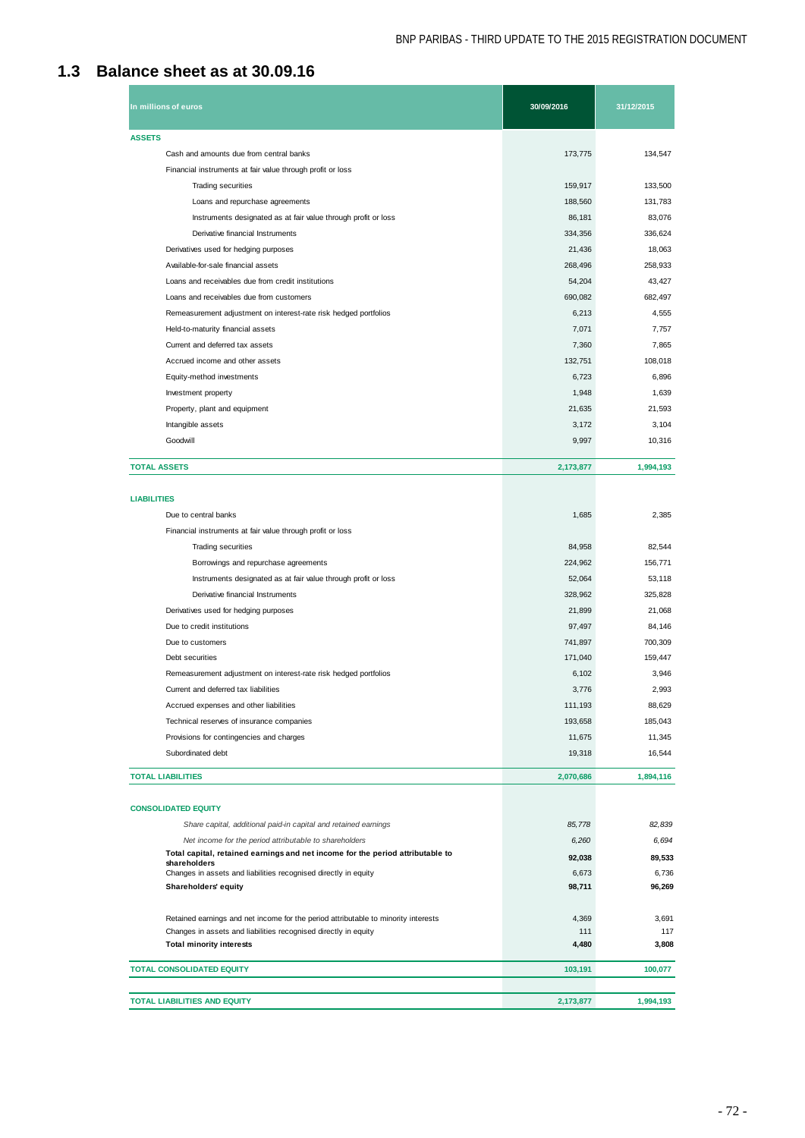### **1.3 Balance sheet as at 30.09.16**

| In millions of euros                                                                                                                                  | 30/09/2016   | 31/12/2015   |
|-------------------------------------------------------------------------------------------------------------------------------------------------------|--------------|--------------|
| <b>ASSETS</b>                                                                                                                                         |              |              |
| Cash and amounts due from central banks                                                                                                               | 173,775      | 134,547      |
| Financial instruments at fair value through profit or loss                                                                                            |              |              |
| <b>Trading securities</b>                                                                                                                             | 159,917      | 133,500      |
| Loans and repurchase agreements                                                                                                                       | 188,560      | 131,783      |
| Instruments designated as at fair value through profit or loss                                                                                        | 86,181       | 83,076       |
| Derivative financial Instruments                                                                                                                      | 334,356      | 336,624      |
| Derivatives used for hedging purposes                                                                                                                 | 21,436       | 18,063       |
| Available-for-sale financial assets                                                                                                                   | 268,496      | 258,933      |
| Loans and receivables due from credit institutions                                                                                                    | 54,204       | 43,427       |
| Loans and receivables due from customers                                                                                                              | 690,082      | 682,497      |
| Remeasurement adjustment on interest-rate risk hedged portfolios                                                                                      | 6,213        | 4,555        |
| Held-to-maturity financial assets                                                                                                                     | 7,071        | 7,757        |
| Current and deferred tax assets                                                                                                                       | 7,360        | 7,865        |
| Accrued income and other assets                                                                                                                       | 132,751      | 108,018      |
| Equity-method investments                                                                                                                             | 6,723        | 6,896        |
| Investment property                                                                                                                                   | 1,948        | 1,639        |
| Property, plant and equipment                                                                                                                         | 21,635       | 21,593       |
| Intangible assets                                                                                                                                     | 3.172        | 3,104        |
| Goodwill                                                                                                                                              | 9,997        | 10,316       |
| <b>TOTAL ASSETS</b>                                                                                                                                   | 2,173,877    | 1,994,193    |
|                                                                                                                                                       |              |              |
| <b>LIABILITIES</b>                                                                                                                                    |              |              |
| Due to central banks                                                                                                                                  | 1,685        | 2,385        |
| Financial instruments at fair value through profit or loss                                                                                            |              |              |
| <b>Trading securities</b>                                                                                                                             | 84,958       | 82,544       |
| Borrowings and repurchase agreements                                                                                                                  | 224,962      | 156,771      |
| Instruments designated as at fair value through profit or loss                                                                                        | 52,064       | 53,118       |
| Derivative financial Instruments                                                                                                                      | 328,962      | 325,828      |
| Derivatives used for hedging purposes                                                                                                                 | 21,899       | 21,068       |
| Due to credit institutions                                                                                                                            | 97,497       | 84,146       |
| Due to customers                                                                                                                                      | 741,897      | 700,309      |
| Debt securities                                                                                                                                       | 171,040      | 159,447      |
| Remeasurement adjustment on interest-rate risk hedged portfolios                                                                                      | 6,102        | 3,946        |
| Current and deferred tax liabilities                                                                                                                  | 3,776        | 2,993        |
| Accrued expenses and other liabilities                                                                                                                | 111,193      | 88,629       |
| Technical reserves of insurance companies                                                                                                             | 193,658      | 185,043      |
| Provisions for contingencies and charges                                                                                                              | 11,675       | 11,345       |
| Subordinated debt                                                                                                                                     | 19,318       | 16,544       |
| <b>TOTAL LIABILITIES</b>                                                                                                                              | 2,070,686    | 1,894,116    |
|                                                                                                                                                       |              |              |
| <b>CONSOLIDATED EQUITY</b>                                                                                                                            |              |              |
| Share capital, additional paid-in capital and retained eamings                                                                                        | 85,778       | 82,839       |
| Net income for the period attributable to shareholders                                                                                                | 6,260        | 6.694        |
| Total capital, retained earnings and net income for the period attributable to<br>shareholders                                                        | 92,038       | 89,533       |
| Changes in assets and liabilities recognised directly in equity                                                                                       | 6,673        | 6,736        |
| Shareholders' equity                                                                                                                                  | 98,711       | 96,269       |
|                                                                                                                                                       |              |              |
| Retained earnings and net income for the period attributable to minority interests<br>Changes in assets and liabilities recognised directly in equity | 4,369<br>111 | 3,691<br>117 |
| <b>Total minority interests</b>                                                                                                                       | 4,480        | 3,808        |
|                                                                                                                                                       |              |              |
| <b>TOTAL CONSOLIDATED EQUITY</b>                                                                                                                      | 103,191      | 100,077      |
| <b>TOTAL LIABILITIES AND EQUITY</b>                                                                                                                   | 2,173,877    | 1,994,193    |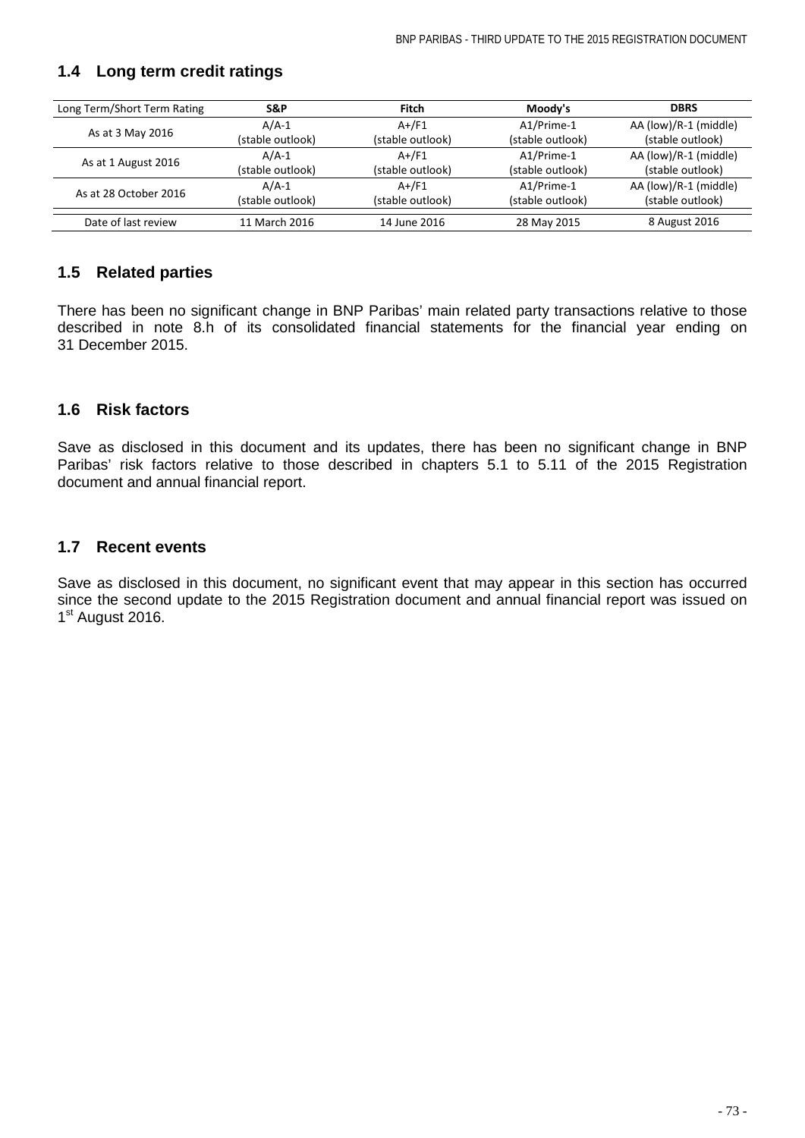(stable outlook)

(stable outlook)

(stable outlook)

#### Long Term/Short Term Rating **S&P Fitch Moody's DBRS** As at 3 May 2016  $A/A-1$ (stable outlook)  $A+/F1$ (stable outlook) A1/Prime-1 (stable outlook) AA (low)/R-1 (middle) A/A-1<br>As at 1 August 2016 A/A-1 (stable outlook)  $A+/F1$ (stable outlook) A1/Prime-1 (stable outlook) AA (low)/R-1 (middle) As at 28 October 2016  $A/A-1$ (stable outlook)  $A+/F1$ (stable outlook) A1/Prime-1 (stable outlook) AA (low)/R-1 (middle)

### **1.4 Long term credit ratings**

### **1.5 Related parties**

There has been no significant change in BNP Paribas' main related party transactions relative to those described in note 8.h of its consolidated financial statements for the financial year ending on 31 December 2015.

Date of last review 11 March 2016 14 June 2016 28 May 2015 8 August 2016

### **1.6 Risk factors**

Save as disclosed in this document and its updates, there has been no significant change in BNP Paribas' risk factors relative to those described in chapters 5.1 to 5.11 of the 2015 Registration document and annual financial report.

### **1.7 Recent events**

Save as disclosed in this document, no significant event that may appear in this section has occurred since the second update to the 2015 Registration document and annual financial report was issued on 1<sup>st</sup> August 2016.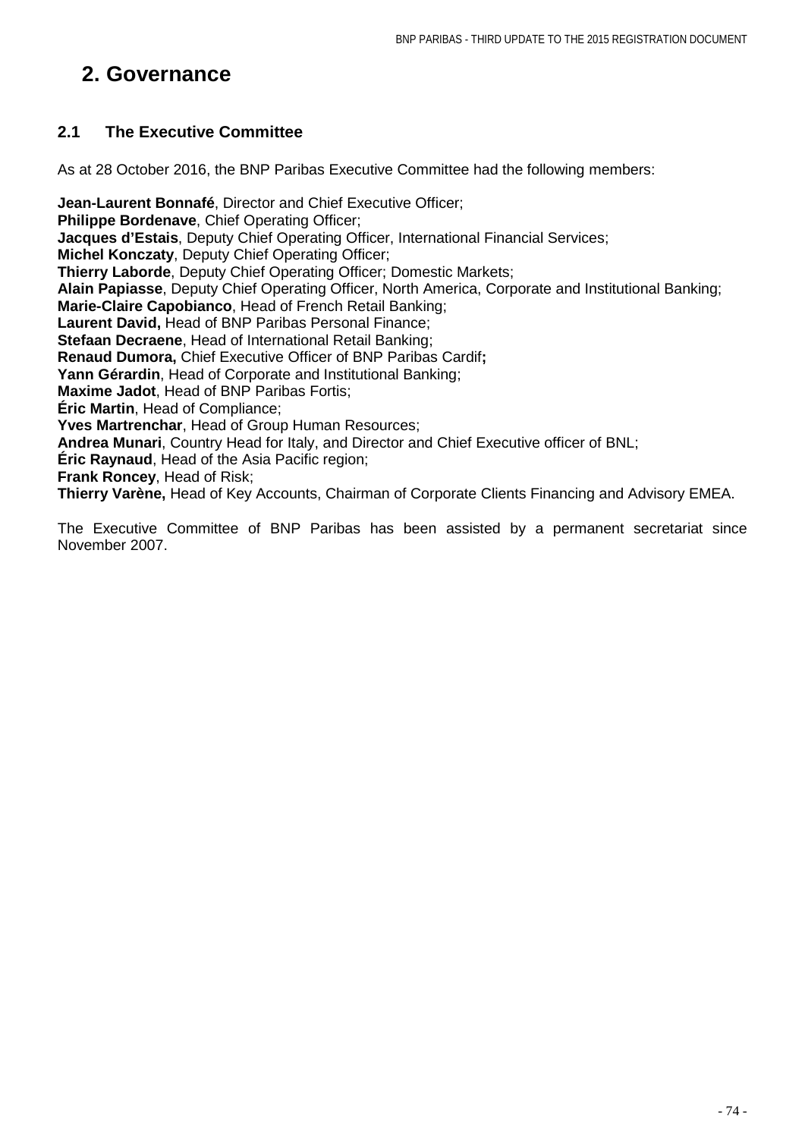## **2. Governance**

## **2.1 The Executive Committee**

As at 28 October 2016, the BNP Paribas Executive Committee had the following members:

**Jean-Laurent Bonnafé**, Director and Chief Executive Officer; **Philippe Bordenave**, Chief Operating Officer; **Jacques d'Estais**, Deputy Chief Operating Officer, International Financial Services; **Michel Konczaty**, Deputy Chief Operating Officer; **Thierry Laborde**, Deputy Chief Operating Officer; Domestic Markets; **Alain Papiasse**, Deputy Chief Operating Officer, North America, Corporate and Institutional Banking; **Marie-Claire Capobianco**, Head of French Retail Banking; **Laurent David,** Head of BNP Paribas Personal Finance; **Stefaan Decraene**, Head of International Retail Banking; **Renaud Dumora,** Chief Executive Officer of BNP Paribas Cardif**;** Yann Gérardin, Head of Corporate and Institutional Banking; **Maxime Jadot**, Head of BNP Paribas Fortis; **Éric Martin**, Head of Compliance; **Yves Martrenchar**, Head of Group Human Resources; **Andrea Munari**, Country Head for Italy, and Director and Chief Executive officer of BNL; **Éric Raynaud**, Head of the Asia Pacific region; **Frank Roncey**, Head of Risk; **Thierry Varène,** Head of Key Accounts, Chairman of Corporate Clients Financing and Advisory EMEA.

The Executive Committee of BNP Paribas has been assisted by a permanent secretariat since November 2007.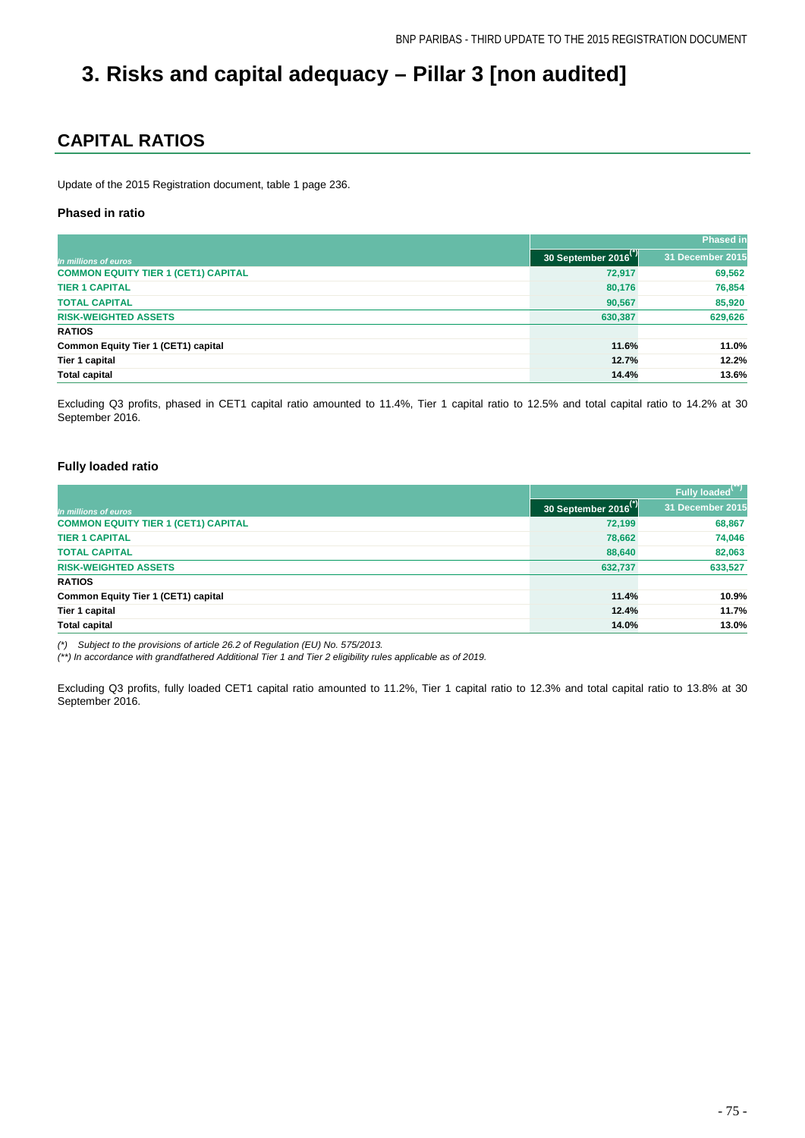## **3. Risks and capital adequacy – Pillar 3 [non audited]**

## **CAPITAL RATIOS**

Update of the 2015 Registration document, table 1 page 236.

#### **Phased in ratio**

| In millions of euros                       | 30 September 2016 <sup>(*)</sup> | 31 December 2015 |
|--------------------------------------------|----------------------------------|------------------|
| <b>COMMON EQUITY TIER 1 (CET1) CAPITAL</b> | 72,917                           | 69,562           |
| <b>TIER 1 CAPITAL</b>                      | 80,176                           | 76,854           |
| <b>TOTAL CAPITAL</b>                       | 90,567                           | 85,920           |
| <b>RISK-WEIGHTED ASSETS</b>                | 630,387                          | 629,626          |
| <b>RATIOS</b>                              |                                  |                  |
| Common Equity Tier 1 (CET1) capital        | 11.6%                            | 11.0%            |
| Tier 1 capital                             | 12.7%                            | 12.2%            |
| <b>Total capital</b>                       | 14.4%                            | 13.6%            |

Excluding Q3 profits, phased in CET1 capital ratio amounted to 11.4%, Tier 1 capital ratio to 12.5% and total capital ratio to 14.2% at 30 September 2016.

#### **Fully loaded ratio**

|                                            | Fully loaded <sup>(**)</sup>     |                  |  |
|--------------------------------------------|----------------------------------|------------------|--|
| In millions of euros                       | 30 September 2016 <sup>(*)</sup> | 31 December 2015 |  |
| <b>COMMON EQUITY TIER 1 (CET1) CAPITAL</b> | 72,199                           | 68,867           |  |
| <b>TIER 1 CAPITAL</b>                      | 78,662                           | 74,046           |  |
| <b>TOTAL CAPITAL</b>                       | 88,640                           | 82,063           |  |
| <b>RISK-WEIGHTED ASSETS</b>                | 632,737                          | 633,527          |  |
| <b>RATIOS</b>                              |                                  |                  |  |
| Common Equity Tier 1 (CET1) capital        | 11.4%                            | 10.9%            |  |
| Tier 1 capital                             | 12.4%                            | 11.7%            |  |
| <b>Total capital</b>                       | 14.0%                            | 13.0%            |  |

*(\*) Subject to the provisions of article 26.2 of Regulation (EU) No. 575/2013.*

*(\*\*) In accordance with grandfathered Additional Tier 1 and Tier 2 eligibility rules applicable as of 2019.*

Excluding Q3 profits, fully loaded CET1 capital ratio amounted to 11.2%, Tier 1 capital ratio to 12.3% and total capital ratio to 13.8% at 30 September 2016.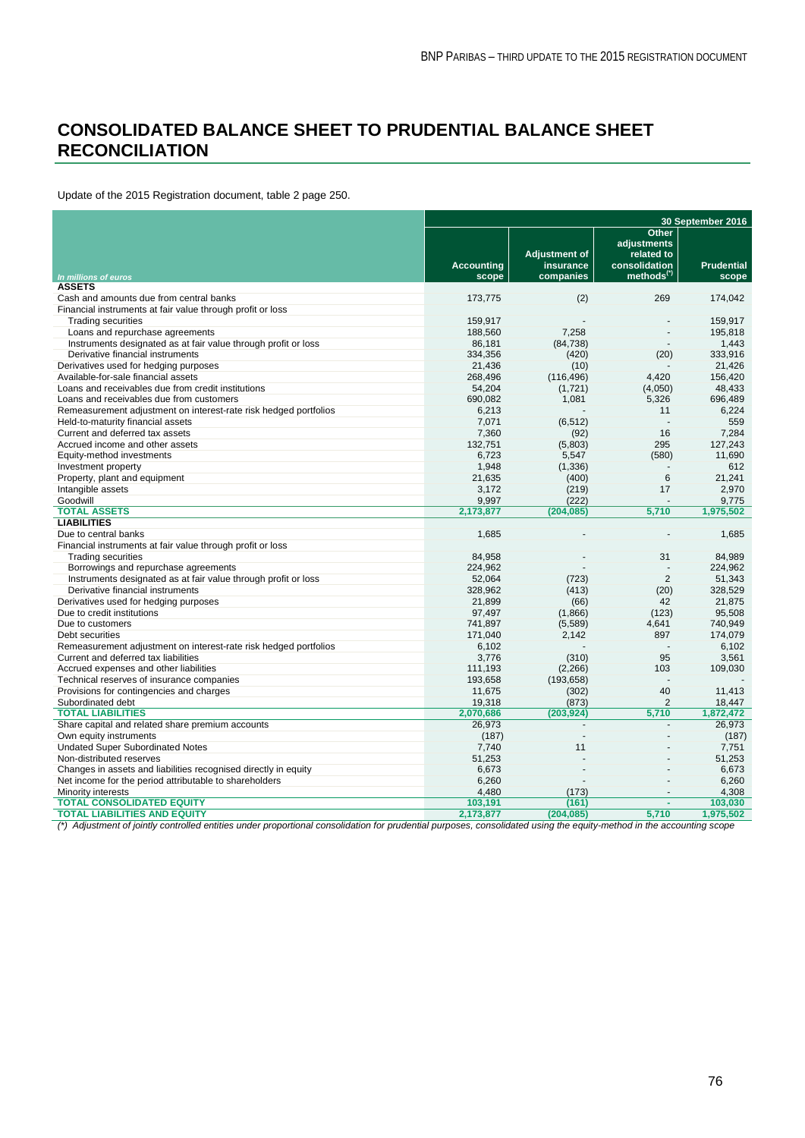## **CONSOLIDATED BALANCE SHEET TO PRUDENTIAL BALANCE SHEET RECONCILIATION**

Update of the 2015 Registration document, table 2 page 250.

|                                                                                                                           | 30 September 2016 |                                   |                                                     |                    |  |
|---------------------------------------------------------------------------------------------------------------------------|-------------------|-----------------------------------|-----------------------------------------------------|--------------------|--|
|                                                                                                                           | <b>Accounting</b> | <b>Adjustment of</b><br>insurance | Other<br>adjustments<br>related to<br>consolidation | <b>Prudential</b>  |  |
| In millions of euros<br><b>ASSETS</b>                                                                                     | scope             | companies                         | methods <sup>(*)</sup>                              | scope              |  |
|                                                                                                                           |                   |                                   |                                                     |                    |  |
| Cash and amounts due from central banks                                                                                   | 173,775           | (2)                               | 269                                                 | 174,042            |  |
| Financial instruments at fair value through profit or loss                                                                |                   |                                   |                                                     |                    |  |
| <b>Trading securities</b>                                                                                                 | 159,917           | 7.258                             |                                                     | 159,917            |  |
| Loans and repurchase agreements                                                                                           | 188,560           |                                   |                                                     | 195,818            |  |
| Instruments designated as at fair value through profit or loss                                                            | 86,181            | (84, 738)                         |                                                     | 1,443              |  |
| Derivative financial instruments                                                                                          | 334,356           | (420)                             | (20)                                                | 333,916            |  |
| Derivatives used for hedging purposes                                                                                     | 21,436            | (10)                              |                                                     | 21,426             |  |
| Available-for-sale financial assets                                                                                       | 268,496           | (116, 496)                        | 4,420                                               | 156,420            |  |
| Loans and receivables due from credit institutions                                                                        | 54,204            | (1, 721)                          | (4,050)                                             | 48,433             |  |
| Loans and receivables due from customers                                                                                  | 690,082           | 1,081                             | 5,326                                               | 696,489            |  |
| Remeasurement adjustment on interest-rate risk hedged portfolios                                                          | 6,213             |                                   | 11                                                  | 6,224              |  |
| Held-to-maturity financial assets                                                                                         | 7,071             | (6, 512)                          |                                                     | 559                |  |
| Current and deferred tax assets                                                                                           | 7,360             | (92)                              | 16                                                  | 7,284              |  |
| Accrued income and other assets                                                                                           | 132,751           | (5,803)                           | 295                                                 | 127,243            |  |
| Equity-method investments                                                                                                 | 6.723             | 5,547                             | (580)                                               | 11,690             |  |
| Investment property                                                                                                       | 1,948             | (1, 336)                          |                                                     | 612                |  |
| Property, plant and equipment                                                                                             | 21,635            | (400)                             | 6                                                   | 21,241             |  |
| Intangible assets                                                                                                         | 3,172             | (219)                             | 17                                                  | 2.970              |  |
| Goodwill<br><b>TOTAL ASSETS</b>                                                                                           | 9,997             | (222)                             |                                                     | 9,775              |  |
| <b>LIABILITIES</b>                                                                                                        | 2,173,877         | (204, 085)                        | 5,710                                               | 1,975,502          |  |
| Due to central banks                                                                                                      |                   |                                   |                                                     |                    |  |
| Financial instruments at fair value through profit or loss                                                                | 1,685             |                                   |                                                     | 1,685              |  |
|                                                                                                                           | 84,958            |                                   | 31                                                  |                    |  |
| <b>Trading securities</b>                                                                                                 |                   |                                   |                                                     | 84,989             |  |
| Borrowings and repurchase agreements<br>Instruments designated as at fair value through profit or loss                    | 224,962<br>52,064 | (723)                             | $\overline{2}$                                      | 224,962<br>51,343  |  |
| Derivative financial instruments                                                                                          | 328,962           |                                   | (20)                                                | 328,529            |  |
| Derivatives used for hedging purposes                                                                                     | 21,899            | (413)<br>(66)                     | 42                                                  | 21,875             |  |
| Due to credit institutions                                                                                                | 97,497            |                                   | (123)                                               | 95.508             |  |
|                                                                                                                           |                   | (1,866)                           |                                                     |                    |  |
| Due to customers                                                                                                          | 741,897           | (5,589)                           | 4,641<br>897                                        | 740,949<br>174,079 |  |
| Debt securities                                                                                                           | 171,040<br>6,102  | 2,142                             |                                                     |                    |  |
| Remeasurement adjustment on interest-rate risk hedged portfolios                                                          |                   |                                   | 95                                                  | 6,102              |  |
| Current and deferred tax liabilities                                                                                      | 3,776             | (310)<br>(2, 266)                 | 103                                                 | 3,561<br>109,030   |  |
| Accrued expenses and other liabilities                                                                                    | 111,193           |                                   |                                                     |                    |  |
| Technical reserves of insurance companies                                                                                 | 193,658           | (193, 658)                        |                                                     |                    |  |
| Provisions for contingencies and charges                                                                                  | 11,675            | (302)                             | 40<br>$\overline{2}$                                | 11,413             |  |
| Subordinated debt<br><b>TOTAL LIABILITIES</b>                                                                             | 19,318            | (873)                             | 5,710                                               | 18,447             |  |
|                                                                                                                           | 2,070,686         | (203, 924)                        |                                                     | 1,872,472          |  |
| Share capital and related share premium accounts                                                                          | 26,973            |                                   |                                                     | 26,973             |  |
| Own equity instruments<br><b>Undated Super Subordinated Notes</b>                                                         | (187)<br>7,740    | 11                                |                                                     | (187)<br>7,751     |  |
|                                                                                                                           |                   |                                   |                                                     |                    |  |
| Non-distributed reserves                                                                                                  | 51,253            |                                   |                                                     | 51,253             |  |
| Changes in assets and liabilities recognised directly in equity<br>Net income for the period attributable to shareholders | 6,673<br>6.260    |                                   |                                                     | 6,673              |  |
|                                                                                                                           | 4,480             |                                   |                                                     | 6,260<br>4,308     |  |
| Minority interests<br><b>TOTAL CONSOLIDATED EQUITY</b>                                                                    | 103,191           | (173)<br>(161)                    | ä,                                                  | 103,030            |  |
| <b>TOTAL LIABILITIES AND EQUITY</b>                                                                                       | 2,173,877         | (204, 085)                        | 5,710                                               | 1,975,502          |  |
|                                                                                                                           |                   |                                   |                                                     |                    |  |

*(\*) Adjustment of jointly controlled entities under proportional consolidation for prudential purposes, consolidated using the equity-method in the accounting scope*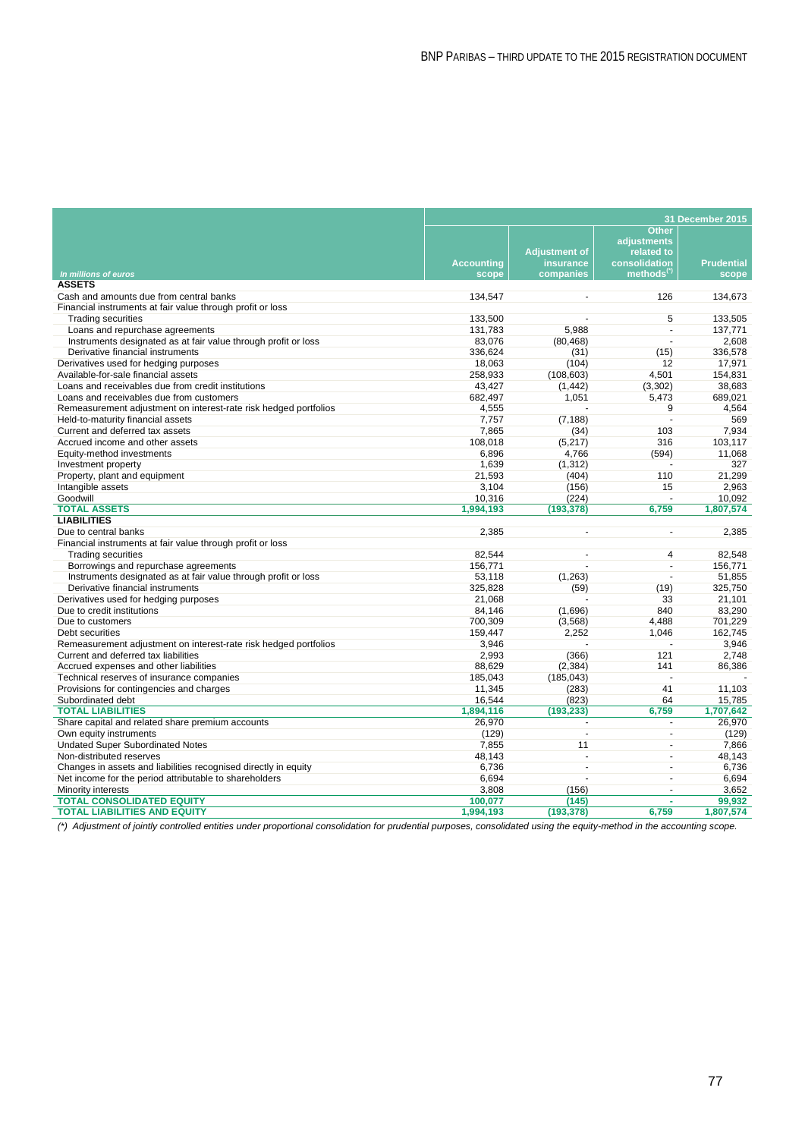|                                                                  | 31 December 2015  |                                   |                                                            |                   |  |
|------------------------------------------------------------------|-------------------|-----------------------------------|------------------------------------------------------------|-------------------|--|
|                                                                  | <b>Accounting</b> | <b>Adjustment of</b><br>insurance | <b>Other</b><br>adjustments<br>related to<br>consolidation | <b>Prudential</b> |  |
| In millions of euros                                             | scope             | companies                         | methods <sup>(*)</sup>                                     | scope             |  |
| <b>ASSETS</b>                                                    |                   |                                   |                                                            |                   |  |
| Cash and amounts due from central banks                          | 134,547           |                                   | 126                                                        | 134,673           |  |
| Financial instruments at fair value through profit or loss       |                   |                                   |                                                            |                   |  |
| <b>Trading securities</b>                                        | 133,500           |                                   | 5                                                          | 133,505           |  |
| Loans and repurchase agreements                                  | 131,783           | 5,988                             | ä,                                                         | 137.771           |  |
| Instruments designated as at fair value through profit or loss   | 83,076            | (80, 468)                         | $\overline{a}$                                             | 2,608             |  |
| Derivative financial instruments                                 | 336,624           | (31)                              | (15)                                                       | 336.578           |  |
| Derivatives used for hedging purposes                            | 18,063            | (104)                             | 12                                                         | 17,971            |  |
| Available-for-sale financial assets                              | 258,933           | (108, 603)                        | 4,501                                                      | 154,831           |  |
| Loans and receivables due from credit institutions               | 43,427            | (1, 442)                          | (3, 302)                                                   | 38,683            |  |
| Loans and receivables due from customers                         | 682,497           | 1,051                             | 5,473                                                      | 689,021           |  |
| Remeasurement adjustment on interest-rate risk hedged portfolios | 4,555             |                                   | 9                                                          | 4,564             |  |
| Held-to-maturity financial assets                                | 7,757             | (7, 188)                          | J.                                                         | 569               |  |
| Current and deferred tax assets                                  | 7,865             | (34)                              | 103                                                        | 7,934             |  |
| Accrued income and other assets                                  | 108,018           | (5,217)                           | 316                                                        | 103,117           |  |
| Equity-method investments                                        | 6,896             | 4,766                             | (594)                                                      | 11,068            |  |
| Investment property                                              | 1,639             | (1, 312)                          |                                                            | 327               |  |
| Property, plant and equipment                                    | 21,593            | (404)                             | 110                                                        | 21,299            |  |
| Intangible assets                                                | 3,104             | (156)                             | 15                                                         | 2,963             |  |
| Goodwill                                                         | 10,316            | (224)                             | ÷,                                                         | 10,092            |  |
| <b>TOTAL ASSETS</b>                                              | 1,994,193         | (193, 378)                        | 6,759                                                      | 1,807,574         |  |
| <b>LIABILITIES</b>                                               |                   |                                   |                                                            |                   |  |
| Due to central banks                                             | 2,385             | $\overline{\phantom{a}}$          | ÷.                                                         | 2,385             |  |
| Financial instruments at fair value through profit or loss       |                   |                                   |                                                            |                   |  |
| <b>Trading securities</b>                                        | 82.544            | $\overline{a}$                    | 4                                                          | 82.548            |  |
| Borrowings and repurchase agreements                             | 156,771           |                                   | $\sim$                                                     | 156.771           |  |
| Instruments designated as at fair value through profit or loss   | 53,118            | (1, 263)                          | $\sim$                                                     | 51.855            |  |
| Derivative financial instruments                                 | 325,828           | (59)                              | (19)                                                       | 325,750           |  |
| Derivatives used for hedging purposes                            | 21.068            |                                   | 33                                                         | 21.101            |  |
| Due to credit institutions                                       | 84,146            | (1,696)                           | 840                                                        | 83,290            |  |
| Due to customers                                                 | 700,309           | (3, 568)                          | 4,488                                                      | 701,229           |  |
| Debt securities                                                  | 159,447           | 2,252                             | 1,046                                                      | 162,745           |  |
| Remeasurement adjustment on interest-rate risk hedged portfolios | 3,946             |                                   |                                                            | 3,946             |  |
| Current and deferred tax liabilities                             | 2,993             | (366)                             | 121                                                        | 2,748             |  |
| Accrued expenses and other liabilities                           | 88,629            | (2, 384)                          | 141                                                        | 86,386            |  |
| Technical reserves of insurance companies                        | 185,043           | (185, 043)                        |                                                            |                   |  |
| Provisions for contingencies and charges                         | 11,345            | (283)                             | 41                                                         | 11,103            |  |
| Subordinated debt                                                | 16,544            | (823)                             | 64                                                         | 15,785            |  |
| <b>TOTAL LIABILITIES</b>                                         | 1,894,116         | (193, 233)                        | 6,759                                                      | 1,707,642         |  |
| Share capital and related share premium accounts                 | 26,970            |                                   | ÷,                                                         | 26,970            |  |
| Own equity instruments                                           | (129)             |                                   | $\sim$                                                     | (129)             |  |
| <b>Undated Super Subordinated Notes</b>                          | 7,855             | 11                                | $\blacksquare$                                             | 7,866             |  |
| Non-distributed reserves                                         | 48,143            | $\overline{\phantom{a}}$          | $\overline{\phantom{a}}$                                   | 48,143            |  |
| Changes in assets and liabilities recognised directly in equity  | 6,736             | ÷,                                | ٠                                                          | 6,736             |  |
| Net income for the period attributable to shareholders           | 6,694             | $\ddot{\phantom{1}}$              | $\mathbf{r}$                                               | 6,694             |  |
| <b>Minority interests</b>                                        | 3,808             | (156)                             | ÷,                                                         | 3,652             |  |
| <b>TOTAL CONSOLIDATED EQUITY</b>                                 | 100,077           | (145)                             | ٠                                                          | 99,932            |  |
| <b>TOTAL LIABILITIES AND EQUITY</b>                              | 1,994,193         | (193, 378)                        | 6,759                                                      | 1,807,574         |  |
|                                                                  |                   |                                   |                                                            |                   |  |

*(\*) Adjustment of jointly controlled entities under proportional consolidation for prudential purposes, consolidated using the equity-method in the accounting scope.*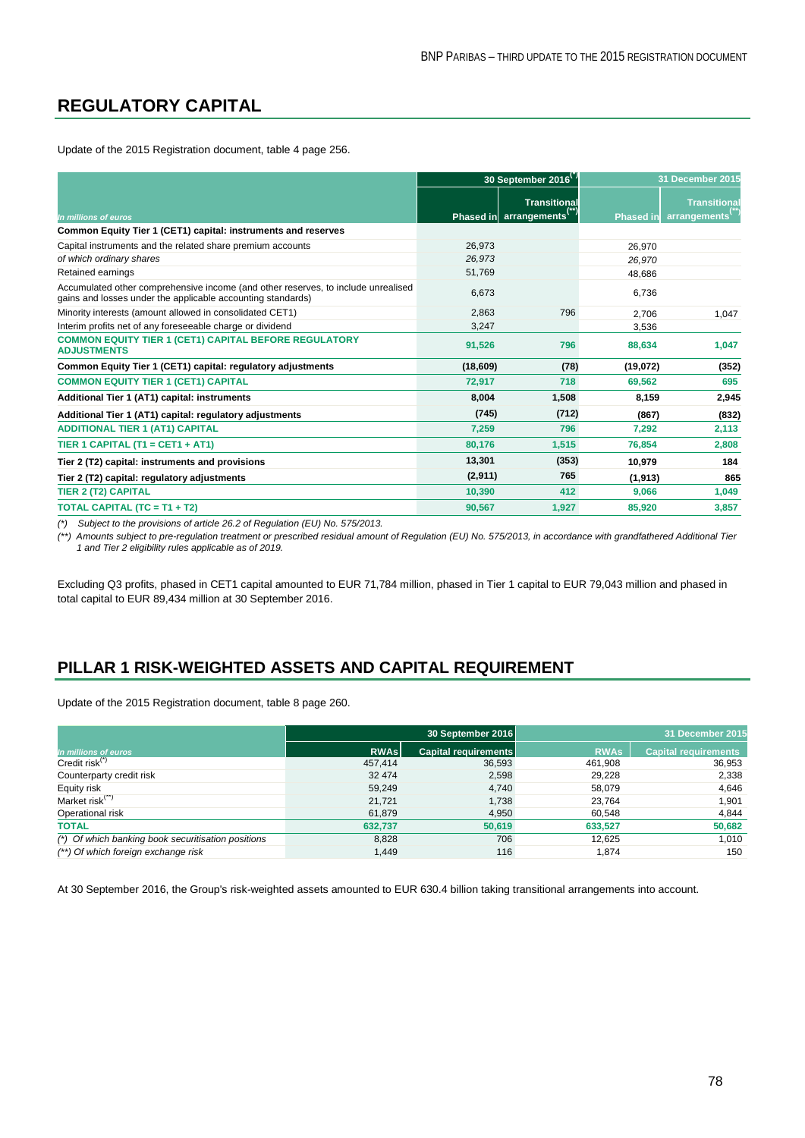## **REGULATORY CAPITAL**

Update of the 2015 Registration document, table 4 page 256.

|        |                     | <b>31 December 2015</b>                                              |                                      |
|--------|---------------------|----------------------------------------------------------------------|--------------------------------------|
|        | <b>Transitional</b> | <b>Phased in</b>                                                     | <b>Transitional</b><br>arrangements' |
|        |                     |                                                                      |                                      |
| 26,973 |                     | 26.970                                                               |                                      |
| 26,973 |                     | 26,970                                                               |                                      |
| 51.769 |                     | 48,686                                                               |                                      |
| 6,673  |                     | 6,736                                                                |                                      |
| 2,863  | 796                 | 2,706                                                                | 1,047                                |
| 3,247  |                     | 3,536                                                                |                                      |
| 91,526 | 796                 | 88,634                                                               | 1,047                                |
|        | (78)                | (19,072)                                                             | (352)                                |
| 72,917 | 718                 | 69,562                                                               | 695                                  |
| 8,004  | 1,508               | 8,159                                                                | 2,945                                |
| (745)  | (712)               | (867)                                                                | (832)                                |
| 7,259  | 796                 | 7,292                                                                | 2,113                                |
| 80,176 | 1,515               | 76,854                                                               | 2,808                                |
| 13,301 | (353)               | 10,979                                                               | 184                                  |
|        | 765                 | (1, 913)                                                             | 865                                  |
| 10,390 | 412                 | 9,066                                                                | 1,049                                |
| 90,567 | 1.927               | 85,920                                                               | 3.857                                |
|        |                     | 30 September 2016<br>Phased in arrangements'<br>(18, 609)<br>(2,911) |                                      |

*(\*) Subject to the provisions of article 26.2 of Regulation (EU) No. 575/2013.*

*(\*\*) Amounts subject to pre-regulation treatment or prescribed residual amount of Regulation (EU) No. 575/2013, in accordance with grandfathered Additional Tier 1 and Tier 2 eligibility rules applicable as of 2019.*

Excluding Q3 profits, phased in CET1 capital amounted to EUR 71,784 million, phased in Tier 1 capital to EUR 79,043 million and phased in total capital to EUR 89,434 million at 30 September 2016.

## **PILLAR 1 RISK-WEIGHTED ASSETS AND CAPITAL REQUIREMENT**

Update of the 2015 Registration document, table 8 page 260.

|                                                    |             | 30 September 2016    |             | 31 December 2015            |
|----------------------------------------------------|-------------|----------------------|-------------|-----------------------------|
| In millions of euros                               | <b>RWAs</b> | Capital requirements | <b>RWAs</b> | <b>Capital requirements</b> |
| Credit risk $(7)$                                  | 457.414     | 36,593               | 461,908     | 36,953                      |
| Counterparty credit risk                           | 32 474      | 2,598                | 29,228      | 2,338                       |
| Equity risk                                        | 59,249      | 4.740                | 58,079      | 4,646                       |
| Market risk <sup>(**)</sup>                        | 21.721      | 1.738                | 23,764      | 1,901                       |
| Operational risk                                   | 61.879      | 4,950                | 60,548      | 4.844                       |
| <b>TOTAL</b>                                       | 632,737     | 50,619               | 633,527     | 50,682                      |
| (*) Of which banking book securitisation positions | 8,828       | 706                  | 12.625      | 1.010                       |
| (**) Of which foreign exchange risk                | 1,449       | 116                  | 1,874       | 150                         |

At 30 September 2016, the Group's risk-weighted assets amounted to EUR 630.4 billion taking transitional arrangements into account.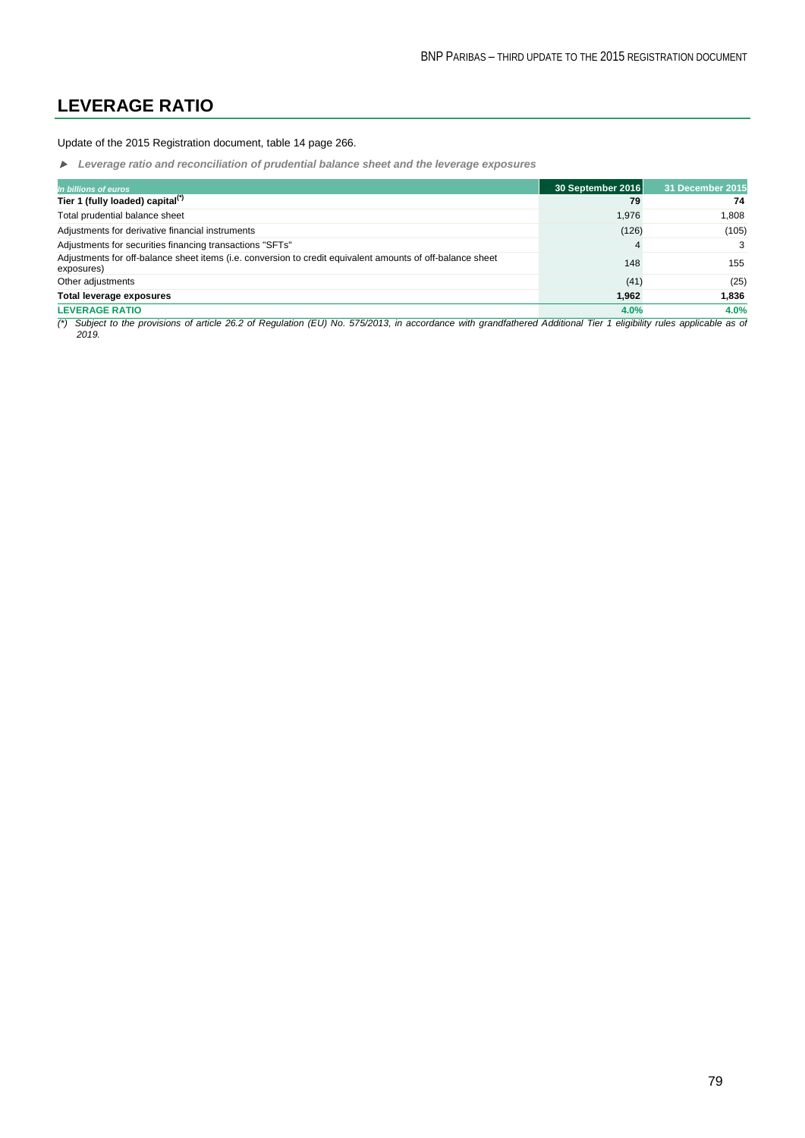## **LEVERAGE RATIO**

#### Update of the 2015 Registration document, table 14 page 266.

*Leverage ratio and reconciliation of prudential balance sheet and the leverage exposures*

| In billions of euros                                                                                                     | 30 September 2016 | 31 December 2015 |
|--------------------------------------------------------------------------------------------------------------------------|-------------------|------------------|
| Tier 1 (fully loaded) capital <sup>(7)</sup>                                                                             | 79                | 74               |
| Total prudential balance sheet                                                                                           | 1.976             | 1.808            |
| Adjustments for derivative financial instruments                                                                         | (126)             | (105)            |
| Adjustments for securities financing transactions "SFTs"                                                                 |                   | 3                |
| Adjustments for off-balance sheet items (i.e. conversion to credit equivalent amounts of off-balance sheet<br>exposures) | 148               | 155              |
| Other adjustments                                                                                                        | (41)              | (25)             |
| Total leverage exposures                                                                                                 | 1.962             | 1.836            |
| <b>LEVERAGE RATIO</b>                                                                                                    | 4.0%              | 4.0%             |
| الناقات المستحين والمستقر والمتحاملين المستحيل المستحيل المستحيل المستحيل المستحيل والمستحيل المستحيل والمستحيل          |                   |                  |

*(\*) Subject to the provisions of article 26.2 of Regulation (EU) No. 575/2013, in accordance with grandfathered Additional Tier 1 eligibility rules applicable as of 2019.*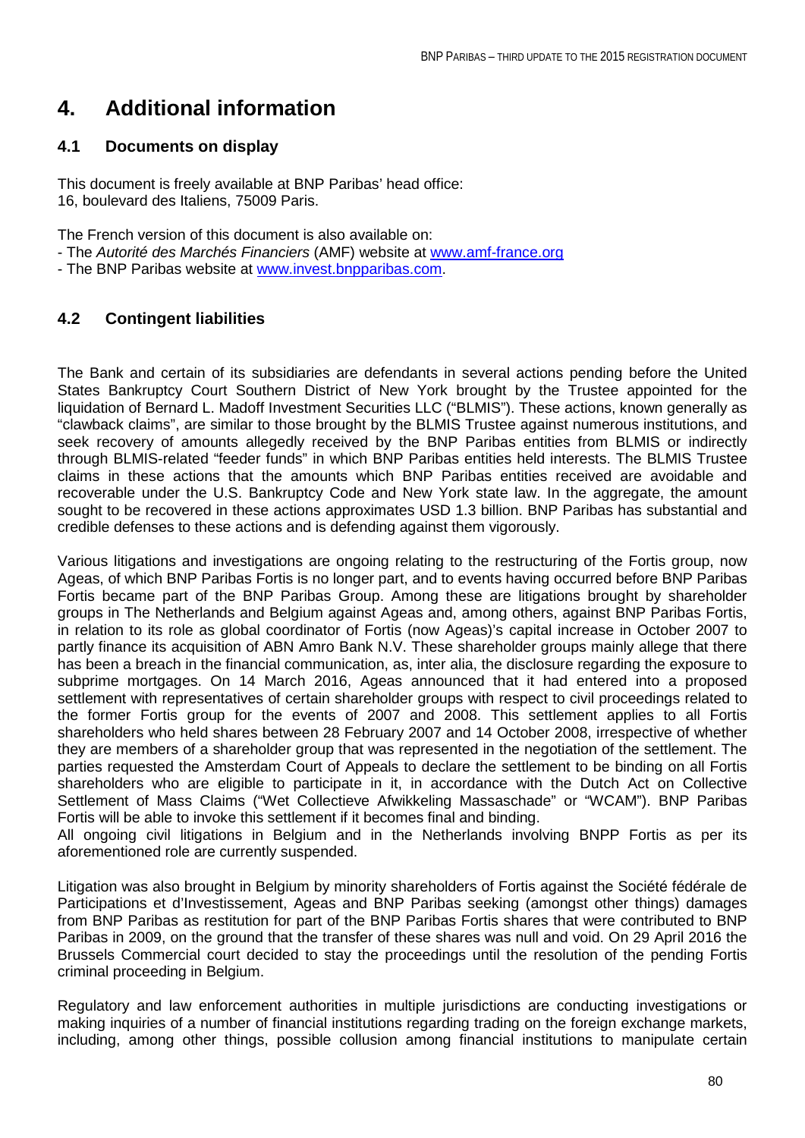## **4. Additional information**

### **4.1 Documents on display**

This document is freely available at BNP Paribas' head office: 16, boulevard des Italiens, 75009 Paris.

The French version of this document is also available on:

- The *Autorité des Marchés Financiers* (AMF) website at [www.amf-france.org](http://www.amf-france.org/)
- The BNP Paribas website at [www.invest.bnpparibas.com.](http://www.invest.bnpparibas.com/)

## **4.2 Contingent liabilities**

The Bank and certain of its subsidiaries are defendants in several actions pending before the United States Bankruptcy Court Southern District of New York brought by the Trustee appointed for the liquidation of Bernard L. Madoff Investment Securities LLC ("BLMIS"). These actions, known generally as "clawback claims", are similar to those brought by the BLMIS Trustee against numerous institutions, and seek recovery of amounts allegedly received by the BNP Paribas entities from BLMIS or indirectly through BLMIS-related "feeder funds" in which BNP Paribas entities held interests. The BLMIS Trustee claims in these actions that the amounts which BNP Paribas entities received are avoidable and recoverable under the U.S. Bankruptcy Code and New York state law. In the aggregate, the amount sought to be recovered in these actions approximates USD 1.3 billion. BNP Paribas has substantial and credible defenses to these actions and is defending against them vigorously.

Various litigations and investigations are ongoing relating to the restructuring of the Fortis group, now Ageas, of which BNP Paribas Fortis is no longer part, and to events having occurred before BNP Paribas Fortis became part of the BNP Paribas Group. Among these are litigations brought by shareholder groups in The Netherlands and Belgium against Ageas and, among others, against BNP Paribas Fortis, in relation to its role as global coordinator of Fortis (now Ageas)'s capital increase in October 2007 to partly finance its acquisition of ABN Amro Bank N.V. These shareholder groups mainly allege that there has been a breach in the financial communication, as, inter alia, the disclosure regarding the exposure to subprime mortgages. On 14 March 2016, Ageas announced that it had entered into a proposed settlement with representatives of certain shareholder groups with respect to civil proceedings related to the former Fortis group for the events of 2007 and 2008. This settlement applies to all Fortis shareholders who held shares between 28 February 2007 and 14 October 2008, irrespective of whether they are members of a shareholder group that was represented in the negotiation of the settlement. The parties requested the Amsterdam Court of Appeals to declare the settlement to be binding on all Fortis shareholders who are eligible to participate in it, in accordance with the Dutch Act on Collective Settlement of Mass Claims ("Wet Collectieve Afwikkeling Massaschade" or "WCAM"). BNP Paribas Fortis will be able to invoke this settlement if it becomes final and binding.

All ongoing civil litigations in Belgium and in the Netherlands involving BNPP Fortis as per its aforementioned role are currently suspended.

Litigation was also brought in Belgium by minority shareholders of Fortis against the Société fédérale de Participations et d'Investissement, Ageas and BNP Paribas seeking (amongst other things) damages from BNP Paribas as restitution for part of the BNP Paribas Fortis shares that were contributed to BNP Paribas in 2009, on the ground that the transfer of these shares was null and void. On 29 April 2016 the Brussels Commercial court decided to stay the proceedings until the resolution of the pending Fortis criminal proceeding in Belgium.

Regulatory and law enforcement authorities in multiple jurisdictions are conducting investigations or making inquiries of a number of financial institutions regarding trading on the foreign exchange markets, including, among other things, possible collusion among financial institutions to manipulate certain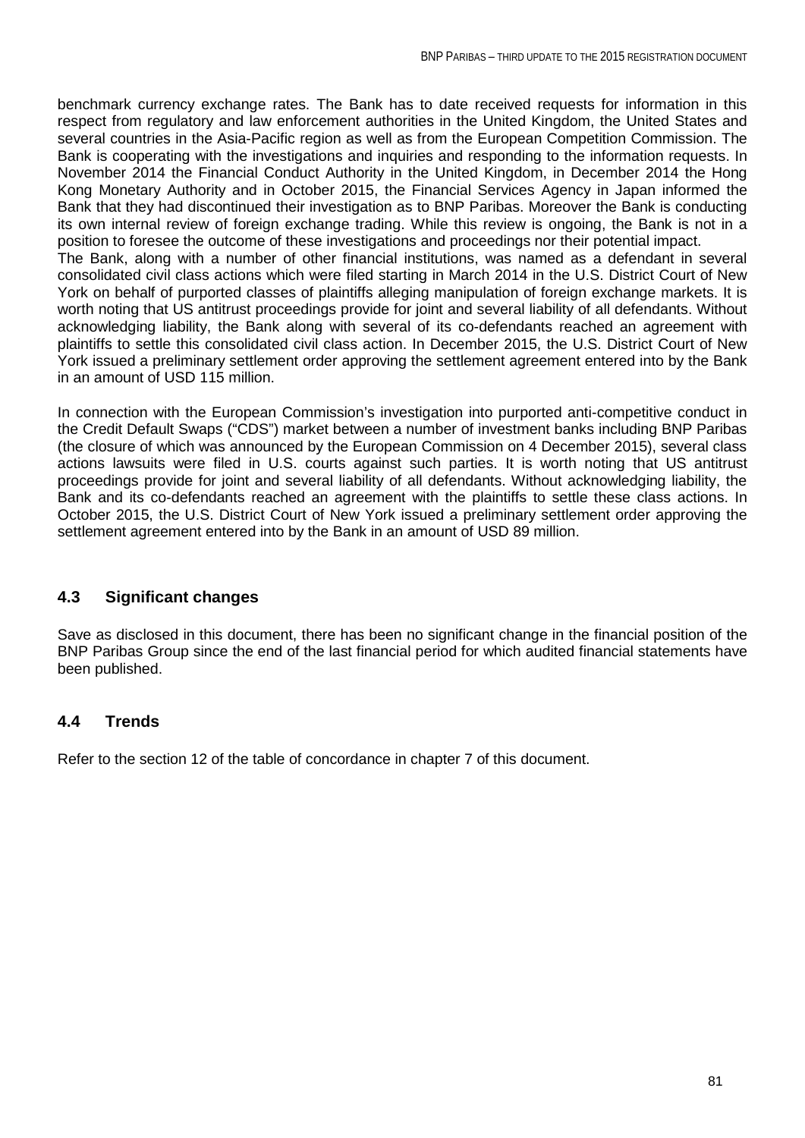benchmark currency exchange rates. The Bank has to date received requests for information in this respect from regulatory and law enforcement authorities in the United Kingdom, the United States and several countries in the Asia-Pacific region as well as from the European Competition Commission. The Bank is cooperating with the investigations and inquiries and responding to the information requests. In November 2014 the Financial Conduct Authority in the United Kingdom, in December 2014 the Hong Kong Monetary Authority and in October 2015, the Financial Services Agency in Japan informed the Bank that they had discontinued their investigation as to BNP Paribas. Moreover the Bank is conducting its own internal review of foreign exchange trading. While this review is ongoing, the Bank is not in a position to foresee the outcome of these investigations and proceedings nor their potential impact. The Bank, along with a number of other financial institutions, was named as a defendant in several consolidated civil class actions which were filed starting in March 2014 in the U.S. District Court of New York on behalf of purported classes of plaintiffs alleging manipulation of foreign exchange markets. It is

worth noting that US antitrust proceedings provide for joint and several liability of all defendants. Without acknowledging liability, the Bank along with several of its co-defendants reached an agreement with plaintiffs to settle this consolidated civil class action. In December 2015, the U.S. District Court of New York issued a preliminary settlement order approving the settlement agreement entered into by the Bank in an amount of USD 115 million.

In connection with the European Commission's investigation into purported anti-competitive conduct in the Credit Default Swaps ("CDS") market between a number of investment banks including BNP Paribas (the closure of which was announced by the European Commission on 4 December 2015), several class actions lawsuits were filed in U.S. courts against such parties. It is worth noting that US antitrust proceedings provide for joint and several liability of all defendants. Without acknowledging liability, the Bank and its co-defendants reached an agreement with the plaintiffs to settle these class actions. In October 2015, the U.S. District Court of New York issued a preliminary settlement order approving the settlement agreement entered into by the Bank in an amount of USD 89 million.

## **4.3 Significant changes**

Save as disclosed in this document, there has been no significant change in the financial position of the BNP Paribas Group since the end of the last financial period for which audited financial statements have been published.

## **4.4 Trends**

Refer to the section 12 of the table of concordance in chapter 7 of this document.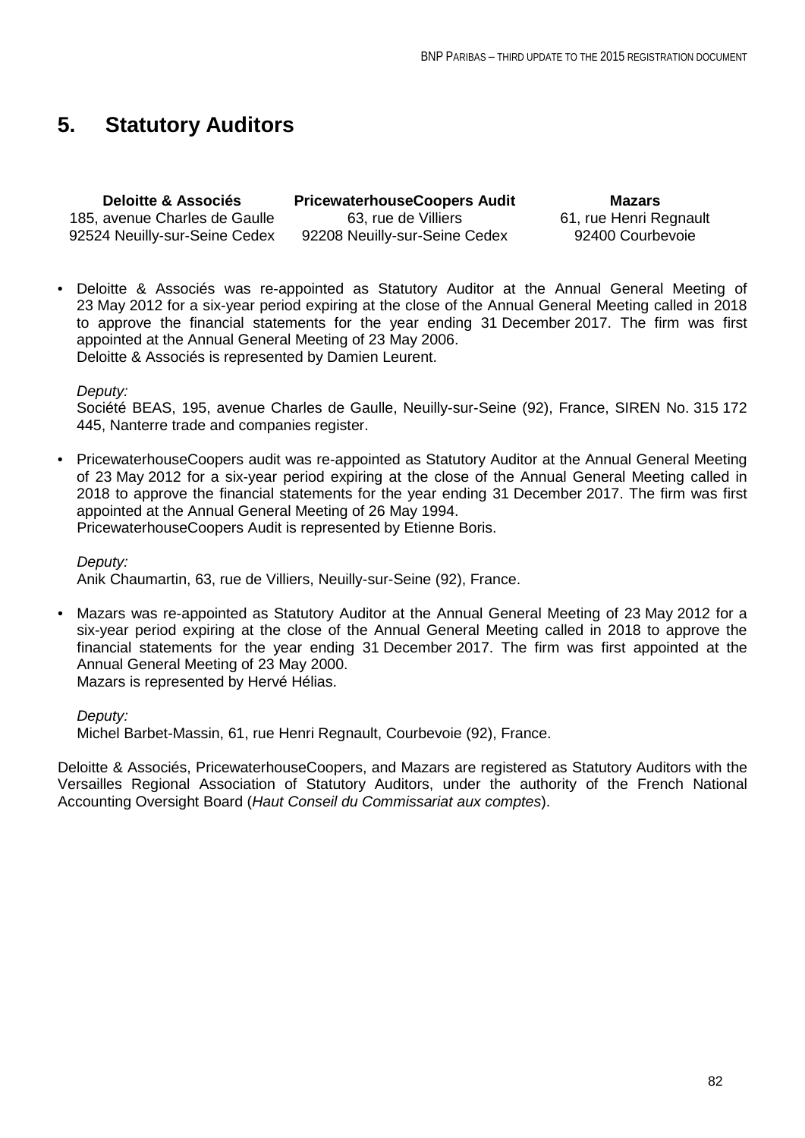## **5. Statutory Auditors**

**Deloitte & Associés** 185, avenue Charles de Gaulle 92524 Neuilly-sur-Seine Cedex **PricewaterhouseCoopers Audit** 63, rue de Villiers 92208 Neuilly-sur-Seine Cedex

**Mazars** 61, rue Henri Regnault 92400 Courbevoie

• Deloitte & Associés was re-appointed as Statutory Auditor at the Annual General Meeting of 23 May 2012 for a six-year period expiring at the close of the Annual General Meeting called in 2018 to approve the financial statements for the year ending 31 December 2017. The firm was first appointed at the Annual General Meeting of 23 May 2006. Deloitte & Associés is represented by Damien Leurent.

#### *Deputy:*

Société BEAS, 195, avenue Charles de Gaulle, Neuilly-sur-Seine (92), France, SIREN No. 315 172 445, Nanterre trade and companies register.

• PricewaterhouseCoopers audit was re-appointed as Statutory Auditor at the Annual General Meeting of 23 May 2012 for a six-year period expiring at the close of the Annual General Meeting called in 2018 to approve the financial statements for the year ending 31 December 2017. The firm was first appointed at the Annual General Meeting of 26 May 1994.

PricewaterhouseCoopers Audit is represented by Etienne Boris.

*Deputy:*

Anik Chaumartin, 63, rue de Villiers, Neuilly-sur-Seine (92), France.

• Mazars was re-appointed as Statutory Auditor at the Annual General Meeting of 23 May 2012 for a six-year period expiring at the close of the Annual General Meeting called in 2018 to approve the financial statements for the year ending 31 December 2017. The firm was first appointed at the Annual General Meeting of 23 May 2000.

Mazars is represented by Hervé Hélias.

*Deputy:*

Michel Barbet-Massin, 61, rue Henri Regnault, Courbevoie (92), France.

Deloitte & Associés, PricewaterhouseCoopers, and Mazars are registered as Statutory Auditors with the Versailles Regional Association of Statutory Auditors, under the authority of the French National Accounting Oversight Board (*Haut Conseil du Commissariat aux comptes*).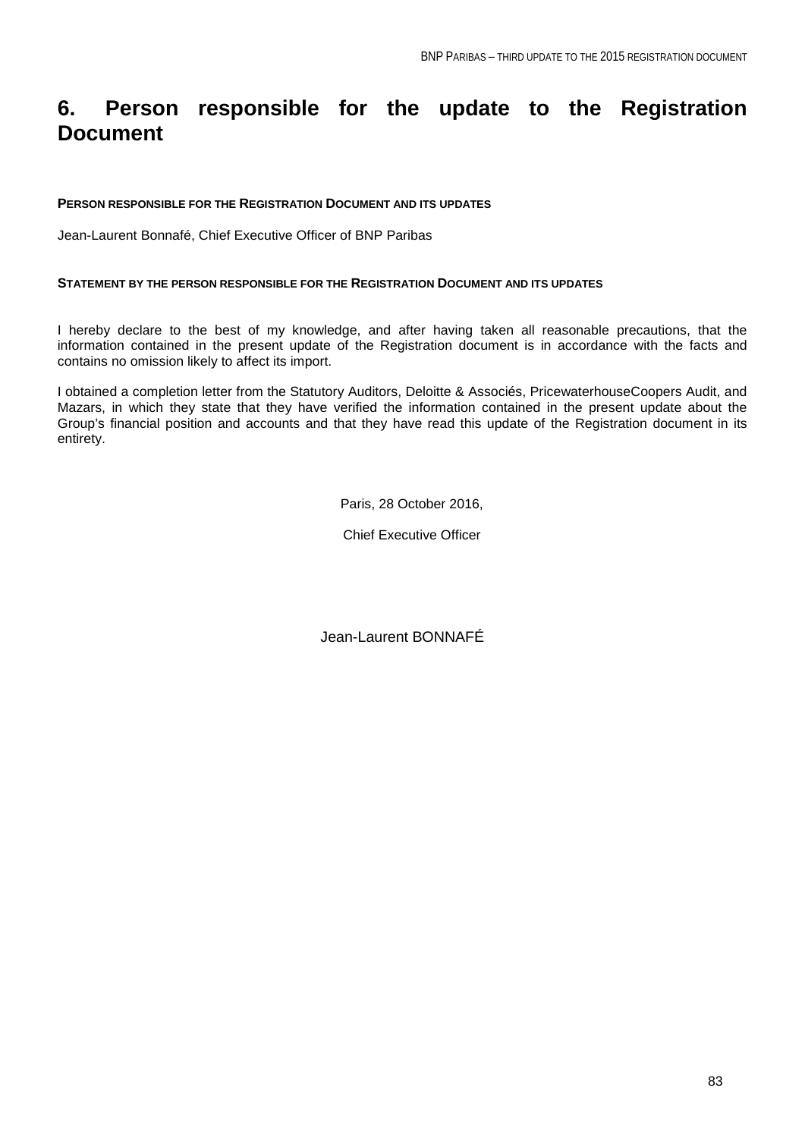## **6. Person responsible for the update to the Registration Document**

#### **PERSON RESPONSIBLE FOR THE REGISTRATION DOCUMENT AND ITS UPDATES**

Jean-Laurent Bonnafé, Chief Executive Officer of BNP Paribas

#### **STATEMENT BY THE PERSON RESPONSIBLE FOR THE REGISTRATION DOCUMENT AND ITS UPDATES**

I hereby declare to the best of my knowledge, and after having taken all reasonable precautions, that the information contained in the present update of the Registration document is in accordance with the facts and contains no omission likely to affect its import.

I obtained a completion letter from the Statutory Auditors, Deloitte & Associés, PricewaterhouseCoopers Audit, and Mazars, in which they state that they have verified the information contained in the present update about the Group's financial position and accounts and that they have read this update of the Registration document in its entirety.

Paris, 28 October 2016,

Chief Executive Officer

Jean-Laurent BONNAFÉ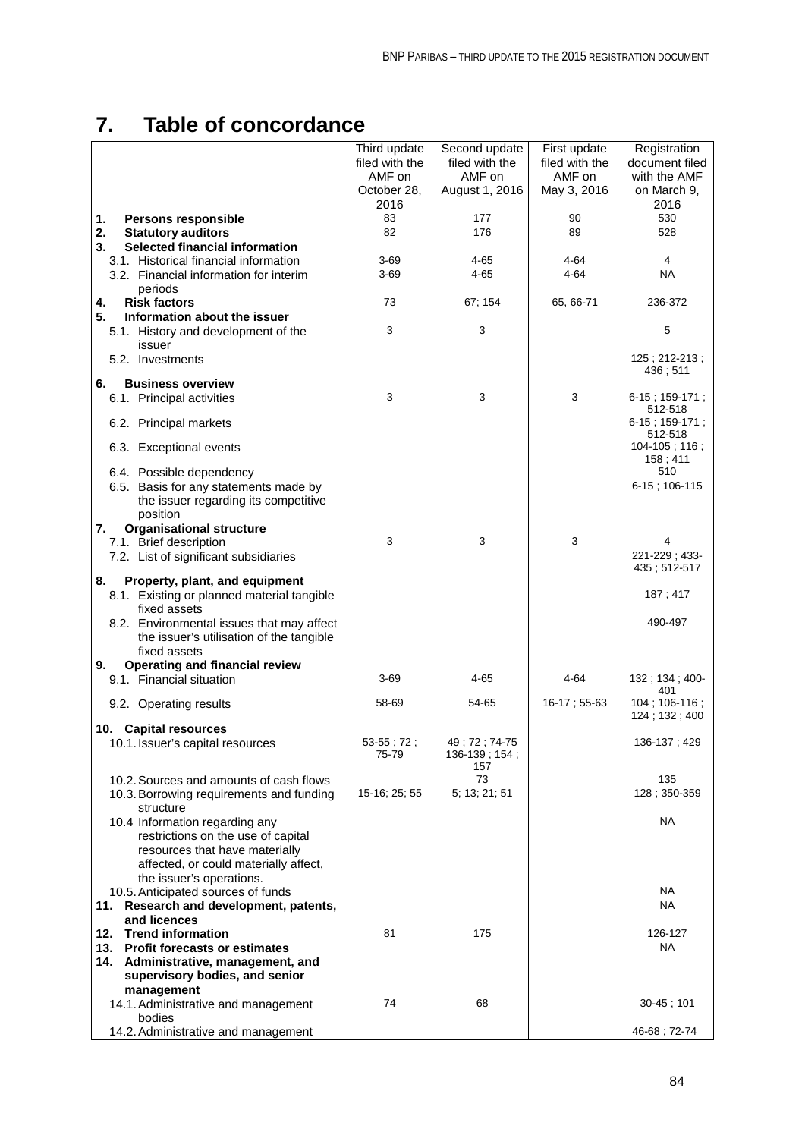# **7. Table of concordance**

|                                                                      | Third update<br>filed with the<br>AMF on | Second update<br>filed with the<br>AMF on | First update<br>filed with the<br>AMF on | Registration<br>document filed<br>with the AMF |
|----------------------------------------------------------------------|------------------------------------------|-------------------------------------------|------------------------------------------|------------------------------------------------|
|                                                                      | October 28,<br>2016                      | August 1, 2016                            | May 3, 2016                              | on March 9,<br>2016                            |
| Persons responsible<br>1.                                            | 83                                       | 177                                       | 90                                       | 530                                            |
| 2.<br><b>Statutory auditors</b>                                      | 82                                       | 176                                       | 89                                       | 528                                            |
| 3.<br><b>Selected financial information</b>                          |                                          |                                           |                                          |                                                |
| 3.1. Historical financial information                                | $3-69$                                   | 4-65                                      | 4-64                                     | 4                                              |
| 3.2. Financial information for interim                               | $3 - 69$                                 | $4 - 65$                                  | 4-64                                     | NA                                             |
| periods                                                              |                                          |                                           |                                          |                                                |
| 4.<br><b>Risk factors</b>                                            | 73                                       | 67; 154                                   | 65, 66-71                                | 236-372                                        |
| 5.<br>Information about the issuer                                   | 3                                        | 3                                         |                                          | 5                                              |
| 5.1. History and development of the<br>issuer                        |                                          |                                           |                                          |                                                |
| 5.2. Investments                                                     |                                          |                                           |                                          | $125$ ; 212-213;                               |
|                                                                      |                                          |                                           |                                          | 436; 511                                       |
| <b>Business overview</b><br>6.                                       |                                          |                                           |                                          |                                                |
| 6.1. Principal activities                                            | 3                                        | 3                                         | 3                                        | $6-15$ ; 159-171;                              |
|                                                                      |                                          |                                           |                                          | 512-518                                        |
| 6.2. Principal markets                                               |                                          |                                           |                                          | $6-15$ ; 159-171;<br>512-518                   |
| 6.3. Exceptional events                                              |                                          |                                           |                                          | $104 - 105$ ; 116;                             |
|                                                                      |                                          |                                           |                                          | 158; 411                                       |
| 6.4. Possible dependency                                             |                                          |                                           |                                          | 510                                            |
| 6.5. Basis for any statements made by                                |                                          |                                           |                                          | $6-15$ ; 106-115                               |
| the issuer regarding its competitive                                 |                                          |                                           |                                          |                                                |
| position                                                             |                                          |                                           |                                          |                                                |
| <b>Organisational structure</b><br>7.                                | 3                                        | 3                                         | 3                                        | 4                                              |
| 7.1. Brief description<br>7.2. List of significant subsidiaries      |                                          |                                           |                                          | 221-229; 433-                                  |
|                                                                      |                                          |                                           |                                          | 435; 512-517                                   |
| 8.<br>Property, plant, and equipment                                 |                                          |                                           |                                          |                                                |
| 8.1. Existing or planned material tangible                           |                                          |                                           |                                          | 187; 417                                       |
| fixed assets                                                         |                                          |                                           |                                          |                                                |
| 8.2. Environmental issues that may affect                            |                                          |                                           |                                          | 490-497                                        |
| the issuer's utilisation of the tangible<br>fixed assets             |                                          |                                           |                                          |                                                |
| <b>Operating and financial review</b><br>9.                          |                                          |                                           |                                          |                                                |
| 9.1. Financial situation                                             | $3-69$                                   | 4-65                                      | 4-64                                     | 132; 134; 400-                                 |
|                                                                      |                                          |                                           |                                          | 401                                            |
| 9.2. Operating results                                               | 58-69                                    | 54-65                                     | 16-17; 55-63                             | $104$ ; 106-116;                               |
| 10. Capital resources                                                |                                          |                                           |                                          | $124$ ; $132$ ; $400$                          |
| 10.1. Issuer's capital resources                                     | $53 - 55 : 72 :$                         | 49; 72; 74-75                             |                                          | 136-137; 429                                   |
|                                                                      | 75-79                                    | 136-139; 154;                             |                                          |                                                |
|                                                                      |                                          | 157                                       |                                          |                                                |
| 10.2. Sources and amounts of cash flows                              |                                          | 73                                        |                                          | 135                                            |
| 10.3. Borrowing requirements and funding<br>structure                | 15-16; 25; 55                            | 5; 13; 21; 51                             |                                          | 128; 350-359                                   |
| 10.4 Information regarding any                                       |                                          |                                           |                                          | NA                                             |
| restrictions on the use of capital                                   |                                          |                                           |                                          |                                                |
| resources that have materially                                       |                                          |                                           |                                          |                                                |
| affected, or could materially affect,                                |                                          |                                           |                                          |                                                |
| the issuer's operations.                                             |                                          |                                           |                                          |                                                |
| 10.5. Anticipated sources of funds                                   |                                          |                                           |                                          | NA.                                            |
| Research and development, patents,<br>11.                            |                                          |                                           |                                          | NA                                             |
| and licences                                                         | 81                                       | 175                                       |                                          | 126-127                                        |
| <b>Trend information</b><br>12.<br>13. Profit forecasts or estimates |                                          |                                           |                                          | <b>NA</b>                                      |
| 14. Administrative, management, and                                  |                                          |                                           |                                          |                                                |
| supervisory bodies, and senior                                       |                                          |                                           |                                          |                                                |
| management                                                           |                                          |                                           |                                          |                                                |
| 14.1. Administrative and management                                  | 74                                       | 68                                        |                                          | $30 - 45$ ; 101                                |
| bodies                                                               |                                          |                                           |                                          |                                                |
| 14.2. Administrative and management                                  |                                          |                                           |                                          | 46-68; 72-74                                   |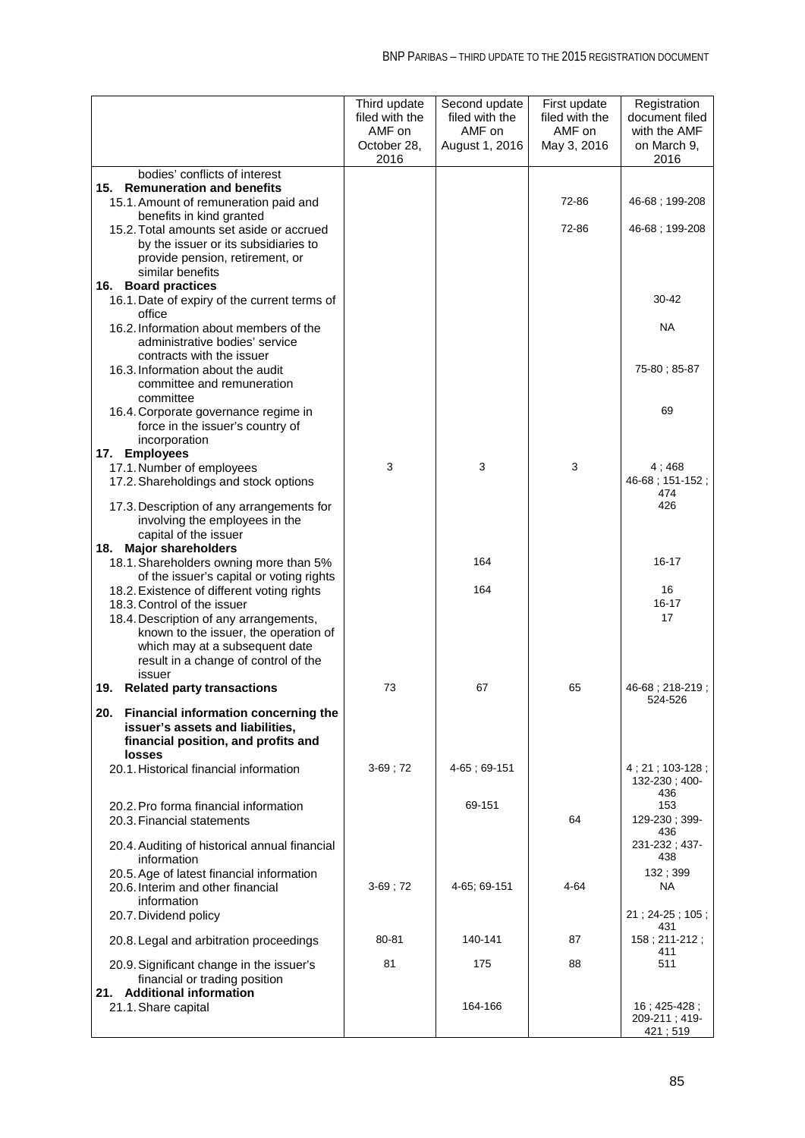|                                                                                                                                                                                                                                                                                              | Third update<br>filed with the<br>AMF on<br>October 28,<br>2016 | Second update<br>filed with the<br>AMF on<br>August 1, 2016 | First update<br>filed with the<br>AMF on<br>May 3, 2016 | Registration<br>document filed<br>with the AMF<br>on March 9,<br>2016 |
|----------------------------------------------------------------------------------------------------------------------------------------------------------------------------------------------------------------------------------------------------------------------------------------------|-----------------------------------------------------------------|-------------------------------------------------------------|---------------------------------------------------------|-----------------------------------------------------------------------|
| bodies' conflicts of interest                                                                                                                                                                                                                                                                |                                                                 |                                                             |                                                         |                                                                       |
| 15. Remuneration and benefits<br>15.1. Amount of remuneration paid and                                                                                                                                                                                                                       |                                                                 |                                                             | 72-86                                                   | 46-68; 199-208                                                        |
| benefits in kind granted<br>15.2. Total amounts set aside or accrued<br>by the issuer or its subsidiaries to                                                                                                                                                                                 |                                                                 |                                                             | 72-86                                                   | 46-68; 199-208                                                        |
| provide pension, retirement, or<br>similar benefits                                                                                                                                                                                                                                          |                                                                 |                                                             |                                                         |                                                                       |
| 16. Board practices<br>16.1. Date of expiry of the current terms of<br>office                                                                                                                                                                                                                |                                                                 |                                                             |                                                         | 30-42                                                                 |
| 16.2. Information about members of the<br>administrative bodies' service                                                                                                                                                                                                                     |                                                                 |                                                             |                                                         | <b>NA</b>                                                             |
| contracts with the issuer<br>16.3. Information about the audit<br>committee and remuneration                                                                                                                                                                                                 |                                                                 |                                                             |                                                         | 75-80; 85-87                                                          |
| committee<br>16.4. Corporate governance regime in<br>force in the issuer's country of<br>incorporation<br>17. Employees                                                                                                                                                                      |                                                                 |                                                             |                                                         | 69                                                                    |
| 17.1. Number of employees<br>17.2. Shareholdings and stock options                                                                                                                                                                                                                           | 3                                                               | 3                                                           | 3                                                       | 4;468<br>46-68; 151-152;<br>474                                       |
| 17.3. Description of any arrangements for<br>involving the employees in the<br>capital of the issuer                                                                                                                                                                                         |                                                                 |                                                             |                                                         | 426                                                                   |
| 18. Major shareholders<br>18.1. Shareholders owning more than 5%                                                                                                                                                                                                                             |                                                                 | 164                                                         |                                                         | $16 - 17$                                                             |
| of the issuer's capital or voting rights<br>18.2. Existence of different voting rights<br>18.3. Control of the issuer<br>18.4. Description of any arrangements,<br>known to the issuer, the operation of<br>which may at a subsequent date<br>result in a change of control of the<br>issuer |                                                                 | 164                                                         |                                                         | 16<br>$16 - 17$<br>17                                                 |
| <b>Related party transactions</b><br>19.                                                                                                                                                                                                                                                     | 73                                                              | 67                                                          | 65                                                      | 46-68; 218-219;<br>524-526                                            |
| 20. Financial information concerning the<br>issuer's assets and liabilities,<br>financial position, and profits and<br><b>losses</b>                                                                                                                                                         |                                                                 |                                                             |                                                         |                                                                       |
| 20.1. Historical financial information                                                                                                                                                                                                                                                       | $3-69;72$                                                       | 4-65 ; 69-151                                               |                                                         | $4$ ; 21; 103-128;<br>132-230; 400-<br>436                            |
| 20.2. Pro forma financial information<br>20.3. Financial statements                                                                                                                                                                                                                          |                                                                 | 69-151                                                      | 64                                                      | 153<br>129-230; 399-<br>436                                           |
| 20.4. Auditing of historical annual financial<br>information                                                                                                                                                                                                                                 |                                                                 |                                                             |                                                         | 231-232; 437-<br>438                                                  |
| 20.5. Age of latest financial information<br>20.6. Interim and other financial<br>information<br>20.7. Dividend policy                                                                                                                                                                       | $3-69;72$                                                       | 4-65; 69-151                                                | $4 - 64$                                                | 132; 399<br><b>NA</b><br>$21; 24-25; 105;$                            |
| 20.8. Legal and arbitration proceedings                                                                                                                                                                                                                                                      | 80-81                                                           | 140-141                                                     | 87                                                      | 431<br>$158; 211-212;$                                                |
| 20.9. Significant change in the issuer's                                                                                                                                                                                                                                                     | 81                                                              | 175                                                         | 88                                                      | 411<br>511                                                            |
| financial or trading position<br>21. Additional information<br>21.1. Share capital                                                                                                                                                                                                           |                                                                 | 164-166                                                     |                                                         | $16; 425-428;$<br>209-211; 419-<br>421; 519                           |